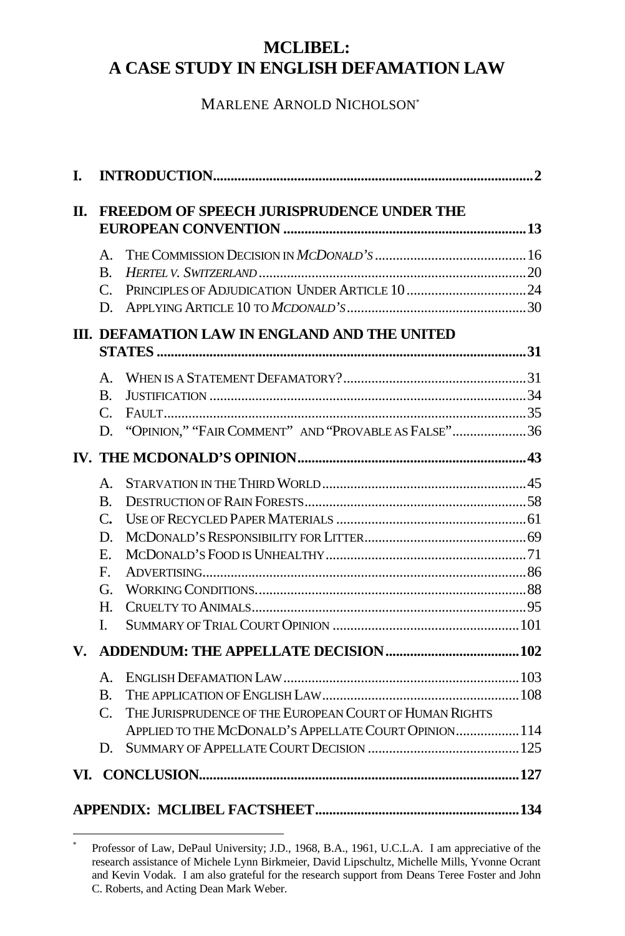# **MCLIBEL: A CASE STUDY IN ENGLISH DEFAMATION LAW**

# MARLENE ARNOLD NICHOLSON\*

| I.          |                                           |                                                         |  |  |
|-------------|-------------------------------------------|---------------------------------------------------------|--|--|
| П.          | FREEDOM OF SPEECH JURISPRUDENCE UNDER THE |                                                         |  |  |
|             | А.                                        |                                                         |  |  |
|             | $\mathbf{B}$ .                            |                                                         |  |  |
|             | $\mathcal{C}$ .                           |                                                         |  |  |
|             | D.                                        |                                                         |  |  |
|             |                                           | III. DEFAMATION LAW IN ENGLAND AND THE UNITED           |  |  |
|             |                                           |                                                         |  |  |
|             | А.                                        |                                                         |  |  |
|             | $\mathbf{B}$ .                            |                                                         |  |  |
|             | $\mathcal{C}$                             |                                                         |  |  |
|             | D.                                        | "OPINION," "FAIR COMMENT" AND "PROVABLE AS FALSE"36     |  |  |
|             |                                           |                                                         |  |  |
|             | А.                                        |                                                         |  |  |
|             | $\mathbf{B}$ .                            |                                                         |  |  |
|             | $\mathsf{C}$ .                            |                                                         |  |  |
|             | D.                                        |                                                         |  |  |
|             | $E_{\rm c}$                               |                                                         |  |  |
|             | $\mathbf{F}$ .                            |                                                         |  |  |
|             | G.                                        |                                                         |  |  |
|             | H.                                        |                                                         |  |  |
|             | L                                         |                                                         |  |  |
| $V_{\rm A}$ |                                           |                                                         |  |  |
|             | $\mathbf{A}$ .                            |                                                         |  |  |
|             | $\mathbf{B}$ .                            |                                                         |  |  |
|             | $C_{\cdot}$                               | THE JURISPRUDENCE OF THE EUROPEAN COURT OF HUMAN RIGHTS |  |  |
|             |                                           | APPLIED TO THE MCDONALD'S APPELLATE COURT OPINION 114   |  |  |
|             | D.                                        |                                                         |  |  |
|             |                                           |                                                         |  |  |
|             |                                           |                                                         |  |  |

 $\overline{a}$ \* Professor of Law, DePaul University; J.D., 1968, B.A., 1961, U.C.L.A. I am appreciative of the research assistance of Michele Lynn Birkmeier, David Lipschultz, Michelle Mills, Yvonne Ocrant and Kevin Vodak. I am also grateful for the research support from Deans Teree Foster and John C. Roberts, and Acting Dean Mark Weber.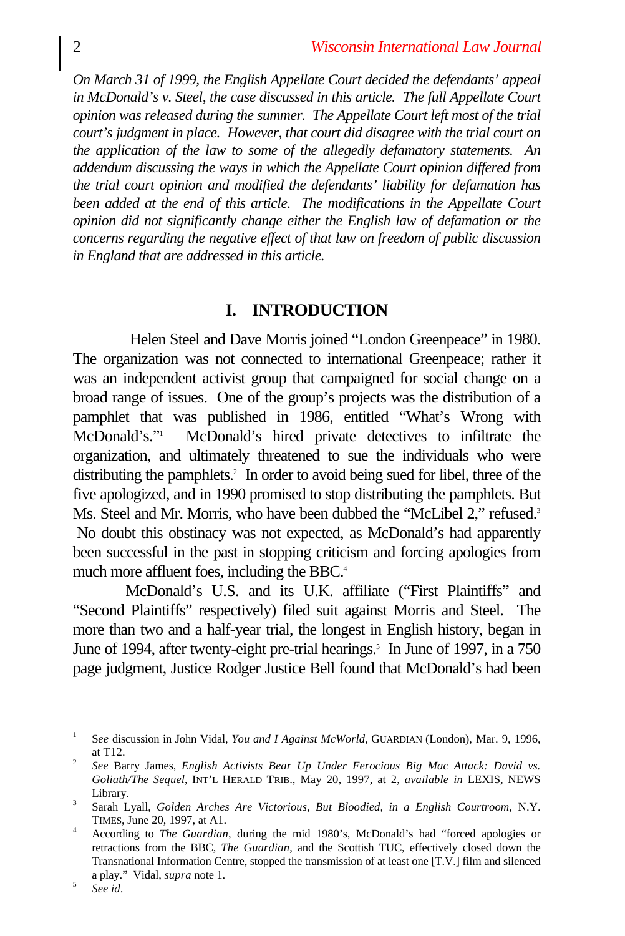*On March 31 of 1999, the English Appellate Court decided the defendants' appeal in McDonald's v. Steel, the case discussed in this article. The full Appellate Court opinion was released during the summer. The Appellate Court left most of the trial court's judgment in place. However, that court did disagree with the trial court on the application of the law to some of the allegedly defamatory statements. An addendum discussing the ways in which the Appellate Court opinion differed from the trial court opinion and modified the defendants' liability for defamation has been added at the end of this article. The modifications in the Appellate Court opinion did not significantly change either the English law of defamation or the concerns regarding the negative effect of that law on freedom of public discussion in England that are addressed in this article.*

## **I. INTRODUCTION**

 Helen Steel and Dave Morris joined "London Greenpeace" in 1980. The organization was not connected to international Greenpeace; rather it was an independent activist group that campaigned for social change on a broad range of issues. One of the group's projects was the distribution of a pamphlet that was published in 1986, entitled "What's Wrong with McDonald's." McDonald's hired private detectives to infiltrate the organization, and ultimately threatened to sue the individuals who were distributing the pamphlets.<sup>2</sup> In order to avoid being sued for libel, three of the five apologized, and in 1990 promised to stop distributing the pamphlets. But Ms. Steel and Mr. Morris, who have been dubbed the "McLibel 2," refused.<sup>3</sup> No doubt this obstinacy was not expected, as McDonald's had apparently been successful in the past in stopping criticism and forcing apologies from much more affluent foes, including the BBC.<sup>4</sup>

McDonald's U.S. and its U.K. affiliate ("First Plaintiffs" and "Second Plaintiffs" respectively) filed suit against Morris and Steel. The more than two and a half-year trial, the longest in English history, began in June of 1994, after twenty-eight pre-trial hearings.<sup>5</sup> In June of 1997, in a 750 page judgment, Justice Rodger Justice Bell found that McDonald's had been

<sup>1</sup> S*ee* discussion in John Vidal, *You and I Against McWorld*, GUARDIAN (London), Mar. 9, 1996, at T12.  $\overline{2}$ 

*See* Barry James, *English Activists Bear Up Under Ferocious Big Mac Attack: David vs. Goliath/The Sequel*, INT'L HERALD TRIB., May 20, 1997, at 2, *available in* LEXIS, NEWS Library. 3

Sarah Lyall, *Golden Arches Are Victorious, But Bloodied, in a English Courtroom*, N.Y. TIMES, June 20, 1997, at A1.

<sup>4</sup> According to *The Guardian*, during the mid 1980's, McDonald's had "forced apologies or retractions from the BBC, *The Guardian*, and the Scottish TUC, effectively closed down the Transnational Information Centre, stopped the transmission of at least one [T.V.] film and silenced a play." Vidal, *supra* note 1.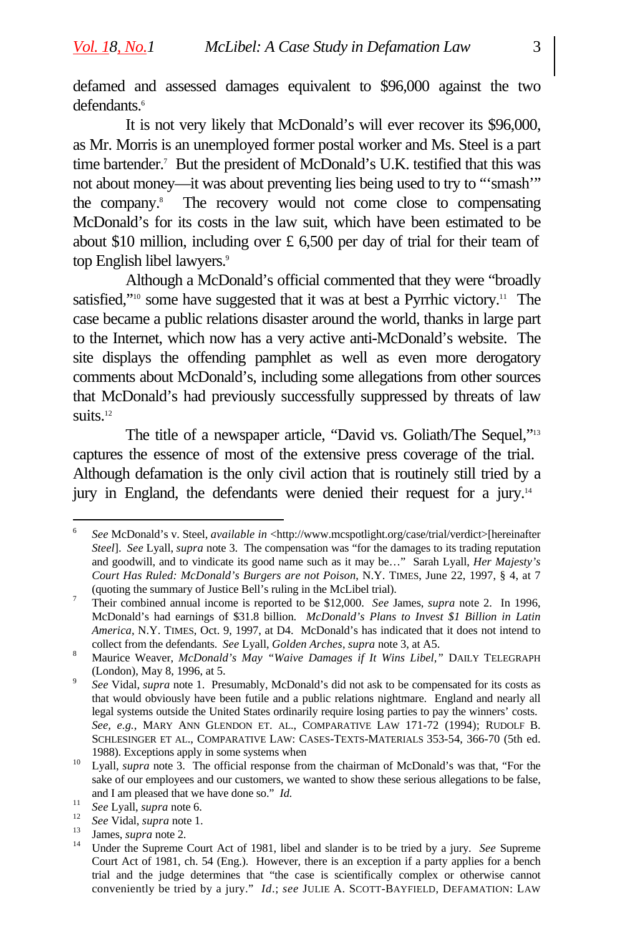defamed and assessed damages equivalent to \$96,000 against the two defendants<sup>6</sup>

It is not very likely that McDonald's will ever recover its \$96,000, as Mr. Morris is an unemployed former postal worker and Ms. Steel is a part time bartender.<sup>7</sup> But the president of McDonald's U.K. testified that this was not about money—it was about preventing lies being used to try to "'smash'" the company.<sup>8</sup> The recovery would not come close to compensating McDonald's for its costs in the law suit, which have been estimated to be about \$10 million, including over  $\pounds$  6,500 per day of trial for their team of top English libel lawyers.<sup>9</sup>

Although a McDonald's official commented that they were "broadly satisfied,"<sup>10</sup> some have suggested that it was at best a Pyrrhic victory.<sup>11</sup> The case became a public relations disaster around the world, thanks in large part to the Internet, which now has a very active anti-McDonald's website. The site displays the offending pamphlet as well as even more derogatory comments about McDonald's, including some allegations from other sources that McDonald's had previously successfully suppressed by threats of law suits.<sup>12</sup>

The title of a newspaper article, "David vs. Goliath/The Sequel,"<sup>13</sup> captures the essence of most of the extensive press coverage of the trial. Although defamation is the only civil action that is routinely still tried by a jury in England, the defendants were denied their request for a jury.<sup>14</sup>

<sup>6</sup> *See* McDonald's v. Steel, *available in* <http://www.mcspotlight.org/case/trial/verdict>[hereinafter *Steel*]. *See* Lyall, *supra* note 3. The compensation was "for the damages to its trading reputation and goodwill, and to vindicate its good name such as it may be…" Sarah Lyall, *Her Majesty's Court Has Ruled: McDonald's Burgers are not Poison*, N.Y. TIMES, June 22, 1997, § 4, at 7 (quoting the summary of Justice Bell's ruling in the McLibel trial).

<sup>7</sup> Their combined annual income is reported to be \$12,000. *See* James, *supra* note 2. In 1996, McDonald's had earnings of \$31.8 billion. *McDonald's Plans to Invest \$1 Billion in Latin America*, N.Y. TIMES, Oct. 9, 1997, at D4. McDonald's has indicated that it does not intend to collect from the defendants. *See* Lyall, *Golden Arches*, *supra* note 3, at A5.

<sup>&</sup>lt;sup>8</sup> Maurice Weaver, *McDonald's May "Waive Damages if It Wins Libel*," DAILY TELEGRAPH (London), May 8, 1996, at 5.

<sup>9</sup> *See* Vidal, *supra* note 1. Presumably, McDonald's did not ask to be compensated for its costs as that would obviously have been futile and a public relations nightmare. England and nearly all legal systems outside the United States ordinarily require losing parties to pay the winners' costs. *See, e.g.*, MARY ANN GLENDON ET. AL., COMPARATIVE LAW 171-72 (1994); RUDOLF B. SCHLESINGER ET AL., COMPARATIVE LAW: CASES-TEXTS-MATERIALS 353-54, 366-70 (5th ed. 1988). Exceptions apply in some systems when

<sup>&</sup>lt;sup>10</sup> Lyall, *supra* note 3. The official response from the chairman of McDonald's was that, "For the sake of our employees and our customers, we wanted to show these serious allegations to be false, and I am pleased that we have done so." *Id.*

<sup>11</sup> *See* Lyall, *supra* note 6.

<sup>12</sup> *See* Vidal, *supra* note 1.

<sup>13</sup> James, *supra* note 2.

<sup>14</sup> Under the Supreme Court Act of 1981, libel and slander is to be tried by a jury. *See* Supreme Court Act of 1981, ch. 54 (Eng.). However, there is an exception if a party applies for a bench trial and the judge determines that "the case is scientifically complex or otherwise cannot conveniently be tried by a jury." *Id*.; *see* JULIE A. SCOTT-BAYFIELD, DEFAMATION: LAW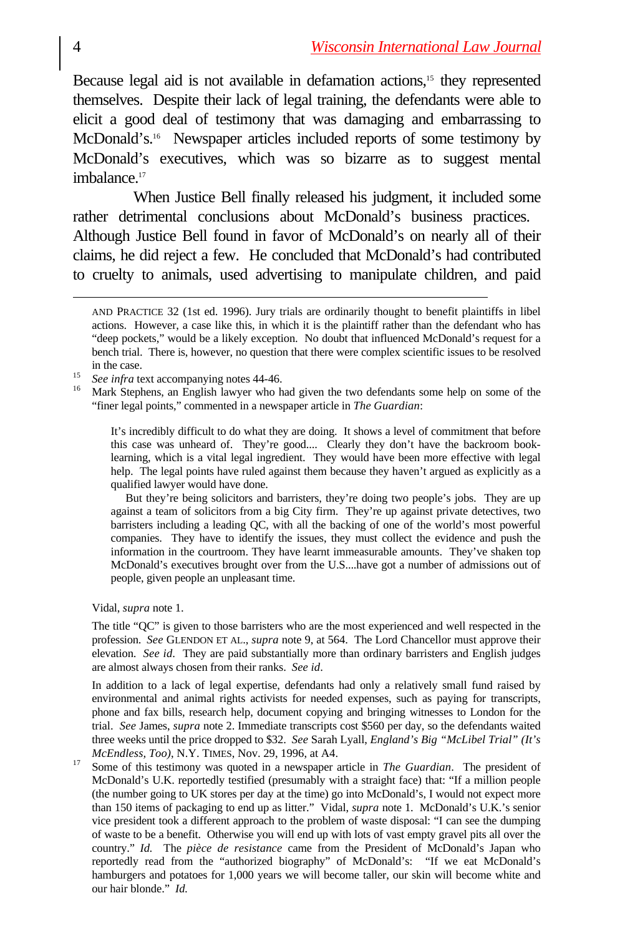Because legal aid is not available in defamation actions,<sup>15</sup> they represented themselves. Despite their lack of legal training, the defendants were able to elicit a good deal of testimony that was damaging and embarrassing to McDonald's.<sup>16</sup> Newspaper articles included reports of some testimony by McDonald's executives, which was so bizarre as to suggest mental imbalance.<sup>17</sup>

 When Justice Bell finally released his judgment, it included some rather detrimental conclusions about McDonald's business practices. Although Justice Bell found in favor of McDonald's on nearly all of their claims, he did reject a few. He concluded that McDonald's had contributed to cruelty to animals, used advertising to manipulate children, and paid

It's incredibly difficult to do what they are doing. It shows a level of commitment that before this case was unheard of. They're good.... Clearly they don't have the backroom booklearning, which is a vital legal ingredient. They would have been more effective with legal help. The legal points have ruled against them because they haven't argued as explicitly as a qualified lawyer would have done.

But they're being solicitors and barristers, they're doing two people's jobs. They are up against a team of solicitors from a big City firm. They're up against private detectives, two barristers including a leading QC, with all the backing of one of the world's most powerful companies. They have to identify the issues, they must collect the evidence and push the information in the courtroom. They have learnt immeasurable amounts. They've shaken top McDonald's executives brought over from the U.S....have got a number of admissions out of people, given people an unpleasant time.

Vidal, *supra* note 1.

The title "QC" is given to those barristers who are the most experienced and well respected in the profession. *See* GLENDON ET AL., *supra* note 9, at 564. The Lord Chancellor must approve their elevation. *See id*. They are paid substantially more than ordinary barristers and English judges are almost always chosen from their ranks. *See id*.

In addition to a lack of legal expertise, defendants had only a relatively small fund raised by environmental and animal rights activists for needed expenses, such as paying for transcripts, phone and fax bills, research help, document copying and bringing witnesses to London for the trial. *See* James, *supra* note 2. Immediate transcripts cost \$560 per day, so the defendants waited three weeks until the price dropped to \$32. *See* Sarah Lyall, *England's Big "McLibel Trial" (It's McEndless, Too)*, N.Y. TIMES, Nov. 29, 1996, at A4.

<sup>17</sup> Some of this testimony was quoted in a newspaper article in *The Guardian*. The president of McDonald's U.K. reportedly testified (presumably with a straight face) that: "If a million people (the number going to UK stores per day at the time) go into McDonald's, I would not expect more than 150 items of packaging to end up as litter." Vidal, *supra* note 1. McDonald's U.K.'s senior vice president took a different approach to the problem of waste disposal: "I can see the dumping of waste to be a benefit. Otherwise you will end up with lots of vast empty gravel pits all over the country." *Id.* The *pièce de resistance* came from the President of McDonald's Japan who reportedly read from the "authorized biography" of McDonald's: "If we eat McDonald's hamburgers and potatoes for 1,000 years we will become taller, our skin will become white and our hair blonde." *Id.*

AND PRACTICE 32 (1st ed. 1996). Jury trials are ordinarily thought to benefit plaintiffs in libel actions. However, a case like this, in which it is the plaintiff rather than the defendant who has "deep pockets," would be a likely exception. No doubt that influenced McDonald's request for a bench trial. There is, however, no question that there were complex scientific issues to be resolved in the case.

<sup>&</sup>lt;sup>15</sup> *See infra* text accompanying notes 44-46.

<sup>&</sup>lt;sup>16</sup> Mark Stephens, an English lawyer who had given the two defendants some help on some of the "finer legal points," commented in a newspaper article in *The Guardian*: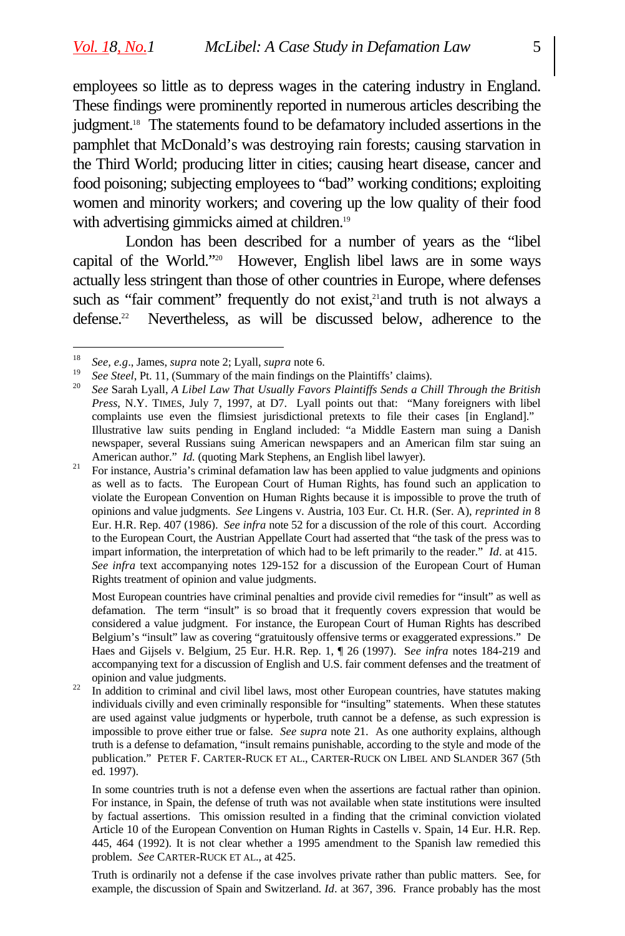employees so little as to depress wages in the catering industry in England. These findings were prominently reported in numerous articles describing the judgment.18 The statements found to be defamatory included assertions in the pamphlet that McDonald's was destroying rain forests; causing starvation in the Third World; producing litter in cities; causing heart disease, cancer and food poisoning; subjecting employees to "bad" working conditions; exploiting women and minority workers; and covering up the low quality of their food with advertising gimmicks aimed at children.<sup>19</sup>

London has been described for a number of years as the "libel capital of the World."20 However, English libel laws are in some ways actually less stringent than those of other countries in Europe, where defenses such as "fair comment" frequently do not exist,<sup>21</sup> and truth is not always a defense.22 Nevertheless, as will be discussed below, adherence to the

Most European countries have criminal penalties and provide civil remedies for "insult" as well as defamation. The term "insult" is so broad that it frequently covers expression that would be considered a value judgment. For instance, the European Court of Human Rights has described Belgium's "insult" law as covering "gratuitously offensive terms or exaggerated expressions."De Haes and Gijsels v. Belgium, 25 Eur. H.R. Rep. 1, ¶ 26 (1997). S*ee infra* notes 184-219 and accompanying text for a discussion of English and U.S. fair comment defenses and the treatment of opinion and value judgments.

In some countries truth is not a defense even when the assertions are factual rather than opinion. For instance, in Spain, the defense of truth was not available when state institutions were insulted by factual assertions. This omission resulted in a finding that the criminal conviction violated Article 10 of the European Convention on Human Rights in Castells v. Spain, 14 Eur. H.R. Rep. 445, 464 (1992). It is not clear whether a 1995 amendment to the Spanish law remedied this problem. *See* CARTER-RUCK ET AL., at 425.

Truth is ordinarily not a defense if the case involves private rather than public matters. See, for example, the discussion of Spain and Switzerland. *Id*. at 367, 396. France probably has the most

<sup>18</sup> <sup>18</sup> *See, e.g*., James, *supra* note 2; Lyall, *supra* note 6.

<sup>&</sup>lt;sup>19</sup> *See Steel*, Pt. 11, (Summary of the main findings on the Plaintiffs' claims).

<sup>20</sup> *See* Sarah Lyall, *A Libel Law That Usually Favors Plaintiffs Sends a Chill Through the British Press*, N.Y. TIMES, July 7, 1997, at D7. Lyall points out that: "Many foreigners with libel complaints use even the flimsiest jurisdictional pretexts to file their cases [in England]." Illustrative law suits pending in England included: "a Middle Eastern man suing a Danish newspaper, several Russians suing American newspapers and an American film star suing an American author." *Id.* (quoting Mark Stephens, an English libel lawyer).

<sup>&</sup>lt;sup>21</sup> For instance, Austria's criminal defamation law has been applied to value judgments and opinions as well as to facts. The European Court of Human Rights, has found such an application to violate the European Convention on Human Rights because it is impossible to prove the truth of opinions and value judgments. *See* Lingens v. Austria, 103 Eur. Ct. H.R. (Ser. A), *reprinted in* 8 Eur. H.R. Rep. 407 (1986). *See infra* note 52 for a discussion of the role of this court. According to the European Court, the Austrian Appellate Court had asserted that "the task of the press was to impart information, the interpretation of which had to be left primarily to the reader." *Id*. at 415. *See infra* text accompanying notes 129-152 for a discussion of the European Court of Human Rights treatment of opinion and value judgments.

<sup>&</sup>lt;sup>22</sup> In addition to criminal and civil libel laws, most other European countries, have statutes making individuals civilly and even criminally responsible for "insulting" statements. When these statutes are used against value judgments or hyperbole, truth cannot be a defense, as such expression is impossible to prove either true or false. *See supra* note 21.As one authority explains, although truth is a defense to defamation, "insult remains punishable, according to the style and mode of the publication." PETER F. CARTER-RUCK ET AL., CARTER-RUCK ON LIBEL AND SLANDER 367 (5th ed. 1997).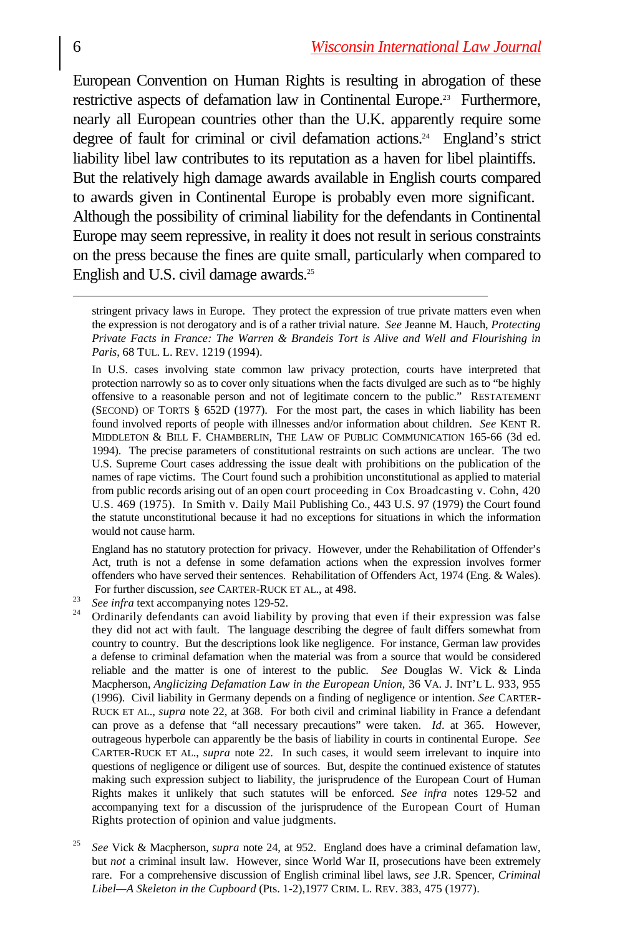European Convention on Human Rights is resulting in abrogation of these restrictive aspects of defamation law in Continental Europe.<sup>23</sup> Furthermore, nearly all European countries other than the U.K. apparently require some degree of fault for criminal or civil defamation actions.24 England's strict liability libel law contributes to its reputation as a haven for libel plaintiffs. But the relatively high damage awards available in English courts compared to awards given in Continental Europe is probably even more significant. Although the possibility of criminal liability for the defendants in Continental Europe may seem repressive, in reality it does not result in serious constraints on the press because the fines are quite small, particularly when compared to English and U.S. civil damage awards.<sup>25</sup>

In U.S. cases involving state common law privacy protection, courts have interpreted that protection narrowly so as to cover only situations when the facts divulged are such as to "be highly offensive to a reasonable person and not of legitimate concern to the public." RESTATEMENT (SECOND) OF TORTS § 652D (1977). For the most part, the cases in which liability has been found involved reports of people with illnesses and/or information about children. *See* KENT R. MIDDLETON & BILL F. CHAMBERLIN, THE LAW OF PUBLIC COMMUNICATION 165-66 (3d ed. 1994). The precise parameters of constitutional restraints on such actions are unclear. The two U.S. Supreme Court cases addressing the issue dealt with prohibitions on the publication of the names of rape victims. The Court found such a prohibition unconstitutional as applied to material from public records arising out of an open court proceeding in Cox Broadcasting v. Cohn, 420 U.S. 469 (1975). In Smith v. Daily Mail Publishing Co*.*, 443 U.S. 97 (1979) the Court found the statute unconstitutional because it had no exceptions for situations in which the information would not cause harm.

England has no statutory protection for privacy. However, under the Rehabilitation of Offender's Act, truth is not a defense in some defamation actions when the expression involves former offenders who have served their sentences. Rehabilitation of Offenders Act, 1974 (Eng. & Wales). For further discussion, *see* CARTER-RUCK ET AL., at 498.

- <sup>23</sup> *See infra* text accompanying notes 129-52.
	- <sup>24</sup> Ordinarily defendants can avoid liability by proving that even if their expression was false they did not act with fault. The language describing the degree of fault differs somewhat from country to country. But the descriptions look like negligence. For instance, German law provides a defense to criminal defamation when the material was from a source that would be considered reliable and the matter is one of interest to the public. *See* Douglas W. Vick & Linda Macpherson, *Anglicizing Defamation Law in the European Union*, 36 VA. J. INT'L L. 933, 955 (1996). Civil liability in Germany depends on a finding of negligence or intention. *See* CARTER-RUCK ET AL., *supra* note 22, at 368. For both civil and criminal liability in France a defendant can prove as a defense that "all necessary precautions" were taken. *Id*. at 365. However, outrageous hyperbole can apparently be the basis of liability in courts in continental Europe. *See* CARTER-RUCK ET AL., *supra* note 22. In such cases, it would seem irrelevant to inquire into questions of negligence or diligent use of sources. But, despite the continued existence of statutes making such expression subject to liability, the jurisprudence of the European Court of Human Rights makes it unlikely that such statutes will be enforced. *See infra* notes 129-52 and accompanying text for a discussion of the jurisprudence of the European Court of Human Rights protection of opinion and value judgments.
- <sup>25</sup> *See* Vick & Macpherson, *supra* note 24, at 952. England does have a criminal defamation law, but *not* a criminal insult law. However, since World War II, prosecutions have been extremely rare. For a comprehensive discussion of English criminal libel laws, *see* J.R. Spencer, *Criminal Libel—A Skeleton in the Cupboard* (Pts. 1-2),1977 CRIM. L. REV. 383, 475 (1977).

stringent privacy laws in Europe. They protect the expression of true private matters even when the expression is not derogatory and is of a rather trivial nature. *See* Jeanne M. Hauch, *Protecting Private Facts in France: The Warren & Brandeis Tort is Alive and Well and Flourishing in Paris*, 68 TUL. L. REV. 1219 (1994).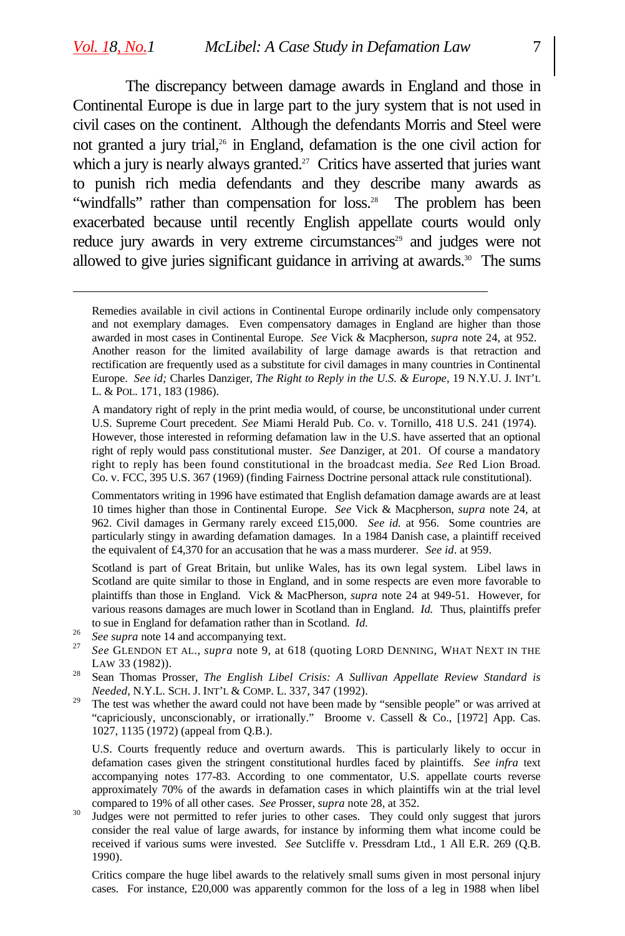The discrepancy between damage awards in England and those in Continental Europe is due in large part to the jury system that is not used in civil cases on the continent. Although the defendants Morris and Steel were not granted a jury trial,<sup>26</sup> in England, defamation is the one civil action for which a jury is nearly always granted.<sup>27</sup> Critics have asserted that juries want to punish rich media defendants and they describe many awards as "windfalls" rather than compensation for loss.<sup>28</sup> The problem has been exacerbated because until recently English appellate courts would only reduce jury awards in very extreme circumstances<sup>29</sup> and judges were not allowed to give juries significant guidance in arriving at awards.<sup>30</sup> The sums

Commentators writing in 1996 have estimated that English defamation damage awards are at least 10 times higher than those in Continental Europe. *See* Vick & Macpherson, *supra* note 24, at 962. Civil damages in Germany rarely exceed £15,000. *See id.* at 956. Some countries are particularly stingy in awarding defamation damages. In a 1984 Danish case, a plaintiff received the equivalent of £4,370 for an accusation that he was a mass murderer. *See id*. at 959.

Scotland is part of Great Britain, but unlike Wales, has its own legal system. Libel laws in Scotland are quite similar to those in England, and in some respects are even more favorable to plaintiffs than those in England. Vick & MacPherson, *supra* note 24 at 949-51. However, for various reasons damages are much lower in Scotland than in England. *Id.* Thus, plaintiffs prefer to sue in England for defamation rather than in Scotland. *Id.*

<sup>26</sup> *See supra* note 14 and accompanying text.

 $\overline{a}$ 

- <sup>27</sup> *See* GLENDON ET AL., *supra* note 9, at 618 (quoting LORD DENNING, WHAT NEXT IN THE LAW 33 (1982)).
- <sup>28</sup> Sean Thomas Prosser, *The English Libel Crisis: A Sullivan Appellate Review Standard is Needed*, N.Y.L. SCH. J. INT'L & COMP. L. 337, 347 (1992).
- <sup>29</sup> The test was whether the award could not have been made by "sensible people" or was arrived at "capriciously, unconscionably, or irrationally." Broome v. Cassell & Co., [1972] App. Cas. 1027, 1135 (1972) (appeal from Q.B.).

U.S. Courts frequently reduce and overturn awards. This is particularly likely to occur in defamation cases given the stringent constitutional hurdles faced by plaintiffs. *See infra* text accompanying notes 177-83. According to one commentator, U.S. appellate courts reverse approximately 70% of the awards in defamation cases in which plaintiffs win at the trial level compared to 19% of all other cases. *See* Prosser, *supra* note 28, at 352.

<sup>30</sup> Judges were not permitted to refer juries to other cases. They could only suggest that jurors consider the real value of large awards, for instance by informing them what income could be received if various sums were invested. *See* Sutcliffe v. Pressdram Ltd., 1 All E.R. 269 (Q.B. 1990).

Critics compare the huge libel awards to the relatively small sums given in most personal injury cases. For instance, £20,000 was apparently common for the loss of a leg in 1988 when libel

Remedies available in civil actions in Continental Europe ordinarily include only compensatory and not exemplary damages. Even compensatory damages in England are higher than those awarded in most cases in Continental Europe. *See* Vick & Macpherson, *supra* note 24, at 952. Another reason for the limited availability of large damage awards is that retraction and rectification are frequently used as a substitute for civil damages in many countries in Continental Europe. *See id;* Charles Danziger, *The Right to Reply in the U.S. & Europe*, 19 N.Y.U. J. INT'L L. & POL. 171, 183 (1986).

A mandatory right of reply in the print media would, of course, be unconstitutional under current U.S. Supreme Court precedent. *See* Miami Herald Pub. Co. v. Tornillo, 418 U.S. 241 (1974). However, those interested in reforming defamation law in the U.S. have asserted that an optional right of reply would pass constitutional muster. *See* Danziger, at 201. Of course a mandatory right to reply has been found constitutional in the broadcast media. *See* Red Lion Broad. Co. v. FCC, 395 U.S. 367 (1969) (finding Fairness Doctrine personal attack rule constitutional).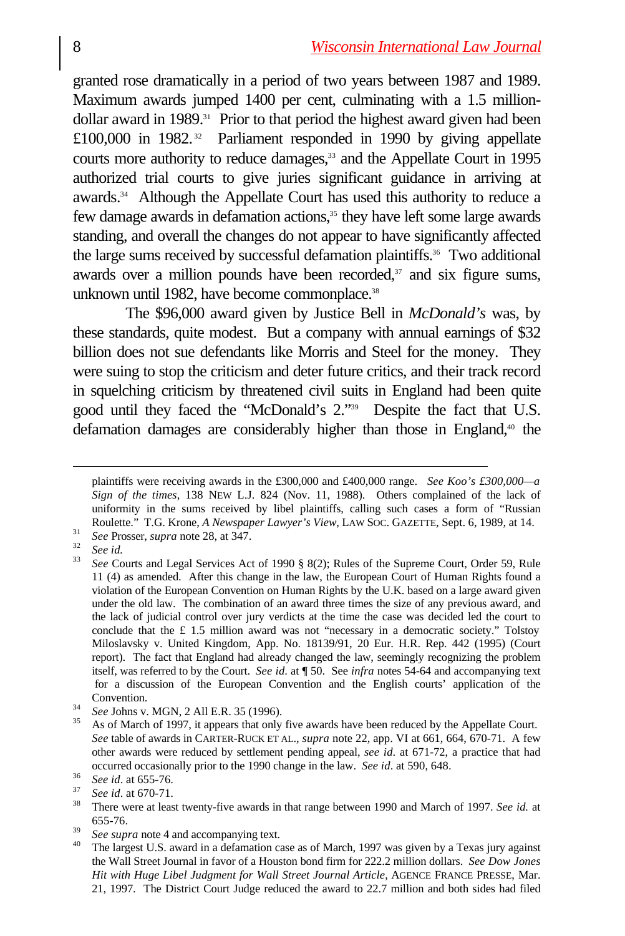granted rose dramatically in a period of two years between 1987 and 1989. Maximum awards jumped 1400 per cent, culminating with a 1.5 milliondollar award in 1989.31 Prior to that period the highest award given had been £100,000 in 1982.<sup>32</sup> Parliament responded in 1990 by giving appellate courts more authority to reduce damages,<sup>33</sup> and the Appellate Court in 1995 authorized trial courts to give juries significant guidance in arriving at awards.34 Although the Appellate Court has used this authority to reduce a few damage awards in defamation actions.<sup>35</sup> they have left some large awards standing, and overall the changes do not appear to have significantly affected the large sums received by successful defamation plaintiffs.<sup>36</sup> Two additional awards over a million pounds have been recorded, $37$  and six figure sums, unknown until 1982, have become commonplace.<sup>38</sup>

The \$96,000 award given by Justice Bell in *McDonald's* was, by these standards, quite modest. But a company with annual earnings of \$32 billion does not sue defendants like Morris and Steel for the money. They were suing to stop the criticism and deter future critics, and their track record in squelching criticism by threatened civil suits in England had been quite good until they faced the "McDonald's 2."39 Despite the fact that U.S. defamation damages are considerably higher than those in England,<sup>40</sup> the

- <sup>31</sup> *See* Prosser, *supra* note 28, at 347.
- <sup>32</sup> *See id.*

 $\overline{a}$ 

39 *See supra* note 4 and accompanying text.

plaintiffs were receiving awards in the £300,000 and £400,000 range. *See Koo's £300,000—a Sign of the times*, 138 NEW L.J. 824 (Nov. 11, 1988). Others complained of the lack of uniformity in the sums received by libel plaintiffs, calling such cases a form of "Russian Roulette." T.G. Krone, *A Newspaper Lawyer's View*, LAW SOC. GAZETTE, Sept. 6, 1989, at 14.

<sup>33</sup> *See* Courts and Legal Services Act of 1990 § 8(2); Rules of the Supreme Court, Order 59, Rule 11 (4) as amended. After this change in the law, the European Court of Human Rights found a violation of the European Convention on Human Rights by the U.K. based on a large award given under the old law. The combination of an award three times the size of any previous award, and the lack of judicial control over jury verdicts at the time the case was decided led the court to conclude that the £ 1.5 million award was not "necessary in a democratic society." Tolstoy Miloslavsky v. United Kingdom, App. No. 18139/91, 20 Eur. H.R. Rep. 442 (1995) (Court report). The fact that England had already changed the law, seemingly recognizing the problem itself, was referred to by the Court. *See id*. at ¶ 50. See *infra* notes 54-64 and accompanying text for a discussion of the European Convention and the English courts' application of the Convention.

<sup>34</sup> *See* Johns v. MGN, 2 All E.R. 35 (1996).

<sup>35</sup> As of March of 1997, it appears that only five awards have been reduced by the Appellate Court. *See* table of awards in CARTER-RUCK ET AL., *supra* note 22, app. VI at 661, 664, 670-71. A few other awards were reduced by settlement pending appeal, *see id*. at 671-72, a practice that had occurred occasionally prior to the 1990 change in the law. *See id*. at 590, 648.

<sup>36</sup> *See id*. at 655-76.

<sup>37</sup> *See id*. at 670-71.

<sup>&</sup>lt;sup>38</sup> There were at least twenty-five awards in that range between 1990 and March of 1997. See id. at 655-76.

<sup>&</sup>lt;sup>40</sup> The largest U.S. award in a defamation case as of March, 1997 was given by a Texas jury against the Wall Street Journal in favor of a Houston bond firm for 222.2 million dollars. *See Dow Jones Hit with Huge Libel Judgment for Wall Street Journal Article*, AGENCE FRANCE PRESSE, Mar. 21, 1997. The District Court Judge reduced the award to 22.7 million and both sides had filed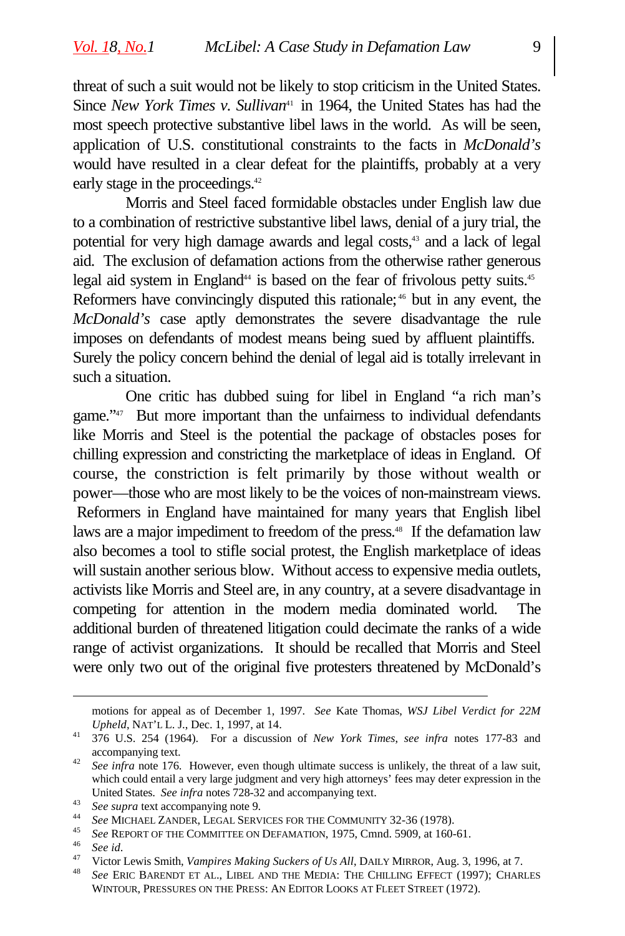threat of such a suit would not be likely to stop criticism in the United States. Since *New York Times v. Sullivan*<sup>41</sup> in 1964, the United States has had the most speech protective substantive libel laws in the world. As will be seen, application of U.S. constitutional constraints to the facts in *McDonald's* would have resulted in a clear defeat for the plaintiffs, probably at a very early stage in the proceedings.<sup>42</sup>

Morris and Steel faced formidable obstacles under English law due to a combination of restrictive substantive libel laws, denial of a jury trial, the potential for very high damage awards and legal costs,<sup>43</sup> and a lack of legal aid. The exclusion of defamation actions from the otherwise rather generous legal aid system in England<sup>44</sup> is based on the fear of frivolous petty suits.<sup>45</sup> Reformers have convincingly disputed this rationale;<sup>46</sup> but in any event, the *McDonald's* case aptly demonstrates the severe disadvantage the rule imposes on defendants of modest means being sued by affluent plaintiffs. Surely the policy concern behind the denial of legal aid is totally irrelevant in such a situation.

One critic has dubbed suing for libel in England "a rich man's game."47 But more important than the unfairness to individual defendants like Morris and Steel is the potential the package of obstacles poses for chilling expression and constricting the marketplace of ideas in England. Of course, the constriction is felt primarily by those without wealth or power—those who are most likely to be the voices of non-mainstream views. Reformers in England have maintained for many years that English libel laws are a major impediment to freedom of the press.<sup>48</sup> If the defamation law also becomes a tool to stifle social protest, the English marketplace of ideas will sustain another serious blow. Without access to expensive media outlets, activists like Morris and Steel are, in any country, at a severe disadvantage in competing for attention in the modern media dominated world. The additional burden of threatened litigation could decimate the ranks of a wide range of activist organizations. It should be recalled that Morris and Steel were only two out of the original five protesters threatened by McDonald's

motions for appeal as of December 1, 1997. *See* Kate Thomas, *WSJ Libel Verdict for 22M Upheld*, NAT'L L. J., Dec. 1, 1997, at 14.

<sup>41</sup> 376 U.S. 254 (1964). For a discussion of *New York Times*, *see infra* notes 177-83 and accompanying text.

<sup>&</sup>lt;sup>42</sup> See infra note 176. However, even though ultimate success is unlikely, the threat of a law suit, which could entail a very large judgment and very high attorneys' fees may deter expression in the United States. *See infra* notes 728-32 and accompanying text.

<sup>43</sup> *See supra* text accompanying note 9. 44

*See* MICHAEL ZANDER, LEGAL SERVICES FOR THE COMMUNITY 32-36 (1978).

<sup>45</sup> *See* REPORT OF THE COMMITTEE ON DEFAMATION, 1975, Cmnd. 5909, at 160-61.

<sup>46</sup> *See id*.

<sup>47</sup> Victor Lewis Smith, *Vampires Making Suckers of Us All*, DAILY MIRROR, Aug. 3, 1996, at 7. 48

*See* ERIC BARENDT ET AL., LIBEL AND THE MEDIA: THE CHILLING EFFECT (1997); CHARLES WINTOUR, PRESSURES ON THE PRESS: AN EDITOR LOOKS AT FLEET STREET (1972).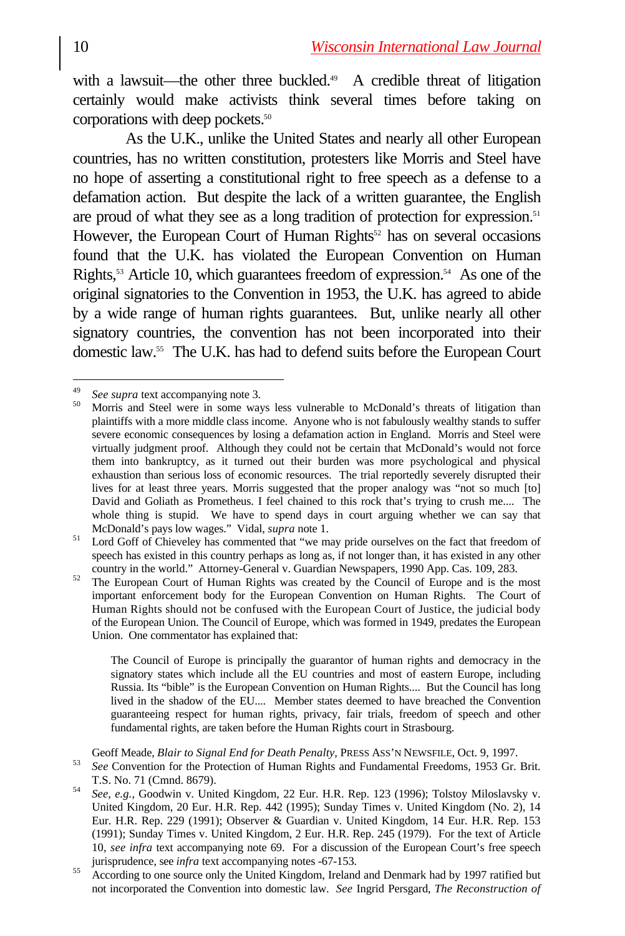with a lawsuit—the other three buckled.<sup>49</sup> A credible threat of litigation certainly would make activists think several times before taking on corporations with deep pockets.<sup>50</sup>

As the U.K., unlike the United States and nearly all other European countries, has no written constitution, protesters like Morris and Steel have no hope of asserting a constitutional right to free speech as a defense to a defamation action. But despite the lack of a written guarantee, the English are proud of what they see as a long tradition of protection for expression.<sup>51</sup> However, the European Court of Human Rights<sup>52</sup> has on several occasions found that the U.K. has violated the European Convention on Human Rights,<sup>53</sup> Article 10, which guarantees freedom of expression.<sup>54</sup> As one of the original signatories to the Convention in 1953, the U.K. has agreed to abide by a wide range of human rights guarantees. But, unlike nearly all other signatory countries, the convention has not been incorporated into their domestic law.55 The U.K. has had to defend suits before the European Court

The Council of Europe is principally the guarantor of human rights and democracy in the signatory states which include all the EU countries and most of eastern Europe, including Russia. Its "bible" is the European Convention on Human Rights.... But the Council has long lived in the shadow of the EU.... Member states deemed to have breached the Convention guaranteeing respect for human rights, privacy, fair trials, freedom of speech and other fundamental rights, are taken before the Human Rights court in Strasbourg.

Geoff Meade, *Blair to Signal End for Death Penalty,* PRESS ASS'N NEWSFILE, Oct. 9, 1997.

<sup>&</sup>lt;sup>49</sup> *See supra* text accompanying note 3.

<sup>&</sup>lt;sup>50</sup> Morris and Steel were in some ways less vulnerable to McDonald's threats of litigation than plaintiffs with a more middle class income. Anyone who is not fabulously wealthy stands to suffer severe economic consequences by losing a defamation action in England. Morris and Steel were virtually judgment proof. Although they could not be certain that McDonald's would not force them into bankruptcy, as it turned out their burden was more psychological and physical exhaustion than serious loss of economic resources. The trial reportedly severely disrupted their lives for at least three years. Morris suggested that the proper analogy was "not so much [to] David and Goliath as Prometheus. I feel chained to this rock that's trying to crush me.... The whole thing is stupid. We have to spend days in court arguing whether we can say that McDonald's pays low wages." Vidal, *supra* note 1.

<sup>51</sup> Lord Goff of Chieveley has commented that "we may pride ourselves on the fact that freedom of speech has existed in this country perhaps as long as, if not longer than, it has existed in any other country in the world." Attorney-General v. Guardian Newspapers, 1990 App. Cas. 109, 283.

<sup>&</sup>lt;sup>52</sup> The European Court of Human Rights was created by the Council of Europe and is the most important enforcement body for the European Convention on Human Rights. The Court of Human Rights should not be confused with the European Court of Justice, the judicial body of the European Union. The Council of Europe, which was formed in 1949, predates the European Union. One commentator has explained that:

<sup>53</sup> *See* Convention for the Protection of Human Rights and Fundamental Freedoms, 1953 Gr. Brit. T.S. No. 71 (Cmnd. 8679).

<sup>54</sup> *See, e.g.*, Goodwin v. United Kingdom, 22 Eur. H.R. Rep. 123 (1996); Tolstoy Miloslavsky v. United Kingdom, 20 Eur. H.R. Rep. 442 (1995); Sunday Times v. United Kingdom (No. 2), 14 Eur. H.R. Rep. 229 (1991); Observer & Guardian v. United Kingdom, 14 Eur. H.R. Rep. 153 (1991); Sunday Times v. United Kingdom, 2 Eur. H.R. Rep. 245 (1979). For the text of Article 10, *see infra* text accompanying note 69. For a discussion of the European Court's free speech jurisprudence, see *infra* text accompanying notes -67-153.

<sup>55</sup> According to one source only the United Kingdom, Ireland and Denmark had by 1997 ratified but not incorporated the Convention into domestic law. *See* Ingrid Persgard, *The Reconstruction of*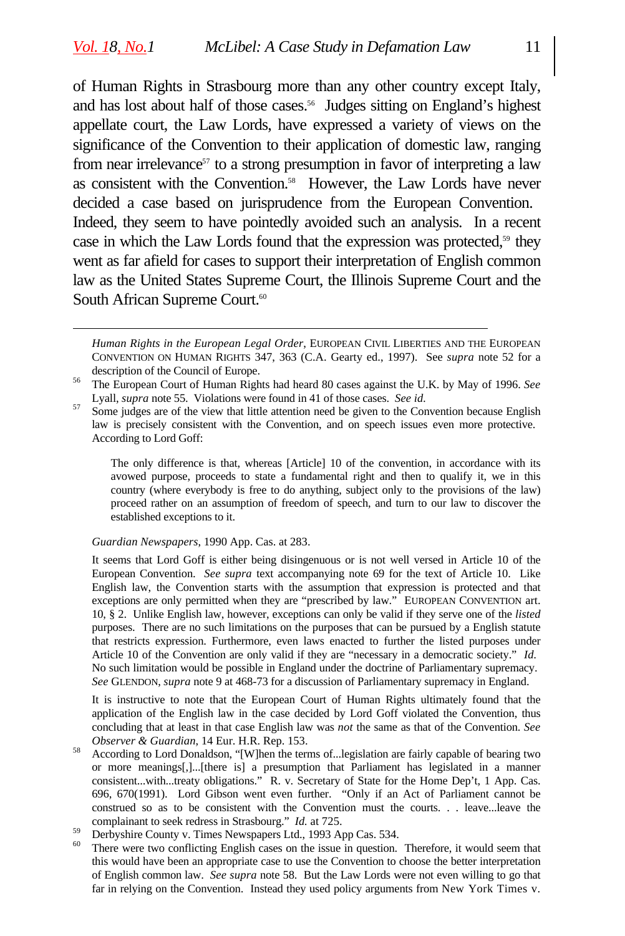of Human Rights in Strasbourg more than any other country except Italy, and has lost about half of those cases.<sup>56</sup> Judges sitting on England's highest appellate court, the Law Lords, have expressed a variety of views on the significance of the Convention to their application of domestic law, ranging from near irrelevance<sup>57</sup> to a strong presumption in favor of interpreting a law as consistent with the Convention.<sup>58</sup> However, the Law Lords have never decided a case based on jurisprudence from the European Convention. Indeed, they seem to have pointedly avoided such an analysis. In a recent case in which the Law Lords found that the expression was protected,<sup>59</sup> they went as far afield for cases to support their interpretation of English common law as the United States Supreme Court, the Illinois Supreme Court and the South African Supreme Court.<sup>60</sup>

The only difference is that, whereas [Article] 10 of the convention, in accordance with its avowed purpose, proceeds to state a fundamental right and then to qualify it, we in this country (where everybody is free to do anything, subject only to the provisions of the law) proceed rather on an assumption of freedom of speech, and turn to our law to discover the established exceptions to it.

#### *Guardian Newspapers*, 1990 App. Cas. at 283.

 $\overline{a}$ 

It seems that Lord Goff is either being disingenuous or is not well versed in Article 10 of the European Convention. *See supra* text accompanying note 69 for the text of Article 10. Like English law, the Convention starts with the assumption that expression is protected and that exceptions are only permitted when they are "prescribed by law." EUROPEAN CONVENTION art. 10, § 2. Unlike English law, however, exceptions can only be valid if they serve one of the *listed* purposes. There are no such limitations on the purposes that can be pursued by a English statute that restricts expression. Furthermore, even laws enacted to further the listed purposes under Article 10 of the Convention are only valid if they are "necessary in a democratic society." *Id.* No such limitation would be possible in England under the doctrine of Parliamentary supremacy. *See* GLENDON, *supra* note 9 at 468-73 for a discussion of Parliamentary supremacy in England.

It is instructive to note that the European Court of Human Rights ultimately found that the application of the English law in the case decided by Lord Goff violated the Convention, thus concluding that at least in that case English law was *not* the same as that of the Convention. *See Observer & Guardian*, 14 Eur. H.R. Rep. 153.

- 58 According to Lord Donaldson, "[W]hen the terms of...legislation are fairly capable of bearing two or more meanings[,]...[there is] a presumption that Parliament has legislated in a manner consistent...with...treaty obligations." R. v. Secretary of State for the Home Dep't, 1 App. Cas. 696, 670(1991). Lord Gibson went even further. "Only if an Act of Parliament cannot be construed so as to be consistent with the Convention must the courts. . . leave...leave the complainant to seek redress in Strasbourg." *Id.* at 725.
- <sup>59</sup> Derbyshire County v. Times Newspapers Ltd., 1993 App Cas. 534.
- <sup>60</sup> There were two conflicting English cases on the issue in question. Therefore, it would seem that this would have been an appropriate case to use the Convention to choose the better interpretation of English common law. *See supra* note 58. But the Law Lords were not even willing to go that far in relying on the Convention. Instead they used policy arguments from New York Times v.

*Human Rights in the European Legal Order*, EUROPEAN CIVIL LIBERTIES AND THE EUROPEAN CONVENTION ON HUMAN RIGHTS 347, 363 (C.A. Gearty ed., 1997). See *supra* note 52 for a description of the Council of Europe.

<sup>56</sup> The European Court of Human Rights had heard 80 cases against the U.K. by May of 1996. *See* Lyall, *supra* note 55. Violations were found in 41 of those cases. *See id.*

 $57$  Some judges are of the view that little attention need be given to the Convention because English law is precisely consistent with the Convention, and on speech issues even more protective. According to Lord Goff: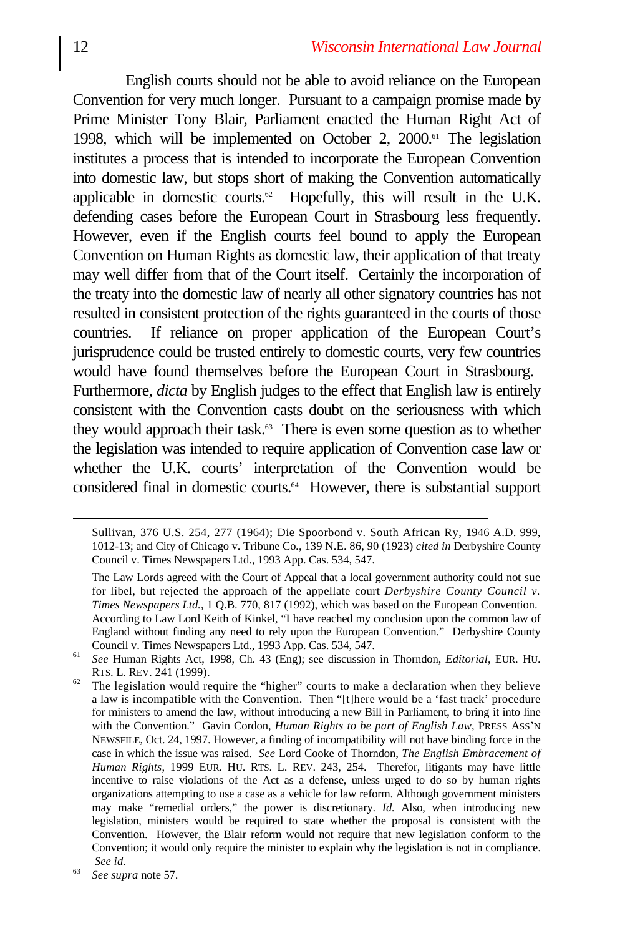English courts should not be able to avoid reliance on the European Convention for very much longer. Pursuant to a campaign promise made by Prime Minister Tony Blair, Parliament enacted the Human Right Act of 1998, which will be implemented on October 2, 2000. $61$  The legislation institutes a process that is intended to incorporate the European Convention into domestic law, but stops short of making the Convention automatically applicable in domestic courts. $62$  Hopefully, this will result in the U.K. defending cases before the European Court in Strasbourg less frequently. However, even if the English courts feel bound to apply the European Convention on Human Rights as domestic law, their application of that treaty may well differ from that of the Court itself. Certainly the incorporation of the treaty into the domestic law of nearly all other signatory countries has not resulted in consistent protection of the rights guaranteed in the courts of those countries. If reliance on proper application of the European Court's jurisprudence could be trusted entirely to domestic courts, very few countries would have found themselves before the European Court in Strasbourg. Furthermore, *dicta* by English judges to the effect that English law is entirely consistent with the Convention casts doubt on the seriousness with which they would approach their task.<sup>63</sup> There is even some question as to whether the legislation was intended to require application of Convention case law or whether the U.K. courts' interpretation of the Convention would be considered final in domestic courts.64 However, there is substantial support

Sullivan, 376 U.S. 254, 277 (1964); Die Spoorbond v. South African Ry, 1946 A.D. 999, 1012-13; and City of Chicago v. Tribune Co*.*, 139 N.E. 86, 90 (1923) *cited in* Derbyshire County Council v. Times Newspapers Ltd., 1993 App. Cas. 534, 547.

The Law Lords agreed with the Court of Appeal that a local government authority could not sue for libel, but rejected the approach of the appellate court *Derbyshire County Council v. Times Newspapers Ltd.*, 1 Q.B. 770, 817 (1992), which was based on the European Convention. According to Law Lord Keith of Kinkel, "I have reached my conclusion upon the common law of England without finding any need to rely upon the European Convention." Derbyshire County Council v. Times Newspapers Ltd., 1993 App. Cas. 534, 547.

<sup>61</sup> *See* Human Rights Act, 1998, Ch. 43 (Eng); see discussion in Thorndon, *Editorial*, EUR. HU. RTS. L. REV. 241 (1999).

 $62$  The legislation would require the "higher" courts to make a declaration when they believe a law is incompatible with the Convention. Then "[t]here would be a 'fast track' procedure for ministers to amend the law, without introducing a new Bill in Parliament, to bring it into line with the Convention." Gavin Cordon, *Human Rights to be part of English Law*, PRESS ASS'N NEWSFILE, Oct. 24, 1997. However, a finding of incompatibility will not have binding force in the case in which the issue was raised. *See* Lord Cooke of Thorndon, *The English Embracement of Human Rights*, 1999 EUR. HU. RTS. L. REV. 243, 254. Therefor, litigants may have little incentive to raise violations of the Act as a defense, unless urged to do so by human rights organizations attempting to use a case as a vehicle for law reform. Although government ministers may make "remedial orders," the power is discretionary. *Id.* Also, when introducing new legislation, ministers would be required to state whether the proposal is consistent with the Convention. However, the Blair reform would not require that new legislation conform to the Convention; it would only require the minister to explain why the legislation is not in compliance. *See id*.

<sup>63</sup> *See supra* note 57.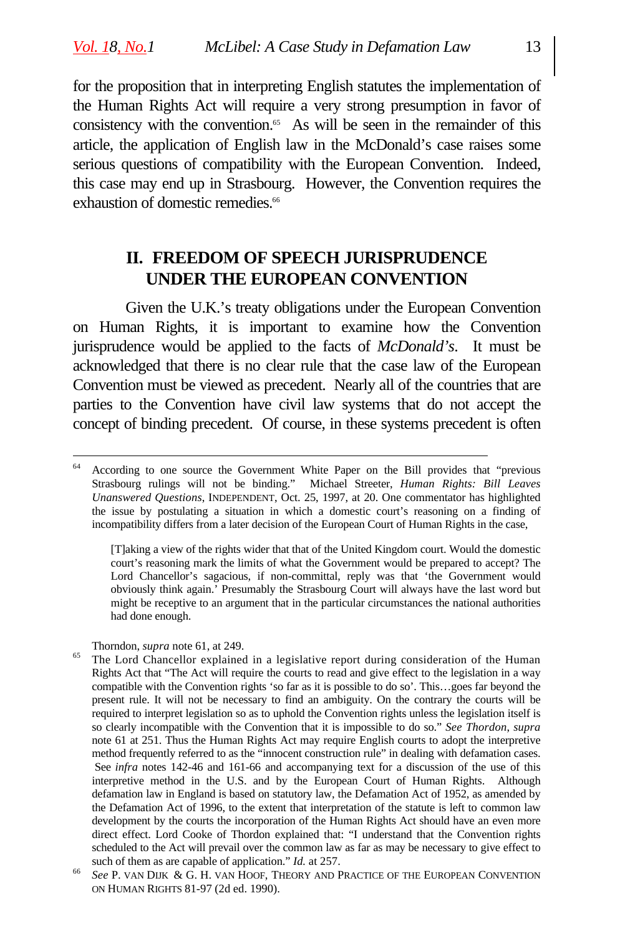for the proposition that in interpreting English statutes the implementation of the Human Rights Act will require a very strong presumption in favor of consistency with the convention.<sup>65</sup> As will be seen in the remainder of this article, the application of English law in the McDonald's case raises some serious questions of compatibility with the European Convention. Indeed, this case may end up in Strasbourg. However, the Convention requires the exhaustion of domestic remedies.<sup>66</sup>

# **II. FREEDOM OF SPEECH JURISPRUDENCE UNDER THE EUROPEAN CONVENTION**

Given the U.K.'s treaty obligations under the European Convention on Human Rights, it is important to examine how the Convention jurisprudence would be applied to the facts of *McDonald's*. It must be acknowledged that there is no clear rule that the case law of the European Convention must be viewed as precedent. Nearly all of the countries that are parties to the Convention have civil law systems that do not accept the concept of binding precedent. Of course, in these systems precedent is often

[T]aking a view of the rights wider that that of the United Kingdom court. Would the domestic court's reasoning mark the limits of what the Government would be prepared to accept? The Lord Chancellor's sagacious, if non-committal, reply was that 'the Government would obviously think again.' Presumably the Strasbourg Court will always have the last word but might be receptive to an argument that in the particular circumstances the national authorities had done enough.

 64 According to one source the Government White Paper on the Bill provides that "previous Strasbourg rulings will not be binding." Michael Streeter, *Human Rights: Bill Leaves Unanswered Questions*, INDEPENDENT, Oct. 25, 1997, at 20. One commentator has highlighted the issue by postulating a situation in which a domestic court's reasoning on a finding of incompatibility differs from a later decision of the European Court of Human Rights in the case,

Thorndon, *supra* note 61, at 249.

<sup>&</sup>lt;sup>65</sup> The Lord Chancellor explained in a legislative report during consideration of the Human Rights Act that "The Act will require the courts to read and give effect to the legislation in a way compatible with the Convention rights 'so far as it is possible to do so'. This…goes far beyond the present rule. It will not be necessary to find an ambiguity. On the contrary the courts will be required to interpret legislation so as to uphold the Convention rights unless the legislation itself is so clearly incompatible with the Convention that it is impossible to do so." *See Thordon*, *supra* note 61 at 251. Thus the Human Rights Act may require English courts to adopt the interpretive method frequently referred to as the "innocent construction rule" in dealing with defamation cases. See *infra* notes 142-46 and 161-66 and accompanying text for a discussion of the use of this interpretive method in the U.S. and by the European Court of Human Rights. Although defamation law in England is based on statutory law, the Defamation Act of 1952, as amended by the Defamation Act of 1996, to the extent that interpretation of the statute is left to common law development by the courts the incorporation of the Human Rights Act should have an even more direct effect. Lord Cooke of Thordon explained that: "I understand that the Convention rights scheduled to the Act will prevail over the common law as far as may be necessary to give effect to such of them as are capable of application." *Id.* at 257.

<sup>66</sup> *See* P. VAN DIJK & G. H. VAN HOOF, THEORY AND PRACTICE OF THE EUROPEAN CONVENTION ON HUMAN RIGHTS 81-97 (2d ed. 1990).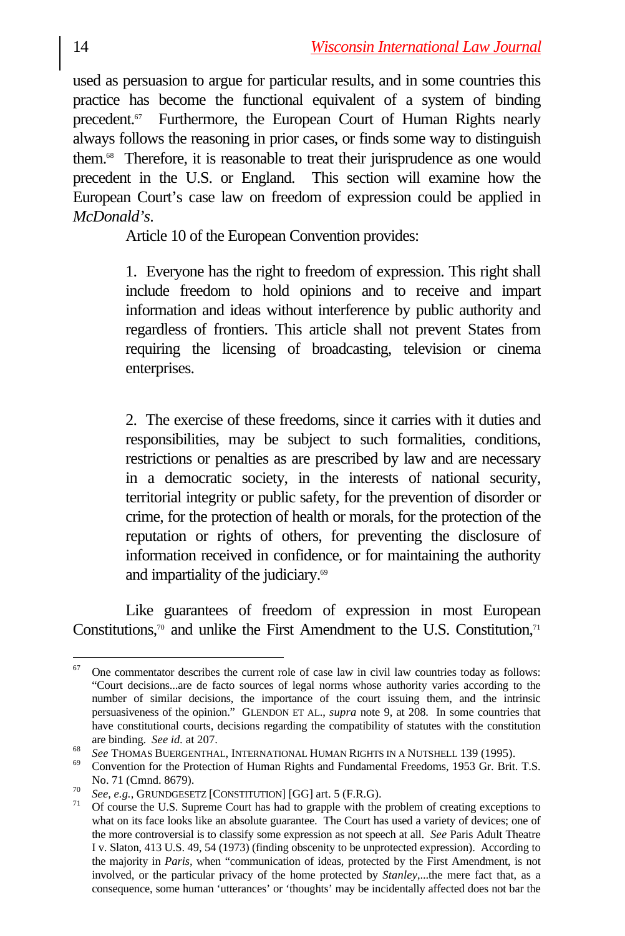used as persuasion to argue for particular results, and in some countries this practice has become the functional equivalent of a system of binding precedent.<sup>67</sup> Furthermore, the European Court of Human Rights nearly always follows the reasoning in prior cases, or finds some way to distinguish them.68 Therefore, it is reasonable to treat their jurisprudence as one would precedent in the U.S. or England. This section will examine how the European Court's case law on freedom of expression could be applied in *McDonald's*.

Article 10 of the European Convention provides:

1. Everyone has the right to freedom of expression. This right shall include freedom to hold opinions and to receive and impart information and ideas without interference by public authority and regardless of frontiers. This article shall not prevent States from requiring the licensing of broadcasting, television or cinema enterprises.

2. The exercise of these freedoms, since it carries with it duties and responsibilities, may be subject to such formalities, conditions, restrictions or penalties as are prescribed by law and are necessary in a democratic society, in the interests of national security, territorial integrity or public safety, for the prevention of disorder or crime, for the protection of health or morals, for the protection of the reputation or rights of others, for preventing the disclosure of information received in confidence, or for maintaining the authority and impartiality of the judiciary.<sup>69</sup>

Like guarantees of freedom of expression in most European Constitutions, $70$  and unlike the First Amendment to the U.S. Constitution, $71$ 

<sup>&</sup>lt;sup>67</sup> One commentator describes the current role of case law in civil law countries today as follows: "Court decisions...are de facto sources of legal norms whose authority varies according to the number of similar decisions, the importance of the court issuing them, and the intrinsic persuasiveness of the opinion." GLENDON ET AL., *supra* note 9, at 208. In some countries that have constitutional courts, decisions regarding the compatibility of statutes with the constitution are binding. *See id.* at 207.

<sup>68</sup> *See* THOMAS BUERGENTHAL, INTERNATIONAL HUMAN RIGHTS IN A NUTSHELL 139 (1995).

<sup>&</sup>lt;sup>69</sup> Convention for the Protection of Human Rights and Fundamental Freedoms, 1953 Gr. Brit. T.S. No. 71 (Cmnd. 8679).

<sup>70</sup> *See, e.g.*, GRUNDGESETZ [CONSTITUTION] [GG] art. 5 (F.R.G).

 $71$  Of course the U.S. Supreme Court has had to grapple with the problem of creating exceptions to what on its face looks like an absolute guarantee. The Court has used a variety of devices; one of the more controversial is to classify some expression as not speech at all. *See* Paris Adult Theatre I v. Slaton, 413 U.S. 49, 54 (1973) (finding obscenity to be unprotected expression). According to the majority in *Paris,* when "communication of ideas, protected by the First Amendment, is not involved, or the particular privacy of the home protected by *Stanley*,...the mere fact that, as a consequence, some human 'utterances' or 'thoughts' may be incidentally affected does not bar the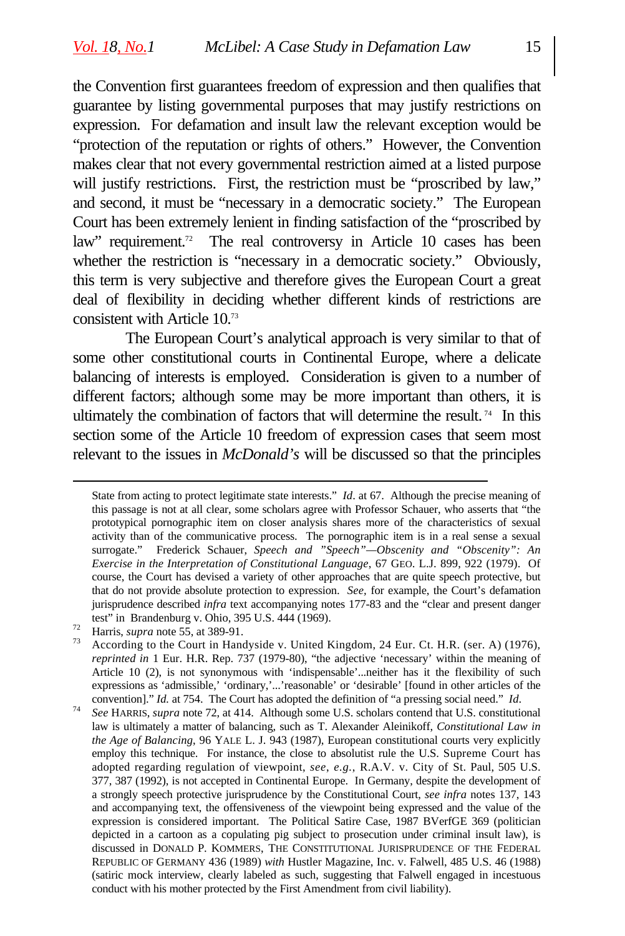the Convention first guarantees freedom of expression and then qualifies that guarantee by listing governmental purposes that may justify restrictions on expression. For defamation and insult law the relevant exception would be "protection of the reputation or rights of others." However, the Convention makes clear that not every governmental restriction aimed at a listed purpose will justify restrictions. First, the restriction must be "proscribed by law," and second, it must be "necessary in a democratic society." The European Court has been extremely lenient in finding satisfaction of the "proscribed by law" requirement.<sup>72</sup> The real controversy in Article 10 cases has been whether the restriction is "necessary in a democratic society." Obviously, this term is very subjective and therefore gives the European Court a great deal of flexibility in deciding whether different kinds of restrictions are consistent with Article 10.<sup>73</sup>

The European Court's analytical approach is very similar to that of some other constitutional courts in Continental Europe, where a delicate balancing of interests is employed. Consideration is given to a number of different factors; although some may be more important than others, it is ultimately the combination of factors that will determine the result.<sup>74</sup> In this section some of the Article 10 freedom of expression cases that seem most relevant to the issues in *McDonald's* will be discussed so that the principles

State from acting to protect legitimate state interests." *Id*. at 67. Although the precise meaning of this passage is not at all clear, some scholars agree with Professor Schauer, who asserts that "the prototypical pornographic item on closer analysis shares more of the characteristics of sexual activity than of the communicative process. The pornographic item is in a real sense a sexual surrogate." Frederick Schauer, *Speech and "Speech"—Obscenity and "Obscenity": An Exercise in the Interpretation of Constitutional Language*, 67 GEO. L.J. 899, 922 (1979). Of course, the Court has devised a variety of other approaches that are quite speech protective, but that do not provide absolute protection to expression. *See,* for example, the Court's defamation jurisprudence described *infra* text accompanying notes 177-83 and the "clear and present danger test" in Brandenburg v. Ohio, 395 U.S. 444 (1969).

<sup>72</sup> Harris, *supra* note 55, at 389-91.

<sup>73</sup> According to the Court in Handyside v. United Kingdom, 24 Eur. Ct. H.R. (ser. A) (1976), *reprinted in* 1 Eur. H.R. Rep. 737 (1979-80), "the adjective 'necessary' within the meaning of Article 10 (2), is not synonymous with 'indispensable'...neither has it the flexibility of such expressions as 'admissible,' 'ordinary,'...'reasonable' or 'desirable' [found in other articles of the convention]." *Id.* at 754. The Court has adopted the definition of "a pressing social need." *Id*.

<sup>74</sup> *See* HARRIS, *supra* note 72, at 414. Although some U.S. scholars contend that U.S. constitutional law is ultimately a matter of balancing, such as T. Alexander Aleinikoff, *Constitutional Law in the Age of Balancing*, 96 YALE L. J. 943 (1987), European constitutional courts very explicitly employ this technique. For instance, the close to absolutist rule the U.S. Supreme Court has adopted regarding regulation of viewpoint, *see*, *e.g.*, R.A.V. v. City of St. Paul, 505 U.S. 377, 387 (1992), is not accepted in Continental Europe. In Germany, despite the development of a strongly speech protective jurisprudence by the Constitutional Court, *see infra* notes 137, 143 and accompanying text, the offensiveness of the viewpoint being expressed and the value of the expression is considered important. The Political Satire Case, 1987 BVerfGE 369 (politician depicted in a cartoon as a copulating pig subject to prosecution under criminal insult law), is discussed in DONALD P. KOMMERS, THE CONSTITUTIONAL JURISPRUDENCE OF THE FEDERAL REPUBLIC OF GERMANY 436 (1989) *with* Hustler Magazine, Inc. v. Falwell, 485 U.S. 46 (1988) (satiric mock interview, clearly labeled as such, suggesting that Falwell engaged in incestuous conduct with his mother protected by the First Amendment from civil liability).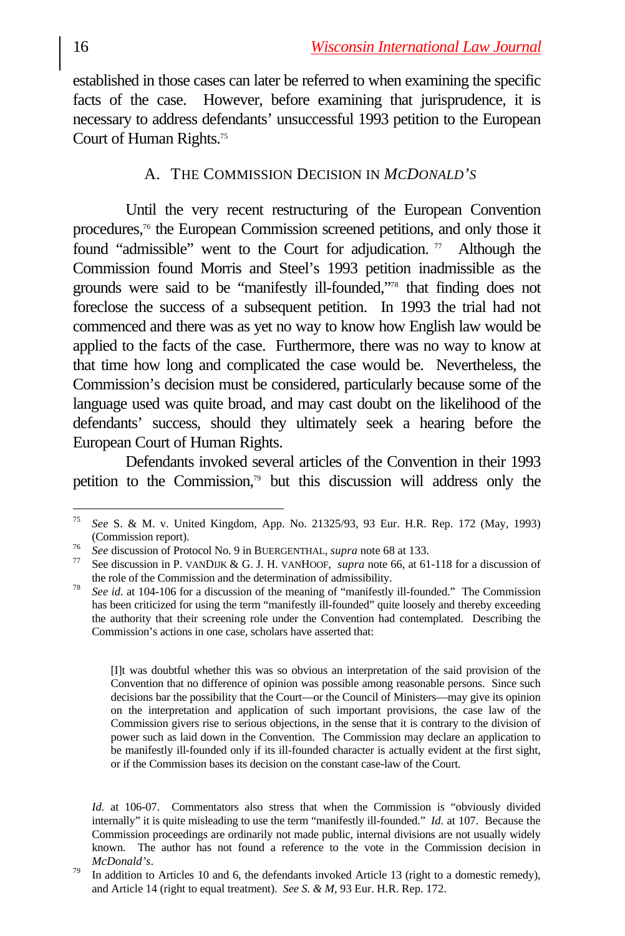established in those cases can later be referred to when examining the specific facts of the case. However, before examining that jurisprudence, it is necessary to address defendants' unsuccessful 1993 petition to the European Court of Human Rights.<sup>75</sup>

#### A. THE COMMISSION DECISION IN *MCDONALD'S*

Until the very recent restructuring of the European Convention procedures,76 the European Commission screened petitions, and only those it found "admissible" went to the Court for adjudication.  $\frac{7}{7}$  Although the Commission found Morris and Steel's 1993 petition inadmissible as the grounds were said to be "manifestly ill-founded,"78 that finding does not foreclose the success of a subsequent petition. In 1993 the trial had not commenced and there was as yet no way to know how English law would be applied to the facts of the case. Furthermore, there was no way to know at that time how long and complicated the case would be. Nevertheless, the Commission's decision must be considered, particularly because some of the language used was quite broad, and may cast doubt on the likelihood of the defendants' success, should they ultimately seek a hearing before the European Court of Human Rights.

Defendants invoked several articles of the Convention in their 1993 petition to the Commission,79 but this discussion will address only the

[I]t was doubtful whether this was so obvious an interpretation of the said provision of the Convention that no difference of opinion was possible among reasonable persons. Since such decisions bar the possibility that the Court—or the Council of Ministers—may give its opinion on the interpretation and application of such important provisions, the case law of the Commission givers rise to serious objections, in the sense that it is contrary to the division of power such as laid down in the Convention. The Commission may declare an application to be manifestly ill-founded only if its ill-founded character is actually evident at the first sight, or if the Commission bases its decision on the constant case-law of the Court.

*Id.* at 106-07. Commentators also stress that when the Commission is "obviously divided internally" it is quite misleading to use the term "manifestly ill-founded." *Id.* at 107. Because the Commission proceedings are ordinarily not made public, internal divisions are not usually widely known. The author has not found a reference to the vote in the Commission decision in *McDonald's*.

<sup>75</sup> *See* S. & M. v. United Kingdom, App. No. 21325/93, 93 Eur. H.R. Rep. 172 (May, 1993) (Commission report).

<sup>76</sup> *See* discussion of Protocol No. 9 in BUERGENTHAL, *supra* note 68 at 133.

<sup>77</sup> See discussion in P. VANDIJK & G. J. H. VANHOOF, *supra* note 66, at 61-118 for a discussion of the role of the Commission and the determination of admissibility.

<sup>&</sup>lt;sup>78</sup> See id. at 104-106 for a discussion of the meaning of "manifestly ill-founded." The Commission has been criticized for using the term "manifestly ill-founded" quite loosely and thereby exceeding the authority that their screening role under the Convention had contemplated. Describing the Commission's actions in one case, scholars have asserted that:

<sup>79</sup> In addition to Articles 10 and 6, the defendants invoked Article 13 (right to a domestic remedy), and Article 14 (right to equal treatment). *See S. & M*, 93 Eur. H.R. Rep. 172.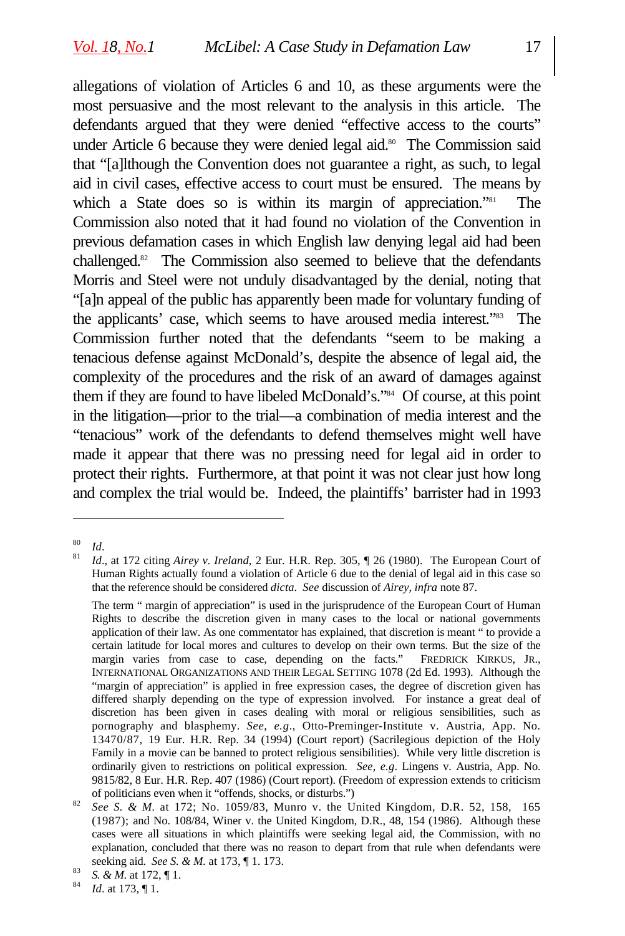allegations of violation of Articles 6 and 10, as these arguments were the most persuasive and the most relevant to the analysis in this article. The defendants argued that they were denied "effective access to the courts" under Article 6 because they were denied legal aid.<sup>80</sup> The Commission said that "[a]lthough the Convention does not guarantee a right, as such, to legal aid in civil cases, effective access to court must be ensured. The means by which a State does so is within its margin of appreciation."<sup>81</sup> The Commission also noted that it had found no violation of the Convention in previous defamation cases in which English law denying legal aid had been challenged.82 The Commission also seemed to believe that the defendants Morris and Steel were not unduly disadvantaged by the denial, noting that "[a]n appeal of the public has apparently been made for voluntary funding of the applicants' case, which seems to have aroused media interest."83 The Commission further noted that the defendants "seem to be making a tenacious defense against McDonald's, despite the absence of legal aid, the complexity of the procedures and the risk of an award of damages against them if they are found to have libeled McDonald's."84 Of course, at this point in the litigation—prior to the trial—a combination of media interest and the "tenacious" work of the defendants to defend themselves might well have made it appear that there was no pressing need for legal aid in order to protect their rights. Furthermore, at that point it was not clear just how long and complex the trial would be. Indeed, the plaintiffs' barrister had in 1993

<sup>80</sup> *Id*.

<sup>81</sup> *Id*., at 172 citing *Airey v. Ireland*, 2 Eur. H.R. Rep. 305, ¶ 26 (1980). The European Court of Human Rights actually found a violation of Article 6 due to the denial of legal aid in this case so that the reference should be considered *dicta*. *See* discussion of *Airey*, *infra* note 87.

The term " margin of appreciation" is used in the jurisprudence of the European Court of Human Rights to describe the discretion given in many cases to the local or national governments application of their law. As one commentator has explained, that discretion is meant " to provide a certain latitude for local mores and cultures to develop on their own terms. But the size of the margin varies from case to case, depending on the facts." FREDRICK KIRKUS, JR., INTERNATIONAL ORGANIZATIONS AND THEIR LEGAL SETTING 1078 (2d Ed. 1993). Although the "margin of appreciation" is applied in free expression cases, the degree of discretion given has differed sharply depending on the type of expression involved. For instance a great deal of discretion has been given in cases dealing with moral or religious sensibilities, such as pornography and blasphemy. *See, e.g*., Otto-Preminger-Institute v. Austria, App. No. 13470/87, 19 Eur. H.R. Rep. 34 (1994) (Court report) (Sacrilegious depiction of the Holy Family in a movie can be banned to protect religious sensibilities). While very little discretion is ordinarily given to restrictions on political expression. *See, e.g*. Lingens v. Austria, App. No. 9815/82, 8 Eur. H.R. Rep. 407 (1986) (Court report). (Freedom of expression extends to criticism of politicians even when it "offends, shocks, or disturbs.")

<sup>82</sup> *See S. & M.* at 172; No. 1059/83, Munro v. the United Kingdom, D.R. 52, 158, 165 (1987); and No. 108/84, Winer v. the United Kingdom, D.R., 48, 154 (1986). Although these cases were all situations in which plaintiffs were seeking legal aid, the Commission, with no explanation, concluded that there was no reason to depart from that rule when defendants were seeking aid. *See S. & M.* at 173, ¶ 1. 173.

<sup>83</sup> *S. & M*. at 172, ¶ 1.

<sup>84</sup> *Id*. at 173, ¶ 1.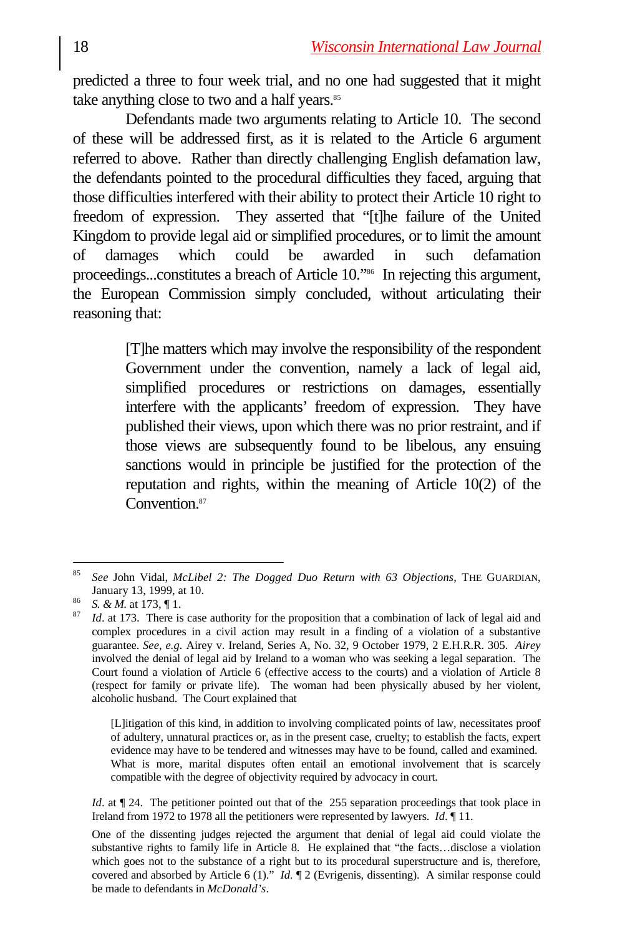predicted a three to four week trial, and no one had suggested that it might take anything close to two and a half years.<sup>85</sup>

Defendants made two arguments relating to Article 10. The second of these will be addressed first, as it is related to the Article 6 argument referred to above. Rather than directly challenging English defamation law, the defendants pointed to the procedural difficulties they faced, arguing that those difficulties interfered with their ability to protect their Article 10 right to freedom of expression. They asserted that "[t]he failure of the United Kingdom to provide legal aid or simplified procedures, or to limit the amount of damages which could be awarded in such defamation proceedings...constitutes a breach of Article 10."86 In rejecting this argument, the European Commission simply concluded, without articulating their reasoning that:

> [T]he matters which may involve the responsibility of the respondent Government under the convention, namely a lack of legal aid, simplified procedures or restrictions on damages, essentially interfere with the applicants' freedom of expression. They have published their views, upon which there was no prior restraint, and if those views are subsequently found to be libelous, any ensuing sanctions would in principle be justified for the protection of the reputation and rights, within the meaning of Article 10(2) of the Convention.<sup>87</sup>

 $\overline{a}$ 

[L]itigation of this kind, in addition to involving complicated points of law, necessitates proof of adultery, unnatural practices or, as in the present case, cruelty; to establish the facts, expert evidence may have to be tendered and witnesses may have to be found, called and examined. What is more, marital disputes often entail an emotional involvement that is scarcely compatible with the degree of objectivity required by advocacy in court.

<sup>85</sup> *See* John Vidal, *McLibel 2: The Dogged Duo Return with 63 Objections*, THE GUARDIAN, January 13, 1999, at 10.

<sup>86</sup> *S. & M.* at 173, ¶ 1.

<sup>&</sup>lt;sup>87</sup> *Id.* at 173. There is case authority for the proposition that a combination of lack of legal aid and complex procedures in a civil action may result in a finding of a violation of a substantive guarantee. *See, e.g.* Airey v. Ireland, Series A, No. 32, 9 October 1979, 2 E.H.R.R. 305. *Airey* involved the denial of legal aid by Ireland to a woman who was seeking a legal separation. The Court found a violation of Article 6 (effective access to the courts) and a violation of Article 8 (respect for family or private life). The woman had been physically abused by her violent, alcoholic husband. The Court explained that

*Id.* at  $\P$  24. The petitioner pointed out that of the 255 separation proceedings that took place in Ireland from 1972 to 1978 all the petitioners were represented by lawyers. *Id*. ¶ 11.

One of the dissenting judges rejected the argument that denial of legal aid could violate the substantive rights to family life in Article 8. He explained that "the facts…disclose a violation which goes not to the substance of a right but to its procedural superstructure and is, therefore, covered and absorbed by Article 6 (1)." *Id.* ¶ 2 (Evrigenis, dissenting). A similar response could be made to defendants in *McDonald's*.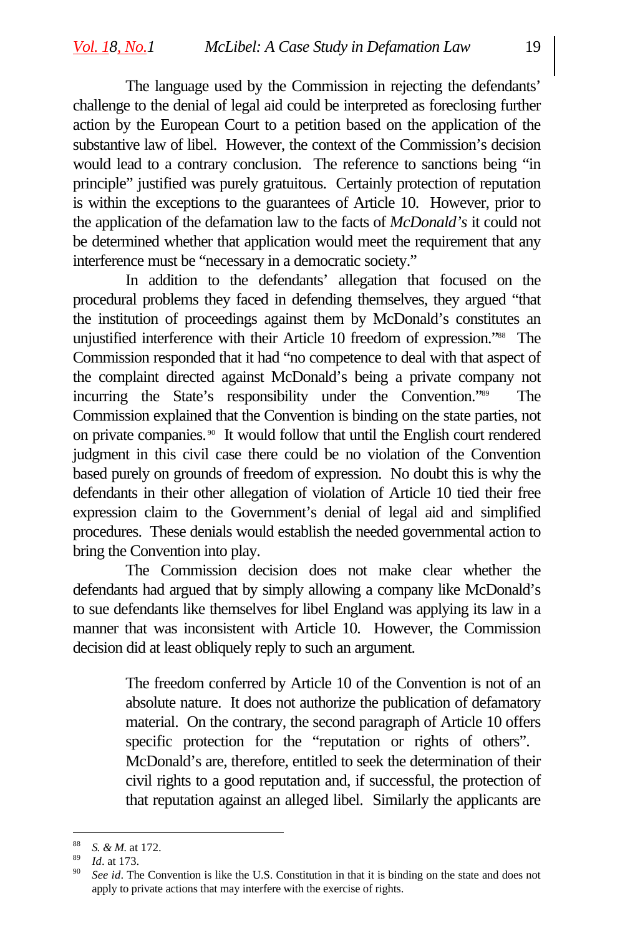The language used by the Commission in rejecting the defendants' challenge to the denial of legal aid could be interpreted as foreclosing further action by the European Court to a petition based on the application of the substantive law of libel. However, the context of the Commission's decision would lead to a contrary conclusion. The reference to sanctions being "in principle" justified was purely gratuitous. Certainly protection of reputation is within the exceptions to the guarantees of Article 10. However, prior to the application of the defamation law to the facts of *McDonald's* it could not be determined whether that application would meet the requirement that any interference must be "necessary in a democratic society."

In addition to the defendants' allegation that focused on the procedural problems they faced in defending themselves, they argued "that the institution of proceedings against them by McDonald's constitutes an unjustified interference with their Article 10 freedom of expression."88 The Commission responded that it had "no competence to deal with that aspect of the complaint directed against McDonald's being a private company not incurring the State's responsibility under the Convention."89 The Commission explained that the Convention is binding on the state parties, not on private companies. <sup>90</sup> It would follow that until the English court rendered judgment in this civil case there could be no violation of the Convention based purely on grounds of freedom of expression. No doubt this is why the defendants in their other allegation of violation of Article 10 tied their free expression claim to the Government's denial of legal aid and simplified procedures. These denials would establish the needed governmental action to bring the Convention into play.

The Commission decision does not make clear whether the defendants had argued that by simply allowing a company like McDonald's to sue defendants like themselves for libel England was applying its law in a manner that was inconsistent with Article 10. However, the Commission decision did at least obliquely reply to such an argument.

> The freedom conferred by Article 10 of the Convention is not of an absolute nature. It does not authorize the publication of defamatory material. On the contrary, the second paragraph of Article 10 offers specific protection for the "reputation or rights of others". McDonald's are, therefore, entitled to seek the determination of their civil rights to a good reputation and, if successful, the protection of that reputation against an alleged libel. Similarly the applicants are

 88 *S. & M.* at 172.

<sup>89</sup> *Id*. at 173.

<sup>90</sup> *See id*. The Convention is like the U.S. Constitution in that it is binding on the state and does not apply to private actions that may interfere with the exercise of rights.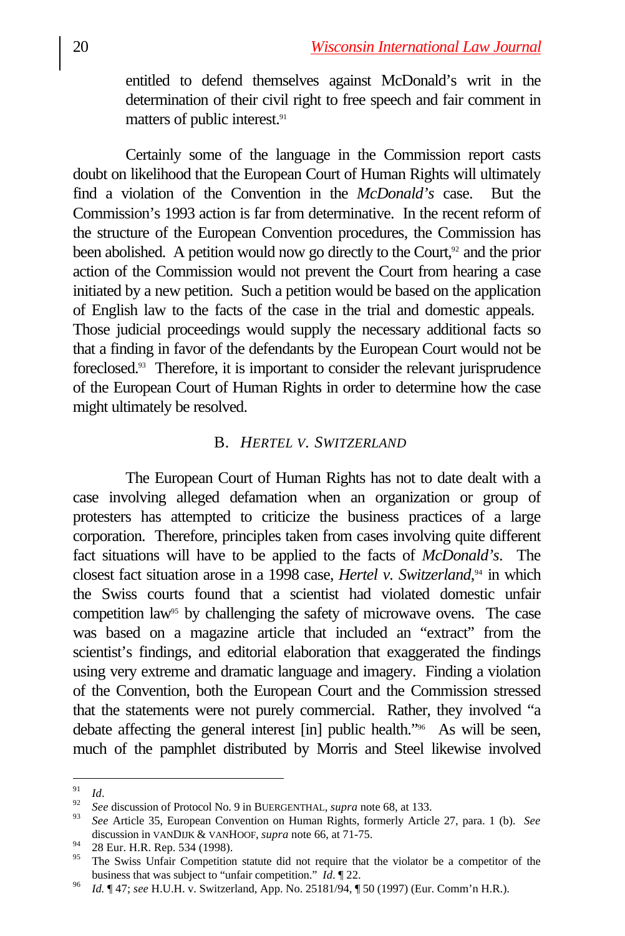entitled to defend themselves against McDonald's writ in the determination of their civil right to free speech and fair comment in matters of public interest.<sup>91</sup>

Certainly some of the language in the Commission report casts doubt on likelihood that the European Court of Human Rights will ultimately find a violation of the Convention in the *McDonald's* case. But the Commission's 1993 action is far from determinative. In the recent reform of the structure of the European Convention procedures, the Commission has been abolished. A petition would now go directly to the Court, $92$  and the prior action of the Commission would not prevent the Court from hearing a case initiated by a new petition. Such a petition would be based on the application of English law to the facts of the case in the trial and domestic appeals. Those judicial proceedings would supply the necessary additional facts so that a finding in favor of the defendants by the European Court would not be foreclosed.<sup>93</sup> Therefore, it is important to consider the relevant jurisprudence of the European Court of Human Rights in order to determine how the case might ultimately be resolved.

#### B. *HERTEL V. SWITZERLAND*

The European Court of Human Rights has not to date dealt with a case involving alleged defamation when an organization or group of protesters has attempted to criticize the business practices of a large corporation. Therefore, principles taken from cases involving quite different fact situations will have to be applied to the facts of *McDonald's*. The closest fact situation arose in a 1998 case, *Hertel v. Switzerland*,<sup>94</sup> in which the Swiss courts found that a scientist had violated domestic unfair competition law<sup>95</sup> by challenging the safety of microwave ovens. The case was based on a magazine article that included an "extract" from the scientist's findings, and editorial elaboration that exaggerated the findings using very extreme and dramatic language and imagery. Finding a violation of the Convention, both the European Court and the Commission stressed that the statements were not purely commercial. Rather, they involved "a debate affecting the general interest [in] public health."96 As will be seen, much of the pamphlet distributed by Morris and Steel likewise involved

 $\overline{a}$  $\frac{91}{92}$  *Id.* 

See discussion of Protocol No. 9 in BUERGENTHAL, *supra* note 68, at 133.

<sup>93</sup> *See* Article 35, European Convention on Human Rights, formerly Article 27, para. 1 (b). *See* discussion in VANDIJK & VANHOOF, *supra* note 66, at 71-75.

<sup>94</sup> 28 Eur. H.R. Rep. 534 (1998).

<sup>&</sup>lt;sup>95</sup> The Swiss Unfair Competition statute did not require that the violator be a competitor of the business that was subject to "unfair competition." *Id*. ¶ 22.

<sup>96</sup> *Id.* ¶ 47; *see* H.U.H. v. Switzerland, App. No. 25181/94, ¶ 50 (1997) (Eur. Comm'n H.R.).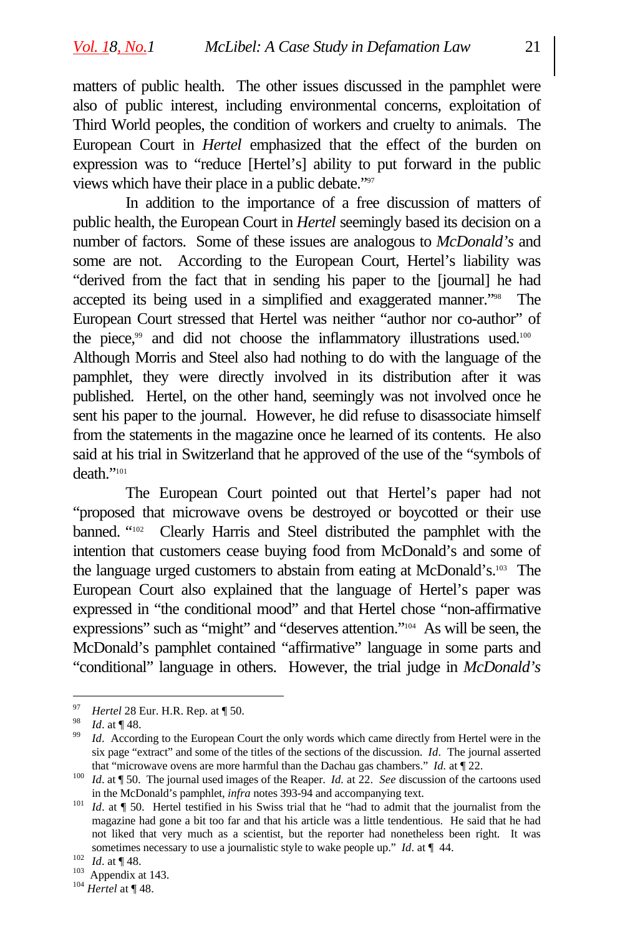matters of public health. The other issues discussed in the pamphlet were also of public interest, including environmental concerns, exploitation of Third World peoples, the condition of workers and cruelty to animals. The European Court in *Hertel* emphasized that the effect of the burden on expression was to "reduce [Hertel's] ability to put forward in the public views which have their place in a public debate."<sup>97</sup>

In addition to the importance of a free discussion of matters of public health, the European Court in *Hertel* seemingly based its decision on a number of factors. Some of these issues are analogous to *McDonald's* and some are not. According to the European Court, Hertel's liability was "derived from the fact that in sending his paper to the [journal] he had accepted its being used in a simplified and exaggerated manner."98 The European Court stressed that Hertel was neither "author nor co-author" of the piece,<sup>99</sup> and did not choose the inflammatory illustrations used.<sup>100</sup> Although Morris and Steel also had nothing to do with the language of the pamphlet, they were directly involved in its distribution after it was published. Hertel, on the other hand, seemingly was not involved once he sent his paper to the journal. However, he did refuse to disassociate himself from the statements in the magazine once he learned of its contents. He also said at his trial in Switzerland that he approved of the use of the "symbols of death<sup>"101</sup>

The European Court pointed out that Hertel's paper had not "proposed that microwave ovens be destroyed or boycotted or their use banned. " <sup>102</sup> Clearly Harris and Steel distributed the pamphlet with the intention that customers cease buying food from McDonald's and some of the language urged customers to abstain from eating at McDonald's.103 The European Court also explained that the language of Hertel's paper was expressed in "the conditional mood" and that Hertel chose "non-affirmative expressions" such as "might" and "deserves attention."104 As will be seen, the McDonald's pamphlet contained "affirmative" language in some parts and "conditional" language in others. However, the trial judge in *McDonald's*

<sup>&</sup>lt;sub>97</sub> *Hertel* 28 Eur. H.R. Rep. at ¶ 50.

<sup>98</sup> *Id*. at ¶ 48.

<sup>99</sup> *Id.* According to the European Court the only words which came directly from Hertel were in the six page "extract" and some of the titles of the sections of the discussion. *Id*. The journal asserted that "microwave ovens are more harmful than the Dachau gas chambers." *Id.* at ¶ 22.

<sup>&</sup>lt;sup>100</sup> *Id.* at ¶ 50. The journal used images of the Reaper. *Id.* at 22. *See* discussion of the cartoons used in the McDonald's pamphlet, *infra* notes 393-94 and accompanying text.

<sup>&</sup>lt;sup>101</sup> *Id.* at  $\P$  50. Hertel testified in his Swiss trial that he "had to admit that the journalist from the magazine had gone a bit too far and that his article was a little tendentious. He said that he had not liked that very much as a scientist, but the reporter had nonetheless been right. It was sometimes necessary to use a journalistic style to wake people up." *Id*. at ¶ 44.

<sup>&</sup>lt;sup>102</sup> *Id.* at  $\P$  48.

 $103$  Appendix at 143.

<sup>104</sup> *Hertel* at ¶ 48.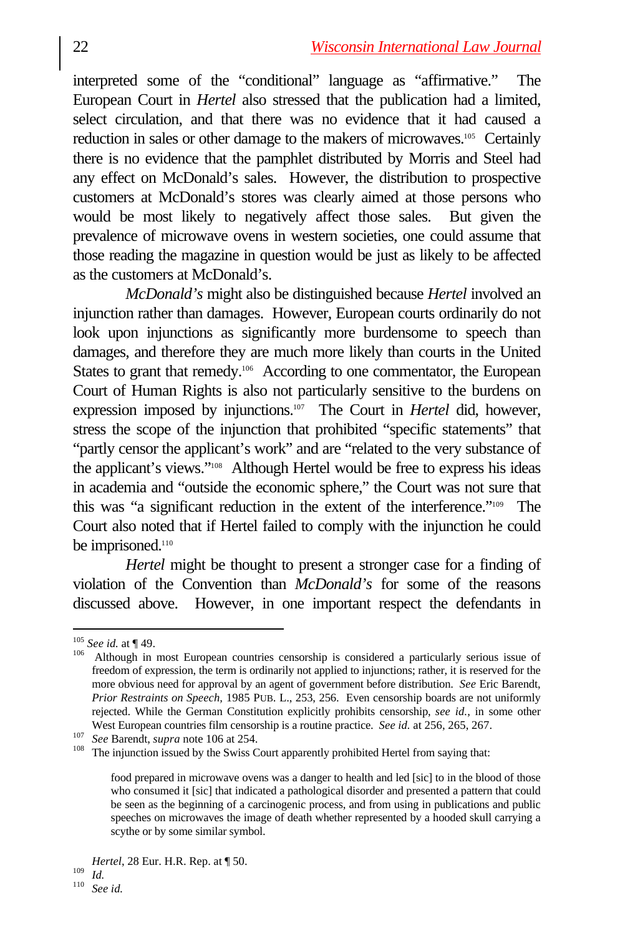interpreted some of the "conditional" language as "affirmative." The European Court in *Hertel* also stressed that the publication had a limited, select circulation, and that there was no evidence that it had caused a reduction in sales or other damage to the makers of microwaves.105 Certainly there is no evidence that the pamphlet distributed by Morris and Steel had any effect on McDonald's sales. However, the distribution to prospective customers at McDonald's stores was clearly aimed at those persons who would be most likely to negatively affect those sales. But given the prevalence of microwave ovens in western societies, one could assume that those reading the magazine in question would be just as likely to be affected as the customers at McDonald's.

*McDonald's* might also be distinguished because *Hertel* involved an injunction rather than damages. However, European courts ordinarily do not look upon injunctions as significantly more burdensome to speech than damages, and therefore they are much more likely than courts in the United States to grant that remedy.<sup>106</sup> According to one commentator, the European Court of Human Rights is also not particularly sensitive to the burdens on expression imposed by injunctions.107 The Court in *Hertel* did, however, stress the scope of the injunction that prohibited "specific statements" that "partly censor the applicant's work" and are "related to the very substance of the applicant's views."108 Although Hertel would be free to express his ideas in academia and "outside the economic sphere," the Court was not sure that this was "a significant reduction in the extent of the interference."109 The Court also noted that if Hertel failed to comply with the injunction he could be imprisoned.<sup>110</sup>

*Hertel* might be thought to present a stronger case for a finding of violation of the Convention than *McDonald's* for some of the reasons discussed above. However, in one important respect the defendants in

 $\overline{a}$ <sup>105</sup> *See id.* at ¶ 49.

<sup>&</sup>lt;sup>106</sup> Although in most European countries censorship is considered a particularly serious issue of freedom of expression, the term is ordinarily not applied to injunctions; rather, it is reserved for the more obvious need for approval by an agent of government before distribution. *See* Eric Barendt, *Prior Restraints on Speech,* 1985 PUB. L., 253, 256. Even censorship boards are not uniformly rejected. While the German Constitution explicitly prohibits censorship, *see id.*, in some other West European countries film censorship is a routine practice. *See id.* at 256, 265, 267.

<sup>107</sup> *See* Barendt, *supra* note 106 at 254.

<sup>&</sup>lt;sup>108</sup> The injunction issued by the Swiss Court apparently prohibited Hertel from saying that:

food prepared in microwave ovens was a danger to health and led [sic] to in the blood of those who consumed it [sic] that indicated a pathological disorder and presented a pattern that could be seen as the beginning of a carcinogenic process, and from using in publications and public speeches on microwaves the image of death whether represented by a hooded skull carrying a scythe or by some similar symbol.

*Hertel*, 28 Eur. H.R. Rep. at ¶ 50.

 $109 \frac{10}{1}$ 

<sup>110</sup> *See id.*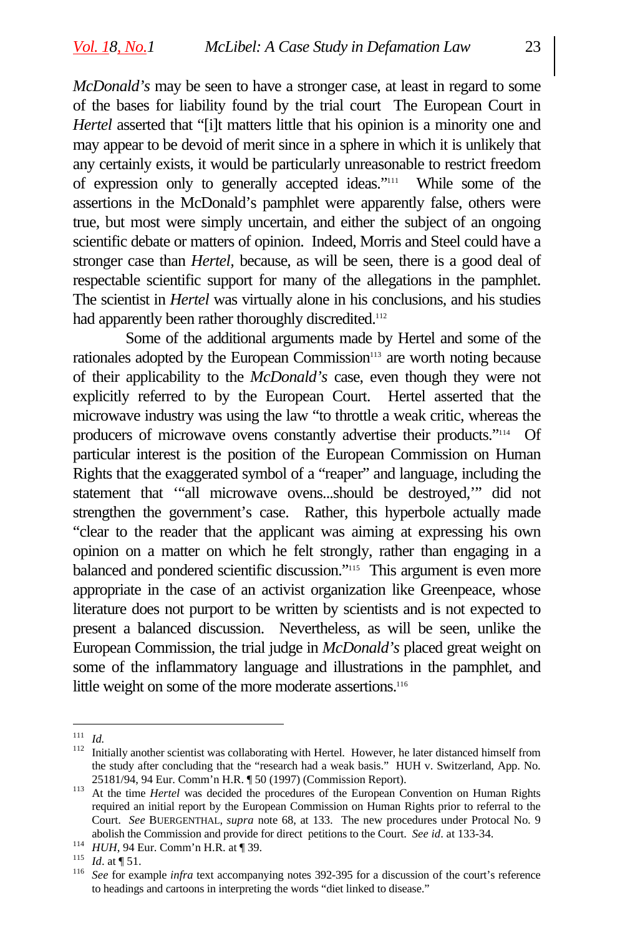*McDonald's* may be seen to have a stronger case, at least in regard to some of the bases for liability found by the trial court The European Court in *Hertel* asserted that "[i]t matters little that his opinion is a minority one and may appear to be devoid of merit since in a sphere in which it is unlikely that any certainly exists, it would be particularly unreasonable to restrict freedom of expression only to generally accepted ideas."111 While some of the assertions in the McDonald's pamphlet were apparently false, others were true, but most were simply uncertain, and either the subject of an ongoing scientific debate or matters of opinion. Indeed, Morris and Steel could have a stronger case than *Hertel,* because, as will be seen, there is a good deal of respectable scientific support for many of the allegations in the pamphlet. The scientist in *Hertel* was virtually alone in his conclusions, and his studies had apparently been rather thoroughly discredited.<sup>112</sup>

Some of the additional arguments made by Hertel and some of the rationales adopted by the European Commission<sup>113</sup> are worth noting because of their applicability to the *McDonald's* case, even though they were not explicitly referred to by the European Court. Hertel asserted that the microwave industry was using the law "to throttle a weak critic, whereas the producers of microwave ovens constantly advertise their products."<sup>114</sup> Of particular interest is the position of the European Commission on Human Rights that the exaggerated symbol of a "reaper" and language, including the statement that '"all microwave ovens...should be destroyed,'" did not strengthen the government's case. Rather, this hyperbole actually made "clear to the reader that the applicant was aiming at expressing his own opinion on a matter on which he felt strongly, rather than engaging in a balanced and pondered scientific discussion."<sup>115</sup> This argument is even more appropriate in the case of an activist organization like Greenpeace, whose literature does not purport to be written by scientists and is not expected to present a balanced discussion. Nevertheless, as will be seen, unlike the European Commission, the trial judge in *McDonald's* placed great weight on some of the inflammatory language and illustrations in the pamphlet, and little weight on some of the more moderate assertions.<sup>116</sup>

 111 *Id.*

<sup>112</sup> Initially another scientist was collaborating with Hertel. However, he later distanced himself from the study after concluding that the "research had a weak basis." HUH v. Switzerland, App. No. 25181/94, 94 Eur. Comm'n H.R. ¶ 50 (1997) (Commission Report).

<sup>&</sup>lt;sup>113</sup> At the time *Hertel* was decided the procedures of the European Convention on Human Rights required an initial report by the European Commission on Human Rights prior to referral to the Court. *See* BUERGENTHAL, *supra* note 68, at 133. The new procedures under Protocal No. 9 abolish the Commission and provide for direct petitions to the Court. *See id*. at 133-34.

<sup>114</sup> *HUH*, 94 Eur. Comm'n H.R. at ¶ 39.

<sup>&</sup>lt;sup>115</sup> *Id.* at  $\P$  51.

<sup>116</sup> *See* for example *infra* text accompanying notes 392-395 for a discussion of the court's reference to headings and cartoons in interpreting the words "diet linked to disease."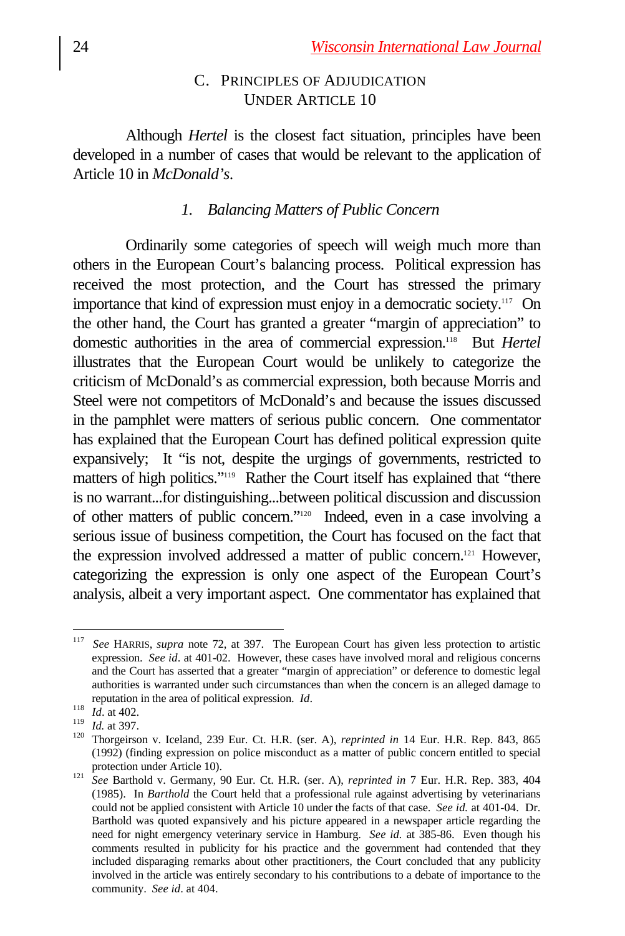# C. PRINCIPLES OF ADJUDICATION UNDER ARTICLE 10

Although *Hertel* is the closest fact situation, principles have been developed in a number of cases that would be relevant to the application of Article 10 in *McDonald's*.

#### *1. Balancing Matters of Public Concern*

Ordinarily some categories of speech will weigh much more than others in the European Court's balancing process. Political expression has received the most protection, and the Court has stressed the primary importance that kind of expression must enjoy in a democratic society.117 On the other hand, the Court has granted a greater "margin of appreciation" to domestic authorities in the area of commercial expression.118 But *Hertel* illustrates that the European Court would be unlikely to categorize the criticism of McDonald's as commercial expression, both because Morris and Steel were not competitors of McDonald's and because the issues discussed in the pamphlet were matters of serious public concern. One commentator has explained that the European Court has defined political expression quite expansively; It "is not, despite the urgings of governments, restricted to matters of high politics."119 Rather the Court itself has explained that "there is no warrant...for distinguishing...between political discussion and discussion of other matters of public concern."120 Indeed, even in a case involving a serious issue of business competition, the Court has focused on the fact that the expression involved addressed a matter of public concern.121 However, categorizing the expression is only one aspect of the European Court's analysis, albeit a very important aspect. One commentator has explained that

 117 *See* HARRIS, *supra* note 72, at 397. The European Court has given less protection to artistic expression. *See id*. at 401-02. However, these cases have involved moral and religious concerns and the Court has asserted that a greater "margin of appreciation" or deference to domestic legal authorities is warranted under such circumstances than when the concern is an alleged damage to reputation in the area of political expression. *Id*.

<sup>118</sup> *Id*. at 402.

<sup>119</sup> *Id.* at 397.

<sup>&</sup>lt;sup>120</sup> Thorgeirson v. Iceland, 239 Eur. Ct. H.R. (ser. A), *reprinted in* 14 Eur. H.R. Rep. 843, 865 (1992) (finding expression on police misconduct as a matter of public concern entitled to special protection under Article 10).

<sup>121</sup> *See* Barthold v. Germany, 90 Eur. Ct. H.R. (ser. A), *reprinted in* 7 Eur. H.R. Rep. 383, 404 (1985). In *Barthold* the Court held that a professional rule against advertising by veterinarians could not be applied consistent with Article 10 under the facts of that case. *See id.* at 401-04. Dr. Barthold was quoted expansively and his picture appeared in a newspaper article regarding the need for night emergency veterinary service in Hamburg. *See id.* at 385-86. Even though his comments resulted in publicity for his practice and the government had contended that they included disparaging remarks about other practitioners, the Court concluded that any publicity involved in the article was entirely secondary to his contributions to a debate of importance to the community. *See id*. at 404.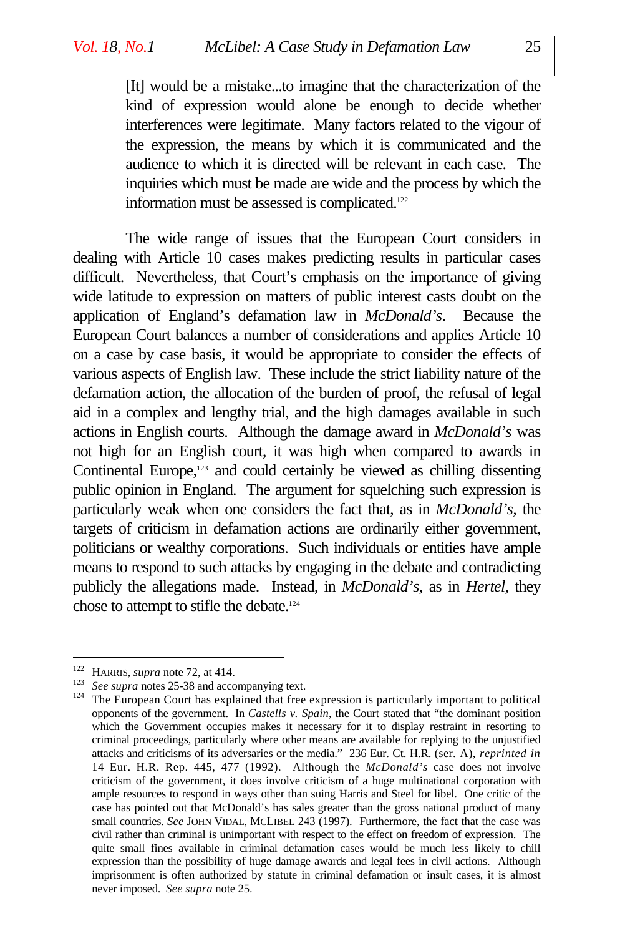[It] would be a mistake...to imagine that the characterization of the kind of expression would alone be enough to decide whether interferences were legitimate. Many factors related to the vigour of the expression, the means by which it is communicated and the audience to which it is directed will be relevant in each case. The inquiries which must be made are wide and the process by which the information must be assessed is complicated.<sup>122</sup>

The wide range of issues that the European Court considers in dealing with Article 10 cases makes predicting results in particular cases difficult. Nevertheless, that Court's emphasis on the importance of giving wide latitude to expression on matters of public interest casts doubt on the application of England's defamation law in *McDonald's*. Because the European Court balances a number of considerations and applies Article 10 on a case by case basis, it would be appropriate to consider the effects of various aspects of English law. These include the strict liability nature of the defamation action, the allocation of the burden of proof, the refusal of legal aid in a complex and lengthy trial, and the high damages available in such actions in English courts. Although the damage award in *McDonald's* was not high for an English court, it was high when compared to awards in Continental Europe,123 and could certainly be viewed as chilling dissenting public opinion in England. The argument for squelching such expression is particularly weak when one considers the fact that, as in *McDonald's,* the targets of criticism in defamation actions are ordinarily either government, politicians or wealthy corporations. Such individuals or entities have ample means to respond to such attacks by engaging in the debate and contradicting publicly the allegations made. Instead, in *McDonald's,* as in *Hertel*, they chose to attempt to stifle the debate.<sup>124</sup>

 122 HARRIS, *supra* note 72, at 414.

<sup>&</sup>lt;sup>123</sup> See supra notes 25-38 and accompanying text.

<sup>&</sup>lt;sup>124</sup> The European Court has explained that free expression is particularly important to political opponents of the government. In *Castells v. Spain*, the Court stated that "the dominant position which the Government occupies makes it necessary for it to display restraint in resorting to criminal proceedings, particularly where other means are available for replying to the unjustified attacks and criticisms of its adversaries or the media." 236 Eur. Ct. H.R. (ser. A), *reprinted in* 14 Eur. H.R. Rep. 445, 477 (1992). Although the *McDonald's* case does not involve criticism of the government, it does involve criticism of a huge multinational corporation with ample resources to respond in ways other than suing Harris and Steel for libel. One critic of the case has pointed out that McDonald's has sales greater than the gross national product of many small countries. *See* JOHN VIDAL, MCLIBEL 243 (1997). Furthermore, the fact that the case was civil rather than criminal is unimportant with respect to the effect on freedom of expression. The quite small fines available in criminal defamation cases would be much less likely to chill expression than the possibility of huge damage awards and legal fees in civil actions. Although imprisonment is often authorized by statute in criminal defamation or insult cases, it is almost never imposed. *See supra* note 25.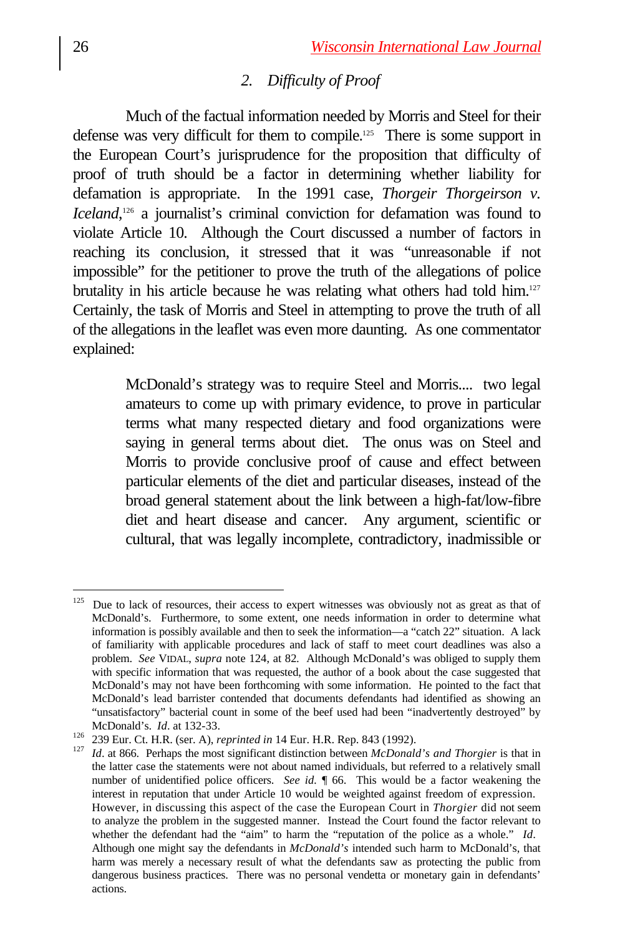# *2. Difficulty of Proof*

Much of the factual information needed by Morris and Steel for their defense was very difficult for them to compile.125 There is some support in the European Court's jurisprudence for the proposition that difficulty of proof of truth should be a factor in determining whether liability for defamation is appropriate. In the 1991 case, *Thorgeir Thorgeirson v.* Iceland,<sup>126</sup> a journalist's criminal conviction for defamation was found to violate Article 10. Although the Court discussed a number of factors in reaching its conclusion, it stressed that it was "unreasonable if not impossible" for the petitioner to prove the truth of the allegations of police brutality in his article because he was relating what others had told him.<sup>127</sup> Certainly, the task of Morris and Steel in attempting to prove the truth of all of the allegations in the leaflet was even more daunting. As one commentator explained:

> McDonald's strategy was to require Steel and Morris.... two legal amateurs to come up with primary evidence, to prove in particular terms what many respected dietary and food organizations were saying in general terms about diet. The onus was on Steel and Morris to provide conclusive proof of cause and effect between particular elements of the diet and particular diseases, instead of the broad general statement about the link between a high-fat/low-fibre diet and heart disease and cancer. Any argument, scientific or cultural, that was legally incomplete, contradictory, inadmissible or

 $\overline{a}$  $125$  Due to lack of resources, their access to expert witnesses was obviously not as great as that of McDonald's. Furthermore, to some extent, one needs information in order to determine what information is possibly available and then to seek the information—a "catch 22" situation. A lack of familiarity with applicable procedures and lack of staff to meet court deadlines was also a problem. *See* VIDAL, *supra* note 124, at 82*.* Although McDonald's was obliged to supply them with specific information that was requested, the author of a book about the case suggested that McDonald's may not have been forthcoming with some information. He pointed to the fact that McDonald's lead barrister contended that documents defendants had identified as showing an "unsatisfactory" bacterial count in some of the beef used had been "inadvertently destroyed" by McDonald's. *Id*. at 132-33.

<sup>126</sup> 239 Eur. Ct. H.R. (ser. A), *reprinted in* 14 Eur. H.R. Rep. 843 (1992).

<sup>&</sup>lt;sup>127</sup> *Id.* at 866. Perhaps the most significant distinction between *McDonald's and Thorgier* is that in the latter case the statements were not about named individuals, but referred to a relatively small number of unidentified police officers. *See id.* ¶ 66. This would be a factor weakening the interest in reputation that under Article 10 would be weighted against freedom of expression. However, in discussing this aspect of the case the European Court in *Thorgier* did not seem to analyze the problem in the suggested manner. Instead the Court found the factor relevant to whether the defendant had the "aim" to harm the "reputation of the police as a whole." *Id*. Although one might say the defendants in *McDonald's* intended such harm to McDonald's, that harm was merely a necessary result of what the defendants saw as protecting the public from dangerous business practices. There was no personal vendetta or monetary gain in defendants' actions.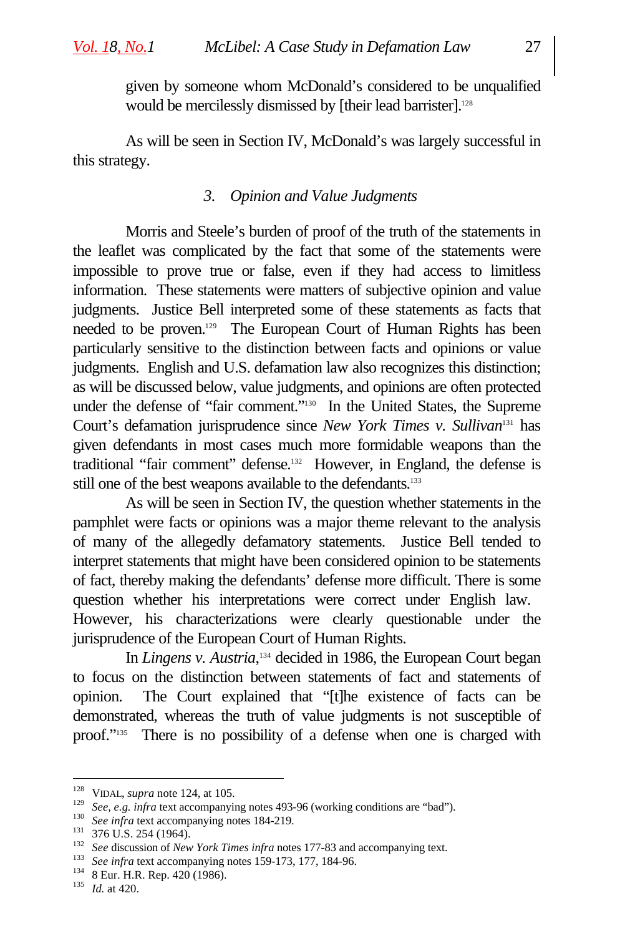given by someone whom McDonald's considered to be unqualified would be mercilessly dismissed by [their lead barrister].<sup>128</sup>

As will be seen in Section IV, McDonald's was largely successful in this strategy.

# *3. Opinion and Value Judgments*

Morris and Steele's burden of proof of the truth of the statements in the leaflet was complicated by the fact that some of the statements were impossible to prove true or false, even if they had access to limitless information. These statements were matters of subjective opinion and value judgments. Justice Bell interpreted some of these statements as facts that needed to be proven.129 The European Court of Human Rights has been particularly sensitive to the distinction between facts and opinions or value judgments. English and U.S. defamation law also recognizes this distinction; as will be discussed below, value judgments, and opinions are often protected under the defense of "fair comment."<sup>130</sup> In the United States, the Supreme Court's defamation jurisprudence since *New York Times v. Sullivan*131 has given defendants in most cases much more formidable weapons than the traditional "fair comment" defense.<sup>132</sup> However, in England, the defense is still one of the best weapons available to the defendants.<sup>133</sup>

As will be seen in Section IV, the question whether statements in the pamphlet were facts or opinions was a major theme relevant to the analysis of many of the allegedly defamatory statements. Justice Bell tended to interpret statements that might have been considered opinion to be statements of fact, thereby making the defendants' defense more difficult. There is some question whether his interpretations were correct under English law. However, his characterizations were clearly questionable under the jurisprudence of the European Court of Human Rights.

In *Lingens v. Austria*,<sup>134</sup> decided in 1986, the European Court began to focus on the distinction between statements of fact and statements of opinion. The Court explained that "[t]he existence of facts can be demonstrated, whereas the truth of value judgments is not susceptible of proof."<sup>135</sup> There is no possibility of a defense when one is charged with

 128 VIDAL, *supra* note 124, at 105.

<sup>&</sup>lt;sup>129</sup> See, e.g. infra text accompanying notes 493-96 (working conditions are "bad").

<sup>&</sup>lt;sup>130</sup> See infra text accompanying notes 184-219.

 $131$  376 U.S. 254 (1964).

<sup>132</sup> *See* discussion of *New York Times infra* notes 177-83 and accompanying text.

<sup>&</sup>lt;sup>133</sup> See infra text accompanying notes 159-173, 177, 184-96.

<sup>134</sup> 8 Eur. H.R. Rep. 420 (1986).

<sup>135</sup> *Id.* at 420.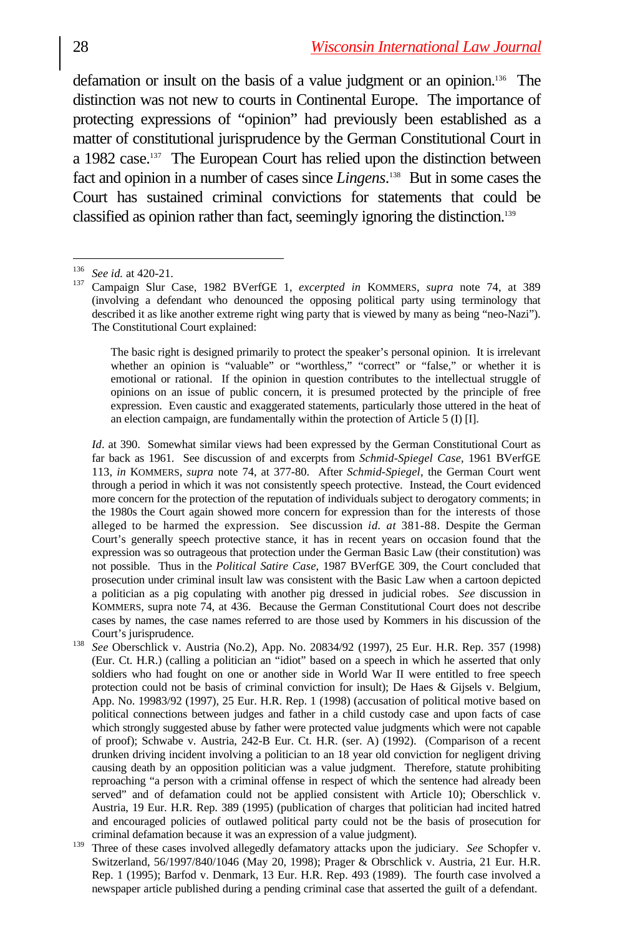defamation or insult on the basis of a value judgment or an opinion.136 The distinction was not new to courts in Continental Europe. The importance of protecting expressions of "opinion" had previously been established as a matter of constitutional jurisprudence by the German Constitutional Court in a 1982 case.<sup>137</sup> The European Court has relied upon the distinction between fact and opinion in a number of cases since *Lingens*. <sup>138</sup> But in some cases the Court has sustained criminal convictions for statements that could be classified as opinion rather than fact, seemingly ignoring the distinction.<sup>139</sup>

The basic right is designed primarily to protect the speaker's personal opinion. It is irrelevant whether an opinion is "valuable" or "worthless," "correct" or "false," or whether it is emotional or rational. If the opinion in question contributes to the intellectual struggle of opinions on an issue of public concern, it is presumed protected by the principle of free expression. Even caustic and exaggerated statements, particularly those uttered in the heat of an election campaign, are fundamentally within the protection of Article 5 (I) [I].

*Id.* at 390. Somewhat similar views had been expressed by the German Constitutional Court as far back as 1961. See discussion of and excerpts from *Schmid-Spiegel Case*, 1961 BVerfGE 113, *in* KOMMERS, *supra* note 74, at 377-80. After *Schmid-Spiegel,* the German Court went through a period in which it was not consistently speech protective. Instead, the Court evidenced more concern for the protection of the reputation of individuals subject to derogatory comments; in the 1980s the Court again showed more concern for expression than for the interests of those alleged to be harmed the expression. See discussion *id. at* 381-88. Despite the German Court's generally speech protective stance, it has in recent years on occasion found that the expression was so outrageous that protection under the German Basic Law (their constitution) was not possible. Thus in the *Political Satire Case*, 1987 BVerfGE 309, the Court concluded that prosecution under criminal insult law was consistent with the Basic Law when a cartoon depicted a politician as a pig copulating with another pig dressed in judicial robes. *See* discussion in KOMMERS, supra note 74, at 436. Because the German Constitutional Court does not describe cases by names, the case names referred to are those used by Kommers in his discussion of the Court's jurisprudence.

- 138 *See* Oberschlick v. Austria (No.2), App. No. 20834/92 (1997), 25 Eur. H.R. Rep. 357 (1998) (Eur. Ct. H.R.) (calling a politician an "idiot" based on a speech in which he asserted that only soldiers who had fought on one or another side in World War II were entitled to free speech protection could not be basis of criminal conviction for insult); De Haes & Gijsels v. Belgium, App. No. 19983/92 (1997), 25 Eur. H.R. Rep. 1 (1998) (accusation of political motive based on political connections between judges and father in a child custody case and upon facts of case which strongly suggested abuse by father were protected value judgments which were not capable of proof); Schwabe v. Austria, 242-B Eur. Ct. H.R. (ser. A) (1992). (Comparison of a recent drunken driving incident involving a politician to an 18 year old conviction for negligent driving causing death by an opposition politician was a value judgment. Therefore, statute prohibiting reproaching "a person with a criminal offense in respect of which the sentence had already been served" and of defamation could not be applied consistent with Article 10); Oberschlick v. Austria, 19 Eur. H.R. Rep. 389 (1995) (publication of charges that politician had incited hatred and encouraged policies of outlawed political party could not be the basis of prosecution for criminal defamation because it was an expression of a value judgment).
- <sup>139</sup> Three of these cases involved allegedly defamatory attacks upon the judiciary. *See Schopfer v.* Switzerland, 56/1997/840/1046 (May 20, 1998); Prager & Obrschlick v. Austria, 21 Eur. H.R. Rep. 1 (1995); Barfod v. Denmark, 13 Eur. H.R. Rep. 493 (1989). The fourth case involved a newspaper article published during a pending criminal case that asserted the guilt of a defendant.

 136 *See id.* at 420-21.

<sup>137</sup> Campaign Slur Case, 1982 BVerfGE 1, *excerpted in* KOMMERS, *supra* note 74, at 389 (involving a defendant who denounced the opposing political party using terminology that described it as like another extreme right wing party that is viewed by many as being "neo-Nazi"). The Constitutional Court explained: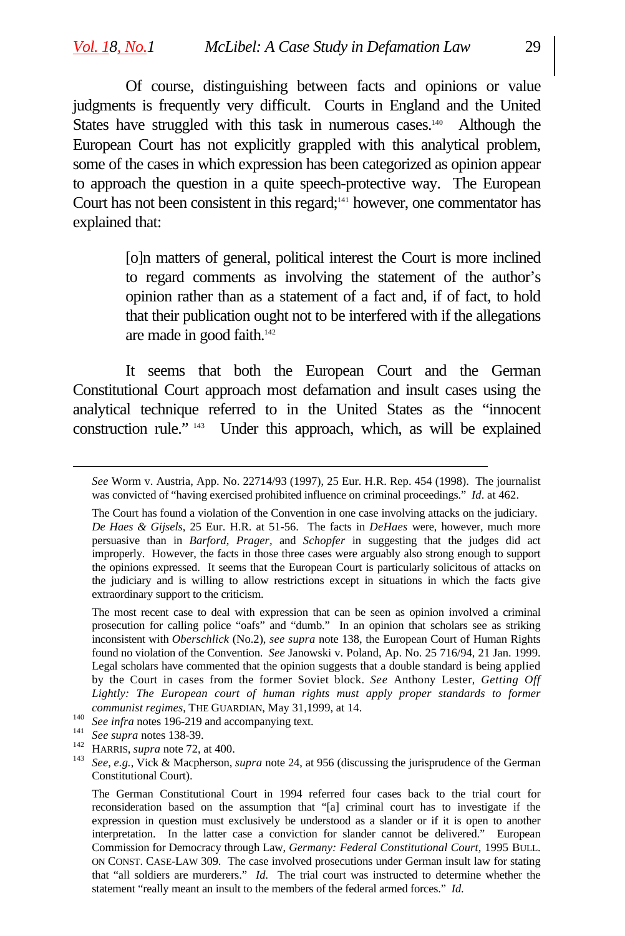Of course, distinguishing between facts and opinions or value judgments is frequently very difficult. Courts in England and the United States have struggled with this task in numerous cases.<sup>140</sup> Although the European Court has not explicitly grappled with this analytical problem, some of the cases in which expression has been categorized as opinion appear to approach the question in a quite speech-protective way. The European Court has not been consistent in this regard;<sup>141</sup> however, one commentator has explained that:

> [o]n matters of general, political interest the Court is more inclined to regard comments as involving the statement of the author's opinion rather than as a statement of a fact and, if of fact, to hold that their publication ought not to be interfered with if the allegations are made in good faith.<sup>142</sup>

It seems that both the European Court and the German Constitutional Court approach most defamation and insult cases using the analytical technique referred to in the United States as the "innocent construction rule." <sup>143</sup> Under this approach, which, as will be explained

<sup>140</sup> See infra notes 196-219 and accompanying text.

 $\overline{a}$ 

142 HARRIS, *supra* note 72, at 400.

*See* Worm v. Austria, App. No. 22714/93 (1997), 25 Eur. H.R. Rep. 454 (1998). The journalist was convicted of "having exercised prohibited influence on criminal proceedings." *Id*. at 462.

The Court has found a violation of the Convention in one case involving attacks on the judiciary. *De Haes & Gijsels*, 25 Eur. H.R. at 51-56. The facts in *DeHaes* were, however, much more persuasive than in *Barford, Prager,* and *Schopfer* in suggesting that the judges did act improperly. However, the facts in those three cases were arguably also strong enough to support the opinions expressed. It seems that the European Court is particularly solicitous of attacks on the judiciary and is willing to allow restrictions except in situations in which the facts give extraordinary support to the criticism.

The most recent case to deal with expression that can be seen as opinion involved a criminal prosecution for calling police "oafs" and "dumb." In an opinion that scholars see as striking inconsistent with *Oberschlick* (No.2), *see supra* note 138, the European Court of Human Rights found no violation of the Convention. *See* Janowski v. Poland, Ap. No. 25 716/94, 21 Jan. 1999. Legal scholars have commented that the opinion suggests that a double standard is being applied by the Court in cases from the former Soviet block. *See* Anthony Lester, *Getting Off Lightly: The European court of human rights must apply proper standards to former communist regimes*, THE GUARDIAN, May 31,1999, at 14.

<sup>141</sup> *See supra* notes 138-39.

<sup>143</sup> *See, e.g.*, Vick & Macpherson, *supra* note 24, at 956 (discussing the jurisprudence of the German Constitutional Court).

The German Constitutional Court in 1994 referred four cases back to the trial court for reconsideration based on the assumption that "[a] criminal court has to investigate if the expression in question must exclusively be understood as a slander or if it is open to another interpretation. In the latter case a conviction for slander cannot be delivered." European Commission for Democracy through Law, *Germany: Federal Constitutional Court*, 1995 BULL. ON CONST. CASE-LAW 309. The case involved prosecutions under German insult law for stating that "all soldiers are murderers." *Id.* The trial court was instructed to determine whether the statement "really meant an insult to the members of the federal armed forces." *Id.*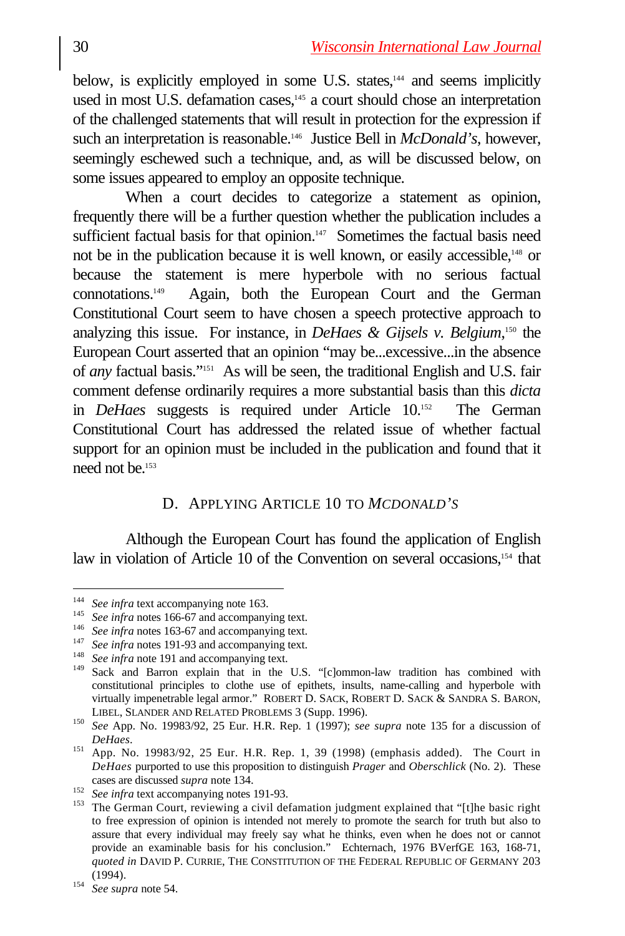below, is explicitly employed in some U.S. states,<sup>144</sup> and seems implicitly used in most U.S. defamation cases,<sup>145</sup> a court should chose an interpretation of the challenged statements that will result in protection for the expression if such an interpretation is reasonable.146 Justice Bell in *McDonald's*, however, seemingly eschewed such a technique, and, as will be discussed below, on some issues appeared to employ an opposite technique.

When a court decides to categorize a statement as opinion, frequently there will be a further question whether the publication includes a sufficient factual basis for that opinion.<sup>147</sup> Sometimes the factual basis need not be in the publication because it is well known, or easily accessible,<sup>148</sup> or because the statement is mere hyperbole with no serious factual connotations.149 Again, both the European Court and the German Constitutional Court seem to have chosen a speech protective approach to analyzing this issue. For instance, in *DeHaes & Gijsels v. Belgium*,<sup>150</sup> the European Court asserted that an opinion "may be...excessive...in the absence of *any* factual basis."151 As will be seen, the traditional English and U.S. fair comment defense ordinarily requires a more substantial basis than this *dicta* in *DeHaes* suggests is required under Article 10.152 The German Constitutional Court has addressed the related issue of whether factual support for an opinion must be included in the publication and found that it need not be.<sup>153</sup>

## D. APPLYING ARTICLE 10 TO *MCDONALD'S*

Although the European Court has found the application of English law in violation of Article 10 of the Convention on several occasions,<sup>154</sup> that

 144 *See infra* text accompanying note 163.

<sup>&</sup>lt;sup>145</sup> See infra notes 166-67 and accompanying text.

<sup>&</sup>lt;sup>146</sup> See infra notes 163-67 and accompanying text.

<sup>&</sup>lt;sup>147</sup> See infra notes 191-93 and accompanying text.

<sup>&</sup>lt;sup>148</sup> See infra note 191 and accompanying text.

<sup>&</sup>lt;sup>149</sup> Sack and Barron explain that in the U.S. "[c]ommon-law tradition has combined with constitutional principles to clothe use of epithets, insults, name-calling and hyperbole with virtually impenetrable legal armor." ROBERT D. SACK, ROBERT D. SACK & SANDRA S. BARON, LIBEL, SLANDER AND RELATED PROBLEMS 3 (Supp. 1996).

<sup>150</sup> *See* App. No. 19983/92, 25 Eur. H.R. Rep. 1 (1997); *see supra* note 135 for a discussion of *DeHaes*.

<sup>151</sup> App. No. 19983/92, 25 Eur. H.R. Rep. 1, 39 (1998) (emphasis added). The Court in *DeHaes* purported to use this proposition to distinguish *Prager* and *Oberschlick* (No. 2). These cases are discussed *supra* note 134.

<sup>&</sup>lt;sup>152</sup> See infra text accompanying notes 191-93.

<sup>&</sup>lt;sup>153</sup> The German Court, reviewing a civil defamation judgment explained that "[t]he basic right to free expression of opinion is intended not merely to promote the search for truth but also to assure that every individual may freely say what he thinks, even when he does not or cannot provide an examinable basis for his conclusion." Echternach, 1976 BVerfGE 163, 168-71, *quoted in* DAVID P. CURRIE, THE CONSTITUTION OF THE FEDERAL REPUBLIC OF GERMANY 203  $(1994)$ .

<sup>154</sup> *See supra* note 54.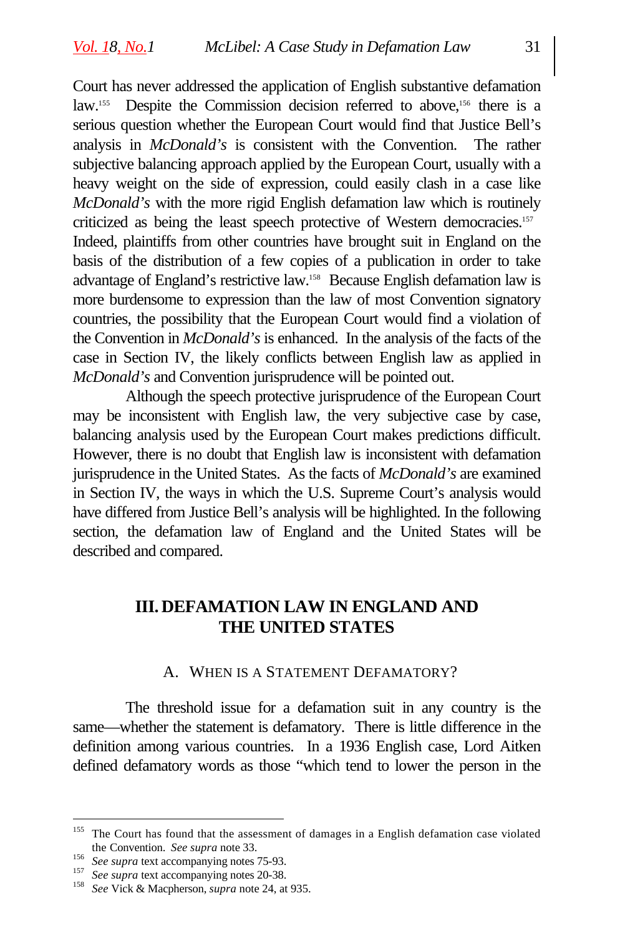Court has never addressed the application of English substantive defamation law.<sup>155</sup> Despite the Commission decision referred to above,<sup>156</sup> there is a serious question whether the European Court would find that Justice Bell's analysis in *McDonald's* is consistent with the Convention. The rather subjective balancing approach applied by the European Court, usually with a heavy weight on the side of expression, could easily clash in a case like *McDonald's* with the more rigid English defamation law which is routinely criticized as being the least speech protective of Western democracies.<sup>157</sup> Indeed, plaintiffs from other countries have brought suit in England on the basis of the distribution of a few copies of a publication in order to take advantage of England's restrictive law.158 Because English defamation law is more burdensome to expression than the law of most Convention signatory countries, the possibility that the European Court would find a violation of the Convention in *McDonald's* is enhanced. In the analysis of the facts of the case in Section IV, the likely conflicts between English law as applied in *McDonald's* and Convention jurisprudence will be pointed out.

Although the speech protective jurisprudence of the European Court may be inconsistent with English law, the very subjective case by case, balancing analysis used by the European Court makes predictions difficult. However, there is no doubt that English law is inconsistent with defamation jurisprudence in the United States. As the facts of *McDonald's* are examined in Section IV, the ways in which the U.S. Supreme Court's analysis would have differed from Justice Bell's analysis will be highlighted. In the following section, the defamation law of England and the United States will be described and compared.

# **III. DEFAMATION LAW IN ENGLAND AND THE UNITED STATES**

### A. WHEN IS A STATEMENT DEFAMATORY?

The threshold issue for a defamation suit in any country is the same—whether the statement is defamatory. There is little difference in the definition among various countries. In a 1936 English case, Lord Aitken defined defamatory words as those "which tend to lower the person in the

<sup>&</sup>lt;sup>155</sup> The Court has found that the assessment of damages in a English defamation case violated the Convention. *See supra* note 33.

<sup>&</sup>lt;sup>156</sup> See supra text accompanying notes 75-93.

<sup>&</sup>lt;sup>157</sup> See supra text accompanying notes 20-38.

<sup>158</sup> *See* Vick & Macpherson, *supra* note 24, at 935.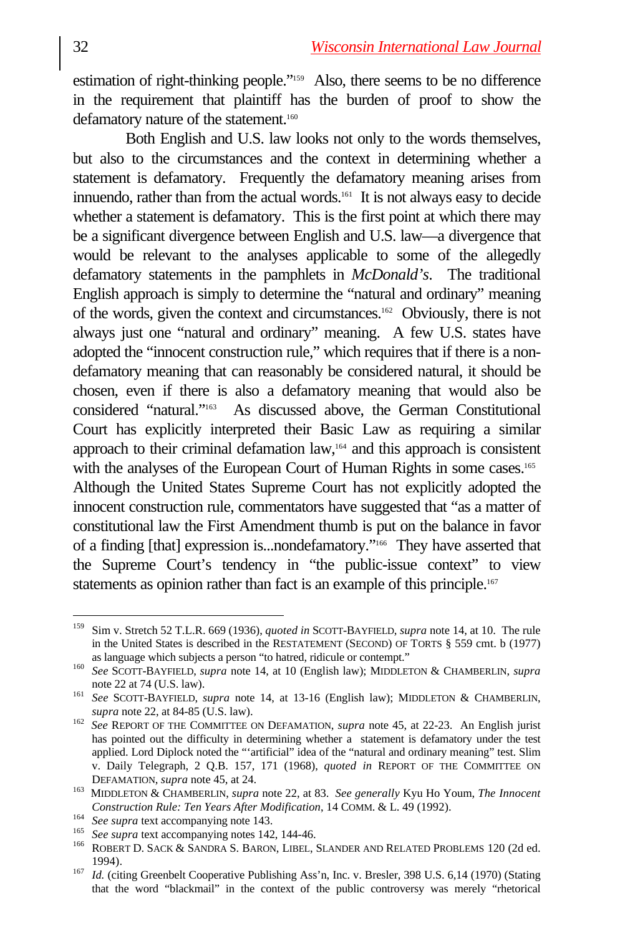estimation of right-thinking people."159 Also, there seems to be no difference in the requirement that plaintiff has the burden of proof to show the defamatory nature of the statement.<sup>160</sup>

Both English and U.S. law looks not only to the words themselves, but also to the circumstances and the context in determining whether a statement is defamatory. Frequently the defamatory meaning arises from innuendo, rather than from the actual words.161 It is not always easy to decide whether a statement is defamatory. This is the first point at which there may be a significant divergence between English and U.S. law—a divergence that would be relevant to the analyses applicable to some of the allegedly defamatory statements in the pamphlets in *McDonald's*. The traditional English approach is simply to determine the "natural and ordinary" meaning of the words, given the context and circumstances.162 Obviously, there is not always just one "natural and ordinary" meaning. A few U.S. states have adopted the "innocent construction rule," which requires that if there is a nondefamatory meaning that can reasonably be considered natural, it should be chosen, even if there is also a defamatory meaning that would also be considered "natural."163 As discussed above, the German Constitutional Court has explicitly interpreted their Basic Law as requiring a similar approach to their criminal defamation law,164 and this approach is consistent with the analyses of the European Court of Human Rights in some cases.<sup>165</sup> Although the United States Supreme Court has not explicitly adopted the innocent construction rule, commentators have suggested that "as a matter of constitutional law the First Amendment thumb is put on the balance in favor of a finding [that] expression is...nondefamatory."<sup>166</sup> They have asserted that the Supreme Court's tendency in "the public-issue context" to view statements as opinion rather than fact is an example of this principle.<sup>167</sup>

<sup>159</sup> Sim v. Stretch 52 T.L.R. 669 (1936), *quoted in* SCOTT-BAYFIELD, *supra* note 14, at 10. The rule in the United States is described in the RESTATEMENT (SECOND) OF TORTS § 559 cmt. b (1977) as language which subjects a person "to hatred, ridicule or contempt."

<sup>160</sup> *See* SCOTT-BAYFIELD, *supra* note 14, at 10 (English law); MIDDLETON & CHAMBERLIN, *supra* note 22 at 74 (U.S. law).

<sup>&</sup>lt;sup>161</sup> See SCOTT-BAYFIELD, *supra* note 14, at 13-16 (English law); MIDDLETON & CHAMBERLIN, *supra* note 22, at 84-85 (U.S. law).

<sup>162</sup> *See* REPORT OF THE COMMITTEE ON DEFAMATION, *supra* note 45, at 22-23. An English jurist has pointed out the difficulty in determining whether a statement is defamatory under the test applied. Lord Diplock noted the "'artificial" idea of the "natural and ordinary meaning" test. Slim v. Daily Telegraph, 2 Q.B. 157, 171 (1968), *quoted in* REPORT OF THE COMMITTEE ON DEFAMATION, *supra* note 45, at 24.

<sup>163</sup> MIDDLETON & CHAMBERLIN, *supra* note 22, at 83. *See generally* Kyu Ho Youm, *The Innocent Construction Rule: Ten Years After Modification*, 14 COMM. & L. 49 (1992).

<sup>164</sup> *See supra* text accompanying note 143.

<sup>&</sup>lt;sup>165</sup> See supra text accompanying notes 142, 144-46.

<sup>&</sup>lt;sup>166</sup> ROBERT D. SACK & SANDRA S. BARON, LIBEL, SLANDER AND RELATED PROBLEMS 120 (2d ed. 1994).

<sup>167</sup> *Id.* (citing Greenbelt Cooperative Publishing Ass'n, Inc. v. Bresler, 398 U.S. 6,14 (1970) (Stating that the word "blackmail" in the context of the public controversy was merely "rhetorical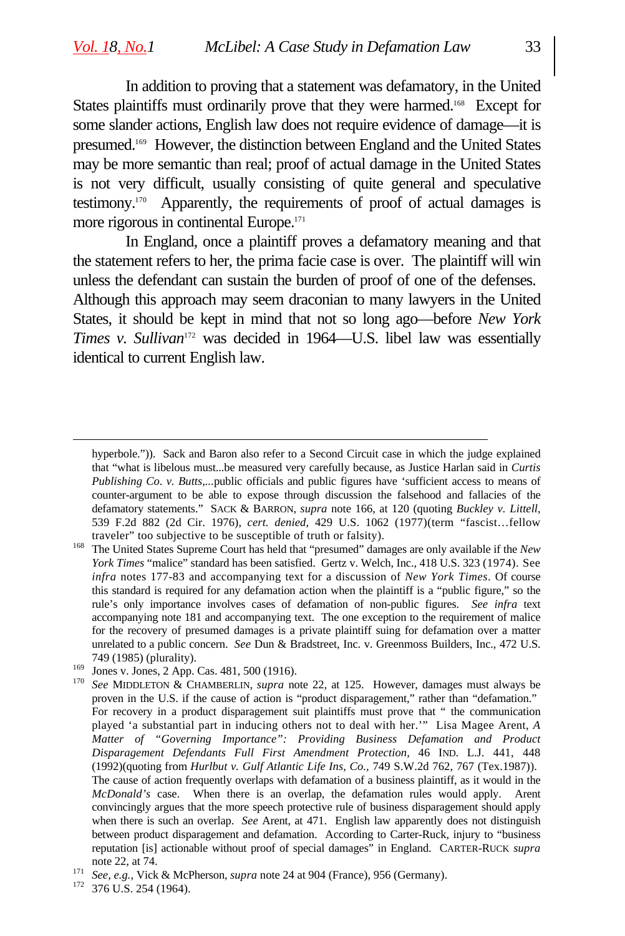In addition to proving that a statement was defamatory, in the United States plaintiffs must ordinarily prove that they were harmed.<sup>168</sup> Except for some slander actions, English law does not require evidence of damage—it is presumed.169 However, the distinction between England and the United States may be more semantic than real; proof of actual damage in the United States is not very difficult, usually consisting of quite general and speculative testimony.170 Apparently, the requirements of proof of actual damages is more rigorous in continental Europe.<sup>171</sup>

In England, once a plaintiff proves a defamatory meaning and that the statement refers to her, the prima facie case is over. The plaintiff will win unless the defendant can sustain the burden of proof of one of the defenses. Although this approach may seem draconian to many lawyers in the United States, it should be kept in mind that not so long ago—before *New York Times v. Sullivan*<sup>172</sup> was decided in 1964—U.S. libel law was essentially identical to current English law.

hyperbole.")). Sack and Baron also refer to a Second Circuit case in which the judge explained that "what is libelous must...be measured very carefully because, as Justice Harlan said in *Curtis Publishing Co. v. Butts,...public officials and public figures have 'sufficient access to means of* counter-argument to be able to expose through discussion the falsehood and fallacies of the defamatory statements." SACK & BARRON, *supra* note 166, at 120 (quoting *Buckley v. Littell*, 539 F.2d 882 (2d Cir. 1976), *cert. denied,* 429 U.S. 1062 (1977)(term "fascist…fellow traveler" too subjective to be susceptible of truth or falsity).

<sup>168</sup> The United States Supreme Court has held that "presumed" damages are only available if the *New York Times* "malice" standard has been satisfied. Gertz v. Welch, Inc., 418 U.S. 323 (1974). See *infra* notes 177-83 and accompanying text for a discussion of *New York Times*. Of course this standard is required for any defamation action when the plaintiff is a "public figure," so the rule's only importance involves cases of defamation of non-public figures. *See infra* text accompanying note 181 and accompanying text. The one exception to the requirement of malice for the recovery of presumed damages is a private plaintiff suing for defamation over a matter unrelated to a public concern. *See* Dun & Bradstreet, Inc. v. Greenmoss Builders, Inc., 472 U.S. 749 (1985) (plurality).

<sup>169</sup> Jones v. Jones, 2 App. Cas. 481, 500 (1916).

<sup>&</sup>lt;sup>170</sup> See MIDDLETON & CHAMBERLIN, *supra* note 22, at 125. However, damages must always be proven in the U.S. if the cause of action is "product disparagement," rather than "defamation." For recovery in a product disparagement suit plaintiffs must prove that " the communication played 'a substantial part in inducing others not to deal with her.'" Lisa Magee Arent, *A Matter of "Governing Importance": Providing Business Defamation and Product Disparagement Defendants Full First Amendment Protection*, 46 IND. L.J. 441, 448 (1992)(quoting from *Hurlbut v. Gulf Atlantic Life Ins, Co.,* 749 S.W.2d 762, 767 (Tex.1987)). The cause of action frequently overlaps with defamation of a business plaintiff, as it would in the *McDonald's* case. When there is an overlap, the defamation rules would apply. Arent convincingly argues that the more speech protective rule of business disparagement should apply when there is such an overlap. *See* Arent, at 471. English law apparently does not distinguish between product disparagement and defamation. According to Carter-Ruck, injury to "business reputation [is] actionable without proof of special damages" in England. CARTER-RUCK *supra* note 22, at 74.

<sup>171</sup> *See, e.g.,* Vick & McPherson, *supra* note 24 at 904 (France), 956 (Germany).

 $172$  376 U.S. 254 (1964).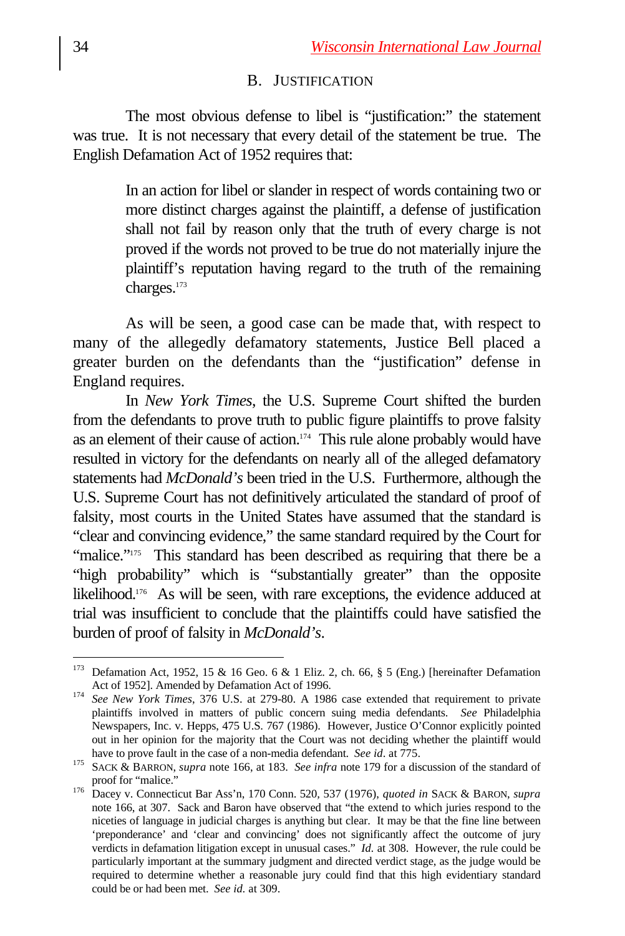#### B. JUSTIFICATION

The most obvious defense to libel is "justification:" the statement was true. It is not necessary that every detail of the statement be true. The English Defamation Act of 1952 requires that:

> In an action for libel or slander in respect of words containing two or more distinct charges against the plaintiff, a defense of justification shall not fail by reason only that the truth of every charge is not proved if the words not proved to be true do not materially injure the plaintiff's reputation having regard to the truth of the remaining charges.<sup>173</sup>

As will be seen, a good case can be made that, with respect to many of the allegedly defamatory statements, Justice Bell placed a greater burden on the defendants than the "justification" defense in England requires.

In *New York Times*, the U.S. Supreme Court shifted the burden from the defendants to prove truth to public figure plaintiffs to prove falsity as an element of their cause of action.174 This rule alone probably would have resulted in victory for the defendants on nearly all of the alleged defamatory statements had *McDonald's* been tried in the U.S. Furthermore, although the U.S. Supreme Court has not definitively articulated the standard of proof of falsity, most courts in the United States have assumed that the standard is "clear and convincing evidence," the same standard required by the Court for "malice."<sup>175</sup> This standard has been described as requiring that there be a "high probability" which is "substantially greater" than the opposite likelihood.<sup>176</sup> As will be seen, with rare exceptions, the evidence adduced at trial was insufficient to conclude that the plaintiffs could have satisfied the burden of proof of falsity in *McDonald's*.

 173 Defamation Act, 1952, 15 & 16 Geo. 6 & 1 Eliz. 2, ch. 66, § 5 (Eng.) [hereinafter Defamation Act of 1952]. Amended by Defamation Act of 1996.

<sup>&</sup>lt;sup>174</sup> See New York Times, 376 U.S. at 279-80. A 1986 case extended that requirement to private plaintiffs involved in matters of public concern suing media defendants. *See* Philadelphia Newspapers, Inc. v. Hepps, 475 U.S. 767 (1986). However, Justice O'Connor explicitly pointed out in her opinion for the majority that the Court was not deciding whether the plaintiff would have to prove fault in the case of a non-media defendant. *See id*. at 775.

<sup>175</sup> SACK & BARRON, *supra* note 166, at 183. *See infra* note 179 for a discussion of the standard of proof for "malice."

<sup>176</sup> Dacey v. Connecticut Bar Ass'n, 170 Conn. 520*,* 537 (1976), *quoted in* SACK & BARON, *supra* note 166, at 307. Sack and Baron have observed that "the extend to which juries respond to the niceties of language in judicial charges is anything but clear. It may be that the fine line between 'preponderance' and 'clear and convincing' does not significantly affect the outcome of jury verdicts in defamation litigation except in unusual cases." *Id.* at 308. However, the rule could be particularly important at the summary judgment and directed verdict stage, as the judge would be required to determine whether a reasonable jury could find that this high evidentiary standard could be or had been met. *See id.* at 309.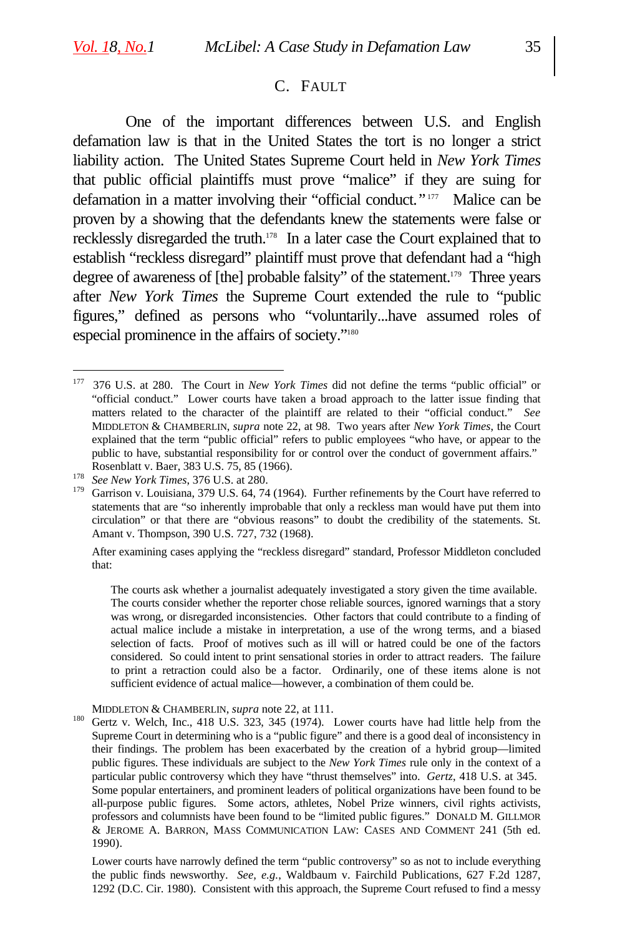#### C. FAULT

One of the important differences between U.S. and English defamation law is that in the United States the tort is no longer a strict liability action. The United States Supreme Court held in *New York Times* that public official plaintiffs must prove "malice" if they are suing for defamation in a matter involving their "official conduct." <sup>177</sup> Malice can be proven by a showing that the defendants knew the statements were false or recklessly disregarded the truth.<sup>178</sup> In a later case the Court explained that to establish "reckless disregard" plaintiff must prove that defendant had a "high degree of awareness of [the] probable falsity" of the statement.179 Three years after *New York Times* the Supreme Court extended the rule to "public figures," defined as persons who "voluntarily...have assumed roles of especial prominence in the affairs of society."<sup>180</sup>

After examining cases applying the "reckless disregard" standard, Professor Middleton concluded that:

The courts ask whether a journalist adequately investigated a story given the time available. The courts consider whether the reporter chose reliable sources, ignored warnings that a story was wrong, or disregarded inconsistencies. Other factors that could contribute to a finding of actual malice include a mistake in interpretation, a use of the wrong terms, and a biased selection of facts. Proof of motives such as ill will or hatred could be one of the factors considered. So could intent to print sensational stories in order to attract readers. The failure to print a retraction could also be a factor. Ordinarily, one of these items alone is not sufficient evidence of actual malice—however, a combination of them could be.

MIDDLETON & CHAMBERLIN, *supra* note 22, at 111.

Lower courts have narrowly defined the term "public controversy" so as not to include everything the public finds newsworthy. *See, e.g.*, Waldbaum v. Fairchild Publications, 627 F.2d 1287, 1292 (D.C. Cir. 1980). Consistent with this approach, the Supreme Court refused to find a messy

<sup>177</sup> <sup>177</sup> 376 U.S. at 280. The Court in *New York Times* did not define the terms "public official" or "official conduct." Lower courts have taken a broad approach to the latter issue finding that matters related to the character of the plaintiff are related to their "official conduct." *See* MIDDLETON & CHAMBERLIN, *supra* note 22, at 98. Two years after *New York Times*, the Court explained that the term "public official" refers to public employees "who have, or appear to the public to have, substantial responsibility for or control over the conduct of government affairs." Rosenblatt v. Baer, 383 U.S. 75, 85 (1966).

<sup>178</sup> *See New York Times*, 376 U.S. at 280.

<sup>&</sup>lt;sup>179</sup> Garrison v. Louisiana, 379 U.S. 64, 74 (1964). Further refinements by the Court have referred to statements that are "so inherently improbable that only a reckless man would have put them into circulation" or that there are "obvious reasons" to doubt the credibility of the statements. St. Amant v. Thompson, 390 U.S. 727, 732 (1968).

<sup>&</sup>lt;sup>180</sup> Gertz v. Welch, Inc., 418 U.S. 323, 345 (1974). Lower courts have had little help from the Supreme Court in determining who is a "public figure" and there is a good deal of inconsistency in their findings. The problem has been exacerbated by the creation of a hybrid group—limited public figures. These individuals are subject to the *New York Times* rule only in the context of a particular public controversy which they have "thrust themselves" into. *Gertz*, 418 U.S. at 345. Some popular entertainers, and prominent leaders of political organizations have been found to be all-purpose public figures. Some actors, athletes, Nobel Prize winners, civil rights activists, professors and columnists have been found to be "limited public figures." DONALD M. GILLMOR & JEROME A. BARRON, MASS COMMUNICATION LAW: CASES AND COMMENT 241 (5th ed. 1990).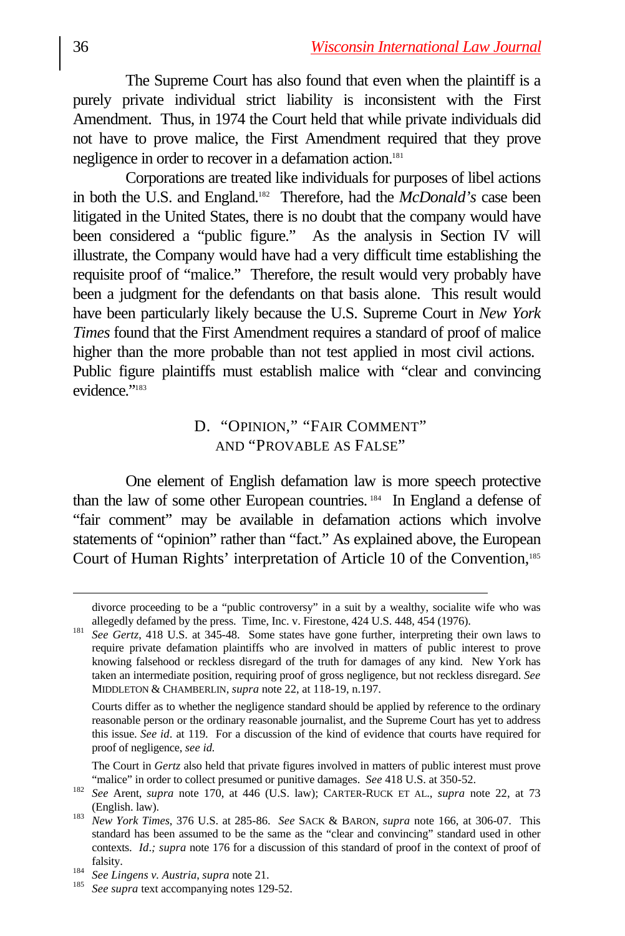The Supreme Court has also found that even when the plaintiff is a purely private individual strict liability is inconsistent with the First Amendment. Thus, in 1974 the Court held that while private individuals did not have to prove malice, the First Amendment required that they prove negligence in order to recover in a defamation action.<sup>181</sup>

Corporations are treated like individuals for purposes of libel actions in both the U.S. and England.182 Therefore, had the *McDonald's* case been litigated in the United States, there is no doubt that the company would have been considered a "public figure." As the analysis in Section IV will illustrate, the Company would have had a very difficult time establishing the requisite proof of "malice." Therefore, the result would very probably have been a judgment for the defendants on that basis alone. This result would have been particularly likely because the U.S. Supreme Court in *New York Times* found that the First Amendment requires a standard of proof of malice higher than the more probable than not test applied in most civil actions. Public figure plaintiffs must establish malice with "clear and convincing evidence."<sup>183</sup>

# D. "OPINION," "FAIR COMMENT" AND "PROVABLE AS FALSE"

One element of English defamation law is more speech protective than the law of some other European countries.<sup>184</sup> In England a defense of "fair comment" may be available in defamation actions which involve statements of "opinion" rather than "fact." As explained above, the European Court of Human Rights' interpretation of Article 10 of the Convention,<sup>185</sup>

The Court in *Gertz* also held that private figures involved in matters of public interest must prove "malice" in order to collect presumed or punitive damages. *See* 418 U.S. at 350-52.

divorce proceeding to be a "public controversy" in a suit by a wealthy, socialite wife who was allegedly defamed by the press. Time, Inc. v. Firestone, 424 U.S. 448, 454 (1976).

<sup>&</sup>lt;sup>181</sup> See Gertz, 418 U.S. at 345-48. Some states have gone further, interpreting their own laws to require private defamation plaintiffs who are involved in matters of public interest to prove knowing falsehood or reckless disregard of the truth for damages of any kind. New York has taken an intermediate position, requiring proof of gross negligence, but not reckless disregard. *See* MIDDLETON & CHAMBERLIN, *supra* note 22, at 118-19, n.197.

Courts differ as to whether the negligence standard should be applied by reference to the ordinary reasonable person or the ordinary reasonable journalist, and the Supreme Court has yet to address this issue. *See id*. at 119. For a discussion of the kind of evidence that courts have required for proof of negligence, *see id.*

<sup>182</sup> *See* Arent, *supra* note 170, at 446 (U.S. law); CARTER-RUCK ET AL., *supra* note 22, at 73 (English. law).

<sup>183</sup> *New York Times*, 376 U.S. at 285-86. *See* SACK & BARON, *supra* note 166, at 306-07. This standard has been assumed to be the same as the "clear and convincing" standard used in other contexts. *Id*.*; supra* note 176 for a discussion of this standard of proof in the context of proof of falsity.

<sup>184</sup> *See Lingens v. Austria*, *supra* note 21.

<sup>&</sup>lt;sup>185</sup> See supra text accompanying notes 129-52.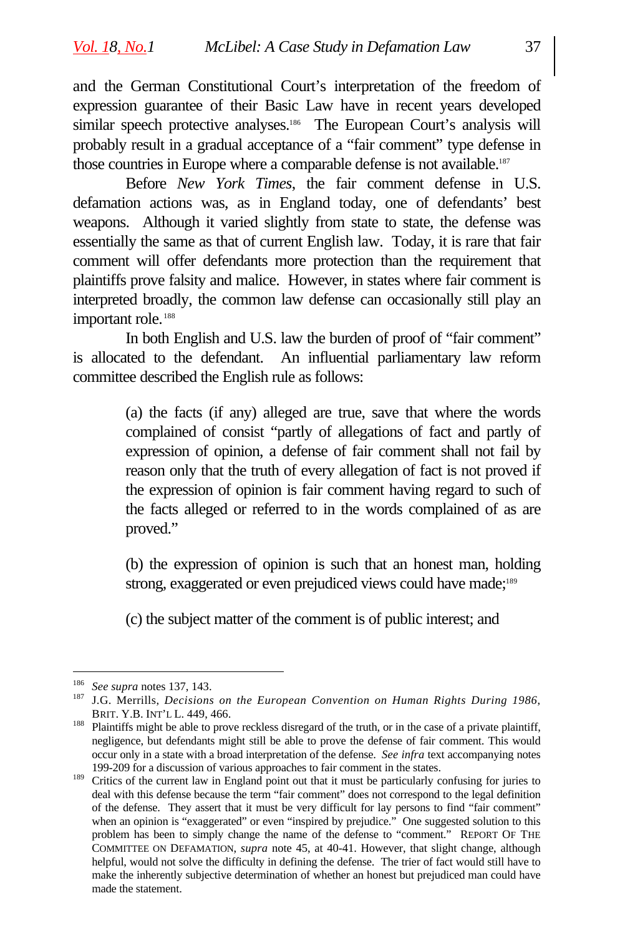and the German Constitutional Court's interpretation of the freedom of expression guarantee of their Basic Law have in recent years developed similar speech protective analyses.<sup>186</sup> The European Court's analysis will probably result in a gradual acceptance of a "fair comment" type defense in those countries in Europe where a comparable defense is not available.<sup>187</sup>

Before *New York Times*, the fair comment defense in U.S. defamation actions was, as in England today, one of defendants' best weapons. Although it varied slightly from state to state, the defense was essentially the same as that of current English law. Today, it is rare that fair comment will offer defendants more protection than the requirement that plaintiffs prove falsity and malice. However, in states where fair comment is interpreted broadly, the common law defense can occasionally still play an important role.<sup>188</sup>

In both English and U.S. law the burden of proof of "fair comment" is allocated to the defendant. An influential parliamentary law reform committee described the English rule as follows:

> (a) the facts (if any) alleged are true, save that where the words complained of consist "partly of allegations of fact and partly of expression of opinion, a defense of fair comment shall not fail by reason only that the truth of every allegation of fact is not proved if the expression of opinion is fair comment having regard to such of the facts alleged or referred to in the words complained of as are proved."

> (b) the expression of opinion is such that an honest man, holding strong, exaggerated or even prejudiced views could have made;<sup>189</sup>

(c) the subject matter of the comment is of public interest; and

 186 *See supra* notes 137, 143.

<sup>&</sup>lt;sup>187</sup> J.G. Merrills, *Decisions on the European Convention on Human Rights During 1986*, BRIT. Y.B. INT'L L. 449, 466.

<sup>&</sup>lt;sup>188</sup> Plaintiffs might be able to prove reckless disregard of the truth, or in the case of a private plaintiff, negligence, but defendants might still be able to prove the defense of fair comment. This would occur only in a state with a broad interpretation of the defense. *See infra* text accompanying notes 199-209 for a discussion of various approaches to fair comment in the states.

<sup>&</sup>lt;sup>189</sup> Critics of the current law in England point out that it must be particularly confusing for juries to deal with this defense because the term "fair comment" does not correspond to the legal definition of the defense. They assert that it must be very difficult for lay persons to find "fair comment" when an opinion is "exaggerated" or even "inspired by prejudice." One suggested solution to this problem has been to simply change the name of the defense to "comment." REPORT OF THE COMMITTEE ON DEFAMATION, *supra* note 45, at 40-41. However, that slight change, although helpful, would not solve the difficulty in defining the defense. The trier of fact would still have to make the inherently subjective determination of whether an honest but prejudiced man could have made the statement.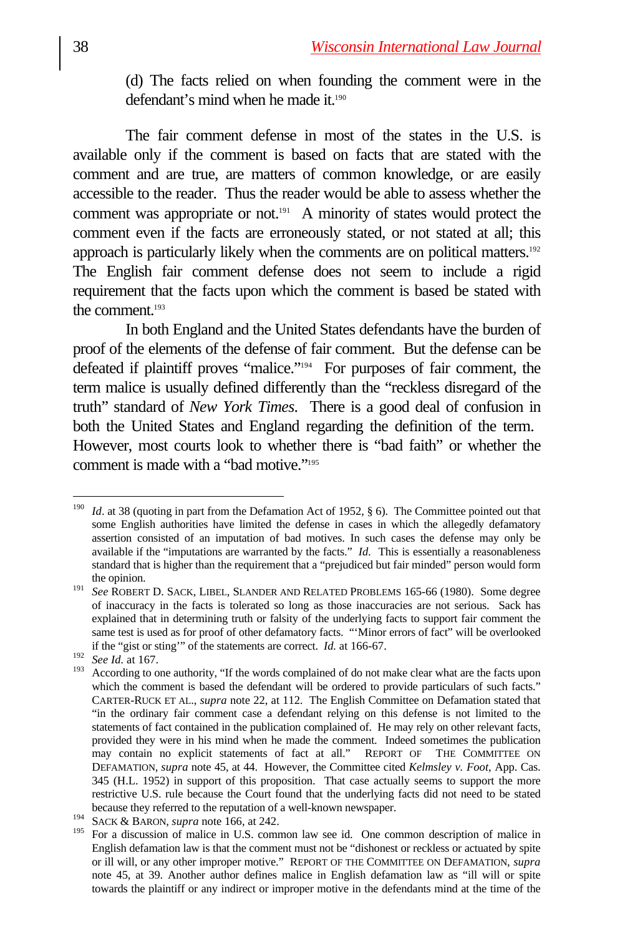(d) The facts relied on when founding the comment were in the defendant's mind when he made it.<sup>190</sup>

The fair comment defense in most of the states in the U.S. is available only if the comment is based on facts that are stated with the comment and are true, are matters of common knowledge, or are easily accessible to the reader. Thus the reader would be able to assess whether the comment was appropriate or not.191 A minority of states would protect the comment even if the facts are erroneously stated, or not stated at all; this approach is particularly likely when the comments are on political matters.<sup>192</sup> The English fair comment defense does not seem to include a rigid requirement that the facts upon which the comment is based be stated with the comment.<sup>193</sup>

In both England and the United States defendants have the burden of proof of the elements of the defense of fair comment. But the defense can be defeated if plaintiff proves "malice."194 For purposes of fair comment, the term malice is usually defined differently than the "reckless disregard of the truth" standard of *New York Times*. There is a good deal of confusion in both the United States and England regarding the definition of the term. However, most courts look to whether there is "bad faith" or whether the comment is made with a "bad motive."<sup>195</sup>

<sup>&</sup>lt;sup>190</sup> *Id.* at 38 (quoting in part from the Defamation Act of 1952, § 6). The Committee pointed out that some English authorities have limited the defense in cases in which the allegedly defamatory assertion consisted of an imputation of bad motives. In such cases the defense may only be available if the "imputations are warranted by the facts." *Id.* This is essentially a reasonableness standard that is higher than the requirement that a "prejudiced but fair minded" person would form the opinion.

<sup>&</sup>lt;sup>191</sup> See ROBERT D. SACK, LIBEL, SLANDER AND RELATED PROBLEMS 165-66 (1980). Some degree of inaccuracy in the facts is tolerated so long as those inaccuracies are not serious. Sack has explained that in determining truth or falsity of the underlying facts to support fair comment the same test is used as for proof of other defamatory facts. "'Minor errors of fact" will be overlooked if the "gist or sting'" of the statements are correct. *Id.* at 166-67.

<sup>192</sup> *See Id.* at 167.

<sup>&</sup>lt;sup>193</sup> According to one authority, "If the words complained of do not make clear what are the facts upon which the comment is based the defendant will be ordered to provide particulars of such facts." CARTER-RUCK ET AL., *supra* note 22, at 112*.* The English Committee on Defamation stated that "in the ordinary fair comment case a defendant relying on this defense is not limited to the statements of fact contained in the publication complained of. He may rely on other relevant facts, provided they were in his mind when he made the comment. Indeed sometimes the publication may contain no explicit statements of fact at all." REPORT OF THE COMMITTEE ON DEFAMATION, *supra* note 45, at 44. However, the Committee cited *Kelmsley v. Foot*, App. Cas. 345 (H.L. 1952) in support of this proposition. That case actually seems to support the more restrictive U.S. rule because the Court found that the underlying facts did not need to be stated because they referred to the reputation of a well-known newspaper.

<sup>194</sup> SACK & BARON, *supra* note 166, at 242.

<sup>&</sup>lt;sup>195</sup> For a discussion of malice in U.S. common law see id. One common description of malice in English defamation law is that the comment must not be "dishonest or reckless or actuated by spite or ill will, or any other improper motive." REPORT OF THE COMMITTEE ON DEFAMATION, *supra* note 45, at 39. Another author defines malice in English defamation law as "ill will or spite towards the plaintiff or any indirect or improper motive in the defendants mind at the time of the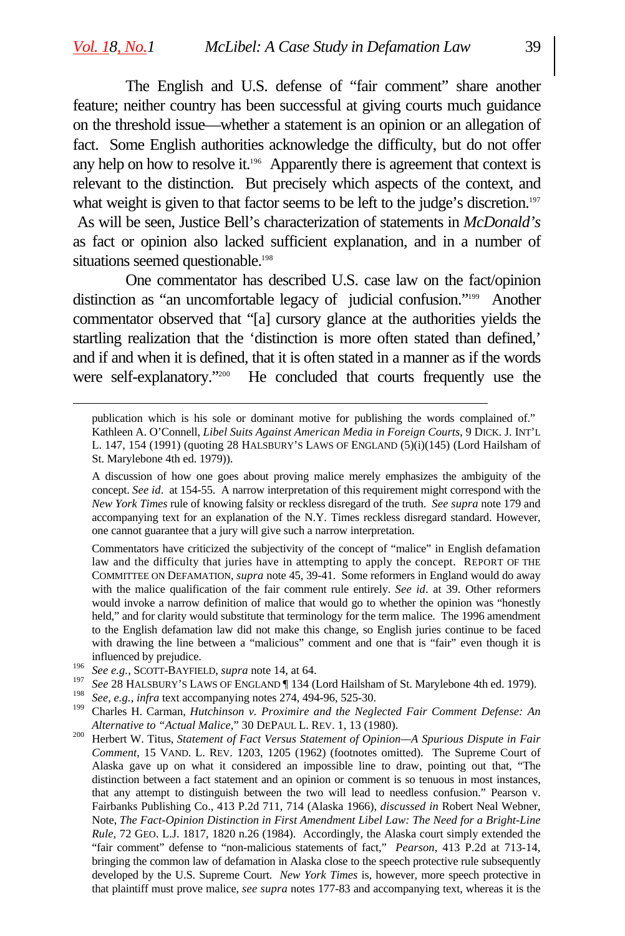The English and U.S. defense of "fair comment" share another feature; neither country has been successful at giving courts much guidance on the threshold issue—whether a statement is an opinion or an allegation of fact. Some English authorities acknowledge the difficulty, but do not offer any help on how to resolve it.<sup>196</sup> Apparently there is agreement that context is relevant to the distinction. But precisely which aspects of the context, and what weight is given to that factor seems to be left to the judge's discretion.<sup>197</sup> As will be seen, Justice Bell's characterization of statements in *McDonald's*

as fact or opinion also lacked sufficient explanation, and in a number of situations seemed questionable.<sup>198</sup>

One commentator has described U.S. case law on the fact/opinion distinction as "an uncomfortable legacy of judicial confusion."199 Another commentator observed that "[a] cursory glance at the authorities yields the startling realization that the 'distinction is more often stated than defined,' and if and when it is defined, that it is often stated in a manner as if the words were self-explanatory."200 He concluded that courts frequently use the

Commentators have criticized the subjectivity of the concept of "malice" in English defamation law and the difficulty that juries have in attempting to apply the concept. REPORT OF THE COMMITTEE ON DEFAMATION, *supra* note 45, 39-41. Some reformers in England would do away with the malice qualification of the fair comment rule entirely. *See id*. at 39. Other reformers would invoke a narrow definition of malice that would go to whether the opinion was "honestly held," and for clarity would substitute that terminology for the term malice. The 1996 amendment to the English defamation law did not make this change, so English juries continue to be faced with drawing the line between a "malicious" comment and one that is "fair" even though it is influenced by prejudice.

196 *See e.g.*, SCOTT-BAYFIELD, *supra* note 14, at 64.

 $\overline{a}$ 

- <sup>197</sup> See 28 HALSBURY'S LAWS OF ENGLAND | 134 (Lord Hailsham of St. Marylebone 4th ed. 1979).
- <sup>198</sup> See, e.g., infra text accompanying notes 274, 494-96, 525-30.

publication which is his sole or dominant motive for publishing the words complained of." Kathleen A. O'Connell, *Libel Suits Against American Media in Foreign Courts*, 9 DICK. J. INT'L L. 147, 154 (1991) (quoting 28 HALSBURY'S LAWS OF ENGLAND (5)(i)(145) (Lord Hailsham of St. Marylebone 4th ed. 1979)).

A discussion of how one goes about proving malice merely emphasizes the ambiguity of the concept. *See id*. at 154-55. A narrow interpretation of this requirement might correspond with the *New York Times* rule of knowing falsity or reckless disregard of the truth. *See supra* note 179 and accompanying text for an explanation of the N.Y. Times reckless disregard standard. However, one cannot guarantee that a jury will give such a narrow interpretation.

<sup>199</sup> Charles H. Carman, *Hutchinson v. Proximire and the Neglected Fair Comment Defense: An Alternative to "Actual Malice,*" 30 DEPAUL L. REV. 1, 13 (1980).

<sup>200</sup> Herbert W. Titus, *Statement of Fact Versus Statement of Opinion—A Spurious Dispute in Fair Comment*, 15 VAND. L. REV. 1203, 1205 (1962) (footnotes omitted). The Supreme Court of Alaska gave up on what it considered an impossible line to draw, pointing out that, "The distinction between a fact statement and an opinion or comment is so tenuous in most instances, that any attempt to distinguish between the two will lead to needless confusion." Pearson v. Fairbanks Publishing Co., 413 P.2d 711, 714 (Alaska 1966), *discussed in* Robert Neal Webner, Note, *The Fact-Opinion Distinction in First Amendment Libel Law: The Need for a Bright-Line Rule*, 72 GEO. L.J. 1817, 1820 n.26 (1984). Accordingly, the Alaska court simply extended the "fair comment" defense to "non-malicious statements of fact," *Pearson*, 413 P.2d at 713-14, bringing the common law of defamation in Alaska close to the speech protective rule subsequently developed by the U.S. Supreme Court. *New York Times* is, however, more speech protective in that plaintiff must prove malice, *see supra* notes 177-83 and accompanying text, whereas it is the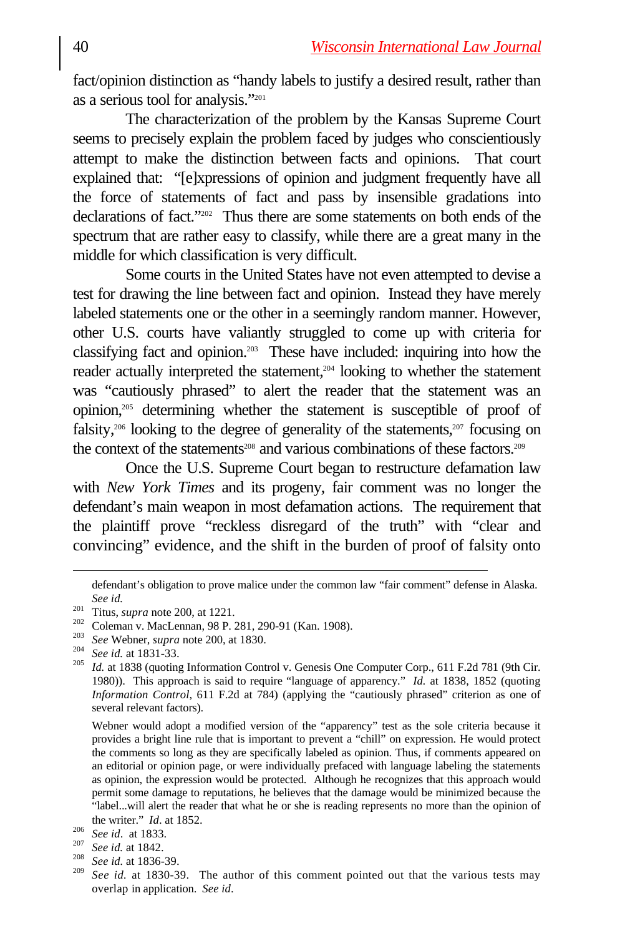fact/opinion distinction as "handy labels to justify a desired result, rather than as a serious tool for analysis."<sup>201</sup>

The characterization of the problem by the Kansas Supreme Court seems to precisely explain the problem faced by judges who conscientiously attempt to make the distinction between facts and opinions. That court explained that: "[e]xpressions of opinion and judgment frequently have all the force of statements of fact and pass by insensible gradations into declarations of fact."202 Thus there are some statements on both ends of the spectrum that are rather easy to classify, while there are a great many in the middle for which classification is very difficult.

Some courts in the United States have not even attempted to devise a test for drawing the line between fact and opinion. Instead they have merely labeled statements one or the other in a seemingly random manner. However, other U.S. courts have valiantly struggled to come up with criteria for classifying fact and opinion.203 These have included: inquiring into how the reader actually interpreted the statement,<sup>204</sup> looking to whether the statement was "cautiously phrased" to alert the reader that the statement was an opinion,205 determining whether the statement is susceptible of proof of falsity,206 looking to the degree of generality of the statements,207 focusing on the context of the statements<sup>208</sup> and various combinations of these factors.<sup>209</sup>

Once the U.S. Supreme Court began to restructure defamation law with *New York Times* and its progeny, fair comment was no longer the defendant's main weapon in most defamation actions. The requirement that the plaintiff prove "reckless disregard of the truth" with "clear and convincing" evidence, and the shift in the burden of proof of falsity onto

 $\overline{a}$ 

defendant's obligation to prove malice under the common law "fair comment" defense in Alaska. *See id.*

<sup>201</sup> Titus, *supra* note 200, at 1221.

<sup>202</sup> Coleman v. MacLennan, 98 P. 281, 290-91 (Kan. 1908).

<sup>203</sup> *See* Webner, *supra* note 200, at 1830.

<sup>204</sup> *See id.* at 1831-33.

<sup>&</sup>lt;sup>205</sup> *Id.* at 1838 (quoting Information Control v. Genesis One Computer Corp., 611 F.2d 781 (9th Cir. 1980)). This approach is said to require "language of apparency." *Id.* at 1838, 1852 (quoting *Information Control*, 611 F.2d at 784) (applying the "cautiously phrased" criterion as one of several relevant factors).

Webner would adopt a modified version of the "apparency" test as the sole criteria because it provides a bright line rule that is important to prevent a "chill" on expression. He would protect the comments so long as they are specifically labeled as opinion. Thus, if comments appeared on an editorial or opinion page, or were individually prefaced with language labeling the statements as opinion, the expression would be protected. Although he recognizes that this approach would permit some damage to reputations, he believes that the damage would be minimized because the "label...will alert the reader that what he or she is reading represents no more than the opinion of the writer." *Id*. at 1852.

<sup>206</sup> *See id*. at 1833.

<sup>207</sup> *See id.* at 1842.

<sup>208</sup> *See id.* at 1836-39.

<sup>209</sup> *See id.* at 1830-39. The author of this comment pointed out that the various tests may overlap in application. *See id*.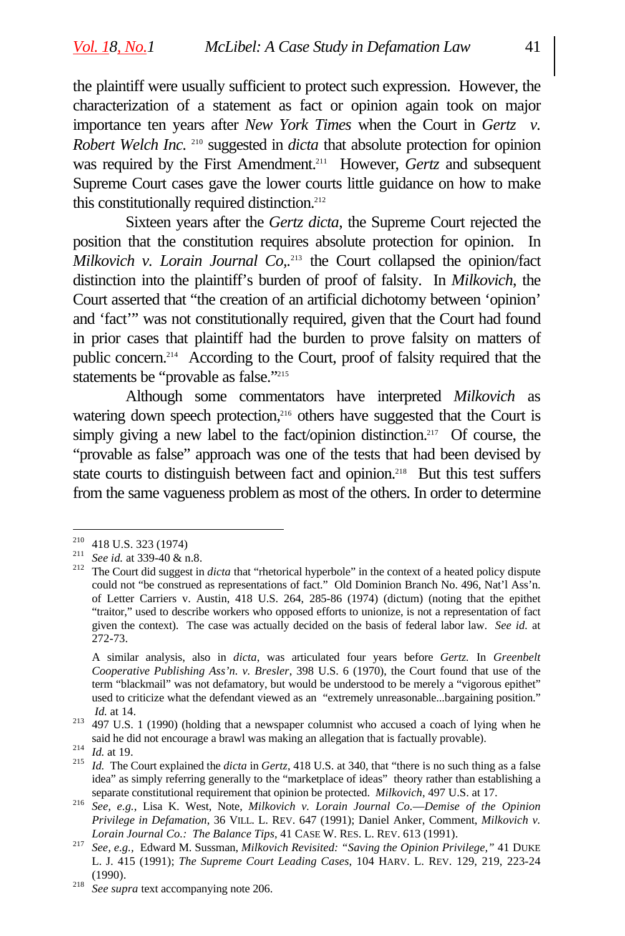the plaintiff were usually sufficient to protect such expression. However, the characterization of a statement as fact or opinion again took on major importance ten years after *New York Times* when the Court in *Gertz v. Robert Welch Inc.* <sup>210</sup> suggested in *dicta* that absolute protection for opinion was required by the First Amendment.211 However, *Gertz* and subsequent Supreme Court cases gave the lower courts little guidance on how to make this constitutionally required distinction.<sup>212</sup>

Sixteen years after the *Gertz dicta*, the Supreme Court rejected the position that the constitution requires absolute protection for opinion. In *Milkovich v. Lorain Journal Co.*<sup>213</sup> the Court collapsed the opinion/fact distinction into the plaintiff's burden of proof of falsity. In *Milkovich*, the Court asserted that "the creation of an artificial dichotomy between 'opinion' and 'fact'" was not constitutionally required, given that the Court had found in prior cases that plaintiff had the burden to prove falsity on matters of public concern.214 According to the Court, proof of falsity required that the statements be "provable as false."<sup>215</sup>

Although some commentators have interpreted *Milkovich* as watering down speech protection,<sup>216</sup> others have suggested that the Court is simply giving a new label to the fact/opinion distinction.<sup>217</sup> Of course, the "provable as false" approach was one of the tests that had been devised by state courts to distinguish between fact and opinion.<sup>218</sup> But this test suffers from the same vagueness problem as most of the others. In order to determine

A similar analysis, also in *dicta*, was articulated four years before *Gertz.* In *Greenbelt Cooperative Publishing Ass'n. v. Bresler*, 398 U.S. 6 (1970), the Court found that use of the term "blackmail" was not defamatory, but would be understood to be merely a "vigorous epithet" used to criticize what the defendant viewed as an "extremely unreasonable...bargaining position." *Id.* at 14.

 210 418 U.S. 323 (1974)

<sup>211</sup> *See id.* at 339-40 & n.8.

<sup>&</sup>lt;sup>212</sup> The Court did suggest in *dicta* that "rhetorical hyperbole" in the context of a heated policy dispute could not "be construed as representations of fact." Old Dominion Branch No. 496, Nat'l Ass'n. of Letter Carriers v. Austin, 418 U.S. 264, 285-86 (1974) (dictum) (noting that the epithet "traitor," used to describe workers who opposed efforts to unionize, is not a representation of fact given the context). The case was actually decided on the basis of federal labor law. *See id.* at 272-73.

<sup>&</sup>lt;sup>213</sup> 497 U.S. 1 (1990) (holding that a newspaper columnist who accused a coach of lying when he said he did not encourage a brawl was making an allegation that is factually provable).

<sup>214</sup> *Id.* at 19.

<sup>215</sup> *Id.* The Court explained the *dicta* in *Gertz*, 418 U.S. at 340, that "there is no such thing as a false idea" as simply referring generally to the "marketplace of ideas" theory rather than establishing a separate constitutional requirement that opinion be protected. *Milkovich*, 497 U.S. at 17.

<sup>216</sup> *See, e.g.*, Lisa K. West, Note, *Milkovich v. Lorain Journal Co.*—*Demise of the Opinion Privilege in Defamation*, 36 VILL. L. REV. 647 (1991); Daniel Anker, Comment, *Milkovich v. Lorain Journal Co.: The Balance Tips*, 41 CASE W. RES. L. REV. 613 (1991).

<sup>217</sup> *See, e.g.,* Edward M. Sussman, *Milkovich Revisited: "Saving the Opinion Privilege,"* 41 DUKE L. J. 415 (1991); *The Supreme Court Leading Cases*, 104 HARV. L. REV. 129, 219, 223-24 (1990).

<sup>&</sup>lt;sup>218</sup> See supra text accompanying note 206.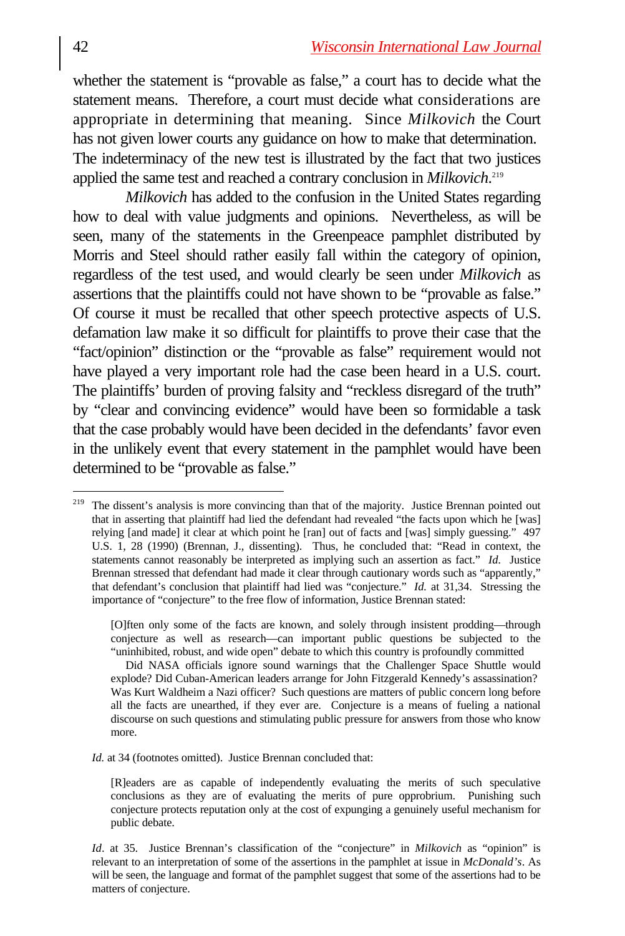whether the statement is "provable as false," a court has to decide what the statement means. Therefore, a court must decide what considerations are appropriate in determining that meaning. Since *Milkovich* the Court has not given lower courts any guidance on how to make that determination. The indeterminacy of the new test is illustrated by the fact that two justices applied the same test and reached a contrary conclusion in *Milkovich*. 219

*Milkovich* has added to the confusion in the United States regarding how to deal with value judgments and opinions. Nevertheless, as will be seen, many of the statements in the Greenpeace pamphlet distributed by Morris and Steel should rather easily fall within the category of opinion, regardless of the test used, and would clearly be seen under *Milkovich* as assertions that the plaintiffs could not have shown to be "provable as false." Of course it must be recalled that other speech protective aspects of U.S. defamation law make it so difficult for plaintiffs to prove their case that the "fact/opinion" distinction or the "provable as false" requirement would not have played a very important role had the case been heard in a U.S. court. The plaintiffs' burden of proving falsity and "reckless disregard of the truth" by "clear and convincing evidence" would have been so formidable a task that the case probably would have been decided in the defendants' favor even in the unlikely event that every statement in the pamphlet would have been determined to be "provable as false."

*Id.* at 34 (footnotes omitted). Justice Brennan concluded that:

 $\overline{a}$ <sup>219</sup> The dissent's analysis is more convincing than that of the majority. Justice Brennan pointed out that in asserting that plaintiff had lied the defendant had revealed "the facts upon which he [was] relying [and made] it clear at which point he [ran] out of facts and [was] simply guessing." 497 U.S. 1, 28 (1990) (Brennan, J., dissenting). Thus, he concluded that: "Read in context, the statements cannot reasonably be interpreted as implying such an assertion as fact." *Id.* Justice Brennan stressed that defendant had made it clear through cautionary words such as "apparently," that defendant's conclusion that plaintiff had lied was "conjecture." *Id.* at 31,34. Stressing the importance of "conjecture" to the free flow of information, Justice Brennan stated:

<sup>[</sup>O]ften only some of the facts are known, and solely through insistent prodding—through conjecture as well as research—can important public questions be subjected to the "uninhibited, robust, and wide open" debate to which this country is profoundly committed

Did NASA officials ignore sound warnings that the Challenger Space Shuttle would explode? Did Cuban-American leaders arrange for John Fitzgerald Kennedy's assassination? Was Kurt Waldheim a Nazi officer? Such questions are matters of public concern long before all the facts are unearthed, if they ever are. Conjecture is a means of fueling a national discourse on such questions and stimulating public pressure for answers from those who know more.

<sup>[</sup>R]eaders are as capable of independently evaluating the merits of such speculative conclusions as they are of evaluating the merits of pure opprobrium. Punishing such conjecture protects reputation only at the cost of expunging a genuinely useful mechanism for public debate.

*Id*. at 35. Justice Brennan's classification of the "conjecture" in *Milkovich* as "opinion" is relevant to an interpretation of some of the assertions in the pamphlet at issue in *McDonald's*. As will be seen, the language and format of the pamphlet suggest that some of the assertions had to be matters of conjecture.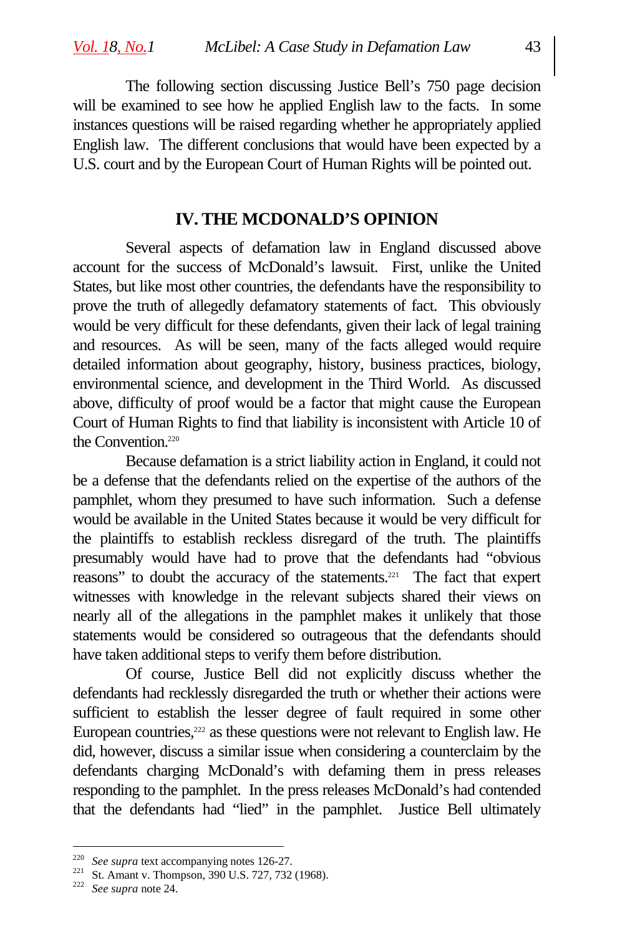The following section discussing Justice Bell's 750 page decision will be examined to see how he applied English law to the facts. In some instances questions will be raised regarding whether he appropriately applied English law. The different conclusions that would have been expected by a U.S. court and by the European Court of Human Rights will be pointed out.

#### **IV. THE MCDONALD'S OPINION**

Several aspects of defamation law in England discussed above account for the success of McDonald's lawsuit. First, unlike the United States, but like most other countries, the defendants have the responsibility to prove the truth of allegedly defamatory statements of fact. This obviously would be very difficult for these defendants, given their lack of legal training and resources. As will be seen, many of the facts alleged would require detailed information about geography, history, business practices, biology, environmental science, and development in the Third World. As discussed above, difficulty of proof would be a factor that might cause the European Court of Human Rights to find that liability is inconsistent with Article 10 of the Convention.<sup>220</sup>

Because defamation is a strict liability action in England, it could not be a defense that the defendants relied on the expertise of the authors of the pamphlet, whom they presumed to have such information. Such a defense would be available in the United States because it would be very difficult for the plaintiffs to establish reckless disregard of the truth. The plaintiffs presumably would have had to prove that the defendants had "obvious reasons" to doubt the accuracy of the statements.<sup>221</sup> The fact that expert witnesses with knowledge in the relevant subjects shared their views on nearly all of the allegations in the pamphlet makes it unlikely that those statements would be considered so outrageous that the defendants should have taken additional steps to verify them before distribution.

Of course, Justice Bell did not explicitly discuss whether the defendants had recklessly disregarded the truth or whether their actions were sufficient to establish the lesser degree of fault required in some other European countries,<sup>222</sup> as these questions were not relevant to English law. He did, however, discuss a similar issue when considering a counterclaim by the defendants charging McDonald's with defaming them in press releases responding to the pamphlet. In the press releases McDonald's had contended that the defendants had "lied" in the pamphlet. Justice Bell ultimately

 $\overline{a}$ 

<sup>220</sup> *See supra* text accompanying notes 126-27.

<sup>&</sup>lt;sup>221</sup> St. Amant v. Thompson, 390 U.S. 727, 732 (1968).

<sup>222</sup> *See supra* note 24.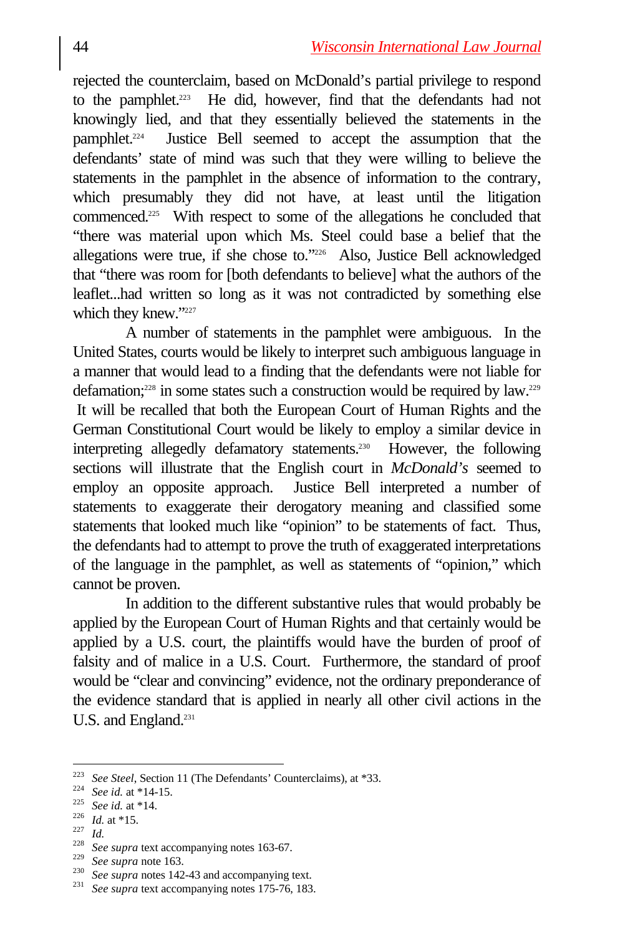rejected the counterclaim, based on McDonald's partial privilege to respond to the pamphlet.<sup>223</sup> He did, however, find that the defendants had not knowingly lied, and that they essentially believed the statements in the pamphlet.224 Justice Bell seemed to accept the assumption that the defendants' state of mind was such that they were willing to believe the statements in the pamphlet in the absence of information to the contrary, which presumably they did not have, at least until the litigation commenced.225 With respect to some of the allegations he concluded that "there was material upon which Ms. Steel could base a belief that the allegations were true, if she chose to."226 Also, Justice Bell acknowledged that "there was room for [both defendants to believe] what the authors of the leaflet...had written so long as it was not contradicted by something else which they knew."<sup>227</sup>

A number of statements in the pamphlet were ambiguous. In the United States, courts would be likely to interpret such ambiguous language in a manner that would lead to a finding that the defendants were not liable for defamation;<sup>228</sup> in some states such a construction would be required by law.<sup>229</sup> It will be recalled that both the European Court of Human Rights and the German Constitutional Court would be likely to employ a similar device in interpreting allegedly defamatory statements.230 However, the following sections will illustrate that the English court in *McDonald's* seemed to employ an opposite approach. Justice Bell interpreted a number of statements to exaggerate their derogatory meaning and classified some statements that looked much like "opinion" to be statements of fact. Thus, the defendants had to attempt to prove the truth of exaggerated interpretations of the language in the pamphlet, as well as statements of "opinion," which cannot be proven.

In addition to the different substantive rules that would probably be applied by the European Court of Human Rights and that certainly would be applied by a U.S. court, the plaintiffs would have the burden of proof of falsity and of malice in a U.S. Court. Furthermore, the standard of proof would be "clear and convincing" evidence, not the ordinary preponderance of the evidence standard that is applied in nearly all other civil actions in the U.S. and England.<sup>231</sup>

227 *Id.*

 223 *See Steel*, Section 11 (The Defendants' Counterclaims), at \*33.

<sup>224</sup> *See id.* at \*14-15.

<sup>225</sup> *See id.* at \*14.

 $^{226}$  *Id.* at \*15.

<sup>228</sup> *See supra* text accompanying notes 163-67.

<sup>229</sup> *See supra* note 163.

<sup>&</sup>lt;sup>230</sup> See supra notes 142-43 and accompanying text.

<sup>&</sup>lt;sup>231</sup> See supra text accompanying notes 175-76, 183.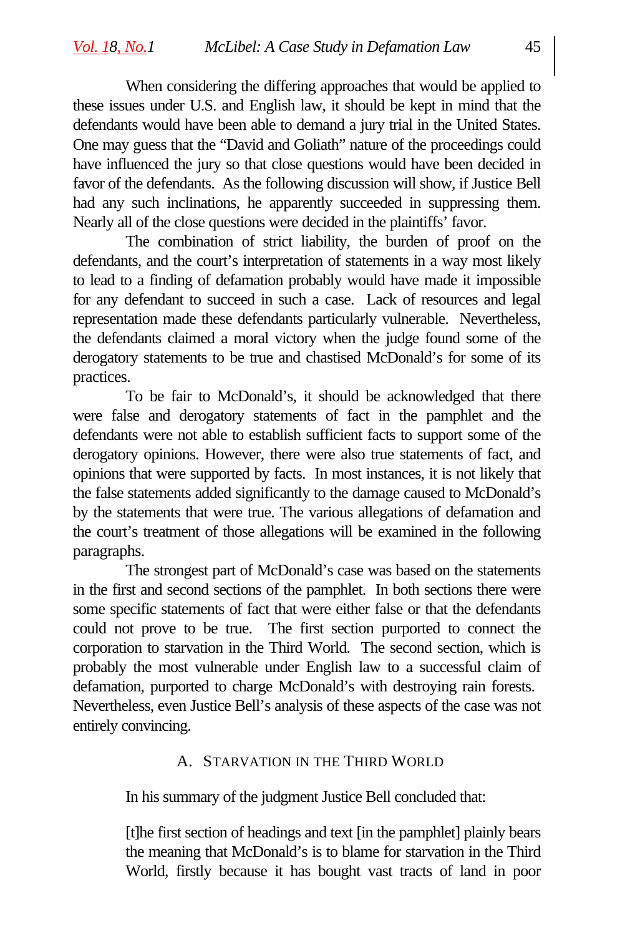When considering the differing approaches that would be applied to these issues under U.S. and English law, it should be kept in mind that the defendants would have been able to demand a jury trial in the United States. One may guess that the "David and Goliath" nature of the proceedings could have influenced the jury so that close questions would have been decided in favor of the defendants. As the following discussion will show, if Justice Bell had any such inclinations, he apparently succeeded in suppressing them. Nearly all of the close questions were decided in the plaintiffs' favor.

The combination of strict liability, the burden of proof on the defendants, and the court's interpretation of statements in a way most likely to lead to a finding of defamation probably would have made it impossible for any defendant to succeed in such a case. Lack of resources and legal representation made these defendants particularly vulnerable. Nevertheless, the defendants claimed a moral victory when the judge found some of the derogatory statements to be true and chastised McDonald's for some of its practices.

To be fair to McDonald's, it should be acknowledged that there were false and derogatory statements of fact in the pamphlet and the defendants were not able to establish sufficient facts to support some of the derogatory opinions. However, there were also true statements of fact, and opinions that were supported by facts. In most instances, it is not likely that the false statements added significantly to the damage caused to McDonald's by the statements that were true. The various allegations of defamation and the court's treatment of those allegations will be examined in the following paragraphs.

The strongest part of McDonald's case was based on the statements in the first and second sections of the pamphlet. In both sections there were some specific statements of fact that were either false or that the defendants could not prove to be true. The first section purported to connect the corporation to starvation in the Third World. The second section, which is probably the most vulnerable under English law to a successful claim of defamation, purported to charge McDonald's with destroying rain forests. Nevertheless, even Justice Bell's analysis of these aspects of the case was not entirely convincing.

## A. STARVATION IN THE THIRD WORLD

In his summary of the judgment Justice Bell concluded that:

[t]he first section of headings and text [in the pamphlet] plainly bears the meaning that McDonald's is to blame for starvation in the Third World, firstly because it has bought vast tracts of land in poor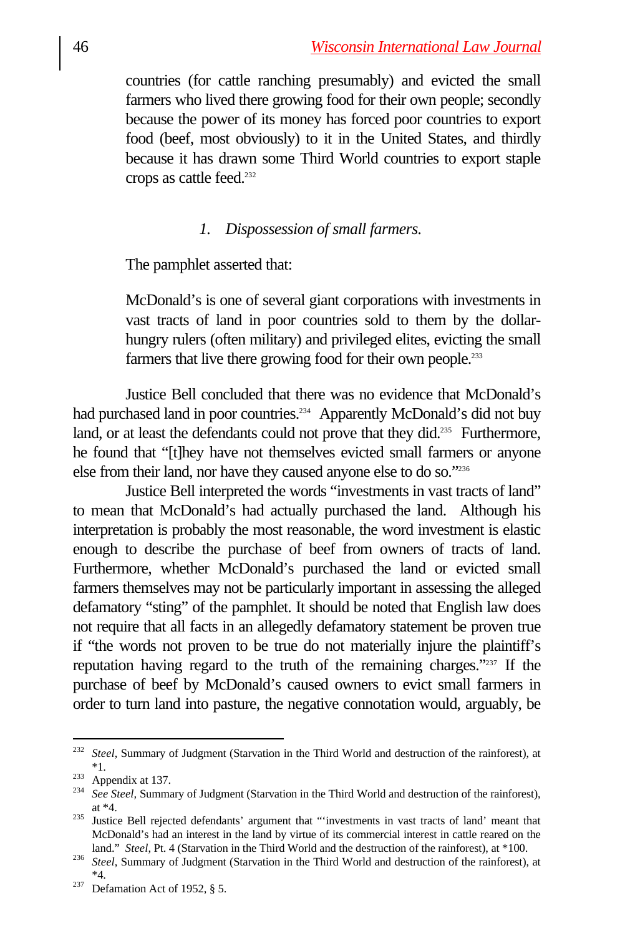countries (for cattle ranching presumably) and evicted the small farmers who lived there growing food for their own people; secondly because the power of its money has forced poor countries to export food (beef, most obviously) to it in the United States, and thirdly because it has drawn some Third World countries to export staple crops as cattle feed.<sup>232</sup>

## *1. Dispossession of small farmers.*

The pamphlet asserted that:

McDonald's is one of several giant corporations with investments in vast tracts of land in poor countries sold to them by the dollarhungry rulers (often military) and privileged elites, evicting the small farmers that live there growing food for their own people.<sup>233</sup>

Justice Bell concluded that there was no evidence that McDonald's had purchased land in poor countries.<sup>234</sup> Apparently McDonald's did not buy land, or at least the defendants could not prove that they did.<sup>235</sup> Furthermore, he found that "[t]hey have not themselves evicted small farmers or anyone else from their land, nor have they caused anyone else to do so."<sup>236</sup>

Justice Bell interpreted the words "investments in vast tracts of land" to mean that McDonald's had actually purchased the land. Although his interpretation is probably the most reasonable, the word investment is elastic enough to describe the purchase of beef from owners of tracts of land. Furthermore, whether McDonald's purchased the land or evicted small farmers themselves may not be particularly important in assessing the alleged defamatory "sting" of the pamphlet. It should be noted that English law does not require that all facts in an allegedly defamatory statement be proven true if "the words not proven to be true do not materially injure the plaintiff's reputation having regard to the truth of the remaining charges."237 If the purchase of beef by McDonald's caused owners to evict small farmers in order to turn land into pasture, the negative connotation would, arguably, be

<sup>—&</sup>lt;br>232 *Steel*, Summary of Judgment (Starvation in the Third World and destruction of the rainforest), at \*1.

 $233$  Appendix at 137.

<sup>&</sup>lt;sup>234</sup> See Steel, Summary of Judgment (Starvation in the Third World and destruction of the rainforest), at \*4.

<sup>&</sup>lt;sup>235</sup> Justice Bell rejected defendants' argument that "'investments in vast tracts of land' meant that McDonald's had an interest in the land by virtue of its commercial interest in cattle reared on the land." *Steel*, Pt. 4 (Starvation in the Third World and the destruction of the rainforest), at \*100.

<sup>&</sup>lt;sup>236</sup> Steel, Summary of Judgment (Starvation in the Third World and destruction of the rainforest), at  $*_{\Lambda}$ 

<sup>&</sup>lt;sup>237</sup> Defamation Act of 1952,  $\S$  5.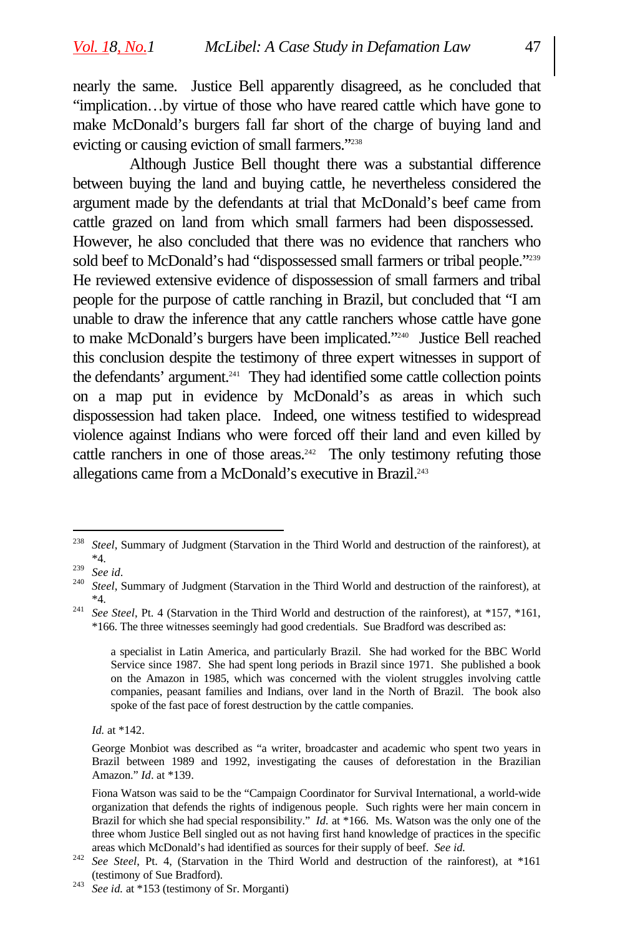nearly the same. Justice Bell apparently disagreed, as he concluded that "implication…by virtue of those who have reared cattle which have gone to make McDonald's burgers fall far short of the charge of buying land and evicting or causing eviction of small farmers."<sup>238</sup>

 Although Justice Bell thought there was a substantial difference between buying the land and buying cattle, he nevertheless considered the argument made by the defendants at trial that McDonald's beef came from cattle grazed on land from which small farmers had been dispossessed. However, he also concluded that there was no evidence that ranchers who sold beef to McDonald's had "dispossessed small farmers or tribal people."<sup>239</sup> He reviewed extensive evidence of dispossession of small farmers and tribal people for the purpose of cattle ranching in Brazil, but concluded that "I am unable to draw the inference that any cattle ranchers whose cattle have gone to make McDonald's burgers have been implicated."<sup>240</sup> Justice Bell reached this conclusion despite the testimony of three expert witnesses in support of the defendants' argument.<sup>241</sup> They had identified some cattle collection points on a map put in evidence by McDonald's as areas in which such dispossession had taken place. Indeed, one witness testified to widespread violence against Indians who were forced off their land and even killed by cattle ranchers in one of those areas.<sup>242</sup> The only testimony refuting those allegations came from a McDonald's executive in Brazil.<sup>243</sup>

<sup>—&</sup>lt;br>238 *Steel*, Summary of Judgment (Starvation in the Third World and destruction of the rainforest), at \*4.

<sup>239</sup> *See id*.

<sup>&</sup>lt;sup>240</sup> Steel, Summary of Judgment (Starvation in the Third World and destruction of the rainforest), at

<sup>\*4.</sup> 241 *See Steel*, Pt. 4 (Starvation in the Third World and destruction of the rainforest), at \*157, \*161, \*166. The three witnesses seemingly had good credentials. Sue Bradford was described as:

a specialist in Latin America, and particularly Brazil. She had worked for the BBC World Service since 1987. She had spent long periods in Brazil since 1971. She published a book on the Amazon in 1985, which was concerned with the violent struggles involving cattle companies, peasant families and Indians, over land in the North of Brazil. The book also spoke of the fast pace of forest destruction by the cattle companies.

*Id.* at \*142.

George Monbiot was described as "a writer, broadcaster and academic who spent two years in Brazil between 1989 and 1992, investigating the causes of deforestation in the Brazilian Amazon." *Id*. at \*139.

Fiona Watson was said to be the "Campaign Coordinator for Survival International, a world-wide organization that defends the rights of indigenous people. Such rights were her main concern in Brazil for which she had special responsibility." *Id.* at \*166. Ms. Watson was the only one of the three whom Justice Bell singled out as not having first hand knowledge of practices in the specific areas which McDonald's had identified as sources for their supply of beef. *See id.*

<sup>&</sup>lt;sup>242</sup> See Steel, Pt. 4, (Starvation in the Third World and destruction of the rainforest), at \*161 (testimony of Sue Bradford).

<sup>&</sup>lt;sup>243</sup> See id. at \*153 (testimony of Sr. Morganti)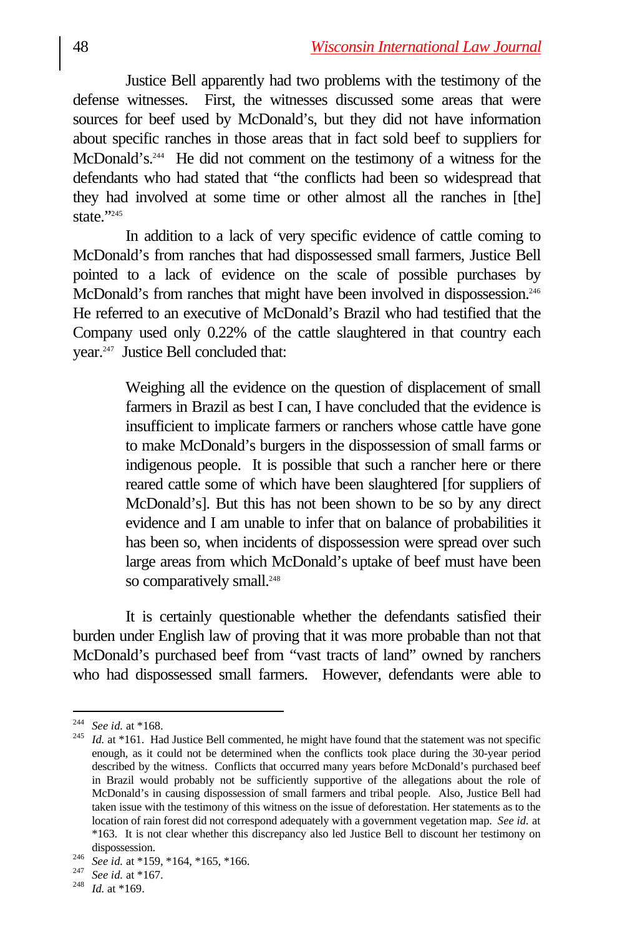Justice Bell apparently had two problems with the testimony of the defense witnesses. First, the witnesses discussed some areas that were sources for beef used by McDonald's, but they did not have information about specific ranches in those areas that in fact sold beef to suppliers for McDonald's.<sup>244</sup> He did not comment on the testimony of a witness for the defendants who had stated that "the conflicts had been so widespread that they had involved at some time or other almost all the ranches in [the]  $stat$ <sup> $, 245$ </sup>

In addition to a lack of very specific evidence of cattle coming to McDonald's from ranches that had dispossessed small farmers, Justice Bell pointed to a lack of evidence on the scale of possible purchases by McDonald's from ranches that might have been involved in dispossession.<sup>246</sup> He referred to an executive of McDonald's Brazil who had testified that the Company used only 0.22% of the cattle slaughtered in that country each year.247 Justice Bell concluded that:

> Weighing all the evidence on the question of displacement of small farmers in Brazil as best I can, I have concluded that the evidence is insufficient to implicate farmers or ranchers whose cattle have gone to make McDonald's burgers in the dispossession of small farms or indigenous people. It is possible that such a rancher here or there reared cattle some of which have been slaughtered [for suppliers of McDonald's]. But this has not been shown to be so by any direct evidence and I am unable to infer that on balance of probabilities it has been so, when incidents of dispossession were spread over such large areas from which McDonald's uptake of beef must have been so comparatively small.<sup>248</sup>

It is certainly questionable whether the defendants satisfied their burden under English law of proving that it was more probable than not that McDonald's purchased beef from "vast tracts of land" owned by ranchers who had dispossessed small farmers. However, defendants were able to

 244 *See id.* at \*168.

<sup>&</sup>lt;sup>245</sup> *Id.* at \*161. Had Justice Bell commented, he might have found that the statement was not specific enough, as it could not be determined when the conflicts took place during the 30-year period described by the witness. Conflicts that occurred many years before McDonald's purchased beef in Brazil would probably not be sufficiently supportive of the allegations about the role of McDonald's in causing dispossession of small farmers and tribal people. Also, Justice Bell had taken issue with the testimony of this witness on the issue of deforestation. Her statements as to the location of rain forest did not correspond adequately with a government vegetation map. *See id.* at \*163. It is not clear whether this discrepancy also led Justice Bell to discount her testimony on dispossession.

<sup>246</sup> *See id.* at \*159, \*164, \*165, \*166.

<sup>247</sup> *See id.* at \*167.

<sup>248</sup> *Id.* at \*169.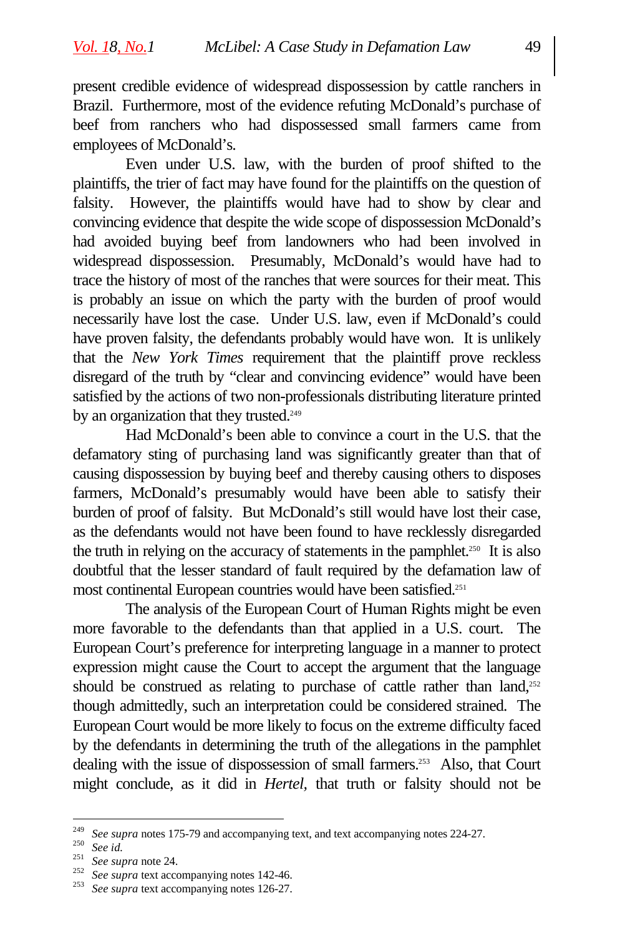present credible evidence of widespread dispossession by cattle ranchers in Brazil. Furthermore, most of the evidence refuting McDonald's purchase of beef from ranchers who had dispossessed small farmers came from employees of McDonald's.

Even under U.S. law, with the burden of proof shifted to the plaintiffs, the trier of fact may have found for the plaintiffs on the question of falsity. However, the plaintiffs would have had to show by clear and convincing evidence that despite the wide scope of dispossession McDonald's had avoided buying beef from landowners who had been involved in widespread dispossession. Presumably, McDonald's would have had to trace the history of most of the ranches that were sources for their meat. This is probably an issue on which the party with the burden of proof would necessarily have lost the case. Under U.S. law, even if McDonald's could have proven falsity, the defendants probably would have won. It is unlikely that the *New York Times* requirement that the plaintiff prove reckless disregard of the truth by "clear and convincing evidence" would have been satisfied by the actions of two non-professionals distributing literature printed by an organization that they trusted.<sup>249</sup>

Had McDonald's been able to convince a court in the U.S. that the defamatory sting of purchasing land was significantly greater than that of causing dispossession by buying beef and thereby causing others to disposes farmers, McDonald's presumably would have been able to satisfy their burden of proof of falsity. But McDonald's still would have lost their case, as the defendants would not have been found to have recklessly disregarded the truth in relying on the accuracy of statements in the pamphlet.<sup>250</sup> It is also doubtful that the lesser standard of fault required by the defamation law of most continental European countries would have been satisfied.<sup>251</sup>

The analysis of the European Court of Human Rights might be even more favorable to the defendants than that applied in a U.S. court. The European Court's preference for interpreting language in a manner to protect expression might cause the Court to accept the argument that the language should be construed as relating to purchase of cattle rather than land,<sup>252</sup> though admittedly, such an interpretation could be considered strained. The European Court would be more likely to focus on the extreme difficulty faced by the defendants in determining the truth of the allegations in the pamphlet dealing with the issue of dispossession of small farmers.253 Also, that Court might conclude, as it did in *Hertel,* that truth or falsity should not be

 $\overline{a}$ 

<sup>&</sup>lt;sup>249</sup> *See supra* notes 175-79 and accompanying text, and text accompanying notes 224-27.

<sup>250</sup> *See id.*

<sup>251</sup> *See supra* note 24.

<sup>252</sup> *See supra* text accompanying notes 142-46.

<sup>253</sup> *See supra* text accompanying notes 126-27.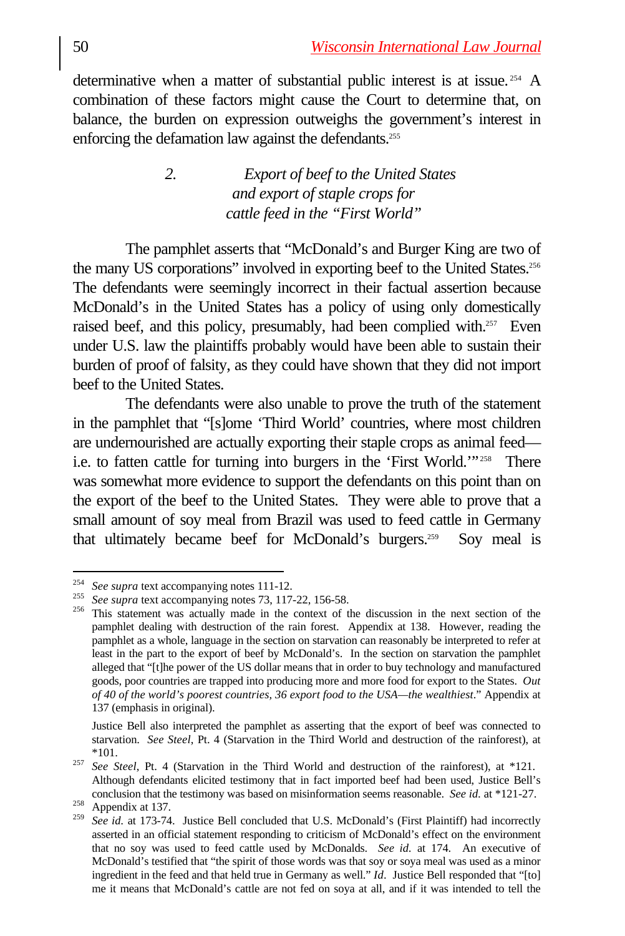determinative when a matter of substantial public interest is at issue. <sup>254</sup> A combination of these factors might cause the Court to determine that, on balance, the burden on expression outweighs the government's interest in enforcing the defamation law against the defendants.<sup>255</sup>

# *2. Export of beef to the United States and export of staple crops for cattle feed in the "First World"*

The pamphlet asserts that "McDonald's and Burger King are two of the many US corporations" involved in exporting beef to the United States.<sup>256</sup> The defendants were seemingly incorrect in their factual assertion because McDonald's in the United States has a policy of using only domestically raised beef, and this policy, presumably, had been complied with.<sup>257</sup> Even under U.S. law the plaintiffs probably would have been able to sustain their burden of proof of falsity, as they could have shown that they did not import beef to the United States.

The defendants were also unable to prove the truth of the statement in the pamphlet that "[s]ome 'Third World' countries, where most children are undernourished are actually exporting their staple crops as animal feed i.e. to fatten cattle for turning into burgers in the 'First World.'" <sup>258</sup> There was somewhat more evidence to support the defendants on this point than on the export of the beef to the United States. They were able to prove that a small amount of soy meal from Brazil was used to feed cattle in Germany that ultimately became beef for McDonald's burgers.259 Soy meal is

 254 *See supra* text accompanying notes 111-12.

<sup>255</sup> *See supra* text accompanying notes 73, 117-22, 156-58.

<sup>&</sup>lt;sup>256</sup> This statement was actually made in the context of the discussion in the next section of the pamphlet dealing with destruction of the rain forest. Appendix at 138. However, reading the pamphlet as a whole, language in the section on starvation can reasonably be interpreted to refer at least in the part to the export of beef by McDonald's. In the section on starvation the pamphlet alleged that "[t]he power of the US dollar means that in order to buy technology and manufactured goods, poor countries are trapped into producing more and more food for export to the States. *Out of 40 of the world's poorest countries, 36 export food to the USA—the wealthiest*." Appendix at 137 (emphasis in original).

Justice Bell also interpreted the pamphlet as asserting that the export of beef was connected to starvation. *See Steel*, Pt. 4 (Starvation in the Third World and destruction of the rainforest), at \*101.

<sup>257</sup> *See Steel*, Pt. 4 (Starvation in the Third World and destruction of the rainforest), at \*121. Although defendants elicited testimony that in fact imported beef had been used, Justice Bell's conclusion that the testimony was based on misinformation seems reasonable. *See id.* at \*121-27.

 $258$  Appendix at 137.

<sup>&</sup>lt;sup>259</sup> See id. at 173-74. Justice Bell concluded that U.S. McDonald's (First Plaintiff) had incorrectly asserted in an official statement responding to criticism of McDonald's effect on the environment that no soy was used to feed cattle used by McDonalds. *See id.* at 174. An executive of McDonald's testified that "the spirit of those words was that soy or soya meal was used as a minor ingredient in the feed and that held true in Germany as well." *Id*. Justice Bell responded that "[to] me it means that McDonald's cattle are not fed on soya at all, and if it was intended to tell the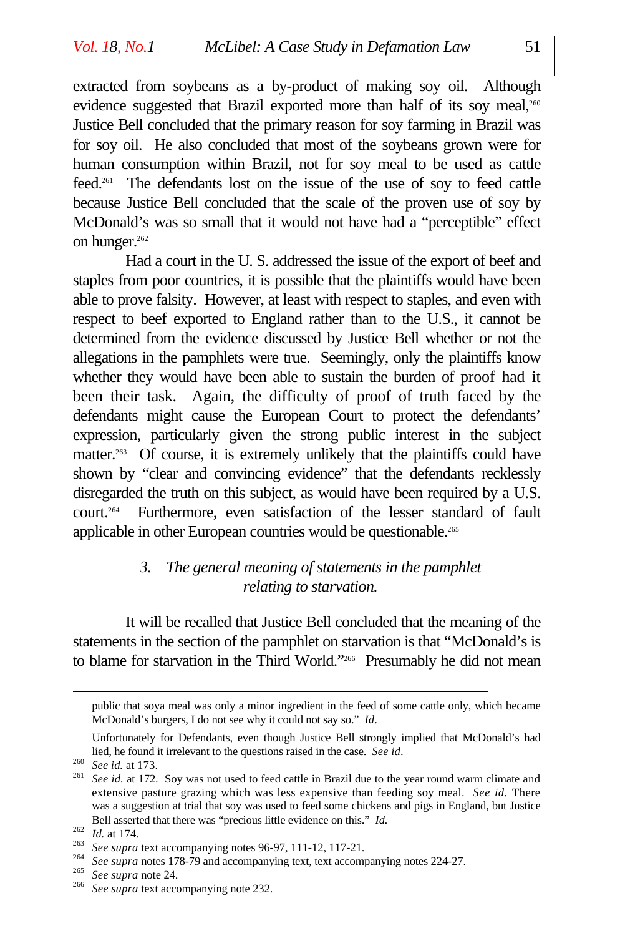extracted from soybeans as a by-product of making soy oil. Although evidence suggested that Brazil exported more than half of its soy meal,<sup>260</sup> Justice Bell concluded that the primary reason for soy farming in Brazil was for soy oil. He also concluded that most of the soybeans grown were for human consumption within Brazil, not for soy meal to be used as cattle feed.261 The defendants lost on the issue of the use of soy to feed cattle because Justice Bell concluded that the scale of the proven use of soy by McDonald's was so small that it would not have had a "perceptible" effect on hunger.<sup>262</sup>

Had a court in the U. S. addressed the issue of the export of beef and staples from poor countries, it is possible that the plaintiffs would have been able to prove falsity. However, at least with respect to staples, and even with respect to beef exported to England rather than to the U.S., it cannot be determined from the evidence discussed by Justice Bell whether or not the allegations in the pamphlets were true. Seemingly, only the plaintiffs know whether they would have been able to sustain the burden of proof had it been their task. Again, the difficulty of proof of truth faced by the defendants might cause the European Court to protect the defendants' expression, particularly given the strong public interest in the subject matter.<sup>263</sup> Of course, it is extremely unlikely that the plaintiffs could have shown by "clear and convincing evidence" that the defendants recklessly disregarded the truth on this subject, as would have been required by a U.S. court.264 Furthermore, even satisfaction of the lesser standard of fault applicable in other European countries would be questionable.<sup>265</sup>

## *3. The general meaning of statements in the pamphlet relating to starvation.*

It will be recalled that Justice Bell concluded that the meaning of the statements in the section of the pamphlet on starvation is that "McDonald's is to blame for starvation in the Third World."<sup>266</sup> Presumably he did not mean

 $\overline{a}$ 

public that soya meal was only a minor ingredient in the feed of some cattle only, which became McDonald's burgers, I do not see why it could not say so." *Id*.

Unfortunately for Defendants, even though Justice Bell strongly implied that McDonald's had lied, he found it irrelevant to the questions raised in the case. *See id*.

<sup>260</sup> *See id.* at 173.

<sup>&</sup>lt;sup>261</sup> See id. at 172. Soy was not used to feed cattle in Brazil due to the year round warm climate and extensive pasture grazing which was less expensive than feeding soy meal. *See id.* There was a suggestion at trial that soy was used to feed some chickens and pigs in England, but Justice Bell asserted that there was "precious little evidence on this." *Id.*

<sup>262</sup> *Id.* at 174.

<sup>&</sup>lt;sup>263</sup> See supra text accompanying notes 96-97, 111-12, 117-21.

<sup>&</sup>lt;sup>264</sup> See supra notes 178-79 and accompanying text, text accompanying notes 224-27.

<sup>265</sup> *See supra* note 24.

<sup>&</sup>lt;sup>266</sup> See supra text accompanying note 232.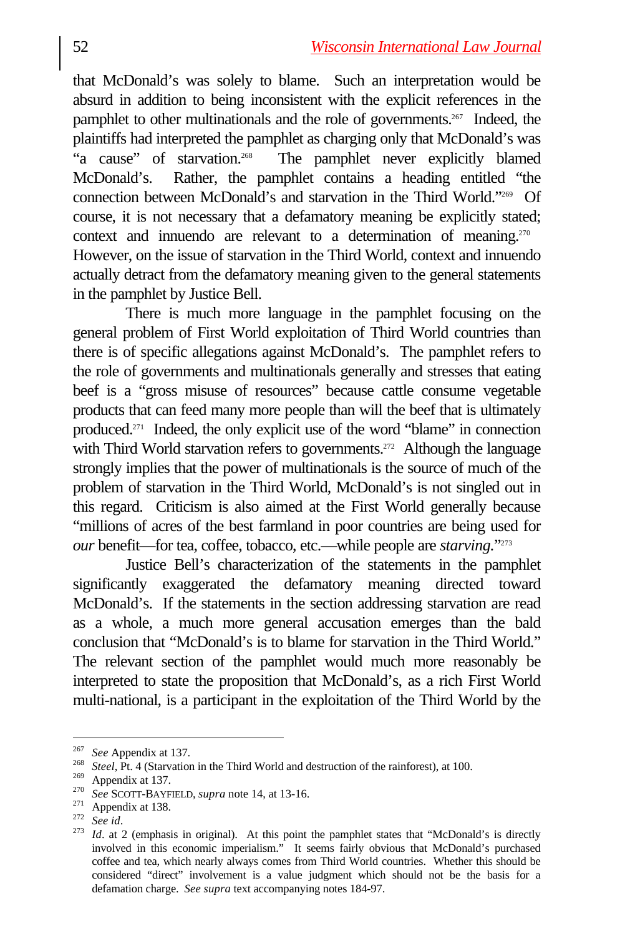that McDonald's was solely to blame. Such an interpretation would be absurd in addition to being inconsistent with the explicit references in the pamphlet to other multinationals and the role of governments.<sup>267</sup> Indeed, the plaintiffs had interpreted the pamphlet as charging only that McDonald's was "a cause" of starvation.268 The pamphlet never explicitly blamed McDonald's. Rather, the pamphlet contains a heading entitled "the connection between McDonald's and starvation in the Third World."269 Of course, it is not necessary that a defamatory meaning be explicitly stated; context and innuendo are relevant to a determination of meaning.<sup>270</sup> However, on the issue of starvation in the Third World, context and innuendo actually detract from the defamatory meaning given to the general statements in the pamphlet by Justice Bell.

There is much more language in the pamphlet focusing on the general problem of First World exploitation of Third World countries than there is of specific allegations against McDonald's. The pamphlet refers to the role of governments and multinationals generally and stresses that eating beef is a "gross misuse of resources" because cattle consume vegetable products that can feed many more people than will the beef that is ultimately produced.271 Indeed, the only explicit use of the word "blame" in connection with Third World starvation refers to governments.<sup>272</sup> Although the language strongly implies that the power of multinationals is the source of much of the problem of starvation in the Third World, McDonald's is not singled out in this regard. Criticism is also aimed at the First World generally because "millions of acres of the best farmland in poor countries are being used for *our* benefit—for tea, coffee, tobacco, etc.—while people are *starving.*" 273

Justice Bell's characterization of the statements in the pamphlet significantly exaggerated the defamatory meaning directed toward McDonald's. If the statements in the section addressing starvation are read as a whole, a much more general accusation emerges than the bald conclusion that "McDonald's is to blame for starvation in the Third World." The relevant section of the pamphlet would much more reasonably be interpreted to state the proposition that McDonald's, as a rich First World multi-national, is a participant in the exploitation of the Third World by the

 267 *See* Appendix at 137.

<sup>&</sup>lt;sup>268</sup> Steel, Pt. 4 (Starvation in the Third World and destruction of the rainforest), at 100.

<sup>269</sup> Appendix at 137.

<sup>270</sup> *See* SCOTT-BAYFIELD, *supra* note 14, at 13-16.

 $271$  Appendix at 138.

<sup>272</sup> *See id*.

<sup>&</sup>lt;sup>273</sup> *Id.* at 2 (emphasis in original). At this point the pamphlet states that "McDonald's is directly involved in this economic imperialism." It seems fairly obvious that McDonald's purchased coffee and tea, which nearly always comes from Third World countries. Whether this should be considered "direct" involvement is a value judgment which should not be the basis for a defamation charge. *See supra* text accompanying notes 184-97.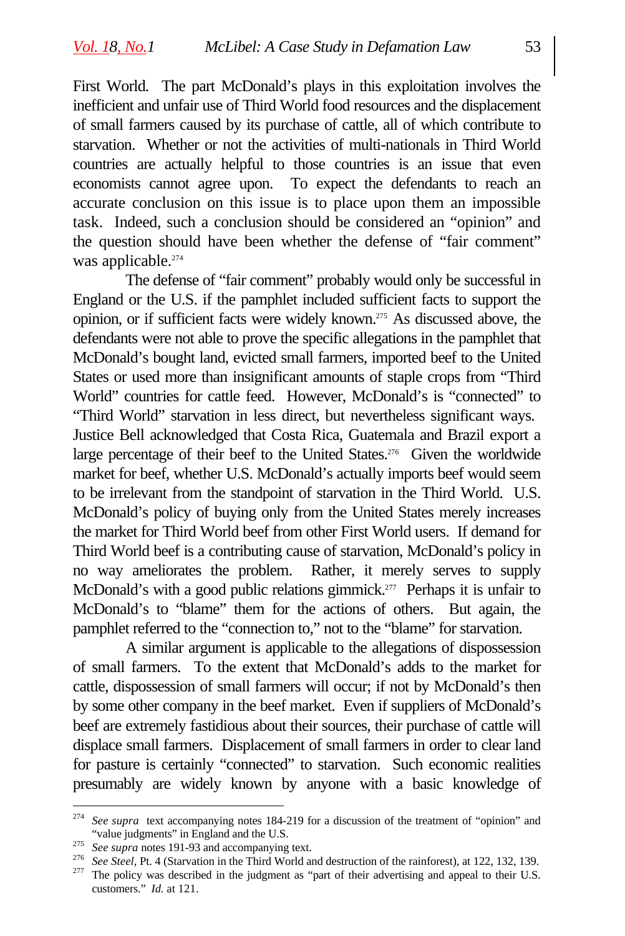First World. The part McDonald's plays in this exploitation involves the inefficient and unfair use of Third World food resources and the displacement of small farmers caused by its purchase of cattle, all of which contribute to starvation. Whether or not the activities of multi-nationals in Third World countries are actually helpful to those countries is an issue that even economists cannot agree upon. To expect the defendants to reach an accurate conclusion on this issue is to place upon them an impossible task. Indeed, such a conclusion should be considered an "opinion" and the question should have been whether the defense of "fair comment" was applicable.<sup>274</sup>

The defense of "fair comment" probably would only be successful in England or the U.S. if the pamphlet included sufficient facts to support the opinion, or if sufficient facts were widely known.275 As discussed above, the defendants were not able to prove the specific allegations in the pamphlet that McDonald's bought land, evicted small farmers, imported beef to the United States or used more than insignificant amounts of staple crops from "Third World" countries for cattle feed. However, McDonald's is "connected" to "Third World" starvation in less direct, but nevertheless significant ways. Justice Bell acknowledged that Costa Rica, Guatemala and Brazil export a large percentage of their beef to the United States.<sup>276</sup> Given the worldwide market for beef, whether U.S. McDonald's actually imports beef would seem to be irrelevant from the standpoint of starvation in the Third World. U.S. McDonald's policy of buying only from the United States merely increases the market for Third World beef from other First World users. If demand for Third World beef is a contributing cause of starvation, McDonald's policy in no way ameliorates the problem. Rather, it merely serves to supply McDonald's with a good public relations gimmick.<sup>277</sup> Perhaps it is unfair to McDonald's to "blame" them for the actions of others. But again, the pamphlet referred to the "connection to," not to the "blame" for starvation.

A similar argument is applicable to the allegations of dispossession of small farmers. To the extent that McDonald's adds to the market for cattle, dispossession of small farmers will occur; if not by McDonald's then by some other company in the beef market. Even if suppliers of McDonald's beef are extremely fastidious about their sources, their purchase of cattle will displace small farmers. Displacement of small farmers in order to clear land for pasture is certainly "connected" to starvation. Such economic realities presumably are widely known by anyone with a basic knowledge of

 $\overline{a}$ 

<sup>&</sup>lt;sup>274</sup> See supra text accompanying notes 184-219 for a discussion of the treatment of "opinion" and "value judgments" in England and the U.S.

<sup>&</sup>lt;sup>275</sup> See supra notes 191-93 and accompanying text.

<sup>276</sup> *See Steel*, Pt. 4 (Starvation in the Third World and destruction of the rainforest), at 122, 132, 139.

<sup>&</sup>lt;sup>277</sup> The policy was described in the judgment as "part of their advertising and appeal to their U.S. customers." *Id.* at 121.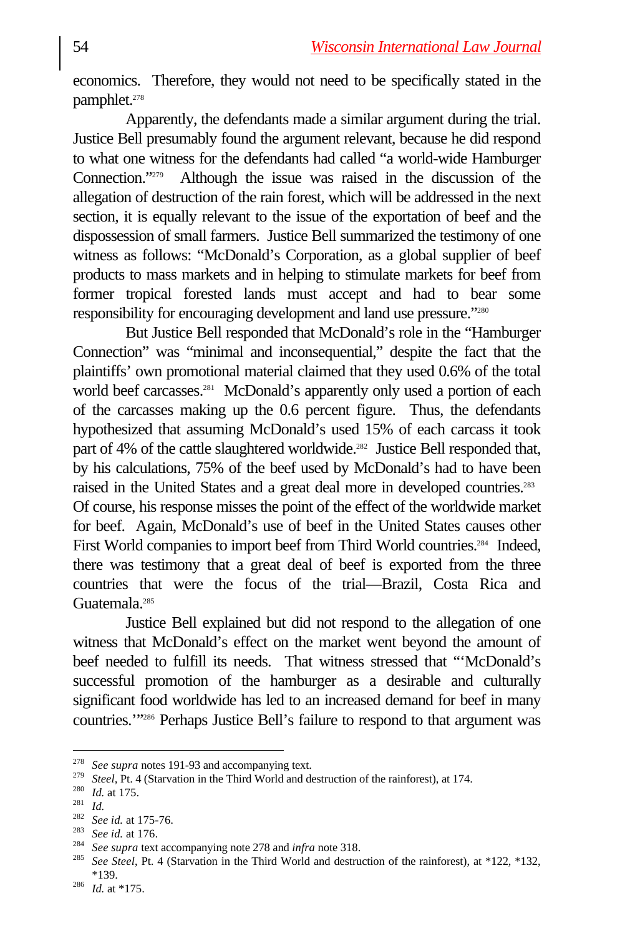economics. Therefore, they would not need to be specifically stated in the pamphlet.<sup>278</sup>

Apparently, the defendants made a similar argument during the trial. Justice Bell presumably found the argument relevant, because he did respond to what one witness for the defendants had called "a world-wide Hamburger Connection."279 Although the issue was raised in the discussion of the allegation of destruction of the rain forest, which will be addressed in the next section, it is equally relevant to the issue of the exportation of beef and the dispossession of small farmers. Justice Bell summarized the testimony of one witness as follows: "McDonald's Corporation, as a global supplier of beef products to mass markets and in helping to stimulate markets for beef from former tropical forested lands must accept and had to bear some responsibility for encouraging development and land use pressure."<sup>280</sup>

But Justice Bell responded that McDonald's role in the "Hamburger Connection" was "minimal and inconsequential," despite the fact that the plaintiffs' own promotional material claimed that they used 0.6% of the total world beef carcasses.<sup>281</sup> McDonald's apparently only used a portion of each of the carcasses making up the 0.6 percent figure. Thus, the defendants hypothesized that assuming McDonald's used 15% of each carcass it took part of 4% of the cattle slaughtered worldwide.<sup>282</sup> Justice Bell responded that, by his calculations, 75% of the beef used by McDonald's had to have been raised in the United States and a great deal more in developed countries.<sup>283</sup> Of course, his response misses the point of the effect of the worldwide market

for beef. Again, McDonald's use of beef in the United States causes other First World companies to import beef from Third World countries.<sup>284</sup> Indeed, there was testimony that a great deal of beef is exported from the three countries that were the focus of the trial—Brazil, Costa Rica and Guatemala.<sup>285</sup>

Justice Bell explained but did not respond to the allegation of one witness that McDonald's effect on the market went beyond the amount of beef needed to fulfill its needs. That witness stressed that "'McDonald's successful promotion of the hamburger as a desirable and culturally significant food worldwide has led to an increased demand for beef in many countries.'"286 Perhaps Justice Bell's failure to respond to that argument was

 278 *See supra* notes 191-93 and accompanying text.

<sup>&</sup>lt;sup>279</sup> Steel, Pt. 4 (Starvation in the Third World and destruction of the rainforest), at 174.

<sup>280</sup> *Id.* at 175.

<sup>281</sup> *Id.*

<sup>282</sup> *See id.* at 175-76.

<sup>283</sup> *See id.* at 176.

<sup>284</sup> *See supra* text accompanying note 278 and *infra* note 318.

<sup>285</sup> *See Steel*, Pt. 4 (Starvation in the Third World and destruction of the rainforest), at \*122, \*132, \*139.

<sup>286</sup> *Id.* at \*175.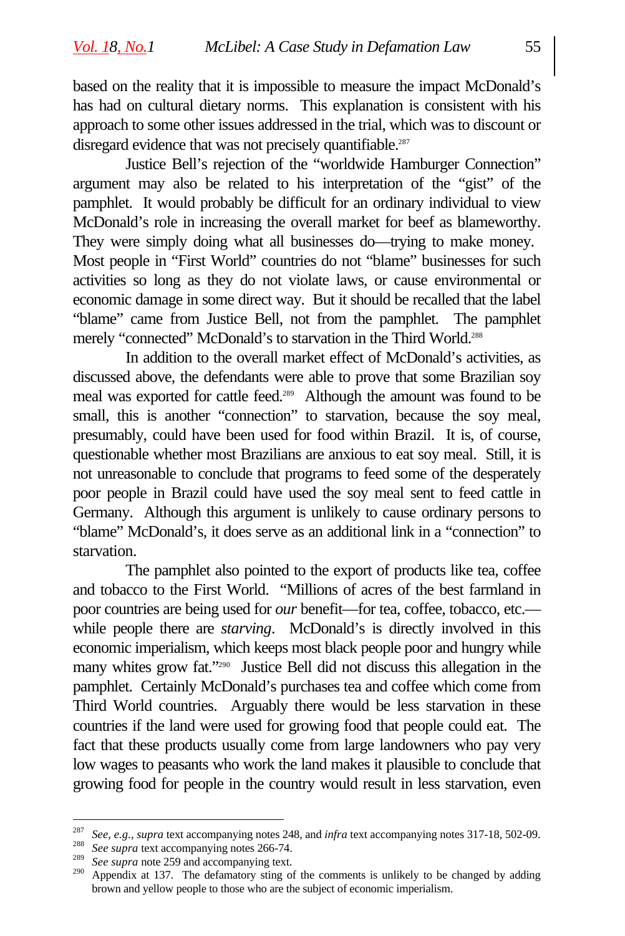based on the reality that it is impossible to measure the impact McDonald's has had on cultural dietary norms. This explanation is consistent with his approach to some other issues addressed in the trial, which was to discount or disregard evidence that was not precisely quantifiable.<sup>287</sup>

Justice Bell's rejection of the "worldwide Hamburger Connection" argument may also be related to his interpretation of the "gist" of the pamphlet. It would probably be difficult for an ordinary individual to view McDonald's role in increasing the overall market for beef as blameworthy. They were simply doing what all businesses do—trying to make money. Most people in "First World" countries do not "blame" businesses for such activities so long as they do not violate laws, or cause environmental or economic damage in some direct way. But it should be recalled that the label "blame" came from Justice Bell, not from the pamphlet. The pamphlet merely "connected" McDonald's to starvation in the Third World.<sup>288</sup>

In addition to the overall market effect of McDonald's activities, as discussed above, the defendants were able to prove that some Brazilian soy meal was exported for cattle feed.<sup>289</sup> Although the amount was found to be small, this is another "connection" to starvation, because the soy meal, presumably, could have been used for food within Brazil. It is, of course, questionable whether most Brazilians are anxious to eat soy meal. Still, it is not unreasonable to conclude that programs to feed some of the desperately poor people in Brazil could have used the soy meal sent to feed cattle in Germany. Although this argument is unlikely to cause ordinary persons to "blame" McDonald's, it does serve as an additional link in a "connection" to starvation.

The pamphlet also pointed to the export of products like tea, coffee and tobacco to the First World. "Millions of acres of the best farmland in poor countries are being used for *our* benefit—for tea, coffee, tobacco, etc. while people there are *starving*. McDonald's is directly involved in this economic imperialism, which keeps most black people poor and hungry while many whites grow fat."<sup>290</sup> Justice Bell did not discuss this allegation in the pamphlet. Certainly McDonald's purchases tea and coffee which come from Third World countries. Arguably there would be less starvation in these countries if the land were used for growing food that people could eat. The fact that these products usually come from large landowners who pay very low wages to peasants who work the land makes it plausible to conclude that growing food for people in the country would result in less starvation, even

 287 *See, e.g., supra* text accompanying notes 248, and *infra* text accompanying notes 317-18, 502-09.

<sup>288</sup> *See supra* text accompanying notes 266-74.

<sup>&</sup>lt;sup>289</sup> See supra note 259 and accompanying text.

<sup>290</sup> Appendix at 137. The defamatory sting of the comments is unlikely to be changed by adding brown and yellow people to those who are the subject of economic imperialism.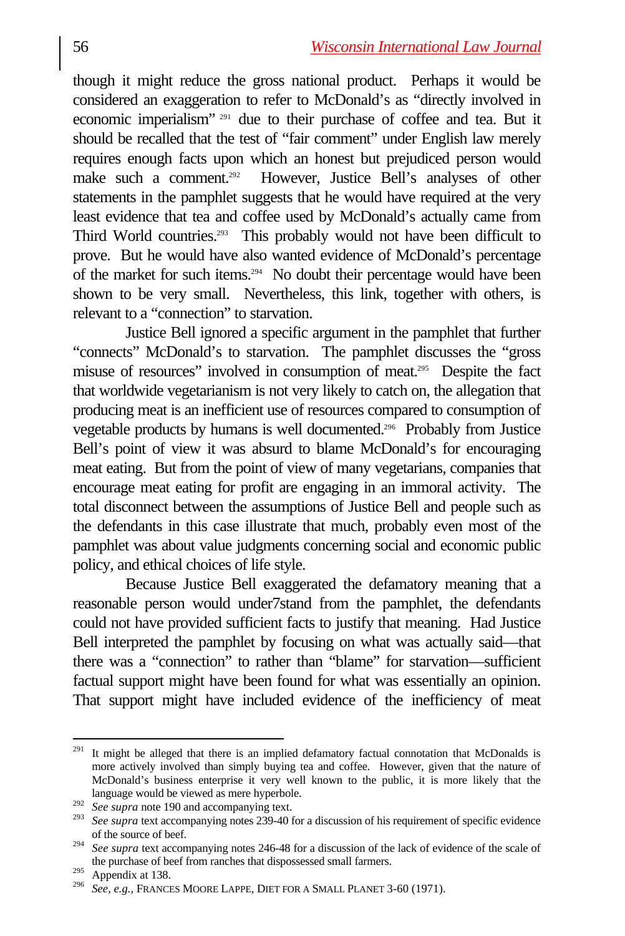though it might reduce the gross national product. Perhaps it would be considered an exaggeration to refer to McDonald's as "directly involved in economic imperialism" <sup>291</sup> due to their purchase of coffee and tea. But it should be recalled that the test of "fair comment" under English law merely requires enough facts upon which an honest but prejudiced person would make such a comment.<sup>292</sup> However, Justice Bell's analyses of other statements in the pamphlet suggests that he would have required at the very least evidence that tea and coffee used by McDonald's actually came from Third World countries.<sup>293</sup> This probably would not have been difficult to prove. But he would have also wanted evidence of McDonald's percentage of the market for such items.294 No doubt their percentage would have been shown to be very small. Nevertheless, this link, together with others, is relevant to a "connection" to starvation.

Justice Bell ignored a specific argument in the pamphlet that further "connects" McDonald's to starvation. The pamphlet discusses the "gross misuse of resources" involved in consumption of meat.<sup>295</sup> Despite the fact that worldwide vegetarianism is not very likely to catch on, the allegation that producing meat is an inefficient use of resources compared to consumption of vegetable products by humans is well documented.296 Probably from Justice Bell's point of view it was absurd to blame McDonald's for encouraging meat eating. But from the point of view of many vegetarians, companies that encourage meat eating for profit are engaging in an immoral activity. The total disconnect between the assumptions of Justice Bell and people such as the defendants in this case illustrate that much, probably even most of the pamphlet was about value judgments concerning social and economic public policy, and ethical choices of life style.

Because Justice Bell exaggerated the defamatory meaning that a reasonable person would under7stand from the pamphlet, the defendants could not have provided sufficient facts to justify that meaning. Had Justice Bell interpreted the pamphlet by focusing on what was actually said—that there was a "connection" to rather than "blame" for starvation—sufficient factual support might have been found for what was essentially an opinion. That support might have included evidence of the inefficiency of meat

<sup>&</sup>lt;sup>291</sup> It might be alleged that there is an implied defamatory factual connotation that McDonalds is more actively involved than simply buying tea and coffee. However, given that the nature of McDonald's business enterprise it very well known to the public, it is more likely that the language would be viewed as mere hyperbole.

<sup>&</sup>lt;sup>292</sup> See supra note 190 and accompanying text.

<sup>&</sup>lt;sup>293</sup> See supra text accompanying notes 239-40 for a discussion of his requirement of specific evidence of the source of beef.

<sup>294</sup> *See supra* text accompanying notes 246-48 for a discussion of the lack of evidence of the scale of the purchase of beef from ranches that dispossessed small farmers.

<sup>&</sup>lt;sup>295</sup> Appendix at 138.

<sup>296</sup> *See, e.g.,* FRANCES MOORE LAPPE, DIET FOR A SMALL PLANET 3-60 (1971).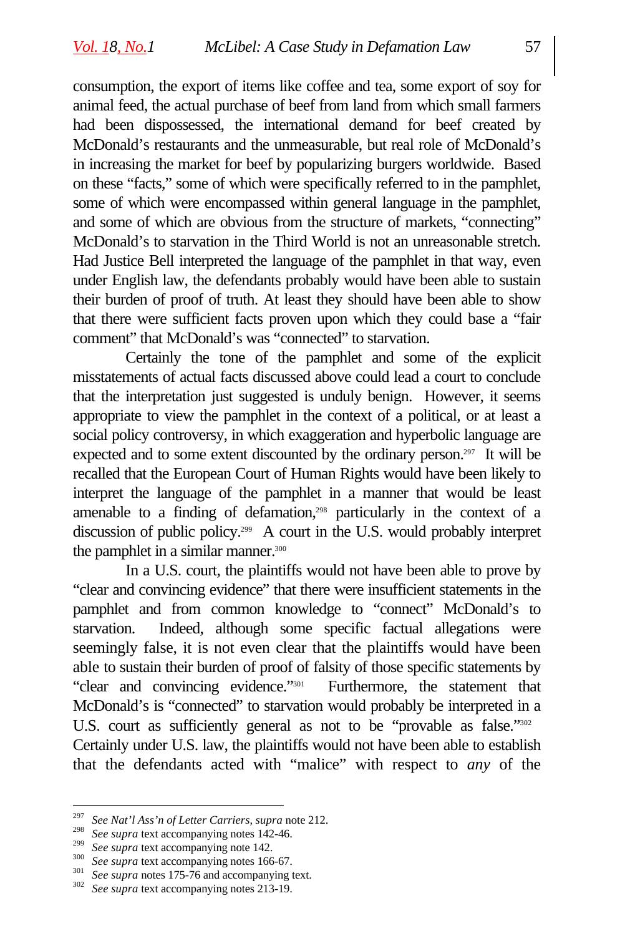consumption, the export of items like coffee and tea, some export of soy for animal feed, the actual purchase of beef from land from which small farmers had been dispossessed, the international demand for beef created by McDonald's restaurants and the unmeasurable, but real role of McDonald's in increasing the market for beef by popularizing burgers worldwide. Based on these "facts," some of which were specifically referred to in the pamphlet, some of which were encompassed within general language in the pamphlet, and some of which are obvious from the structure of markets, "connecting" McDonald's to starvation in the Third World is not an unreasonable stretch. Had Justice Bell interpreted the language of the pamphlet in that way, even under English law, the defendants probably would have been able to sustain their burden of proof of truth. At least they should have been able to show that there were sufficient facts proven upon which they could base a "fair comment" that McDonald's was "connected" to starvation.

Certainly the tone of the pamphlet and some of the explicit misstatements of actual facts discussed above could lead a court to conclude that the interpretation just suggested is unduly benign. However, it seems appropriate to view the pamphlet in the context of a political, or at least a social policy controversy, in which exaggeration and hyperbolic language are expected and to some extent discounted by the ordinary person.<sup>297</sup> It will be recalled that the European Court of Human Rights would have been likely to interpret the language of the pamphlet in a manner that would be least amenable to a finding of defamation,<sup>298</sup> particularly in the context of a discussion of public policy.299 A court in the U.S. would probably interpret the pamphlet in a similar manner.<sup>300</sup>

In a U.S. court, the plaintiffs would not have been able to prove by "clear and convincing evidence" that there were insufficient statements in the pamphlet and from common knowledge to "connect" McDonald's to starvation. Indeed, although some specific factual allegations were seemingly false, it is not even clear that the plaintiffs would have been able to sustain their burden of proof of falsity of those specific statements by "clear and convincing evidence."301 Furthermore, the statement that McDonald's is "connected" to starvation would probably be interpreted in a U.S. court as sufficiently general as not to be "provable as false."<sup>302</sup> Certainly under U.S. law, the plaintiffs would not have been able to establish that the defendants acted with "malice" with respect to *any* of the

 297 *See Nat'l Ass'n of Letter Carriers*, *supra* note 212.

<sup>298</sup> *See supra* text accompanying notes 142-46.

<sup>299</sup> *See supra* text accompanying note 142.

<sup>300</sup> *See supra* text accompanying notes 166-67.

<sup>301</sup> *See supra* notes 175-76 and accompanying text.

<sup>302</sup> *See supra* text accompanying notes 213-19.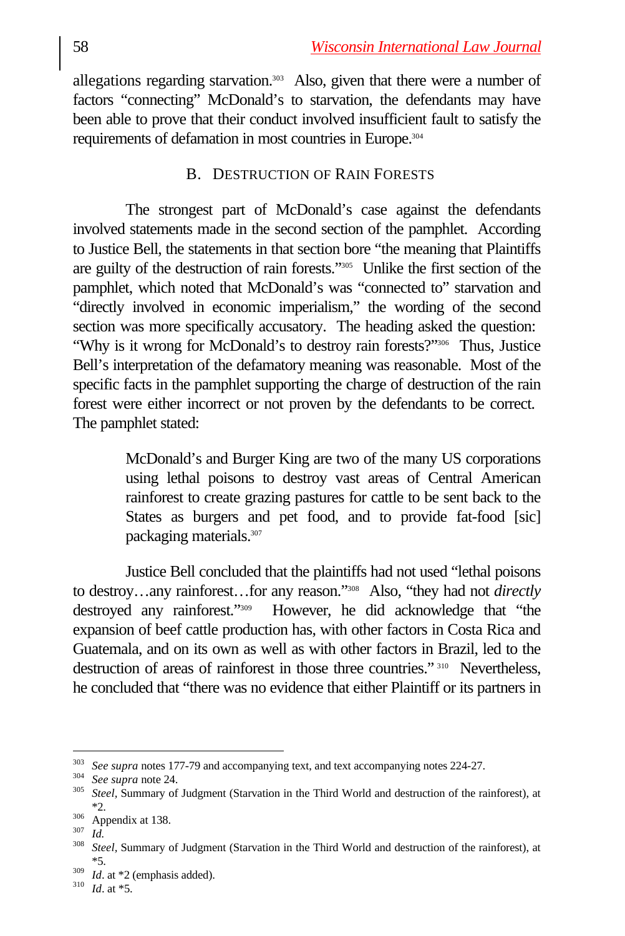allegations regarding starvation.<sup>303</sup> Also, given that there were a number of factors "connecting" McDonald's to starvation, the defendants may have been able to prove that their conduct involved insufficient fault to satisfy the requirements of defamation in most countries in Europe.<sup>304</sup>

### B. DESTRUCTION OF RAIN FORESTS

The strongest part of McDonald's case against the defendants involved statements made in the second section of the pamphlet. According to Justice Bell, the statements in that section bore "the meaning that Plaintiffs are guilty of the destruction of rain forests."305 Unlike the first section of the pamphlet, which noted that McDonald's was "connected to" starvation and "directly involved in economic imperialism," the wording of the second section was more specifically accusatory. The heading asked the question: "Why is it wrong for McDonald's to destroy rain forests?"<sup>306</sup> Thus, Justice Bell's interpretation of the defamatory meaning was reasonable. Most of the specific facts in the pamphlet supporting the charge of destruction of the rain forest were either incorrect or not proven by the defendants to be correct. The pamphlet stated:

> McDonald's and Burger King are two of the many US corporations using lethal poisons to destroy vast areas of Central American rainforest to create grazing pastures for cattle to be sent back to the States as burgers and pet food, and to provide fat-food [sic] packaging materials.<sup>307</sup>

Justice Bell concluded that the plaintiffs had not used "lethal poisons to destroy…any rainforest…for any reason."308 Also, "they had not *directly* destroyed any rainforest."309 However, he did acknowledge that "the expansion of beef cattle production has, with other factors in Costa Rica and Guatemala, and on its own as well as with other factors in Brazil, led to the destruction of areas of rainforest in those three countries." 310 Nevertheless, he concluded that "there was no evidence that either Plaintiff or its partners in

 303 *See supra* notes 177-79 and accompanying text, and text accompanying notes 224-27.

<sup>304</sup> *See supra* note 24.

<sup>305</sup> *Steel,* Summary of Judgment (Starvation in the Third World and destruction of the rainforest), at  $*2$ .

<sup>306</sup> Appendix at 138.

<sup>307</sup> *Id.*

<sup>&</sup>lt;sup>308</sup> Steel, Summary of Judgment (Starvation in the Third World and destruction of the rainforest), at  $^{*5.}$  *Id.* at  $*2$  (emphasis added).

 $310$  *Id.* at \*5.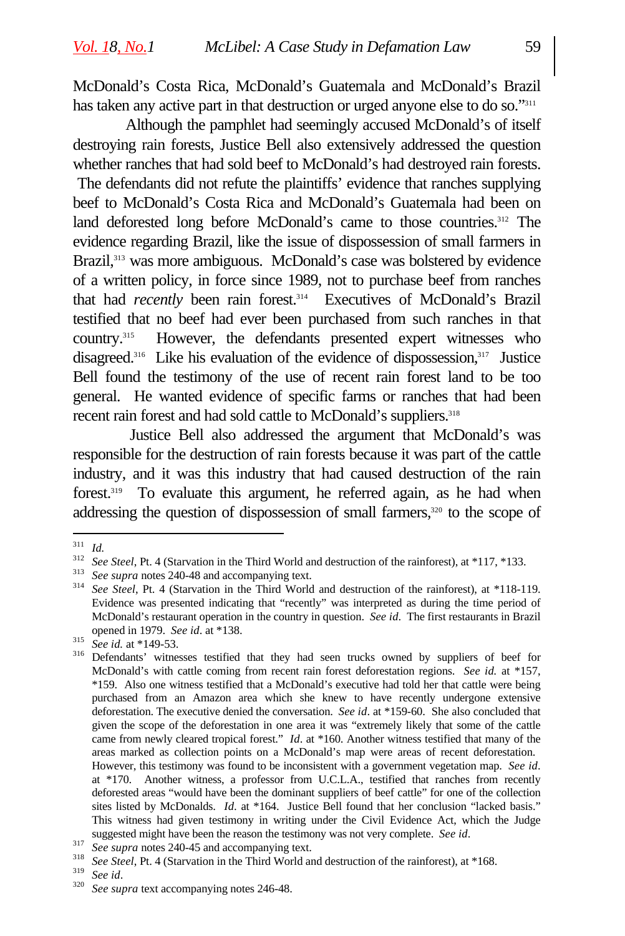McDonald's Costa Rica, McDonald's Guatemala and McDonald's Brazil has taken any active part in that destruction or urged anyone else to do so."<sup>311</sup>

Although the pamphlet had seemingly accused McDonald's of itself destroying rain forests, Justice Bell also extensively addressed the question whether ranches that had sold beef to McDonald's had destroyed rain forests. The defendants did not refute the plaintiffs' evidence that ranches supplying beef to McDonald's Costa Rica and McDonald's Guatemala had been on land deforested long before McDonald's came to those countries.<sup>312</sup> The evidence regarding Brazil, like the issue of dispossession of small farmers in Brazil,<sup>313</sup> was more ambiguous. McDonald's case was bolstered by evidence of a written policy, in force since 1989, not to purchase beef from ranches that had *recently* been rain forest.<sup>314</sup> Executives of McDonald's Brazil testified that no beef had ever been purchased from such ranches in that country.315 However, the defendants presented expert witnesses who disagreed.<sup>316</sup> Like his evaluation of the evidence of dispossession,<sup>317</sup> Justice Bell found the testimony of the use of recent rain forest land to be too general. He wanted evidence of specific farms or ranches that had been recent rain forest and had sold cattle to McDonald's suppliers.<sup>318</sup>

Justice Bell also addressed the argument that McDonald's was responsible for the destruction of rain forests because it was part of the cattle industry, and it was this industry that had caused destruction of the rain forest.319 To evaluate this argument, he referred again, as he had when addressing the question of dispossession of small farmers,<sup>320</sup> to the scope of

<sup>—&</sup>lt;br>311 *Id.*

<sup>312</sup> *See Steel*, Pt. 4 (Starvation in the Third World and destruction of the rainforest), at \*117, \*133.

<sup>313</sup> *See supra* notes 240-48 and accompanying text.

<sup>314</sup> *See Steel*, Pt. 4 (Starvation in the Third World and destruction of the rainforest), at \*118-119. Evidence was presented indicating that "recently" was interpreted as during the time period of McDonald's restaurant operation in the country in question. *See id*. The first restaurants in Brazil opened in 1979. *See id*. at \*138.

<sup>315</sup> *See id.* at \*149-53.

<sup>&</sup>lt;sup>316</sup> Defendants' witnesses testified that they had seen trucks owned by suppliers of beef for McDonald's with cattle coming from recent rain forest deforestation regions. *See id.* at \*157, \*159. Also one witness testified that a McDonald's executive had told her that cattle were being purchased from an Amazon area which she knew to have recently undergone extensive deforestation. The executive denied the conversation. *See id*. at \*159-60. She also concluded that given the scope of the deforestation in one area it was "extremely likely that some of the cattle came from newly cleared tropical forest." *Id*. at \*160. Another witness testified that many of the areas marked as collection points on a McDonald's map were areas of recent deforestation. However, this testimony was found to be inconsistent with a government vegetation map. *See id*. at \*170. Another witness, a professor from U.C.L.A., testified that ranches from recently

deforested areas "would have been the dominant suppliers of beef cattle" for one of the collection sites listed by McDonalds. *Id*. at \*164. Justice Bell found that her conclusion "lacked basis." This witness had given testimony in writing under the Civil Evidence Act, which the Judge suggested might have been the reason the testimony was not very complete. *See id*.

<sup>&</sup>lt;sup>317</sup> See supra notes 240-45 and accompanying text.

<sup>318</sup> *See Steel*, Pt. 4 (Starvation in the Third World and destruction of the rainforest), at \*168.

<sup>319</sup> *See id*.

<sup>&</sup>lt;sup>320</sup> See supra text accompanying notes 246-48.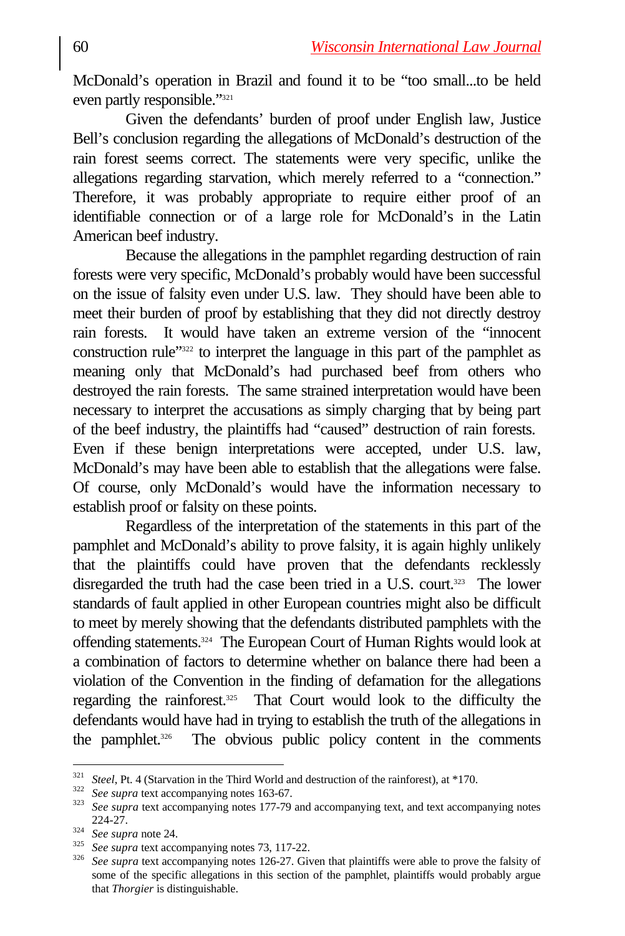McDonald's operation in Brazil and found it to be "too small...to be held even partly responsible."<sup>321</sup>

Given the defendants' burden of proof under English law, Justice Bell's conclusion regarding the allegations of McDonald's destruction of the rain forest seems correct. The statements were very specific, unlike the allegations regarding starvation, which merely referred to a "connection." Therefore, it was probably appropriate to require either proof of an identifiable connection or of a large role for McDonald's in the Latin American beef industry.

Because the allegations in the pamphlet regarding destruction of rain forests were very specific, McDonald's probably would have been successful on the issue of falsity even under U.S. law. They should have been able to meet their burden of proof by establishing that they did not directly destroy rain forests. It would have taken an extreme version of the "innocent construction rule"322 to interpret the language in this part of the pamphlet as meaning only that McDonald's had purchased beef from others who destroyed the rain forests. The same strained interpretation would have been necessary to interpret the accusations as simply charging that by being part of the beef industry, the plaintiffs had "caused" destruction of rain forests. Even if these benign interpretations were accepted, under U.S. law, McDonald's may have been able to establish that the allegations were false. Of course, only McDonald's would have the information necessary to establish proof or falsity on these points.

Regardless of the interpretation of the statements in this part of the pamphlet and McDonald's ability to prove falsity, it is again highly unlikely that the plaintiffs could have proven that the defendants recklessly disregarded the truth had the case been tried in a U.S. court.<sup>323</sup> The lower standards of fault applied in other European countries might also be difficult to meet by merely showing that the defendants distributed pamphlets with the offending statements.324 The European Court of Human Rights would look at a combination of factors to determine whether on balance there had been a violation of the Convention in the finding of defamation for the allegations regarding the rainforest.325 That Court would look to the difficulty the defendants would have had in trying to establish the truth of the allegations in the pamphlet.326 The obvious public policy content in the comments

 321 *Steel*, Pt. 4 (Starvation in the Third World and destruction of the rainforest), at \*170.

<sup>322</sup> *See supra* text accompanying notes 163-67.

<sup>323</sup> *See supra* text accompanying notes 177-79 and accompanying text, and text accompanying notes 224-27.

<sup>324</sup> *See supra* note 24.

<sup>325</sup> *See supra* text accompanying notes 73, 117-22.

<sup>326</sup> *See supra* text accompanying notes 126-27. Given that plaintiffs were able to prove the falsity of some of the specific allegations in this section of the pamphlet, plaintiffs would probably argue that *Thorgier* is distinguishable.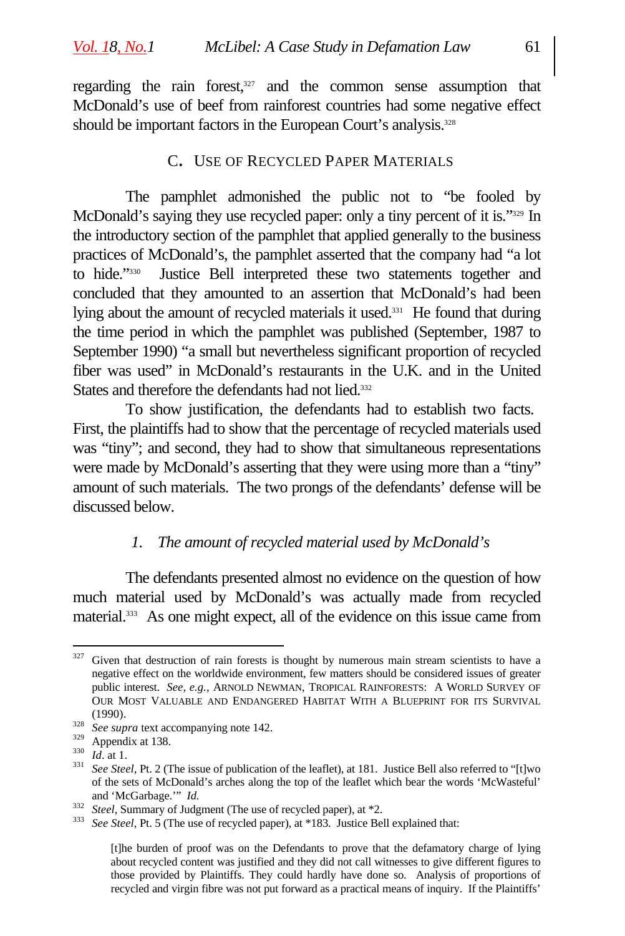regarding the rain forest,<sup>327</sup> and the common sense assumption that McDonald's use of beef from rainforest countries had some negative effect should be important factors in the European Court's analysis.<sup>328</sup>

#### C**.** USE OF RECYCLED PAPER MATERIALS

The pamphlet admonished the public not to "be fooled by McDonald's saying they use recycled paper: only a tiny percent of it is."<sup>329</sup> In the introductory section of the pamphlet that applied generally to the business practices of McDonald's, the pamphlet asserted that the company had "a lot to hide."330 Justice Bell interpreted these two statements together and concluded that they amounted to an assertion that McDonald's had been lying about the amount of recycled materials it used.<sup>331</sup> He found that during the time period in which the pamphlet was published (September, 1987 to September 1990) "a small but nevertheless significant proportion of recycled fiber was used" in McDonald's restaurants in the U.K. and in the United States and therefore the defendants had not lied.<sup>332</sup>

To show justification, the defendants had to establish two facts. First, the plaintiffs had to show that the percentage of recycled materials used was "tiny"; and second, they had to show that simultaneous representations were made by McDonald's asserting that they were using more than a "tiny" amount of such materials. The two prongs of the defendants' defense will be discussed below.

### *1. The amount of recycled material used by McDonald's*

The defendants presented almost no evidence on the question of how much material used by McDonald's was actually made from recycled material.333 As one might expect, all of the evidence on this issue came from

<sup>&</sup>lt;sup>327</sup> Given that destruction of rain forests is thought by numerous main stream scientists to have a negative effect on the worldwide environment, few matters should be considered issues of greater public interest. *See, e.g.,* ARNOLD NEWMAN, TROPICAL RAINFORESTS: A WORLD SURVEY OF OUR MOST VALUABLE AND ENDANGERED HABITAT WITH A BLUEPRINT FOR ITS SURVIVAL (1990).

<sup>328</sup> *See supra* text accompanying note 142.

<sup>&</sup>lt;sup>329</sup> Appendix at 138.

<sup>330</sup> *Id*. at 1.

<sup>&</sup>lt;sup>331</sup> See Steel, Pt. 2 (The issue of publication of the leaflet), at 181. Justice Bell also referred to "[t]wo of the sets of McDonald's arches along the top of the leaflet which bear the words 'McWasteful' and 'McGarbage.'" *Id.*

<sup>332</sup> *Steel*, Summary of Judgment (The use of recycled paper), at \*2.

<sup>333</sup> *See Steel*, Pt. 5 (The use of recycled paper), at \*183. Justice Bell explained that:

<sup>[</sup>t]he burden of proof was on the Defendants to prove that the defamatory charge of lying about recycled content was justified and they did not call witnesses to give different figures to those provided by Plaintiffs. They could hardly have done so. Analysis of proportions of recycled and virgin fibre was not put forward as a practical means of inquiry. If the Plaintiffs'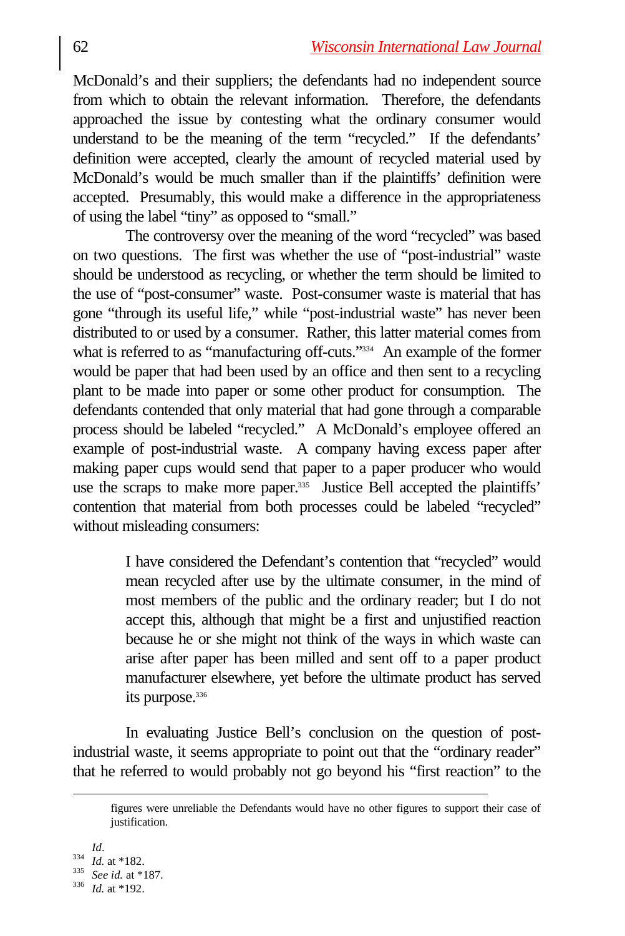McDonald's and their suppliers; the defendants had no independent source from which to obtain the relevant information. Therefore, the defendants approached the issue by contesting what the ordinary consumer would understand to be the meaning of the term "recycled." If the defendants' definition were accepted, clearly the amount of recycled material used by McDonald's would be much smaller than if the plaintiffs' definition were accepted. Presumably, this would make a difference in the appropriateness of using the label "tiny" as opposed to "small."

The controversy over the meaning of the word "recycled" was based on two questions. The first was whether the use of "post-industrial" waste should be understood as recycling, or whether the term should be limited to the use of "post-consumer" waste. Post-consumer waste is material that has gone "through its useful life," while "post-industrial waste" has never been distributed to or used by a consumer. Rather, this latter material comes from what is referred to as "manufacturing off-cuts."<sup>334</sup> An example of the former would be paper that had been used by an office and then sent to a recycling plant to be made into paper or some other product for consumption. The defendants contended that only material that had gone through a comparable process should be labeled "recycled." A McDonald's employee offered an example of post-industrial waste. A company having excess paper after making paper cups would send that paper to a paper producer who would use the scraps to make more paper.<sup>335</sup> Justice Bell accepted the plaintiffs' contention that material from both processes could be labeled "recycled" without misleading consumers:

> I have considered the Defendant's contention that "recycled" would mean recycled after use by the ultimate consumer, in the mind of most members of the public and the ordinary reader; but I do not accept this, although that might be a first and unjustified reaction because he or she might not think of the ways in which waste can arise after paper has been milled and sent off to a paper product manufacturer elsewhere, yet before the ultimate product has served its purpose.<sup>336</sup>

In evaluating Justice Bell's conclusion on the question of postindustrial waste, it seems appropriate to point out that the "ordinary reader" that he referred to would probably not go beyond his "first reaction" to the

 $\overline{a}$ 

figures were unreliable the Defendants would have no other figures to support their case of justification.

*Id*. 334 *Id.* at \*182. 335 *See id.* at \*187. 336 *Id.* at \*192.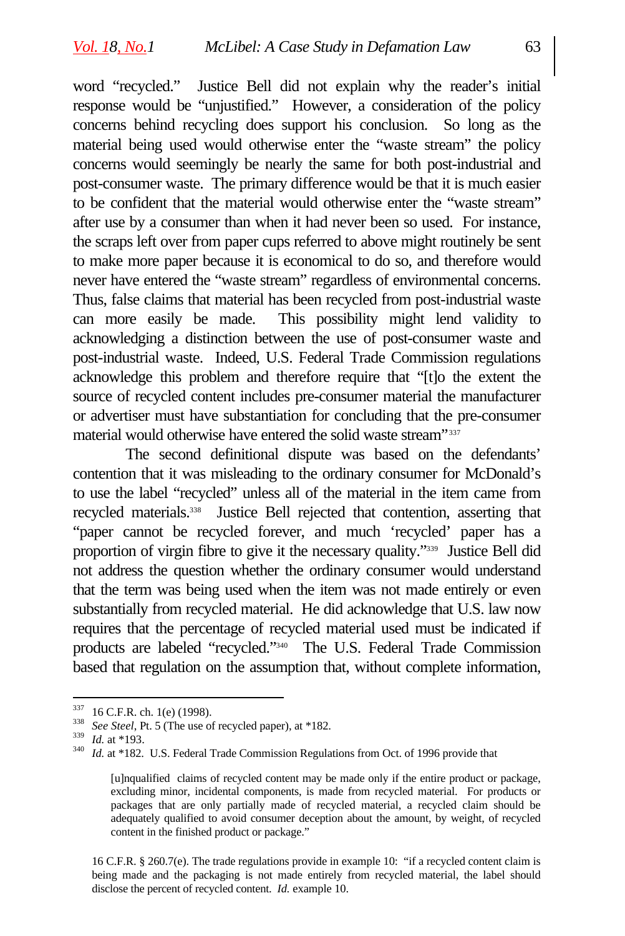word "recycled." Justice Bell did not explain why the reader's initial response would be "unjustified." However, a consideration of the policy concerns behind recycling does support his conclusion. So long as the material being used would otherwise enter the "waste stream" the policy concerns would seemingly be nearly the same for both post-industrial and post-consumer waste. The primary difference would be that it is much easier to be confident that the material would otherwise enter the "waste stream" after use by a consumer than when it had never been so used. For instance, the scraps left over from paper cups referred to above might routinely be sent to make more paper because it is economical to do so, and therefore would never have entered the "waste stream" regardless of environmental concerns. Thus, false claims that material has been recycled from post-industrial waste can more easily be made. This possibility might lend validity to acknowledging a distinction between the use of post-consumer waste and post-industrial waste. Indeed, U.S. Federal Trade Commission regulations acknowledge this problem and therefore require that "[t]o the extent the source of recycled content includes pre-consumer material the manufacturer or advertiser must have substantiation for concluding that the pre-consumer material would otherwise have entered the solid waste stream"<sup>337</sup>

The second definitional dispute was based on the defendants' contention that it was misleading to the ordinary consumer for McDonald's to use the label "recycled" unless all of the material in the item came from recycled materials.338 Justice Bell rejected that contention, asserting that "paper cannot be recycled forever, and much 'recycled' paper has a proportion of virgin fibre to give it the necessary quality."339 Justice Bell did not address the question whether the ordinary consumer would understand that the term was being used when the item was not made entirely or even substantially from recycled material. He did acknowledge that U.S. law now requires that the percentage of recycled material used must be indicated if products are labeled "recycled."340 The U.S. Federal Trade Commission based that regulation on the assumption that, without complete information,

16 C.F.R. § 260.7(e). The trade regulations provide in example 10: "if a recycled content claim is being made and the packaging is not made entirely from recycled material, the label should disclose the percent of recycled content. *Id.* example 10.

 337 16 C.F.R. ch. 1(e) (1998).

<sup>338</sup> *See Steel*, Pt. 5 (The use of recycled paper), at \*182.

<sup>339</sup> *Id.* at \*193.

<sup>&</sup>lt;sup>340</sup> *Id.* at \*182. U.S. Federal Trade Commission Regulations from Oct. of 1996 provide that

<sup>[</sup>u]nqualified claims of recycled content may be made only if the entire product or package, excluding minor, incidental components, is made from recycled material. For products or packages that are only partially made of recycled material, a recycled claim should be adequately qualified to avoid consumer deception about the amount, by weight, of recycled content in the finished product or package."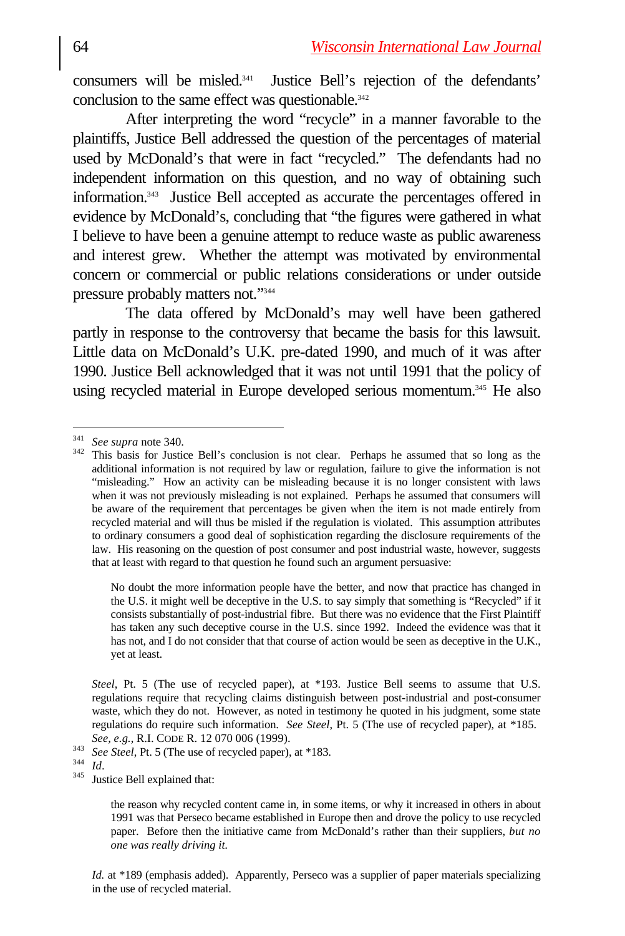consumers will be misled.341 Justice Bell's rejection of the defendants' conclusion to the same effect was questionable.<sup>342</sup>

After interpreting the word "recycle" in a manner favorable to the plaintiffs, Justice Bell addressed the question of the percentages of material used by McDonald's that were in fact "recycled." The defendants had no independent information on this question, and no way of obtaining such information.343 Justice Bell accepted as accurate the percentages offered in evidence by McDonald's, concluding that "the figures were gathered in what I believe to have been a genuine attempt to reduce waste as public awareness and interest grew. Whether the attempt was motivated by environmental concern or commercial or public relations considerations or under outside pressure probably matters not."<sup>344</sup>

The data offered by McDonald's may well have been gathered partly in response to the controversy that became the basis for this lawsuit. Little data on McDonald's U.K. pre-dated 1990, and much of it was after 1990. Justice Bell acknowledged that it was not until 1991 that the policy of using recycled material in Europe developed serious momentum.<sup>345</sup> He also

 $\overline{a}$ 

No doubt the more information people have the better, and now that practice has changed in the U.S. it might well be deceptive in the U.S. to say simply that something is "Recycled" if it consists substantially of post-industrial fibre. But there was no evidence that the First Plaintiff has taken any such deceptive course in the U.S. since 1992. Indeed the evidence was that it has not, and I do not consider that that course of action would be seen as deceptive in the U.K., yet at least.

*Id.* at \*189 (emphasis added). Apparently, Perseco was a supplier of paper materials specializing in the use of recycled material.

<sup>341</sup> *See supra* note 340.

<sup>&</sup>lt;sup>342</sup> This basis for Justice Bell's conclusion is not clear. Perhaps he assumed that so long as the additional information is not required by law or regulation, failure to give the information is not "misleading." How an activity can be misleading because it is no longer consistent with laws when it was not previously misleading is not explained. Perhaps he assumed that consumers will be aware of the requirement that percentages be given when the item is not made entirely from recycled material and will thus be misled if the regulation is violated. This assumption attributes to ordinary consumers a good deal of sophistication regarding the disclosure requirements of the law. His reasoning on the question of post consumer and post industrial waste, however, suggests that at least with regard to that question he found such an argument persuasive:

*Steel*, Pt. 5 (The use of recycled paper), at \*193. Justice Bell seems to assume that U.S. regulations require that recycling claims distinguish between post-industrial and post-consumer waste, which they do not. However, as noted in testimony he quoted in his judgment, some state regulations do require such information. *See Steel*, Pt. 5 (The use of recycled paper), at \*185. *See, e.g.*, R.I. CODE R. 12 070 006 (1999).

<sup>343</sup> *See Steel*, Pt. 5 (The use of recycled paper), at \*183.

<sup>344</sup> *Id*.

<sup>&</sup>lt;sup>345</sup> Justice Bell explained that:

the reason why recycled content came in, in some items, or why it increased in others in about 1991 was that Perseco became established in Europe then and drove the policy to use recycled paper. Before then the initiative came from McDonald's rather than their suppliers, *but no one was really driving it.*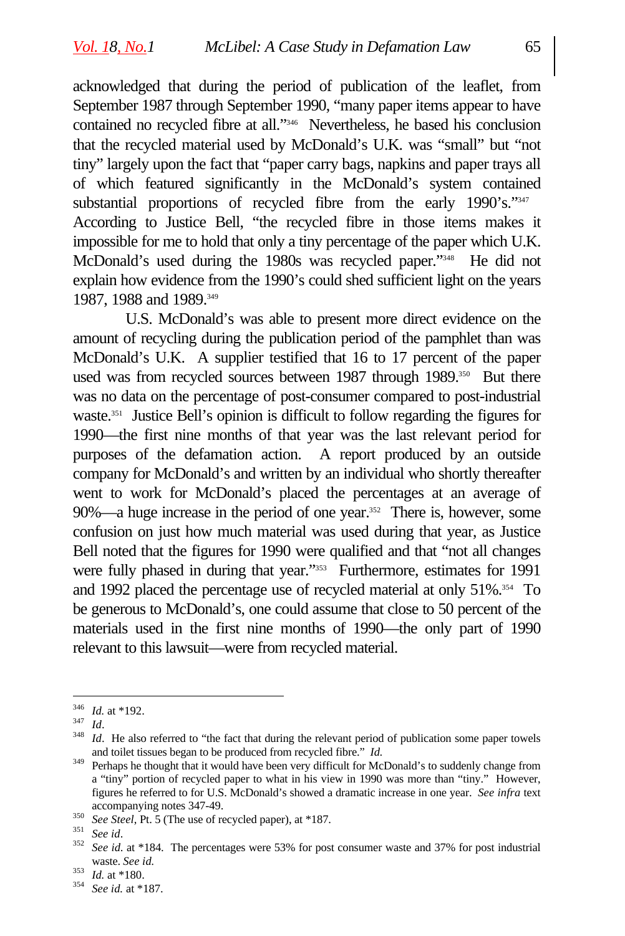acknowledged that during the period of publication of the leaflet, from September 1987 through September 1990, "many paper items appear to have contained no recycled fibre at all."346 Nevertheless, he based his conclusion that the recycled material used by McDonald's U.K. was "small" but "not tiny" largely upon the fact that "paper carry bags, napkins and paper trays all of which featured significantly in the McDonald's system contained substantial proportions of recycled fibre from the early 1990's."347 According to Justice Bell, "the recycled fibre in those items makes it impossible for me to hold that only a tiny percentage of the paper which U.K. McDonald's used during the 1980s was recycled paper."<sup>348</sup> He did not explain how evidence from the 1990's could shed sufficient light on the years 1987, 1988 and 1989.<sup>349</sup>

U.S. McDonald's was able to present more direct evidence on the amount of recycling during the publication period of the pamphlet than was McDonald's U.K. A supplier testified that 16 to 17 percent of the paper used was from recycled sources between 1987 through 1989.<sup>350</sup> But there was no data on the percentage of post-consumer compared to post-industrial waste.351 Justice Bell's opinion is difficult to follow regarding the figures for 1990—the first nine months of that year was the last relevant period for purposes of the defamation action. A report produced by an outside company for McDonald's and written by an individual who shortly thereafter went to work for McDonald's placed the percentages at an average of 90%—a huge increase in the period of one year.352 There is, however, some confusion on just how much material was used during that year, as Justice Bell noted that the figures for 1990 were qualified and that "not all changes were fully phased in during that year."<sup>353</sup> Furthermore, estimates for 1991 and 1992 placed the percentage use of recycled material at only 51%.354 To be generous to McDonald's, one could assume that close to 50 percent of the materials used in the first nine months of 1990—the only part of 1990 relevant to this lawsuit—were from recycled material.

<sup>&</sup>lt;sup>346</sup> *Id.* at \*192.

<sup>347</sup> *Id*.

<sup>348</sup> *Id*. He also referred to "the fact that during the relevant period of publication some paper towels and toilet tissues began to be produced from recycled fibre." *Id.*

<sup>349</sup> Perhaps he thought that it would have been very difficult for McDonald's to suddenly change from a "tiny" portion of recycled paper to what in his view in 1990 was more than "tiny." However, figures he referred to for U.S. McDonald's showed a dramatic increase in one year. *See infra* text accompanying notes 347-49.

<sup>350</sup> *See Steel*, Pt. 5 (The use of recycled paper), at \*187.

<sup>351</sup> *See id*.

<sup>&</sup>lt;sup>352</sup> See id. at \*184. The percentages were 53% for post consumer waste and 37% for post industrial waste. *See id.*

<sup>353</sup> *Id.* at \*180.

<sup>354</sup> *See id.* at \*187.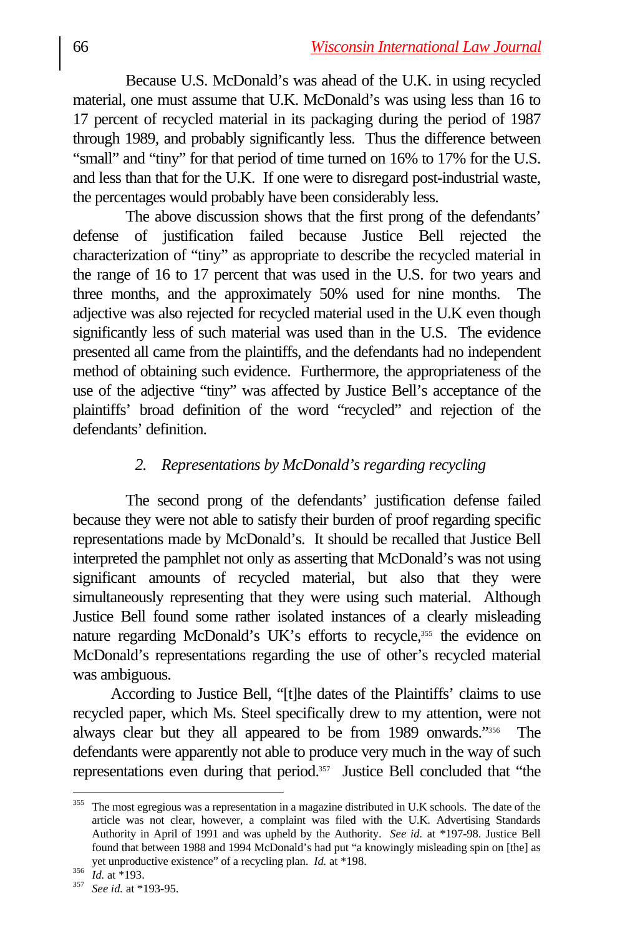Because U.S. McDonald's was ahead of the U.K. in using recycled material, one must assume that U.K. McDonald's was using less than 16 to 17 percent of recycled material in its packaging during the period of 1987 through 1989, and probably significantly less. Thus the difference between "small" and "tiny" for that period of time turned on 16% to 17% for the U.S. and less than that for the U.K. If one were to disregard post-industrial waste, the percentages would probably have been considerably less.

The above discussion shows that the first prong of the defendants' defense of justification failed because Justice Bell rejected the characterization of "tiny" as appropriate to describe the recycled material in the range of 16 to 17 percent that was used in the U.S. for two years and three months, and the approximately 50% used for nine months. The adjective was also rejected for recycled material used in the U.K even though significantly less of such material was used than in the U.S. The evidence presented all came from the plaintiffs, and the defendants had no independent method of obtaining such evidence. Furthermore, the appropriateness of the use of the adjective "tiny" was affected by Justice Bell's acceptance of the plaintiffs' broad definition of the word "recycled" and rejection of the defendants' definition.

# *2. Representations by McDonald's regarding recycling*

The second prong of the defendants' justification defense failed because they were not able to satisfy their burden of proof regarding specific representations made by McDonald's. It should be recalled that Justice Bell interpreted the pamphlet not only as asserting that McDonald's was not using significant amounts of recycled material, but also that they were simultaneously representing that they were using such material. Although Justice Bell found some rather isolated instances of a clearly misleading nature regarding McDonald's UK's efforts to recycle,<sup>355</sup> the evidence on McDonald's representations regarding the use of other's recycled material was ambiguous.

According to Justice Bell, "[t]he dates of the Plaintiffs' claims to use recycled paper, which Ms. Steel specifically drew to my attention, were not always clear but they all appeared to be from 1989 onwards."356 The defendants were apparently not able to produce very much in the way of such representations even during that period.357 Justice Bell concluded that "the

<sup>&</sup>lt;sup>355</sup> The most egregious was a representation in a magazine distributed in U.K schools. The date of the article was not clear, however, a complaint was filed with the U.K. Advertising Standards Authority in April of 1991 and was upheld by the Authority. *See id.* at \*197-98. Justice Bell found that between 1988 and 1994 McDonald's had put "a knowingly misleading spin on [the] as yet unproductive existence" of a recycling plan. *Id.* at \*198.

<sup>356</sup> *Id.* at \*193.

<sup>357</sup> *See id.* at \*193-95.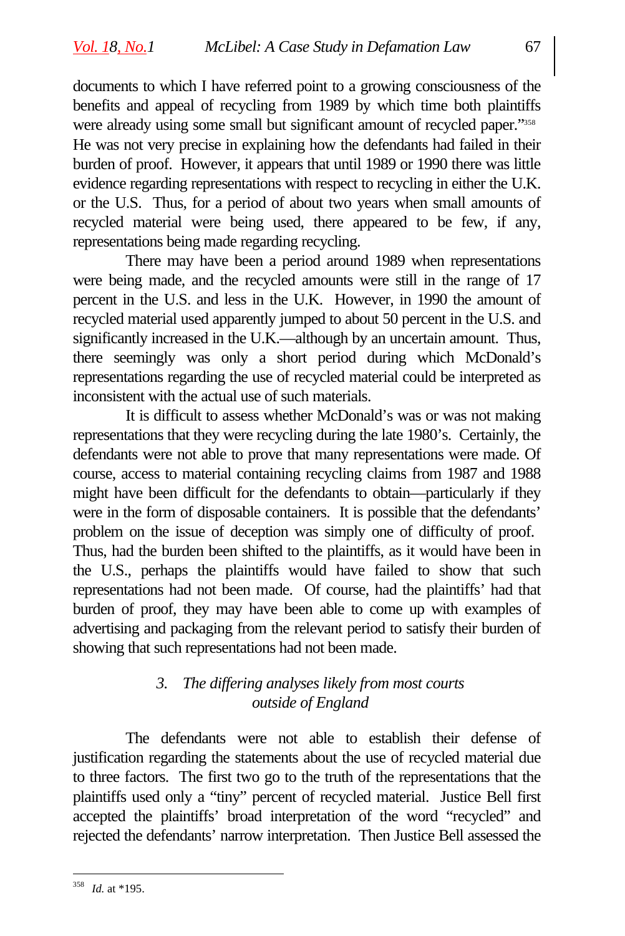documents to which I have referred point to a growing consciousness of the benefits and appeal of recycling from 1989 by which time both plaintiffs were already using some small but significant amount of recycled paper."<sup>358</sup> He was not very precise in explaining how the defendants had failed in their burden of proof. However, it appears that until 1989 or 1990 there was little evidence regarding representations with respect to recycling in either the U.K. or the U.S. Thus, for a period of about two years when small amounts of recycled material were being used, there appeared to be few, if any, representations being made regarding recycling.

There may have been a period around 1989 when representations were being made, and the recycled amounts were still in the range of 17 percent in the U.S. and less in the U.K. However, in 1990 the amount of recycled material used apparently jumped to about 50 percent in the U.S. and significantly increased in the U.K.—although by an uncertain amount. Thus, there seemingly was only a short period during which McDonald's representations regarding the use of recycled material could be interpreted as inconsistent with the actual use of such materials.

It is difficult to assess whether McDonald's was or was not making representations that they were recycling during the late 1980's. Certainly, the defendants were not able to prove that many representations were made. Of course, access to material containing recycling claims from 1987 and 1988 might have been difficult for the defendants to obtain—particularly if they were in the form of disposable containers. It is possible that the defendants' problem on the issue of deception was simply one of difficulty of proof. Thus, had the burden been shifted to the plaintiffs, as it would have been in the U.S., perhaps the plaintiffs would have failed to show that such representations had not been made. Of course, had the plaintiffs' had that burden of proof, they may have been able to come up with examples of advertising and packaging from the relevant period to satisfy their burden of showing that such representations had not been made.

# *3. The differing analyses likely from most courts outside of England*

The defendants were not able to establish their defense of justification regarding the statements about the use of recycled material due to three factors. The first two go to the truth of the representations that the plaintiffs used only a "tiny" percent of recycled material. Justice Bell first accepted the plaintiffs' broad interpretation of the word "recycled" and rejected the defendants' narrow interpretation. Then Justice Bell assessed the

 358 *Id.* at \*195.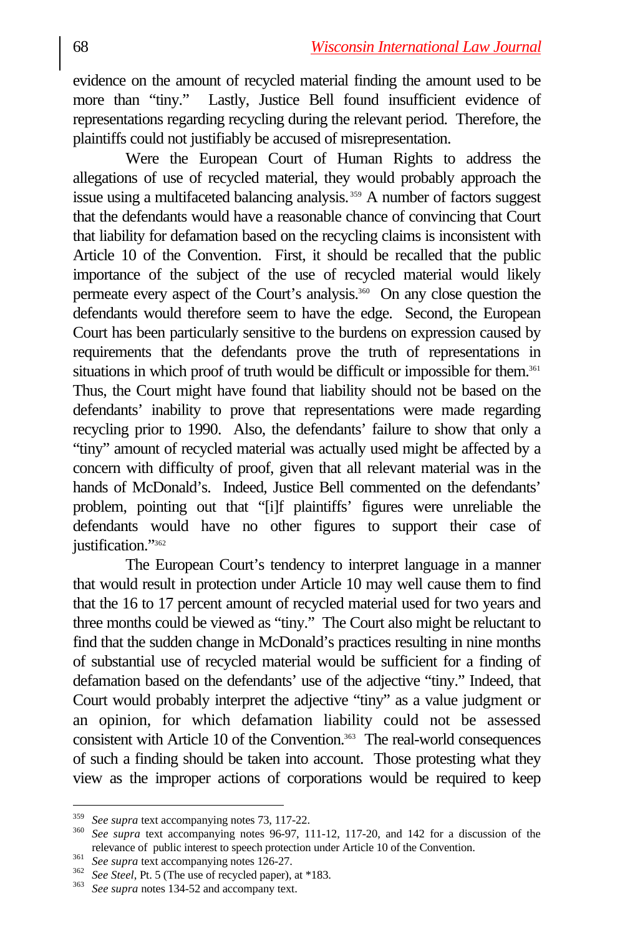evidence on the amount of recycled material finding the amount used to be more than "tiny." Lastly, Justice Bell found insufficient evidence of representations regarding recycling during the relevant period. Therefore, the plaintiffs could not justifiably be accused of misrepresentation.

Were the European Court of Human Rights to address the allegations of use of recycled material, they would probably approach the issue using a multifaceted balancing analysis. <sup>359</sup> A number of factors suggest that the defendants would have a reasonable chance of convincing that Court that liability for defamation based on the recycling claims is inconsistent with Article 10 of the Convention. First, it should be recalled that the public importance of the subject of the use of recycled material would likely permeate every aspect of the Court's analysis.360 On any close question the defendants would therefore seem to have the edge. Second, the European Court has been particularly sensitive to the burdens on expression caused by requirements that the defendants prove the truth of representations in situations in which proof of truth would be difficult or impossible for them.<sup>361</sup> Thus, the Court might have found that liability should not be based on the defendants' inability to prove that representations were made regarding recycling prior to 1990. Also, the defendants' failure to show that only a "tiny" amount of recycled material was actually used might be affected by a concern with difficulty of proof, given that all relevant material was in the hands of McDonald's. Indeed, Justice Bell commented on the defendants' problem, pointing out that "[i]f plaintiffs' figures were unreliable the defendants would have no other figures to support their case of justification."362

The European Court's tendency to interpret language in a manner that would result in protection under Article 10 may well cause them to find that the 16 to 17 percent amount of recycled material used for two years and three months could be viewed as "tiny." The Court also might be reluctant to find that the sudden change in McDonald's practices resulting in nine months of substantial use of recycled material would be sufficient for a finding of defamation based on the defendants' use of the adjective "tiny." Indeed, that Court would probably interpret the adjective "tiny" as a value judgment or an opinion, for which defamation liability could not be assessed consistent with Article 10 of the Convention.<sup>363</sup> The real-world consequences of such a finding should be taken into account. Those protesting what they view as the improper actions of corporations would be required to keep

 359 *See supra* text accompanying notes 73, 117-22.

<sup>360</sup> *See supra* text accompanying notes 96-97, 111-12, 117-20, and 142 for a discussion of the relevance of public interest to speech protection under Article 10 of the Convention.

<sup>361</sup> *See supra* text accompanying notes 126-27.

<sup>362</sup> *See Steel*, Pt. 5 (The use of recycled paper), at \*183.

<sup>&</sup>lt;sup>363</sup> See supra notes 134-52 and accompany text.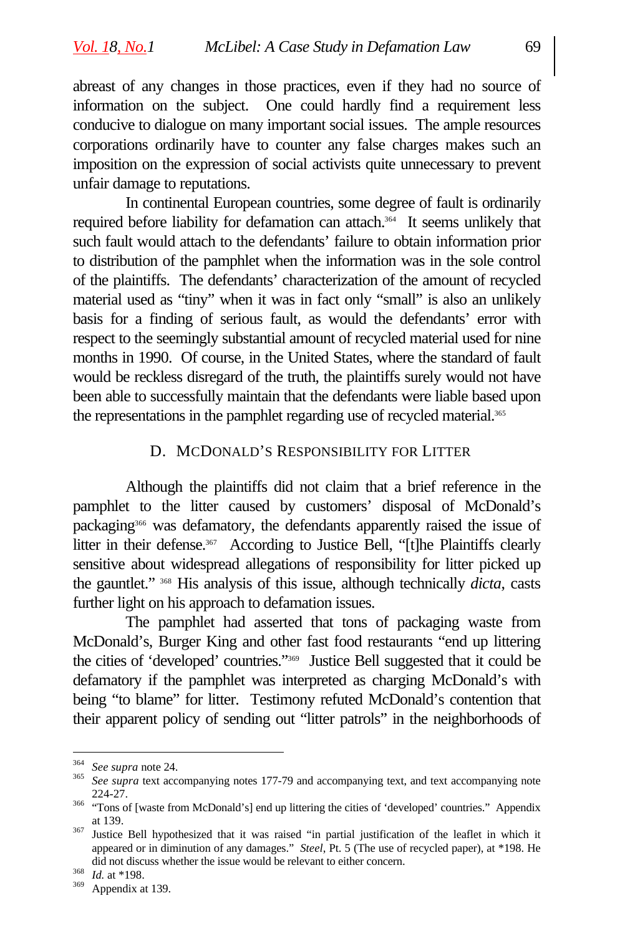abreast of any changes in those practices, even if they had no source of information on the subject. One could hardly find a requirement less conducive to dialogue on many important social issues. The ample resources corporations ordinarily have to counter any false charges makes such an imposition on the expression of social activists quite unnecessary to prevent unfair damage to reputations.

In continental European countries, some degree of fault is ordinarily required before liability for defamation can attach.364 It seems unlikely that such fault would attach to the defendants' failure to obtain information prior to distribution of the pamphlet when the information was in the sole control of the plaintiffs. The defendants' characterization of the amount of recycled material used as "tiny" when it was in fact only "small" is also an unlikely basis for a finding of serious fault, as would the defendants' error with respect to the seemingly substantial amount of recycled material used for nine months in 1990. Of course, in the United States, where the standard of fault would be reckless disregard of the truth, the plaintiffs surely would not have been able to successfully maintain that the defendants were liable based upon the representations in the pamphlet regarding use of recycled material.<sup>365</sup>

#### D. MCDONALD'S RESPONSIBILITY FOR LITTER

Although the plaintiffs did not claim that a brief reference in the pamphlet to the litter caused by customers' disposal of McDonald's packaging<sup>366</sup> was defamatory, the defendants apparently raised the issue of litter in their defense.<sup>367</sup> According to Justice Bell, "[t]he Plaintiffs clearly sensitive about widespread allegations of responsibility for litter picked up the gauntlet." 368 His analysis of this issue, although technically *dicta*, casts further light on his approach to defamation issues.

The pamphlet had asserted that tons of packaging waste from McDonald's, Burger King and other fast food restaurants "end up littering the cities of 'developed' countries."369 Justice Bell suggested that it could be defamatory if the pamphlet was interpreted as charging McDonald's with being "to blame" for litter. Testimony refuted McDonald's contention that their apparent policy of sending out "litter patrols" in the neighborhoods of

 364 *See supra* note 24.

<sup>&</sup>lt;sup>365</sup> See supra text accompanying notes 177-79 and accompanying text, and text accompanying note 224-27.

<sup>&</sup>lt;sup>366</sup> "Tons of [waste from McDonald's] end up littering the cities of 'developed' countries." Appendix at 139.

<sup>&</sup>lt;sup>367</sup> Justice Bell hypothesized that it was raised "in partial justification of the leaflet in which it appeared or in diminution of any damages." *Steel*, Pt. 5 (The use of recycled paper), at \*198. He did not discuss whether the issue would be relevant to either concern.

<sup>368</sup> *Id.* at \*198.

<sup>&</sup>lt;sup>369</sup> Appendix at 139.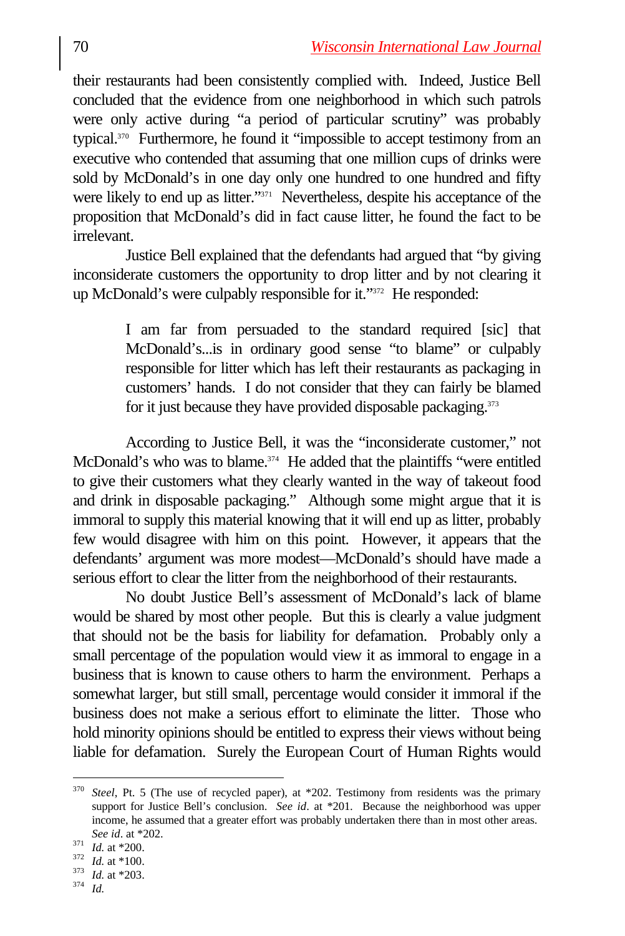their restaurants had been consistently complied with. Indeed, Justice Bell concluded that the evidence from one neighborhood in which such patrols were only active during "a period of particular scrutiny" was probably typical.370 Furthermore, he found it "impossible to accept testimony from an executive who contended that assuming that one million cups of drinks were sold by McDonald's in one day only one hundred to one hundred and fifty were likely to end up as litter."371 Nevertheless, despite his acceptance of the proposition that McDonald's did in fact cause litter, he found the fact to be irrelevant.

Justice Bell explained that the defendants had argued that "by giving inconsiderate customers the opportunity to drop litter and by not clearing it up McDonald's were culpably responsible for it."372 He responded:

> I am far from persuaded to the standard required [sic] that McDonald's...is in ordinary good sense "to blame" or culpably responsible for litter which has left their restaurants as packaging in customers' hands. I do not consider that they can fairly be blamed for it just because they have provided disposable packaging.<sup>373</sup>

According to Justice Bell, it was the "inconsiderate customer," not McDonald's who was to blame.<sup>374</sup> He added that the plaintiffs "were entitled to give their customers what they clearly wanted in the way of takeout food and drink in disposable packaging." Although some might argue that it is immoral to supply this material knowing that it will end up as litter, probably few would disagree with him on this point. However, it appears that the defendants' argument was more modest—McDonald's should have made a serious effort to clear the litter from the neighborhood of their restaurants.

No doubt Justice Bell's assessment of McDonald's lack of blame would be shared by most other people. But this is clearly a value judgment that should not be the basis for liability for defamation. Probably only a small percentage of the population would view it as immoral to engage in a business that is known to cause others to harm the environment. Perhaps a somewhat larger, but still small, percentage would consider it immoral if the business does not make a serious effort to eliminate the litter. Those who hold minority opinions should be entitled to express their views without being liable for defamation. Surely the European Court of Human Rights would

<sup>&</sup>lt;sup>370</sup> Steel, Pt. 5 (The use of recycled paper), at \*202. Testimony from residents was the primary support for Justice Bell's conclusion. *See id*. at \*201. Because the neighborhood was upper income, he assumed that a greater effort was probably undertaken there than in most other areas. *See id*. at \*202.

<sup>371</sup> *Id.* at \*200.

 $372$  *Id.* at \*100.

<sup>373</sup> *Id.* at \*203.

<sup>374</sup> *Id.*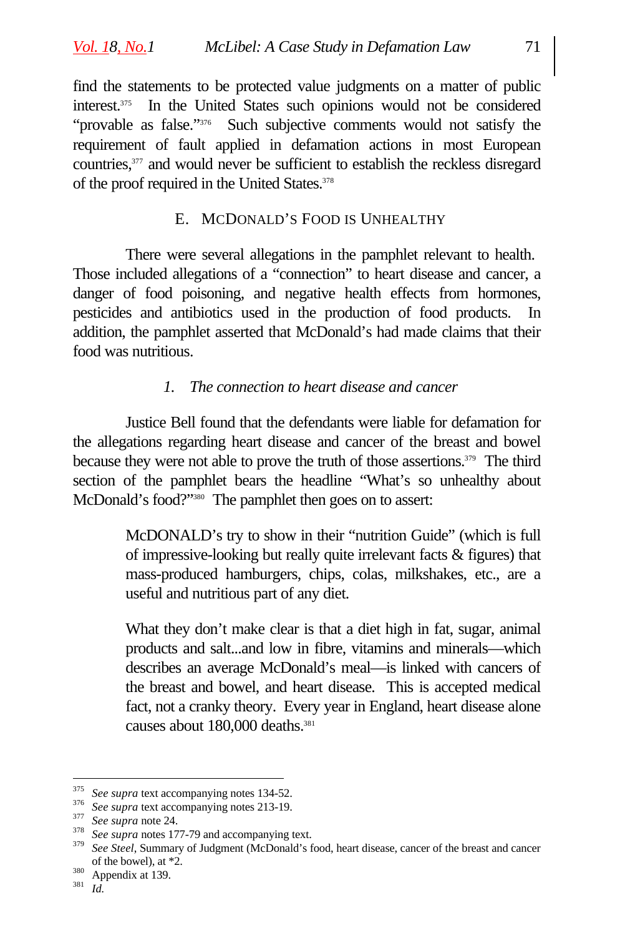find the statements to be protected value judgments on a matter of public interest.375 In the United States such opinions would not be considered "provable as false."376 Such subjective comments would not satisfy the requirement of fault applied in defamation actions in most European countries,377 and would never be sufficient to establish the reckless disregard of the proof required in the United States.<sup>378</sup>

## E. MCDONALD'S FOOD IS UNHEALTHY

There were several allegations in the pamphlet relevant to health. Those included allegations of a "connection" to heart disease and cancer, a danger of food poisoning, and negative health effects from hormones, pesticides and antibiotics used in the production of food products. In addition, the pamphlet asserted that McDonald's had made claims that their food was nutritious.

## *1. The connection to heart disease and cancer*

Justice Bell found that the defendants were liable for defamation for the allegations regarding heart disease and cancer of the breast and bowel because they were not able to prove the truth of those assertions.<sup>379</sup> The third section of the pamphlet bears the headline "What's so unhealthy about McDonald's food?"380 The pamphlet then goes on to assert:

> McDONALD's try to show in their "nutrition Guide" (which is full of impressive-looking but really quite irrelevant facts & figures) that mass-produced hamburgers, chips, colas, milkshakes, etc., are a useful and nutritious part of any diet.

> What they don't make clear is that a diet high in fat, sugar, animal products and salt...and low in fibre, vitamins and minerals—which describes an average McDonald's meal—is linked with cancers of the breast and bowel, and heart disease. This is accepted medical fact, not a cranky theory. Every year in England, heart disease alone causes about 180,000 deaths.<sup>381</sup>

 375 *See supra* text accompanying notes 134-52.

<sup>376</sup> *See supra* text accompanying notes 213-19.

<sup>377</sup> *See supra* note 24.

<sup>&</sup>lt;sup>378</sup> See supra notes 177-79 and accompanying text.

<sup>379</sup> *See Steel*, Summary of Judgment (McDonald's food, heart disease, cancer of the breast and cancer of the bowel), at \*2. 380

Appendix at 139.

<sup>381</sup> *Id.*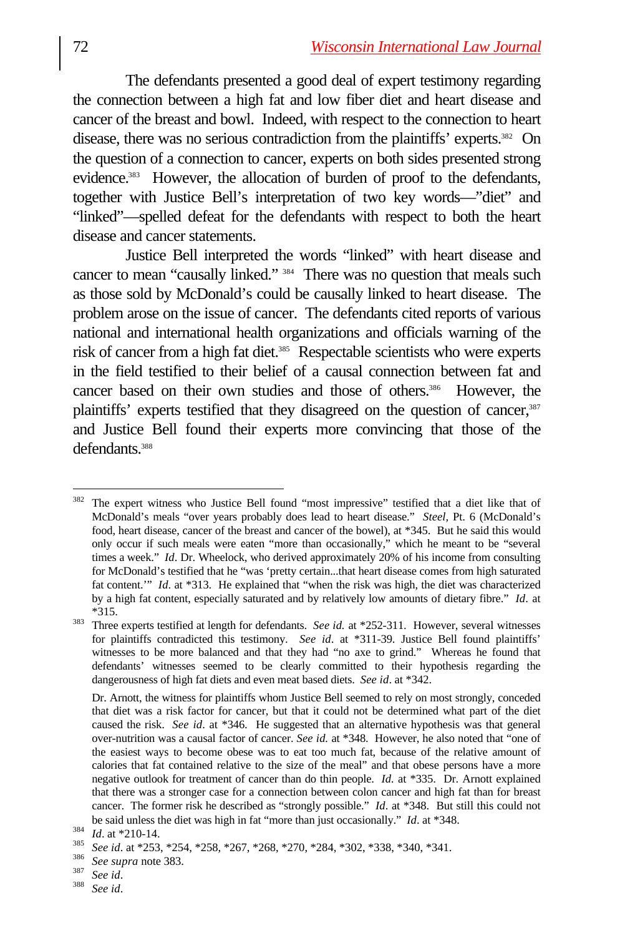The defendants presented a good deal of expert testimony regarding the connection between a high fat and low fiber diet and heart disease and cancer of the breast and bowl. Indeed, with respect to the connection to heart disease, there was no serious contradiction from the plaintiffs' experts.<sup>382</sup> On the question of a connection to cancer, experts on both sides presented strong evidence.<sup>383</sup> However, the allocation of burden of proof to the defendants, together with Justice Bell's interpretation of two key words—"diet" and "linked"—spelled defeat for the defendants with respect to both the heart disease and cancer statements.

Justice Bell interpreted the words "linked" with heart disease and cancer to mean "causally linked." 384 There was no question that meals such as those sold by McDonald's could be causally linked to heart disease. The problem arose on the issue of cancer. The defendants cited reports of various national and international health organizations and officials warning of the risk of cancer from a high fat diet.<sup>385</sup> Respectable scientists who were experts in the field testified to their belief of a causal connection between fat and cancer based on their own studies and those of others.<sup>386</sup> However, the plaintiffs' experts testified that they disagreed on the question of cancer,<sup>387</sup> and Justice Bell found their experts more convincing that those of the defendants.<sup>388</sup>

 382 The expert witness who Justice Bell found "most impressive" testified that a diet like that of McDonald's meals "over years probably does lead to heart disease." *Steel,* Pt. 6 (McDonald's food, heart disease, cancer of the breast and cancer of the bowel), at \*345. But he said this would only occur if such meals were eaten "more than occasionally," which he meant to be "several times a week." *Id*. Dr. Wheelock, who derived approximately 20% of his income from consulting for McDonald's testified that he "was 'pretty certain...that heart disease comes from high saturated fat content.'" *Id*. at \*313. He explained that "when the risk was high, the diet was characterized by a high fat content, especially saturated and by relatively low amounts of dietary fibre." *Id*. at \*315.

<sup>&</sup>lt;sup>383</sup> Three experts testified at length for defendants. *See id.* at \*252-311. However, several witnesses for plaintiffs contradicted this testimony. *See id*. at \*311-39. Justice Bell found plaintiffs' witnesses to be more balanced and that they had "no axe to grind." Whereas he found that defendants' witnesses seemed to be clearly committed to their hypothesis regarding the dangerousness of high fat diets and even meat based diets. *See id*. at \*342.

Dr. Arnott, the witness for plaintiffs whom Justice Bell seemed to rely on most strongly, conceded that diet was a risk factor for cancer, but that it could not be determined what part of the diet caused the risk. *See id*. at \*346. He suggested that an alternative hypothesis was that general over-nutrition was a causal factor of cancer. *See id.* at \*348. However, he also noted that "one of the easiest ways to become obese was to eat too much fat, because of the relative amount of calories that fat contained relative to the size of the meal" and that obese persons have a more negative outlook for treatment of cancer than do thin people. *Id.* at \*335. Dr. Arnott explained that there was a stronger case for a connection between colon cancer and high fat than for breast cancer. The former risk he described as "strongly possible." *Id*. at \*348. But still this could not be said unless the diet was high in fat "more than just occasionally." *Id*. at \*348.

 $\frac{384}{385}$  *Id.* at \*210-14.

<sup>385</sup> *See id*. at \*253, \*254, \*258, \*267, \*268, \*270, \*284, \*302, \*338, \*340, \*341.

<sup>386</sup> *See supra* note 383.

<sup>387</sup> *See id*.

<sup>388</sup> *See id*.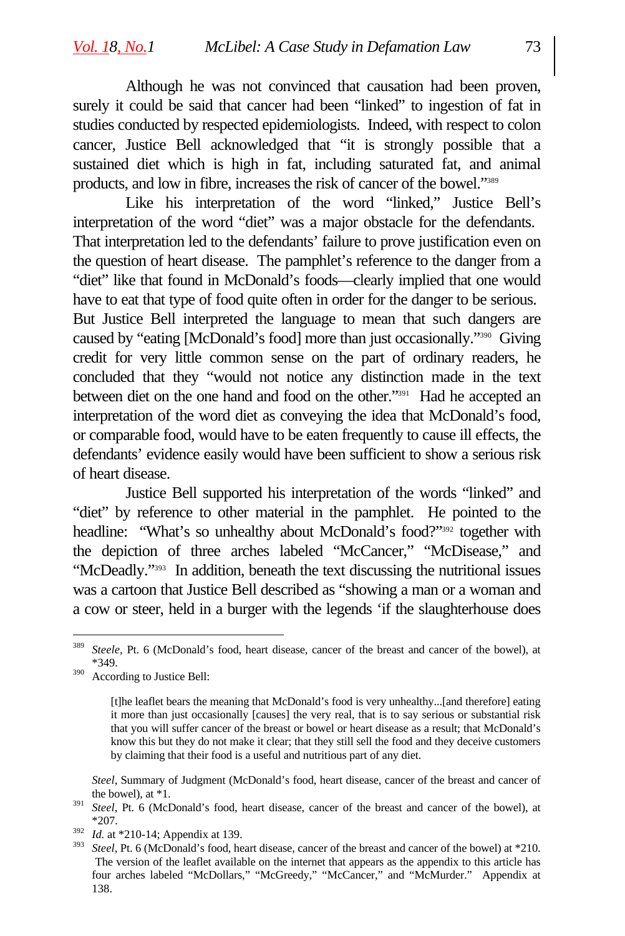Although he was not convinced that causation had been proven, surely it could be said that cancer had been "linked" to ingestion of fat in studies conducted by respected epidemiologists. Indeed, with respect to colon cancer, Justice Bell acknowledged that "it is strongly possible that a sustained diet which is high in fat, including saturated fat, and animal products, and low in fibre, increases the risk of cancer of the bowel."<sup>389</sup>

Like his interpretation of the word "linked," Justice Bell's interpretation of the word "diet" was a major obstacle for the defendants. That interpretation led to the defendants' failure to prove justification even on the question of heart disease. The pamphlet's reference to the danger from a "diet" like that found in McDonald's foods—clearly implied that one would have to eat that type of food quite often in order for the danger to be serious. But Justice Bell interpreted the language to mean that such dangers are caused by "eating [McDonald's food] more than just occasionally."390 Giving credit for very little common sense on the part of ordinary readers, he concluded that they "would not notice any distinction made in the text between diet on the one hand and food on the other."391 Had he accepted an interpretation of the word diet as conveying the idea that McDonald's food, or comparable food, would have to be eaten frequently to cause ill effects, the defendants' evidence easily would have been sufficient to show a serious risk of heart disease.

Justice Bell supported his interpretation of the words "linked" and "diet" by reference to other material in the pamphlet. He pointed to the headline: "What's so unhealthy about McDonald's food?"<sup>392</sup> together with the depiction of three arches labeled "McCancer," "McDisease," and "McDeadly."393 In addition, beneath the text discussing the nutritional issues was a cartoon that Justice Bell described as "showing a man or a woman and a cow or steer, held in a burger with the legends 'if the slaughterhouse does

<sup>390</sup> According to Justice Bell:

<sup>&</sup>lt;sup>389</sup> *Steele*, Pt. 6 (McDonald's food, heart disease, cancer of the breast and cancer of the bowel), at \*349.

<sup>[</sup>t]he leaflet bears the meaning that McDonald's food is very unhealthy...[and therefore] eating it more than just occasionally [causes] the very real, that is to say serious or substantial risk that you will suffer cancer of the breast or bowel or heart disease as a result; that McDonald's know this but they do not make it clear; that they still sell the food and they deceive customers by claiming that their food is a useful and nutritious part of any diet.

*Steel,* Summary of Judgment (McDonald's food, heart disease, cancer of the breast and cancer of the bowel), at \*1.

<sup>391</sup> *Steel*, Pt. 6 (McDonald's food, heart disease, cancer of the breast and cancer of the bowel), at \*207.

<sup>392</sup> *Id.* at \*210-14; Appendix at 139.

<sup>393</sup> *Steel*, Pt. 6 (McDonald's food, heart disease, cancer of the breast and cancer of the bowel) at \*210. The version of the leaflet available on the internet that appears as the appendix to this article has four arches labeled "McDollars," "McGreedy," "McCancer," and "McMurder." Appendix at 138.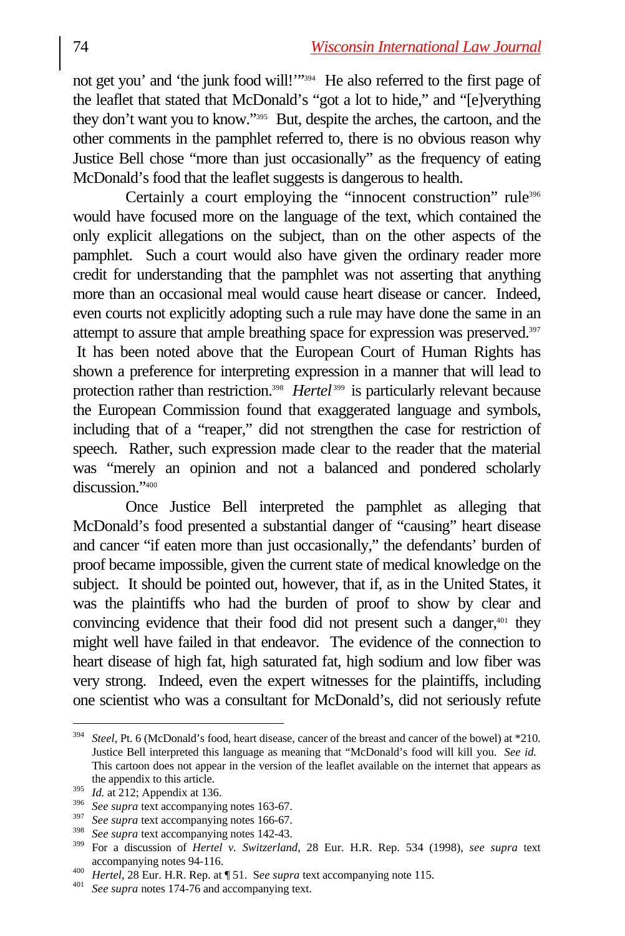not get you' and 'the junk food will!'"394 He also referred to the first page of the leaflet that stated that McDonald's "got a lot to hide," and "[e]verything they don't want you to know."395 But, despite the arches, the cartoon, and the other comments in the pamphlet referred to, there is no obvious reason why Justice Bell chose "more than just occasionally" as the frequency of eating McDonald's food that the leaflet suggests is dangerous to health.

Certainly a court employing the "innocent construction" rule<sup>396</sup> would have focused more on the language of the text, which contained the only explicit allegations on the subject, than on the other aspects of the pamphlet. Such a court would also have given the ordinary reader more credit for understanding that the pamphlet was not asserting that anything more than an occasional meal would cause heart disease or cancer. Indeed, even courts not explicitly adopting such a rule may have done the same in an attempt to assure that ample breathing space for expression was preserved.<sup>397</sup> It has been noted above that the European Court of Human Rights has shown a preference for interpreting expression in a manner that will lead to protection rather than restriction.<sup>398</sup> *Hertel*<sup>399</sup> is particularly relevant because the European Commission found that exaggerated language and symbols, including that of a "reaper," did not strengthen the case for restriction of speech. Rather, such expression made clear to the reader that the material was "merely an opinion and not a balanced and pondered scholarly discussion."<sup>400</sup>

Once Justice Bell interpreted the pamphlet as alleging that McDonald's food presented a substantial danger of "causing" heart disease and cancer "if eaten more than just occasionally," the defendants' burden of proof became impossible, given the current state of medical knowledge on the subject. It should be pointed out, however, that if, as in the United States, it was the plaintiffs who had the burden of proof to show by clear and convincing evidence that their food did not present such a danger,<sup>401</sup> they might well have failed in that endeavor. The evidence of the connection to heart disease of high fat, high saturated fat, high sodium and low fiber was very strong. Indeed, even the expert witnesses for the plaintiffs, including one scientist who was a consultant for McDonald's, did not seriously refute

 394 *Steel*, Pt. 6 (McDonald's food, heart disease, cancer of the breast and cancer of the bowel) at \*210. Justice Bell interpreted this language as meaning that "McDonald's food will kill you. *See id.* This cartoon does not appear in the version of the leaflet available on the internet that appears as the appendix to this article.

<sup>395</sup> *Id.* at 212; Appendix at 136.

<sup>396</sup> *See supra* text accompanying notes 163-67.

<sup>397</sup> *See supra* text accompanying notes 166-67.

<sup>398</sup> *See supra* text accompanying notes 142-43.

<sup>399</sup> For a discussion of *Hertel v. Switzerland*, 28 Eur. H.R. Rep. 534 (1998), *see supra* text accompanying notes 94-116.

<sup>400</sup> <sup>400</sup> Hertel, 28 Eur. H.R. Rep. at  $\parallel$  51. See supra text accompanying note 115.<br><sup>401</sup> See supra potes 174.76 and accompanying text

See supra notes 174-76 and accompanying text.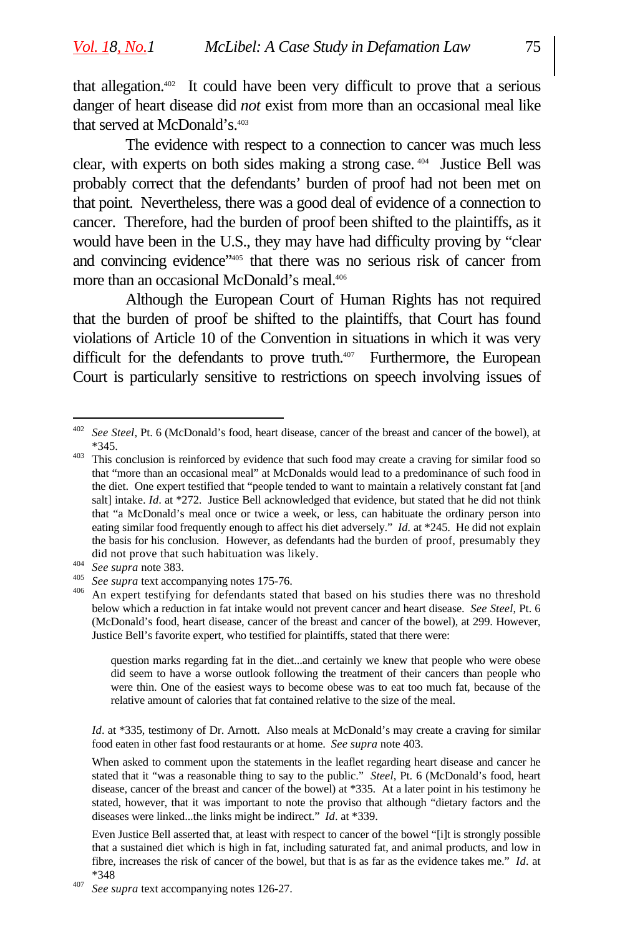that allegation.402 It could have been very difficult to prove that a serious danger of heart disease did *not* exist from more than an occasional meal like that served at McDonald's.<sup>403</sup>

The evidence with respect to a connection to cancer was much less clear, with experts on both sides making a strong case. <sup>404</sup> Justice Bell was probably correct that the defendants' burden of proof had not been met on that point. Nevertheless, there was a good deal of evidence of a connection to cancer. Therefore, had the burden of proof been shifted to the plaintiffs, as it would have been in the U.S., they may have had difficulty proving by "clear and convincing evidence"405 that there was no serious risk of cancer from more than an occasional McDonald's meal.<sup>406</sup>

Although the European Court of Human Rights has not required that the burden of proof be shifted to the plaintiffs, that Court has found violations of Article 10 of the Convention in situations in which it was very difficult for the defendants to prove truth. $407$  Furthermore, the European Court is particularly sensitive to restrictions on speech involving issues of

question marks regarding fat in the diet...and certainly we knew that people who were obese did seem to have a worse outlook following the treatment of their cancers than people who were thin. One of the easiest ways to become obese was to eat too much fat, because of the relative amount of calories that fat contained relative to the size of the meal.

*Id.* at \*335, testimony of Dr. Arnott. Also meals at McDonald's may create a craving for similar food eaten in other fast food restaurants or at home. *See supra* note 403.

When asked to comment upon the statements in the leaflet regarding heart disease and cancer he stated that it "was a reasonable thing to say to the public." *Steel*, Pt. 6 (McDonald's food, heart disease, cancer of the breast and cancer of the bowel) at \*335. At a later point in his testimony he stated, however, that it was important to note the proviso that although "dietary factors and the diseases were linked...the links might be indirect." *Id*. at \*339.

 $\frac{1}{402}$  *See Steel*, Pt. 6 (McDonald's food, heart disease, cancer of the breast and cancer of the bowel), at \*345.

<sup>&</sup>lt;sup>403</sup> This conclusion is reinforced by evidence that such food may create a craving for similar food so that "more than an occasional meal" at McDonalds would lead to a predominance of such food in the diet. One expert testified that "people tended to want to maintain a relatively constant fat [and salt] intake. *Id.* at \*272. Justice Bell acknowledged that evidence, but stated that he did not think that "a McDonald's meal once or twice a week, or less, can habituate the ordinary person into eating similar food frequently enough to affect his diet adversely." *Id.* at \*245. He did not explain the basis for his conclusion. However, as defendants had the burden of proof, presumably they did not prove that such habituation was likely.

<sup>404</sup> *See supra* note 383.

<sup>405</sup> *See supra* text accompanying notes 175-76.

<sup>&</sup>lt;sup>406</sup> An expert testifying for defendants stated that based on his studies there was no threshold below which a reduction in fat intake would not prevent cancer and heart disease. *See Steel*, Pt. 6 (McDonald's food, heart disease, cancer of the breast and cancer of the bowel), at 299. However, Justice Bell's favorite expert, who testified for plaintiffs, stated that there were:

Even Justice Bell asserted that, at least with respect to cancer of the bowel "[i]t is strongly possible that a sustained diet which is high in fat, including saturated fat, and animal products, and low in fibre, increases the risk of cancer of the bowel, but that is as far as the evidence takes me." *Id*. at \*348

<sup>407</sup> *See supra* text accompanying notes 126-27.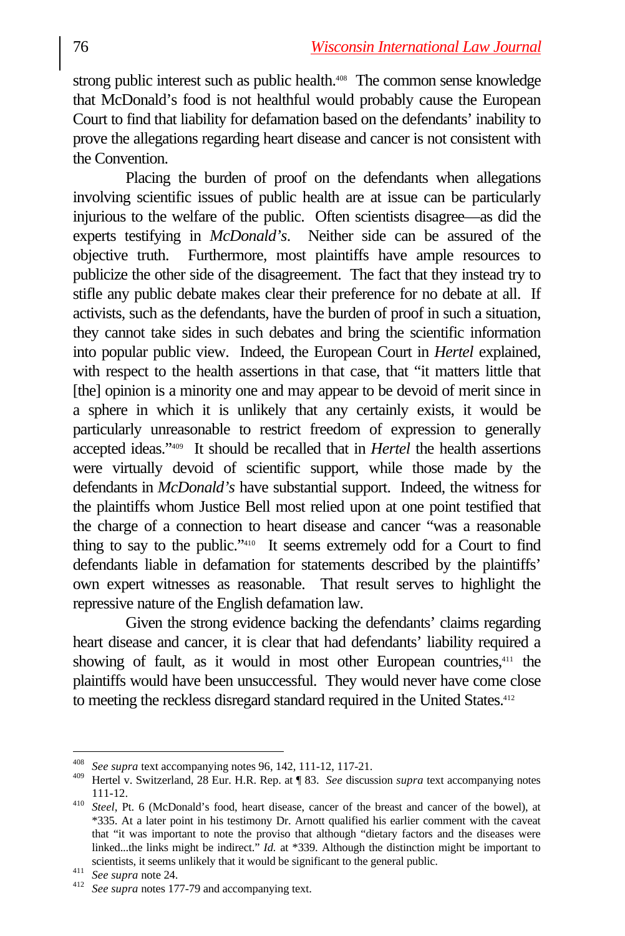strong public interest such as public health.<sup>408</sup> The common sense knowledge that McDonald's food is not healthful would probably cause the European Court to find that liability for defamation based on the defendants' inability to prove the allegations regarding heart disease and cancer is not consistent with the Convention.

Placing the burden of proof on the defendants when allegations involving scientific issues of public health are at issue can be particularly injurious to the welfare of the public. Often scientists disagree—as did the experts testifying in *McDonald's*. Neither side can be assured of the objective truth. Furthermore, most plaintiffs have ample resources to publicize the other side of the disagreement. The fact that they instead try to stifle any public debate makes clear their preference for no debate at all. If activists, such as the defendants, have the burden of proof in such a situation, they cannot take sides in such debates and bring the scientific information into popular public view. Indeed, the European Court in *Hertel* explained, with respect to the health assertions in that case, that "it matters little that [the] opinion is a minority one and may appear to be devoid of merit since in a sphere in which it is unlikely that any certainly exists, it would be particularly unreasonable to restrict freedom of expression to generally accepted ideas."409 It should be recalled that in *Hertel* the health assertions were virtually devoid of scientific support, while those made by the defendants in *McDonald's* have substantial support. Indeed, the witness for the plaintiffs whom Justice Bell most relied upon at one point testified that the charge of a connection to heart disease and cancer "was a reasonable thing to say to the public."410 It seems extremely odd for a Court to find defendants liable in defamation for statements described by the plaintiffs' own expert witnesses as reasonable. That result serves to highlight the repressive nature of the English defamation law.

Given the strong evidence backing the defendants' claims regarding heart disease and cancer, it is clear that had defendants' liability required a showing of fault, as it would in most other European countries, $411$  the plaintiffs would have been unsuccessful. They would never have come close to meeting the reckless disregard standard required in the United States.<sup>412</sup>

 408 *See supra* text accompanying notes 96, 142, 111-12, 117-21.

<sup>409</sup> Hertel v. Switzerland, 28 Eur. H.R. Rep. at ¶ 83. *See* discussion *supra* text accompanying notes 111-12.

<sup>410</sup> *Steel*, Pt. 6 (McDonald's food, heart disease, cancer of the breast and cancer of the bowel), at \*335. At a later point in his testimony Dr. Arnott qualified his earlier comment with the caveat that "it was important to note the proviso that although "dietary factors and the diseases were linked...the links might be indirect." *Id.* at \*339. Although the distinction might be important to scientists, it seems unlikely that it would be significant to the general public.

<sup>411</sup> *See supra* note 24.

<sup>412</sup> *See supra* notes 177-79 and accompanying text.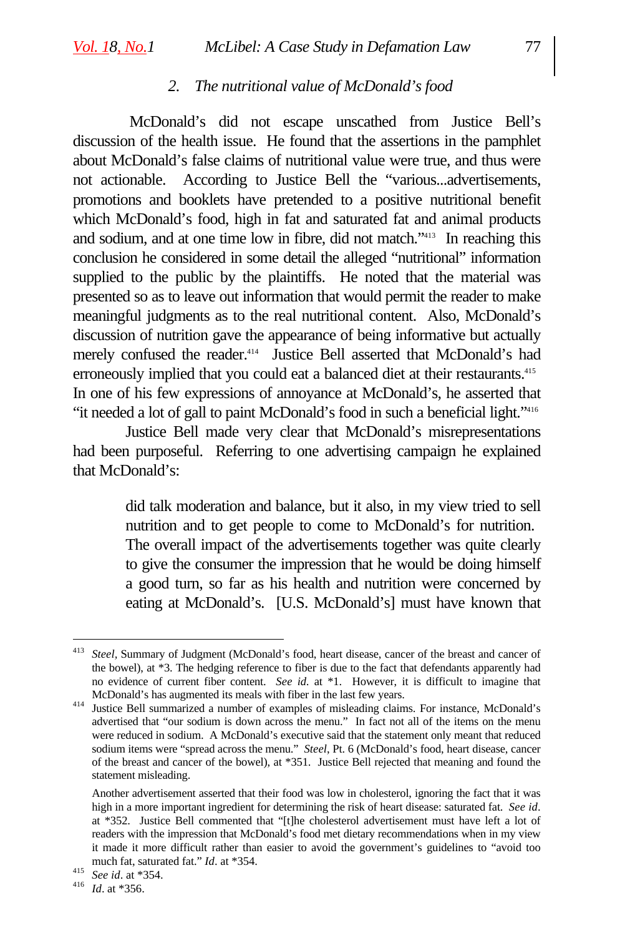#### *2. The nutritional value of McDonald's food*

 McDonald's did not escape unscathed from Justice Bell's discussion of the health issue. He found that the assertions in the pamphlet about McDonald's false claims of nutritional value were true, and thus were not actionable. According to Justice Bell the "various...advertisements, promotions and booklets have pretended to a positive nutritional benefit which McDonald's food, high in fat and saturated fat and animal products and sodium, and at one time low in fibre, did not match."413 In reaching this conclusion he considered in some detail the alleged "nutritional" information supplied to the public by the plaintiffs. He noted that the material was presented so as to leave out information that would permit the reader to make meaningful judgments as to the real nutritional content. Also, McDonald's discussion of nutrition gave the appearance of being informative but actually merely confused the reader.<sup>414</sup> Justice Bell asserted that McDonald's had erroneously implied that you could eat a balanced diet at their restaurants.<sup>415</sup> In one of his few expressions of annoyance at McDonald's, he asserted that "it needed a lot of gall to paint McDonald's food in such a beneficial light."<sup>416</sup>

Justice Bell made very clear that McDonald's misrepresentations had been purposeful. Referring to one advertising campaign he explained that McDonald's:

> did talk moderation and balance, but it also, in my view tried to sell nutrition and to get people to come to McDonald's for nutrition. The overall impact of the advertisements together was quite clearly to give the consumer the impression that he would be doing himself a good turn, so far as his health and nutrition were concerned by eating at McDonald's. [U.S. McDonald's] must have known that

<sup>413</sup> *Steel,* Summary of Judgment (McDonald's food, heart disease, cancer of the breast and cancer of the bowel), at \*3. The hedging reference to fiber is due to the fact that defendants apparently had no evidence of current fiber content. *See id.* at \*1. However, it is difficult to imagine that McDonald's has augmented its meals with fiber in the last few years.

<sup>414</sup> Justice Bell summarized a number of examples of misleading claims. For instance, McDonald's advertised that "our sodium is down across the menu." In fact not all of the items on the menu were reduced in sodium. A McDonald's executive said that the statement only meant that reduced sodium items were "spread across the menu." *Steel*, Pt. 6 (McDonald's food, heart disease, cancer of the breast and cancer of the bowel), at \*351. Justice Bell rejected that meaning and found the statement misleading.

Another advertisement asserted that their food was low in cholesterol, ignoring the fact that it was high in a more important ingredient for determining the risk of heart disease: saturated fat. *See id*. at \*352. Justice Bell commented that "[t]he cholesterol advertisement must have left a lot of readers with the impression that McDonald's food met dietary recommendations when in my view it made it more difficult rather than easier to avoid the government's guidelines to "avoid too much fat, saturated fat." *Id*. at \*354.

<sup>415</sup> *See id*. at \*354.

<sup>416</sup> *Id*. at \*356.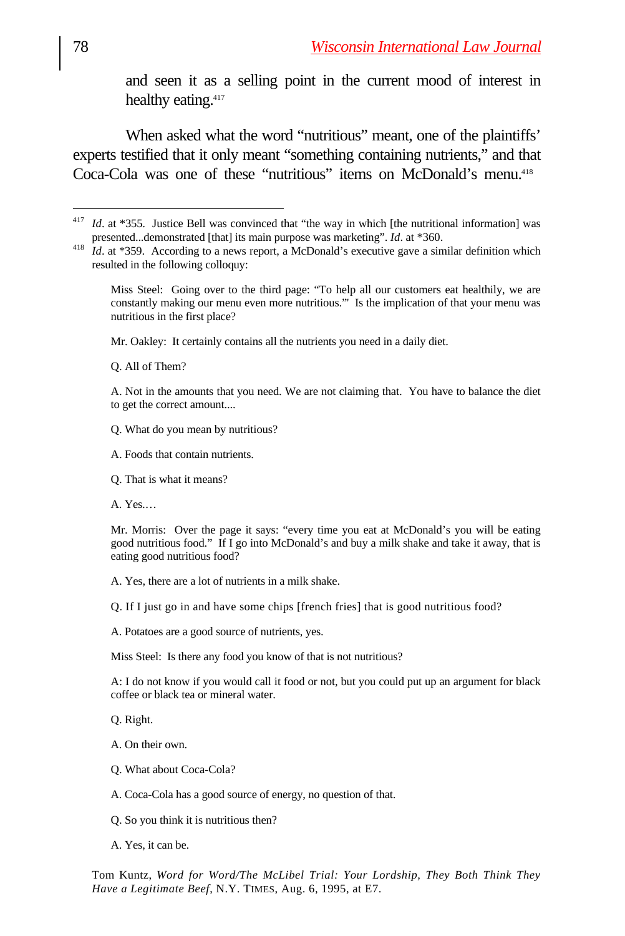and seen it as a selling point in the current mood of interest in healthy eating.<sup>417</sup>

When asked what the word "nutritious" meant, one of the plaintiffs' experts testified that it only meant "something containing nutrients," and that Coca-Cola was one of these "nutritious" items on McDonald's menu.<sup>418</sup>

Mr. Oakley: It certainly contains all the nutrients you need in a daily diet.

Q. All of Them?

A. Not in the amounts that you need. We are not claiming that. You have to balance the diet to get the correct amount....

Q. What do you mean by nutritious?

A. Foods that contain nutrients.

Q. That is what it means?

A. Yes.…

Mr. Morris: Over the page it says: "every time you eat at McDonald's you will be eating good nutritious food." If I go into McDonald's and buy a milk shake and take it away, that is eating good nutritious food?

A. Yes, there are a lot of nutrients in a milk shake.

Q. If I just go in and have some chips [french fries] that is good nutritious food?

A. Potatoes are a good source of nutrients, yes.

Miss Steel: Is there any food you know of that is not nutritious?

A: I do not know if you would call it food or not, but you could put up an argument for black coffee or black tea or mineral water.

Q. Right.

A. On their own.

Q. What about Coca-Cola?

A. Coca-Cola has a good source of energy, no question of that.

Q. So you think it is nutritious then?

A. Yes, it can be.

<sup>&</sup>lt;sup>417</sup> *Id.* at \*355. Justice Bell was convinced that "the way in which [the nutritional information] was presented...demonstrated [that] its main purpose was marketing". *Id*. at \*360.

<sup>&</sup>lt;sup>418</sup> *Id.* at \*359. According to a news report, a McDonald's executive gave a similar definition which resulted in the following colloquy:

Miss Steel: Going over to the third page: "To help all our customers eat healthily, we are constantly making our menu even more nutritious."' Is the implication of that your menu was nutritious in the first place?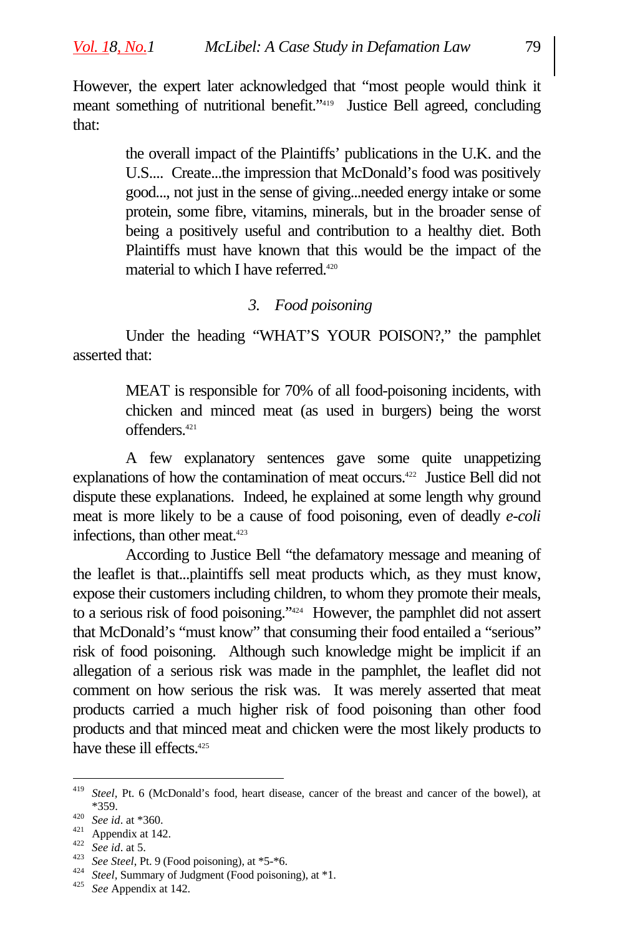However, the expert later acknowledged that "most people would think it meant something of nutritional benefit."419 Justice Bell agreed, concluding that:

> the overall impact of the Plaintiffs' publications in the U.K. and the U.S.... Create...the impression that McDonald's food was positively good..., not just in the sense of giving...needed energy intake or some protein, some fibre, vitamins, minerals, but in the broader sense of being a positively useful and contribution to a healthy diet. Both Plaintiffs must have known that this would be the impact of the material to which I have referred.<sup>420</sup>

### *3. Food poisoning*

Under the heading "WHAT'S YOUR POISON?," the pamphlet asserted that:

> MEAT is responsible for 70% of all food-poisoning incidents, with chicken and minced meat (as used in burgers) being the worst offenders.<sup>421</sup>

A few explanatory sentences gave some quite unappetizing explanations of how the contamination of meat occurs.422 Justice Bell did not dispute these explanations. Indeed, he explained at some length why ground meat is more likely to be a cause of food poisoning, even of deadly *e-coli* infections, than other meat.<sup>423</sup>

According to Justice Bell "the defamatory message and meaning of the leaflet is that...plaintiffs sell meat products which, as they must know, expose their customers including children, to whom they promote their meals, to a serious risk of food poisoning."424 However, the pamphlet did not assert that McDonald's "must know" that consuming their food entailed a "serious" risk of food poisoning. Although such knowledge might be implicit if an allegation of a serious risk was made in the pamphlet, the leaflet did not comment on how serious the risk was. It was merely asserted that meat products carried a much higher risk of food poisoning than other food products and that minced meat and chicken were the most likely products to have these ill effects.<sup>425</sup>

 419 *Steel,* Pt. 6 (McDonald's food, heart disease, cancer of the breast and cancer of the bowel), at \*359.

<sup>420</sup> *See id*. at \*360.

 $421$  Appendix at 142.

<sup>422</sup> *See id*. at 5.

<sup>423</sup> *See Steel*, Pt. 9 (Food poisoning), at \*5-\*6.

<sup>424</sup> *Steel,* Summary of Judgment (Food poisoning), at \*1.

<sup>425</sup> *See* Appendix at 142.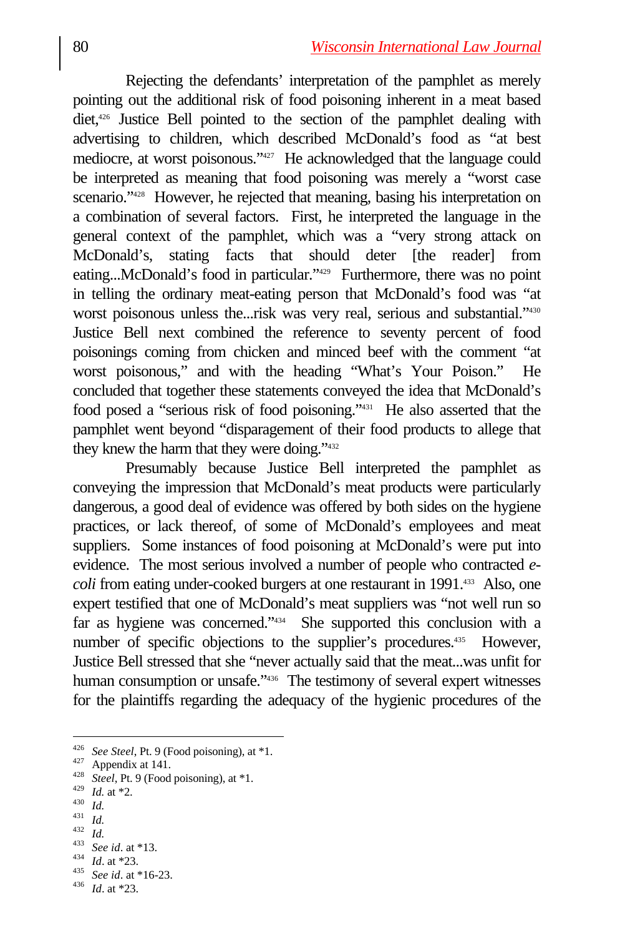Rejecting the defendants' interpretation of the pamphlet as merely pointing out the additional risk of food poisoning inherent in a meat based diet,426 Justice Bell pointed to the section of the pamphlet dealing with advertising to children, which described McDonald's food as "at best mediocre, at worst poisonous."427 He acknowledged that the language could be interpreted as meaning that food poisoning was merely a "worst case scenario."<sup>428</sup> However, he rejected that meaning, basing his interpretation on a combination of several factors. First, he interpreted the language in the general context of the pamphlet, which was a "very strong attack on McDonald's, stating facts that should deter [the reader] from eating...McDonald's food in particular."429 Furthermore, there was no point in telling the ordinary meat-eating person that McDonald's food was "at worst poisonous unless the...risk was very real, serious and substantial."<sup>430</sup> Justice Bell next combined the reference to seventy percent of food poisonings coming from chicken and minced beef with the comment "at worst poisonous," and with the heading "What's Your Poison." He concluded that together these statements conveyed the idea that McDonald's food posed a "serious risk of food poisoning."431 He also asserted that the pamphlet went beyond "disparagement of their food products to allege that they knew the harm that they were doing."<sup>432</sup>

Presumably because Justice Bell interpreted the pamphlet as conveying the impression that McDonald's meat products were particularly dangerous, a good deal of evidence was offered by both sides on the hygiene practices, or lack thereof, of some of McDonald's employees and meat suppliers. Some instances of food poisoning at McDonald's were put into evidence. The most serious involved a number of people who contracted *ecoli* from eating under-cooked burgers at one restaurant in 1991.<sup>433</sup> Also, one expert testified that one of McDonald's meat suppliers was "not well run so far as hygiene was concerned."<sup>434</sup> She supported this conclusion with a number of specific objections to the supplier's procedures.<sup>435</sup> However, Justice Bell stressed that she "never actually said that the meat...was unfit for human consumption or unsafe."<sup>436</sup> The testimony of several expert witnesses for the plaintiffs regarding the adequacy of the hygienic procedures of the

- 428 *Steel*, Pt. 9 (Food poisoning), at \*1.
- 429 *Id.* at \*2.
- 430 *Id.* 431
- *Id.*

 $\overline{a}$ 

432 *Id.*

<sup>426</sup> *See Steel*, Pt. 9 (Food poisoning), at \*1.

 $427$  Appendix at 141.

<sup>433</sup>  *See id*. at \*13.

<sup>434</sup>  *Id*. at \*23.

<sup>435</sup> *See id*. at \*16-23.

<sup>436</sup> *Id*. at \*23.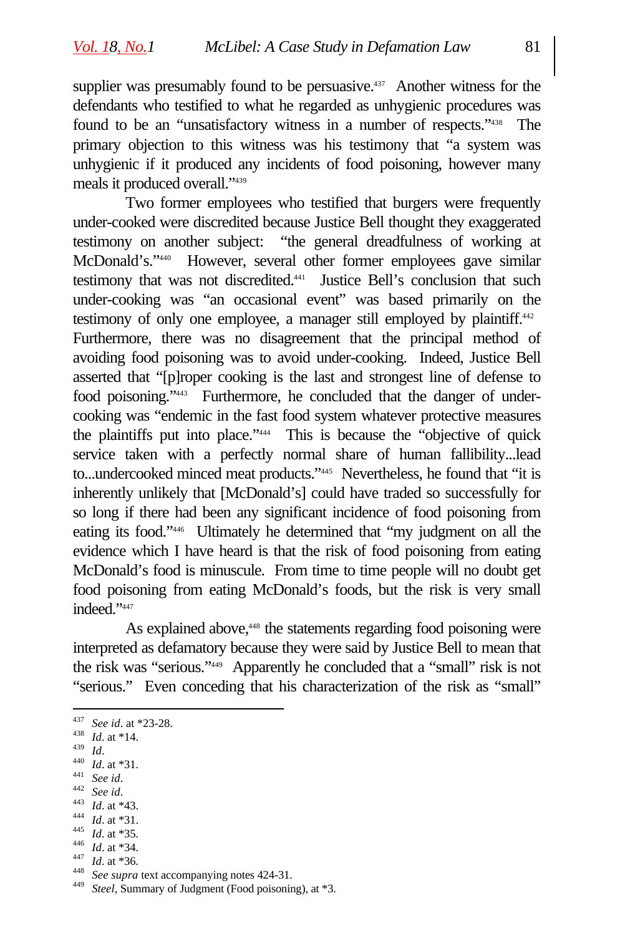supplier was presumably found to be persuasive. $437$  Another witness for the defendants who testified to what he regarded as unhygienic procedures was found to be an "unsatisfactory witness in a number of respects."438 The primary objection to this witness was his testimony that "a system was unhygienic if it produced any incidents of food poisoning, however many meals it produced overall."<sup>439</sup>

Two former employees who testified that burgers were frequently under-cooked were discredited because Justice Bell thought they exaggerated testimony on another subject: "the general dreadfulness of working at McDonald's."<sup>440</sup> However, several other former employees gave similar testimony that was not discredited.<sup>441</sup> Justice Bell's conclusion that such under-cooking was "an occasional event" was based primarily on the testimony of only one employee, a manager still employed by plaintiff.<sup>442</sup> Furthermore, there was no disagreement that the principal method of avoiding food poisoning was to avoid under-cooking. Indeed, Justice Bell asserted that "[p]roper cooking is the last and strongest line of defense to food poisoning."443 Furthermore, he concluded that the danger of undercooking was "endemic in the fast food system whatever protective measures the plaintiffs put into place."444 This is because the "objective of quick service taken with a perfectly normal share of human fallibility...lead to...undercooked minced meat products."445 Nevertheless, he found that "it is inherently unlikely that [McDonald's] could have traded so successfully for so long if there had been any significant incidence of food poisoning from eating its food."446 Ultimately he determined that "my judgment on all the evidence which I have heard is that the risk of food poisoning from eating McDonald's food is minuscule. From time to time people will no doubt get food poisoning from eating McDonald's foods, but the risk is very small indeed."<sup>447</sup>

As explained above,<sup>448</sup> the statements regarding food poisoning were interpreted as defamatory because they were said by Justice Bell to mean that the risk was "serious."449 Apparently he concluded that a "small" risk is not "serious." Even conceding that his characterization of the risk as "small"

439 *Id*.

- 440 *Id*. at \*31.
- 441 *See id*.
- 442 *See id*. 443 *Id*. at \*43.
- 444 *Id*. at \*31.
- 445 *Id*. at \*35.
- 446 *Id*. at \*34.
- 447 *Id*. at \*36.

<sup>437</sup> *See id*. at \*23-28.

<sup>438</sup> *Id*. at \*14.

<sup>448</sup> *See supra* text accompanying notes 424-31.

<sup>449</sup> *Steel,* Summary of Judgment (Food poisoning), at \*3.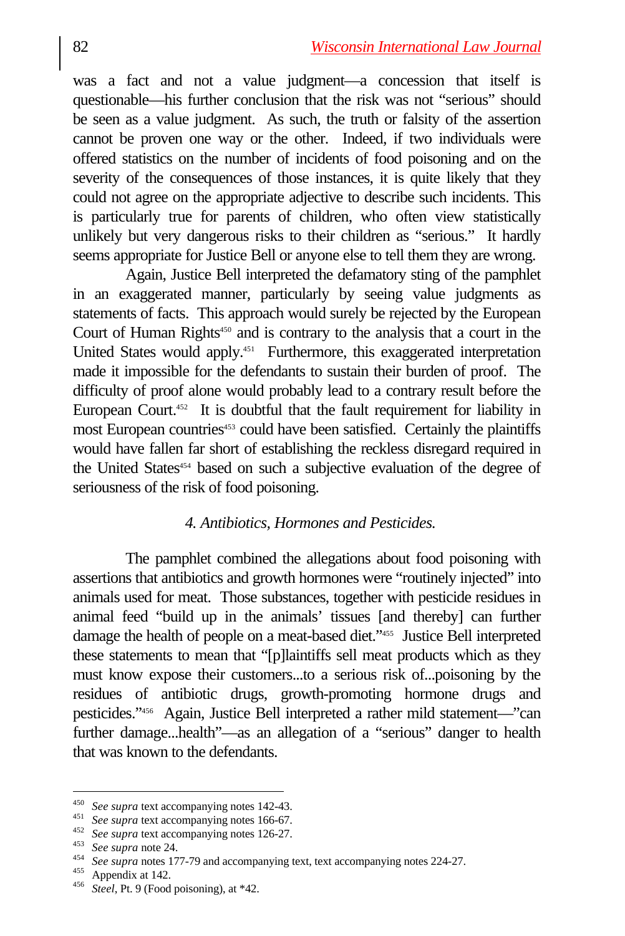was a fact and not a value judgment—a concession that itself is questionable—his further conclusion that the risk was not "serious" should be seen as a value judgment. As such, the truth or falsity of the assertion cannot be proven one way or the other. Indeed, if two individuals were offered statistics on the number of incidents of food poisoning and on the severity of the consequences of those instances, it is quite likely that they could not agree on the appropriate adjective to describe such incidents. This is particularly true for parents of children, who often view statistically unlikely but very dangerous risks to their children as "serious." It hardly seems appropriate for Justice Bell or anyone else to tell them they are wrong.

Again, Justice Bell interpreted the defamatory sting of the pamphlet in an exaggerated manner, particularly by seeing value judgments as statements of facts. This approach would surely be rejected by the European Court of Human Rights<sup>450</sup> and is contrary to the analysis that a court in the United States would apply.<sup>451</sup> Furthermore, this exaggerated interpretation made it impossible for the defendants to sustain their burden of proof. The difficulty of proof alone would probably lead to a contrary result before the European Court.<sup>452</sup> It is doubtful that the fault requirement for liability in most European countries<sup>453</sup> could have been satisfied. Certainly the plaintiffs would have fallen far short of establishing the reckless disregard required in the United States<sup>454</sup> based on such a subjective evaluation of the degree of seriousness of the risk of food poisoning.

# *4. Antibiotics, Hormones and Pesticides.*

The pamphlet combined the allegations about food poisoning with assertions that antibiotics and growth hormones were "routinely injected" into animals used for meat. Those substances, together with pesticide residues in animal feed "build up in the animals' tissues [and thereby] can further damage the health of people on a meat-based diet."455 Justice Bell interpreted these statements to mean that "[p]laintiffs sell meat products which as they must know expose their customers...to a serious risk of...poisoning by the residues of antibiotic drugs, growth-promoting hormone drugs and pesticides."456 Again, Justice Bell interpreted a rather mild statement—"can further damage...health"—as an allegation of a "serious" danger to health that was known to the defendants.

 $\frac{1}{450}$ *See supra* text accompanying notes 142-43.

<sup>451</sup> *See supra* text accompanying notes 166-67.

<sup>452</sup> *See supra* text accompanying notes 126-27.

<sup>453</sup> *See supra* note 24.

<sup>454</sup> *See supra* notes 177-79 and accompanying text, text accompanying notes 224-27.

<sup>455</sup> Appendix at 142.

<sup>456</sup> *Steel*, Pt. 9 (Food poisoning), at \*42.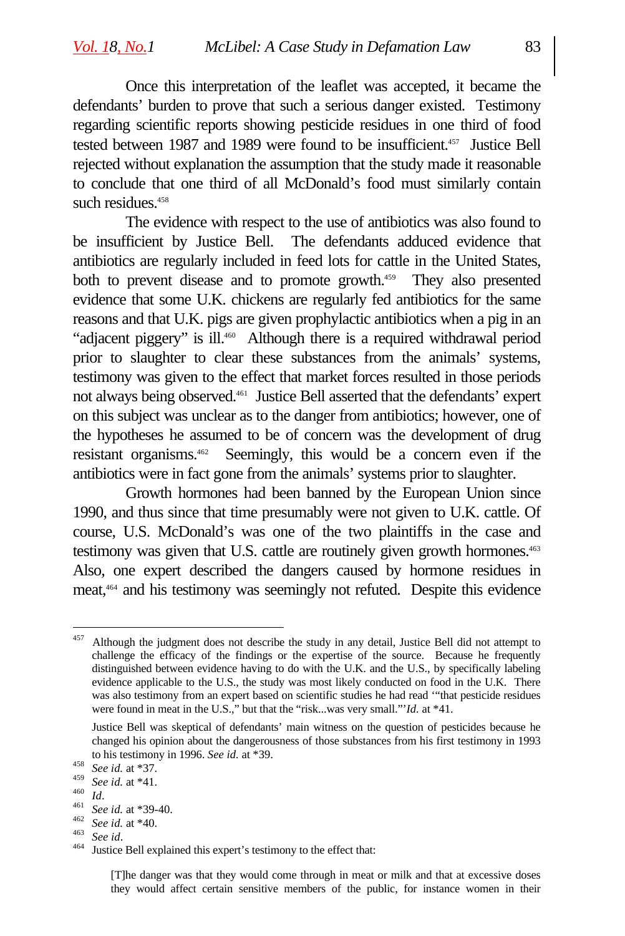Once this interpretation of the leaflet was accepted, it became the defendants' burden to prove that such a serious danger existed. Testimony regarding scientific reports showing pesticide residues in one third of food tested between 1987 and 1989 were found to be insufficient.457 Justice Bell rejected without explanation the assumption that the study made it reasonable to conclude that one third of all McDonald's food must similarly contain such residues<sup>458</sup>

The evidence with respect to the use of antibiotics was also found to be insufficient by Justice Bell. The defendants adduced evidence that antibiotics are regularly included in feed lots for cattle in the United States, both to prevent disease and to promote growth.<sup>459</sup> They also presented evidence that some U.K. chickens are regularly fed antibiotics for the same reasons and that U.K. pigs are given prophylactic antibiotics when a pig in an "adjacent piggery" is ill.<sup>460</sup> Although there is a required withdrawal period prior to slaughter to clear these substances from the animals' systems, testimony was given to the effect that market forces resulted in those periods not always being observed.461 Justice Bell asserted that the defendants' expert on this subject was unclear as to the danger from antibiotics; however, one of the hypotheses he assumed to be of concern was the development of drug resistant organisms.462 Seemingly, this would be a concern even if the antibiotics were in fact gone from the animals' systems prior to slaughter.

Growth hormones had been banned by the European Union since 1990, and thus since that time presumably were not given to U.K. cattle. Of course, U.S. McDonald's was one of the two plaintiffs in the case and testimony was given that U.S. cattle are routinely given growth hormones.<sup>463</sup> Also, one expert described the dangers caused by hormone residues in meat,464 and his testimony was seemingly not refuted. Despite this evidence

463 *See id*.

 $\overline{a}$ 457 Although the judgment does not describe the study in any detail, Justice Bell did not attempt to challenge the efficacy of the findings or the expertise of the source. Because he frequently distinguished between evidence having to do with the U.K. and the U.S., by specifically labeling evidence applicable to the U.S., the study was most likely conducted on food in the U.K. There was also testimony from an expert based on scientific studies he had read '"that pesticide residues were found in meat in the U.S.," but that the "risk...was very small."'*Id.* at \*41.

Justice Bell was skeptical of defendants' main witness on the question of pesticides because he changed his opinion about the dangerousness of those substances from his first testimony in 1993 to his testimony in 1996. *See id.* at \*39.

<sup>458</sup> *See id.* at \*37.

 $^{459}$  *See id.* at \*41.

 $Id$ 

<sup>461</sup> *See id.* at \*39-40.

<sup>462</sup> *See id.* at \*40.

<sup>&</sup>lt;sup>464</sup> Justice Bell explained this expert's testimony to the effect that:

<sup>[</sup>T]he danger was that they would come through in meat or milk and that at excessive doses they would affect certain sensitive members of the public, for instance women in their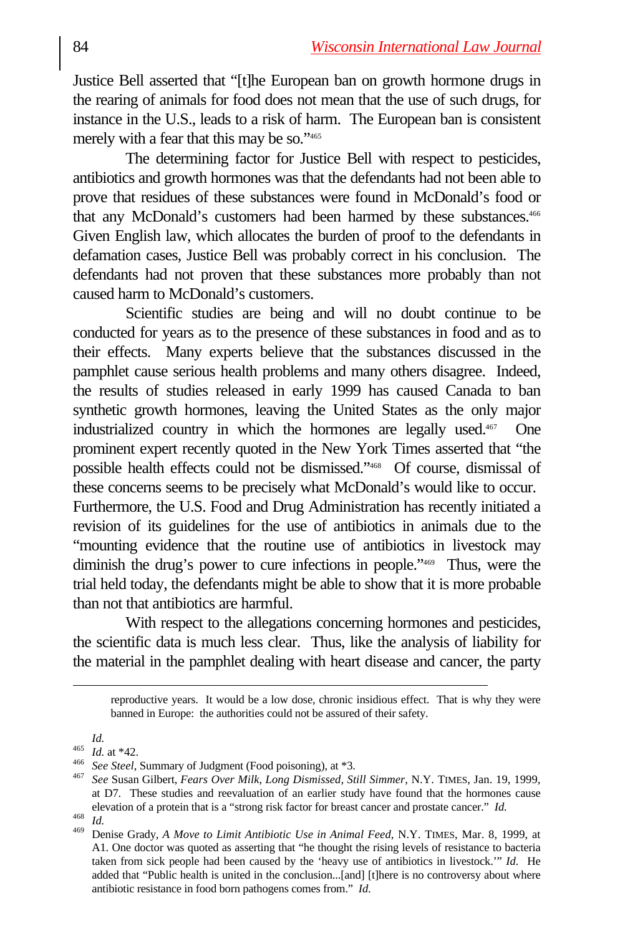Justice Bell asserted that "[t]he European ban on growth hormone drugs in the rearing of animals for food does not mean that the use of such drugs, for instance in the U.S., leads to a risk of harm. The European ban is consistent merely with a fear that this may be so."<sup>465</sup>

The determining factor for Justice Bell with respect to pesticides, antibiotics and growth hormones was that the defendants had not been able to prove that residues of these substances were found in McDonald's food or that any McDonald's customers had been harmed by these substances.<sup>466</sup> Given English law, which allocates the burden of proof to the defendants in defamation cases, Justice Bell was probably correct in his conclusion. The defendants had not proven that these substances more probably than not caused harm to McDonald's customers.

Scientific studies are being and will no doubt continue to be conducted for years as to the presence of these substances in food and as to their effects. Many experts believe that the substances discussed in the pamphlet cause serious health problems and many others disagree. Indeed, the results of studies released in early 1999 has caused Canada to ban synthetic growth hormones, leaving the United States as the only major industrialized country in which the hormones are legally used.467 One prominent expert recently quoted in the New York Times asserted that "the possible health effects could not be dismissed."468 Of course, dismissal of these concerns seems to be precisely what McDonald's would like to occur. Furthermore, the U.S. Food and Drug Administration has recently initiated a revision of its guidelines for the use of antibiotics in animals due to the "mounting evidence that the routine use of antibiotics in livestock may diminish the drug's power to cure infections in people."469 Thus, were the trial held today, the defendants might be able to show that it is more probable than not that antibiotics are harmful.

With respect to the allegations concerning hormones and pesticides, the scientific data is much less clear. Thus, like the analysis of liability for the material in the pamphlet dealing with heart disease and cancer, the party

reproductive years. It would be a low dose, chronic insidious effect. That is why they were banned in Europe: the authorities could not be assured of their safety.

*Id.*

<sup>465</sup> *Id.* at \*42.

<sup>466</sup> *See Steel*, Summary of Judgment (Food poisoning), at \*3.

<sup>467</sup> *See* Susan Gilbert, *Fears Over Milk, Long Dismissed, Still Simmer*, N.Y. TIMES, Jan. 19, 1999, at D7. These studies and reevaluation of an earlier study have found that the hormones cause elevation of a protein that is a "strong risk factor for breast cancer and prostate cancer." *Id.*

<sup>468</sup> *Id.*

<sup>469</sup> Denise Grady, *A Move to Limit Antibiotic Use in Animal Feed*, N.Y. TIMES, Mar. 8, 1999, at A1. One doctor was quoted as asserting that "he thought the rising levels of resistance to bacteria taken from sick people had been caused by the 'heavy use of antibiotics in livestock.'" *Id.* He added that "Public health is united in the conclusion...[and] [t]here is no controversy about where antibiotic resistance in food born pathogens comes from." *Id.*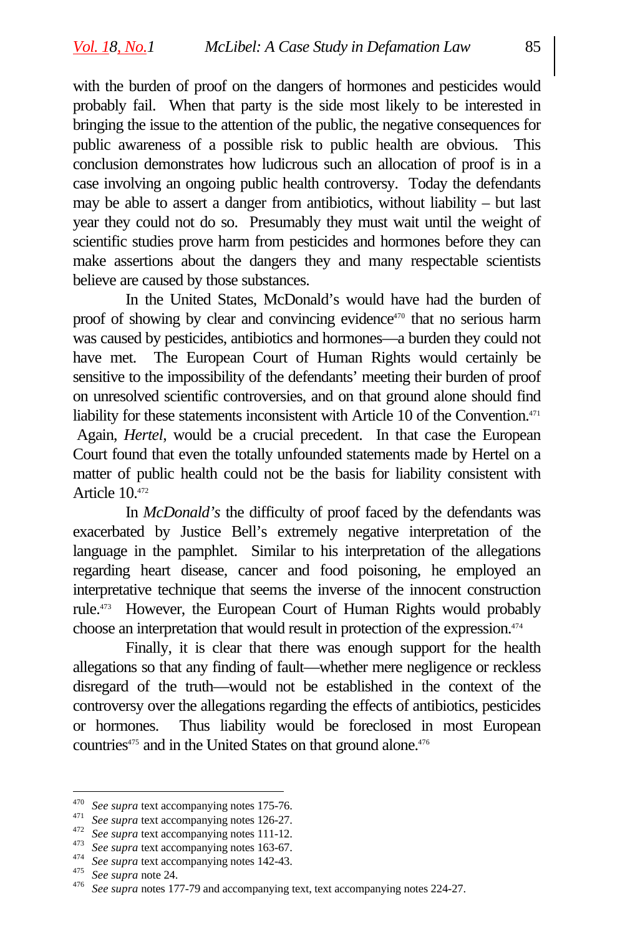with the burden of proof on the dangers of hormones and pesticides would probably fail. When that party is the side most likely to be interested in bringing the issue to the attention of the public, the negative consequences for public awareness of a possible risk to public health are obvious. This conclusion demonstrates how ludicrous such an allocation of proof is in a case involving an ongoing public health controversy. Today the defendants may be able to assert a danger from antibiotics, without liability – but last year they could not do so. Presumably they must wait until the weight of scientific studies prove harm from pesticides and hormones before they can make assertions about the dangers they and many respectable scientists believe are caused by those substances.

In the United States, McDonald's would have had the burden of proof of showing by clear and convincing evidence $470$  that no serious harm was caused by pesticides, antibiotics and hormones—a burden they could not have met. The European Court of Human Rights would certainly be sensitive to the impossibility of the defendants' meeting their burden of proof on unresolved scientific controversies, and on that ground alone should find liability for these statements inconsistent with Article 10 of the Convention. $471$  Again, *Hertel*, would be a crucial precedent. In that case the European Court found that even the totally unfounded statements made by Hertel on a matter of public health could not be the basis for liability consistent with Article 10<sup>472</sup>

In *McDonald's* the difficulty of proof faced by the defendants was exacerbated by Justice Bell's extremely negative interpretation of the language in the pamphlet. Similar to his interpretation of the allegations regarding heart disease, cancer and food poisoning, he employed an interpretative technique that seems the inverse of the innocent construction rule.473 However, the European Court of Human Rights would probably choose an interpretation that would result in protection of the expression.<sup>474</sup>

Finally, it is clear that there was enough support for the health allegations so that any finding of fault—whether mere negligence or reckless disregard of the truth—would not be established in the context of the controversy over the allegations regarding the effects of antibiotics, pesticides or hormones. Thus liability would be foreclosed in most European countries<sup>475</sup> and in the United States on that ground alone.<sup>476</sup>

<sup>470</sup> *See supra* text accompanying notes 175-76.

<sup>471</sup> *See supra* text accompanying notes 126-27.

<sup>472</sup> *See supra* text accompanying notes 111-12.

<sup>473</sup> *See supra* text accompanying notes 163-67.

<sup>&</sup>lt;sup>474</sup> *See supra* text accompanying notes 142-43.

See supra note 24.

<sup>&</sup>lt;sup>476</sup> *See supra* notes 177-79 and accompanying text, text accompanying notes 224-27.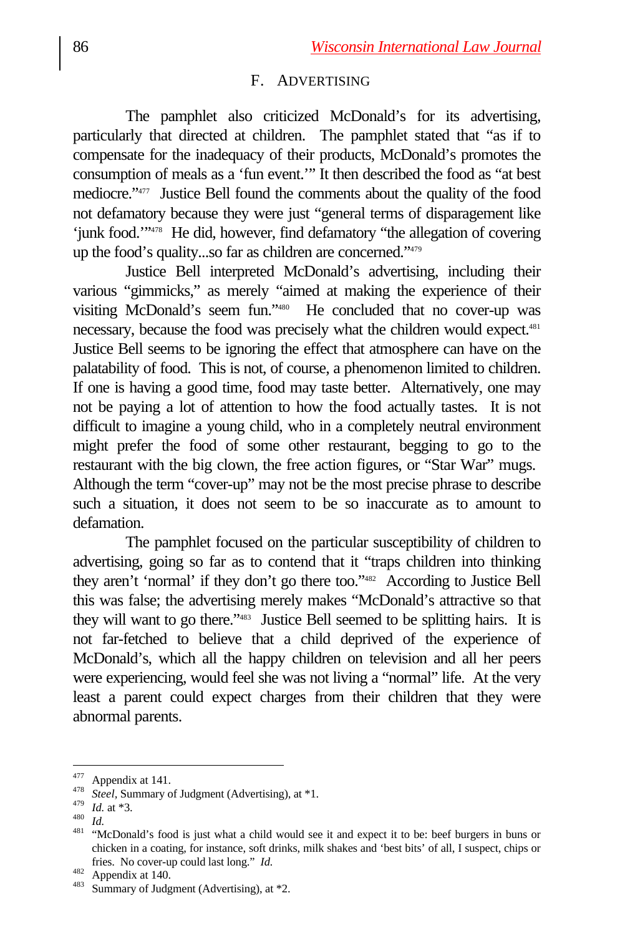### F. ADVERTISING

The pamphlet also criticized McDonald's for its advertising, particularly that directed at children. The pamphlet stated that "as if to compensate for the inadequacy of their products, McDonald's promotes the consumption of meals as a 'fun event.'" It then described the food as "at best mediocre."477 Justice Bell found the comments about the quality of the food not defamatory because they were just "general terms of disparagement like 'iunk food.'"<sup>478</sup> He did, however, find defamatory "the allegation of covering up the food's quality...so far as children are concerned."<sup>479</sup>

Justice Bell interpreted McDonald's advertising, including their various "gimmicks," as merely "aimed at making the experience of their visiting McDonald's seem fun."480 He concluded that no cover-up was necessary, because the food was precisely what the children would expect.<sup>481</sup> Justice Bell seems to be ignoring the effect that atmosphere can have on the palatability of food. This is not, of course, a phenomenon limited to children. If one is having a good time, food may taste better. Alternatively, one may not be paying a lot of attention to how the food actually tastes. It is not difficult to imagine a young child, who in a completely neutral environment might prefer the food of some other restaurant, begging to go to the restaurant with the big clown, the free action figures, or "Star War" mugs. Although the term "cover-up" may not be the most precise phrase to describe such a situation, it does not seem to be so inaccurate as to amount to defamation.

The pamphlet focused on the particular susceptibility of children to advertising, going so far as to contend that it "traps children into thinking they aren't 'normal' if they don't go there too."482 According to Justice Bell this was false; the advertising merely makes "McDonald's attractive so that they will want to go there."483 Justice Bell seemed to be splitting hairs. It is not far-fetched to believe that a child deprived of the experience of McDonald's, which all the happy children on television and all her peers were experiencing, would feel she was not living a "normal" life. At the very least a parent could expect charges from their children that they were abnormal parents.

<sup>477</sup> Appendix at 141.

<sup>&</sup>lt;sup>478</sup> *Steel*, Summary of Judgment (Advertising), at \*1.

 $\frac{479}{480}$  *Id.* at \*3.

*Id.* 

<sup>&</sup>lt;sup>481</sup> "McDonald's food is just what a child would see it and expect it to be: beef burgers in buns or chicken in a coating, for instance, soft drinks, milk shakes and 'best bits' of all, I suspect, chips or fries. No cover-up could last long." *Id.*

 $482$  Appendix at 140.

<sup>483</sup> Summary of Judgment (Advertising), at \*2.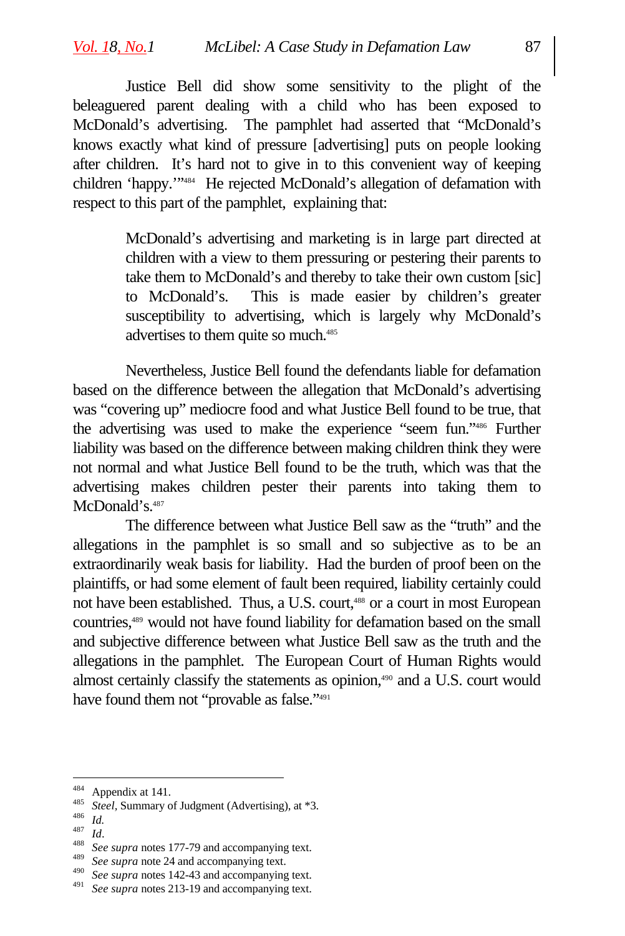Justice Bell did show some sensitivity to the plight of the beleaguered parent dealing with a child who has been exposed to McDonald's advertising. The pamphlet had asserted that "McDonald's knows exactly what kind of pressure [advertising] puts on people looking after children. It's hard not to give in to this convenient way of keeping children 'happy.'"484 He rejected McDonald's allegation of defamation with respect to this part of the pamphlet, explaining that:

> McDonald's advertising and marketing is in large part directed at children with a view to them pressuring or pestering their parents to take them to McDonald's and thereby to take their own custom [sic] to McDonald's. This is made easier by children's greater susceptibility to advertising, which is largely why McDonald's advertises to them quite so much.<sup>485</sup>

Nevertheless, Justice Bell found the defendants liable for defamation based on the difference between the allegation that McDonald's advertising was "covering up" mediocre food and what Justice Bell found to be true, that the advertising was used to make the experience "seem fun."486 Further liability was based on the difference between making children think they were not normal and what Justice Bell found to be the truth, which was that the advertising makes children pester their parents into taking them to McDonald's.<sup>487</sup>

The difference between what Justice Bell saw as the "truth" and the allegations in the pamphlet is so small and so subjective as to be an extraordinarily weak basis for liability. Had the burden of proof been on the plaintiffs, or had some element of fault been required, liability certainly could not have been established. Thus, a U.S. court,<sup>488</sup> or a court in most European countries,489 would not have found liability for defamation based on the small and subjective difference between what Justice Bell saw as the truth and the allegations in the pamphlet. The European Court of Human Rights would almost certainly classify the statements as opinion,<sup>490</sup> and a U.S. court would have found them not "provable as false."<sup>491</sup>

 $\frac{487}{488}$  *Id.* 

<sup>484</sup>  $^{484}_{485}$  Appendix at 141.

<sup>485</sup> *Steel,* Summary of Judgment (Advertising), at \*3.

 $\frac{486}{487}$  *Id.* 

<sup>&</sup>lt;sup>488</sup> *See supra* notes 177-79 and accompanying text.

<sup>&</sup>lt;sup>489</sup> *See supra* note 24 and accompanying text.

 $^{490}$  *See supra* notes 142-43 and accompanying text.<br> $^{491}$  *See supra* notes 213-19 and accompanying text.

See supra notes 213-19 and accompanying text.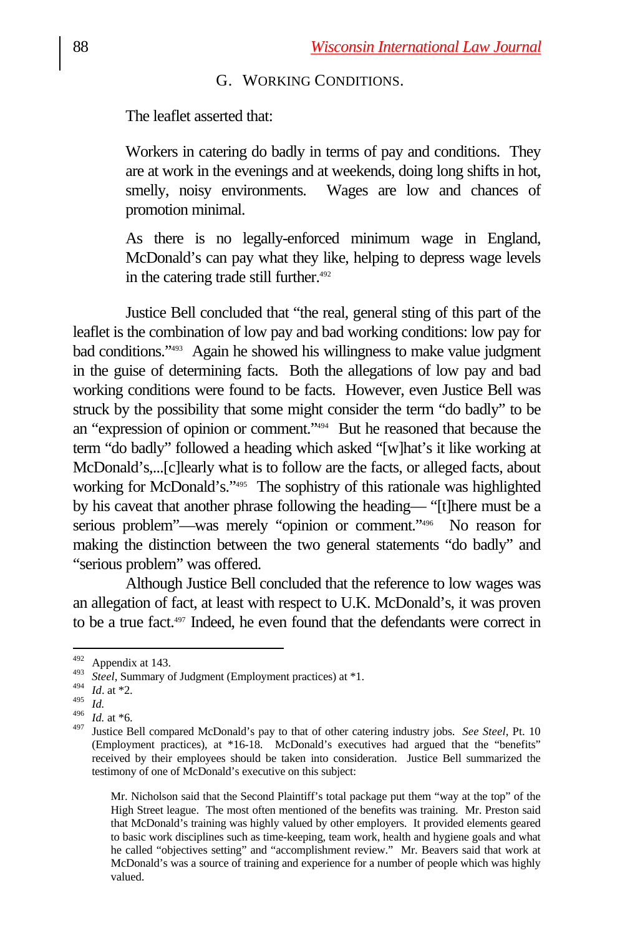#### G. WORKING CONDITIONS.

The leaflet asserted that:

Workers in catering do badly in terms of pay and conditions. They are at work in the evenings and at weekends, doing long shifts in hot, smelly, noisy environments. Wages are low and chances of promotion minimal.

As there is no legally-enforced minimum wage in England, McDonald's can pay what they like, helping to depress wage levels in the catering trade still further.<sup>492</sup>

Justice Bell concluded that "the real, general sting of this part of the leaflet is the combination of low pay and bad working conditions: low pay for bad conditions."493 Again he showed his willingness to make value judgment in the guise of determining facts. Both the allegations of low pay and bad working conditions were found to be facts. However, even Justice Bell was struck by the possibility that some might consider the term "do badly" to be an "expression of opinion or comment."494 But he reasoned that because the term "do badly" followed a heading which asked "[w]hat's it like working at McDonald's,...[c]learly what is to follow are the facts, or alleged facts, about working for McDonald's."<sup>495</sup> The sophistry of this rationale was highlighted by his caveat that another phrase following the heading— "[t]here must be a serious problem"—was merely "opinion or comment."<sup>496</sup> No reason for making the distinction between the two general statements "do badly" and "serious problem" was offered.

Although Justice Bell concluded that the reference to low wages was an allegation of fact, at least with respect to U.K. McDonald's, it was proven to be a true fact.497 Indeed, he even found that the defendants were correct in

Mr. Nicholson said that the Second Plaintiff's total package put them "way at the top" of the High Street league. The most often mentioned of the benefits was training. Mr. Preston said that McDonald's training was highly valued by other employers. It provided elements geared to basic work disciplines such as time-keeping, team work, health and hygiene goals and what he called "objectives setting" and "accomplishment review." Mr. Beavers said that work at McDonald's was a source of training and experience for a number of people which was highly valued.

<sup>492</sup> Appendix at 143.

<sup>493</sup> *Steel*, Summary of Judgment (Employment practices) at \*1.

<sup>494</sup> *Id*. at \*2.

<sup>495</sup> *Id.*

<sup>496</sup> *Id.* at \*6.

<sup>497</sup> Justice Bell compared McDonald's pay to that of other catering industry jobs. *See Steel*, Pt. 10 (Employment practices), at \*16-18. McDonald's executives had argued that the "benefits" received by their employees should be taken into consideration. Justice Bell summarized the testimony of one of McDonald's executive on this subject: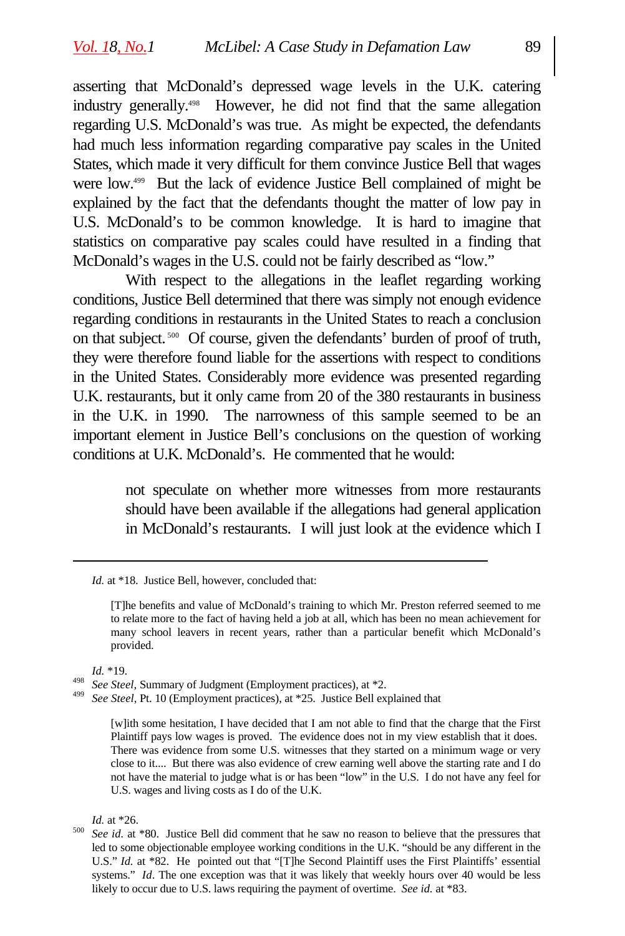asserting that McDonald's depressed wage levels in the U.K. catering industry generally.498 However, he did not find that the same allegation regarding U.S. McDonald's was true. As might be expected, the defendants had much less information regarding comparative pay scales in the United States, which made it very difficult for them convince Justice Bell that wages were low.499 But the lack of evidence Justice Bell complained of might be explained by the fact that the defendants thought the matter of low pay in U.S. McDonald's to be common knowledge. It is hard to imagine that statistics on comparative pay scales could have resulted in a finding that McDonald's wages in the U.S. could not be fairly described as "low."

With respect to the allegations in the leaflet regarding working conditions, Justice Bell determined that there was simply not enough evidence regarding conditions in restaurants in the United States to reach a conclusion on that subject. <sup>500</sup> Of course, given the defendants' burden of proof of truth, they were therefore found liable for the assertions with respect to conditions in the United States. Considerably more evidence was presented regarding U.K. restaurants, but it only came from 20 of the 380 restaurants in business in the U.K. in 1990. The narrowness of this sample seemed to be an important element in Justice Bell's conclusions on the question of working conditions at U.K. McDonald's. He commented that he would:

> not speculate on whether more witnesses from more restaurants should have been available if the allegations had general application in McDonald's restaurants. I will just look at the evidence which I

*Id.* \*19.

 $\overline{a}$ 

*Id.* at \*26.

*Id.* at \*18. Justice Bell, however, concluded that:

<sup>[</sup>T]he benefits and value of McDonald's training to which Mr. Preston referred seemed to me to relate more to the fact of having held a job at all, which has been no mean achievement for many school leavers in recent years, rather than a particular benefit which McDonald's provided.

<sup>498</sup> *See Steel,* Summary of Judgment (Employment practices), at \*2.

<sup>499</sup> *See Steel*, Pt. 10 (Employment practices), at \*25. Justice Bell explained that

<sup>[</sup>w]ith some hesitation, I have decided that I am not able to find that the charge that the First Plaintiff pays low wages is proved. The evidence does not in my view establish that it does. There was evidence from some U.S. witnesses that they started on a minimum wage or very close to it.... But there was also evidence of crew earning well above the starting rate and I do not have the material to judge what is or has been "low" in the U.S. I do not have any feel for U.S. wages and living costs as I do of the U.K.

<sup>500</sup> *See id.* at \*80. Justice Bell did comment that he saw no reason to believe that the pressures that led to some objectionable employee working conditions in the U.K. "should be any different in the U.S." *Id.* at \*82. He pointed out that "[T]he Second Plaintiff uses the First Plaintiffs' essential systems." *Id*. The one exception was that it was likely that weekly hours over 40 would be less likely to occur due to U.S. laws requiring the payment of overtime. *See id.* at \*83.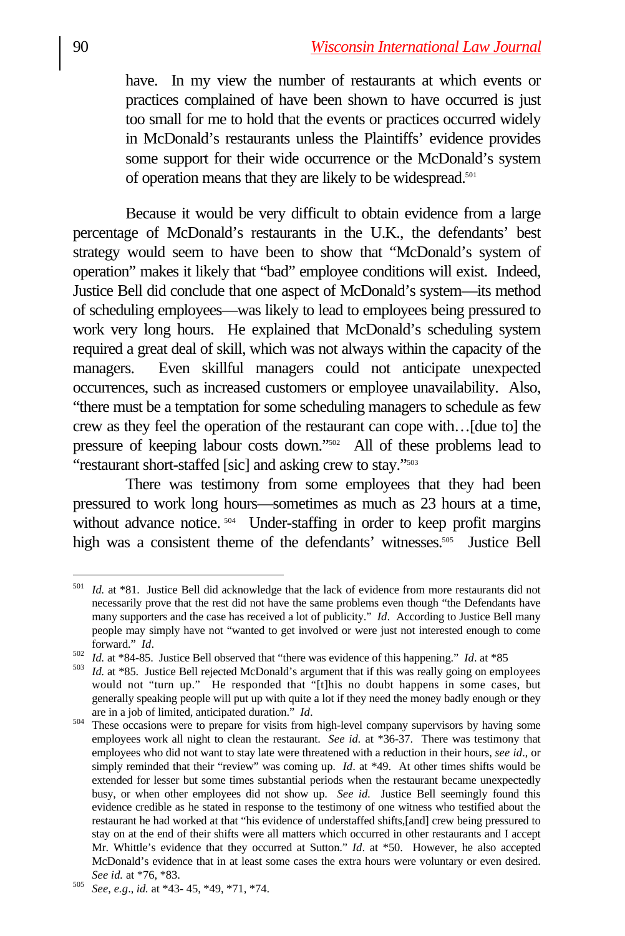have. In my view the number of restaurants at which events or practices complained of have been shown to have occurred is just too small for me to hold that the events or practices occurred widely in McDonald's restaurants unless the Plaintiffs' evidence provides some support for their wide occurrence or the McDonald's system of operation means that they are likely to be widespread.<sup>501</sup>

Because it would be very difficult to obtain evidence from a large percentage of McDonald's restaurants in the U.K., the defendants' best strategy would seem to have been to show that "McDonald's system of operation" makes it likely that "bad" employee conditions will exist. Indeed, Justice Bell did conclude that one aspect of McDonald's system—its method of scheduling employees—was likely to lead to employees being pressured to work very long hours. He explained that McDonald's scheduling system required a great deal of skill, which was not always within the capacity of the managers. Even skillful managers could not anticipate unexpected occurrences, such as increased customers or employee unavailability. Also, "there must be a temptation for some scheduling managers to schedule as few crew as they feel the operation of the restaurant can cope with…[due to] the pressure of keeping labour costs down."502 All of these problems lead to "restaurant short-staffed [sic] and asking crew to stay."<sup>503</sup>

There was testimony from some employees that they had been pressured to work long hours—sometimes as much as 23 hours at a time, without advance notice.<sup>504</sup> Under-staffing in order to keep profit margins high was a consistent theme of the defendants' witnesses.<sup>505</sup> Justice Bell

<sup>501</sup> *Id.* at \*81. Justice Bell did acknowledge that the lack of evidence from more restaurants did not necessarily prove that the rest did not have the same problems even though "the Defendants have many supporters and the case has received a lot of publicity." *Id*. According to Justice Bell many people may simply have not "wanted to get involved or were just not interested enough to come forward." *Id*.

<sup>&</sup>lt;sup>502</sup> *Id.* at \*84-85. Justice Bell observed that "there was evidence of this happening." *Id.* at \*85<br><sup>503</sup> *Id.* at \*85. Justice Bell pajected McDonald's argument that if this was really coing on amp

Id. at \*85. Justice Bell rejected McDonald's argument that if this was really going on employees would not "turn up." He responded that "[t]his no doubt happens in some cases, but generally speaking people will put up with quite a lot if they need the money badly enough or they are in a job of limited, anticipated duration." *Id*.

<sup>&</sup>lt;sup>504</sup> These occasions were to prepare for visits from high-level company supervisors by having some employees work all night to clean the restaurant. *See id.* at \*36-37. There was testimony that employees who did not want to stay late were threatened with a reduction in their hours, *see id*., or simply reminded that their "review" was coming up. *Id*. at \*49. At other times shifts would be extended for lesser but some times substantial periods when the restaurant became unexpectedly busy, or when other employees did not show up. *See id.* Justice Bell seemingly found this evidence credible as he stated in response to the testimony of one witness who testified about the restaurant he had worked at that "his evidence of understaffed shifts,[and] crew being pressured to stay on at the end of their shifts were all matters which occurred in other restaurants and I accept Mr. Whittle's evidence that they occurred at Sutton." *Id*. at \*50. However, he also accepted McDonald's evidence that in at least some cases the extra hours were voluntary or even desired. *See id.* at \*76, \*83.

<sup>505</sup> *See, e.g*., *id.* at \*43- 45, \*49, \*71, \*74.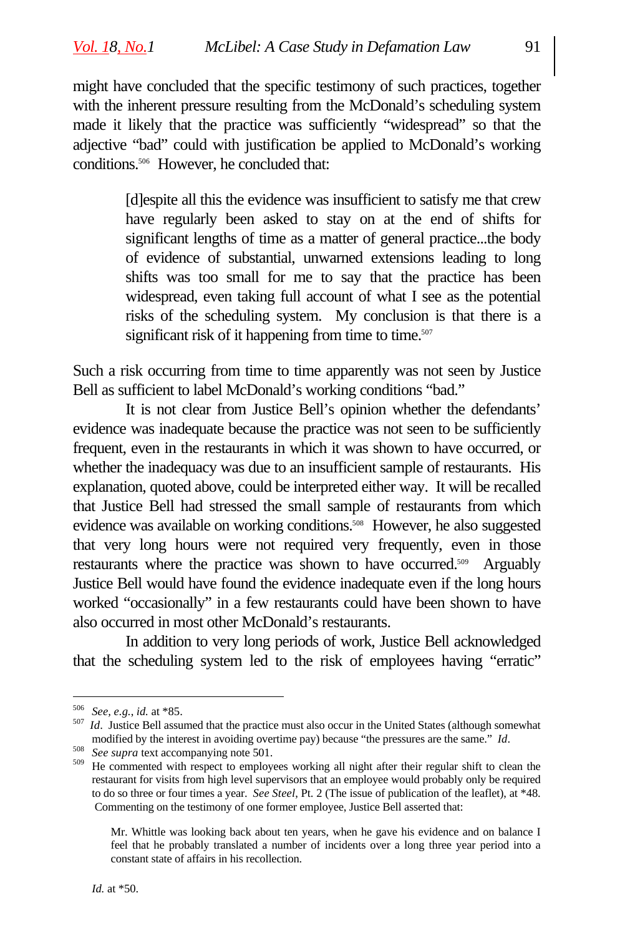might have concluded that the specific testimony of such practices, together with the inherent pressure resulting from the McDonald's scheduling system made it likely that the practice was sufficiently "widespread" so that the adjective "bad" could with justification be applied to McDonald's working conditions.506 However, he concluded that:

> [d]espite all this the evidence was insufficient to satisfy me that crew have regularly been asked to stay on at the end of shifts for significant lengths of time as a matter of general practice...the body of evidence of substantial, unwarned extensions leading to long shifts was too small for me to say that the practice has been widespread, even taking full account of what I see as the potential risks of the scheduling system. My conclusion is that there is a significant risk of it happening from time to time.<sup>507</sup>

Such a risk occurring from time to time apparently was not seen by Justice Bell as sufficient to label McDonald's working conditions "bad."

It is not clear from Justice Bell's opinion whether the defendants' evidence was inadequate because the practice was not seen to be sufficiently frequent, even in the restaurants in which it was shown to have occurred, or whether the inadequacy was due to an insufficient sample of restaurants. His explanation, quoted above, could be interpreted either way. It will be recalled that Justice Bell had stressed the small sample of restaurants from which evidence was available on working conditions.<sup>508</sup> However, he also suggested that very long hours were not required very frequently, even in those restaurants where the practice was shown to have occurred.<sup>509</sup> Arguably Justice Bell would have found the evidence inadequate even if the long hours worked "occasionally" in a few restaurants could have been shown to have also occurred in most other McDonald's restaurants.

In addition to very long periods of work, Justice Bell acknowledged that the scheduling system led to the risk of employees having "erratic"

<sup>506</sup> *See, e.g.*, *id.* at \*85.

<sup>507</sup> *Id.* Justice Bell assumed that the practice must also occur in the United States (although somewhat modified by the interest in avoiding overtime pay) because "the pressures are the same." *Id*.

<sup>508</sup> *See supra* text accompanying note 501.

<sup>&</sup>lt;sup>509</sup> He commented with respect to employees working all night after their regular shift to clean the restaurant for visits from high level supervisors that an employee would probably only be required to do so three or four times a year. *See Steel*, Pt. 2 (The issue of publication of the leaflet), at \*48. Commenting on the testimony of one former employee, Justice Bell asserted that:

Mr. Whittle was looking back about ten years, when he gave his evidence and on balance I feel that he probably translated a number of incidents over a long three year period into a constant state of affairs in his recollection.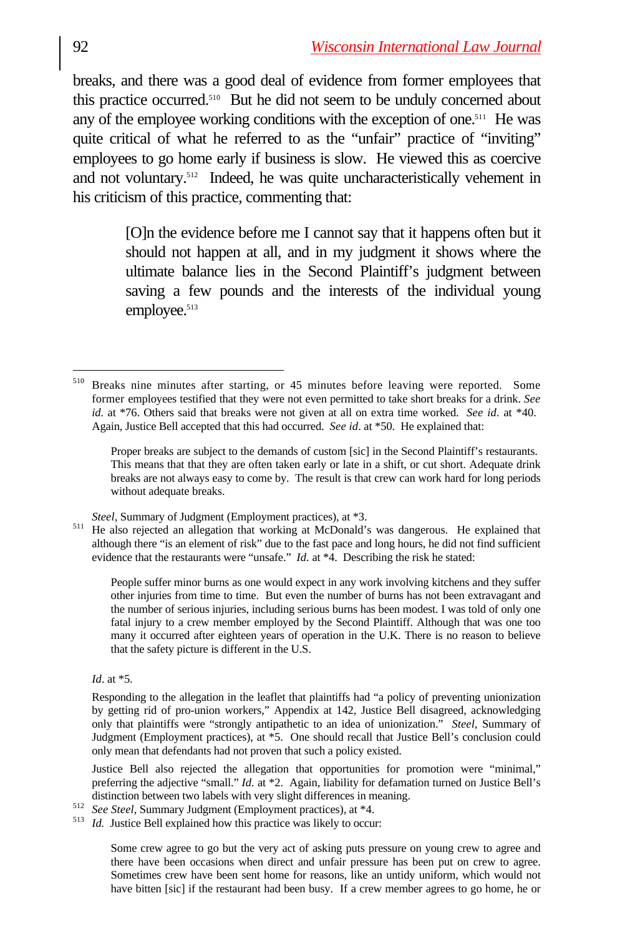breaks, and there was a good deal of evidence from former employees that this practice occurred.510 But he did not seem to be unduly concerned about any of the employee working conditions with the exception of one.<sup>511</sup> He was quite critical of what he referred to as the "unfair" practice of "inviting" employees to go home early if business is slow. He viewed this as coercive and not voluntary.512 Indeed, he was quite uncharacteristically vehement in his criticism of this practice, commenting that:

> [O]n the evidence before me I cannot say that it happens often but it should not happen at all, and in my judgment it shows where the ultimate balance lies in the Second Plaintiff's judgment between saving a few pounds and the interests of the individual young employee.<sup>513</sup>

People suffer minor burns as one would expect in any work involving kitchens and they suffer other injuries from time to time. But even the number of burns has not been extravagant and the number of serious injuries, including serious burns has been modest. I was told of only one fatal injury to a crew member employed by the Second Plaintiff. Although that was one too many it occurred after eighteen years of operation in the U.K. There is no reason to believe that the safety picture is different in the U.S.

*Id*. at \*5.

Justice Bell also rejected the allegation that opportunities for promotion were "minimal," preferring the adjective "small." *Id.* at \*2. Again, liability for defamation turned on Justice Bell's distinction between two labels with very slight differences in meaning.

- <sup>512</sup> *See Steel*, Summary Judgment (Employment practices), at \*4.
- <sup>513</sup> *Id.* Justice Bell explained how this practice was likely to occur:

Some crew agree to go but the very act of asking puts pressure on young crew to agree and there have been occasions when direct and unfair pressure has been put on crew to agree. Sometimes crew have been sent home for reasons, like an untidy uniform, which would not have bitten [sic] if the restaurant had been busy. If a crew member agrees to go home, he or

<sup>510</sup> <sup>510</sup> Breaks nine minutes after starting, or 45 minutes before leaving were reported. Some former employees testified that they were not even permitted to take short breaks for a drink. *See id.* at \*76. Others said that breaks were not given at all on extra time worked. *See id*. at \*40. Again, Justice Bell accepted that this had occurred. *See id*. at \*50. He explained that:

Proper breaks are subject to the demands of custom [sic] in the Second Plaintiff's restaurants. This means that that they are often taken early or late in a shift, or cut short. Adequate drink breaks are not always easy to come by. The result is that crew can work hard for long periods without adequate breaks.

*Steel,* Summary of Judgment (Employment practices), at \*3.

<sup>511</sup> He also rejected an allegation that working at McDonald's was dangerous. He explained that although there "is an element of risk" due to the fast pace and long hours, he did not find sufficient evidence that the restaurants were "unsafe." *Id.* at \*4. Describing the risk he stated:

Responding to the allegation in the leaflet that plaintiffs had "a policy of preventing unionization by getting rid of pro-union workers," Appendix at 142, Justice Bell disagreed, acknowledging only that plaintiffs were "strongly antipathetic to an idea of unionization." *Steel,* Summary of Judgment (Employment practices), at  $*5$ . One should recall that Justice Bell's conclusion could only mean that defendants had not proven that such a policy existed.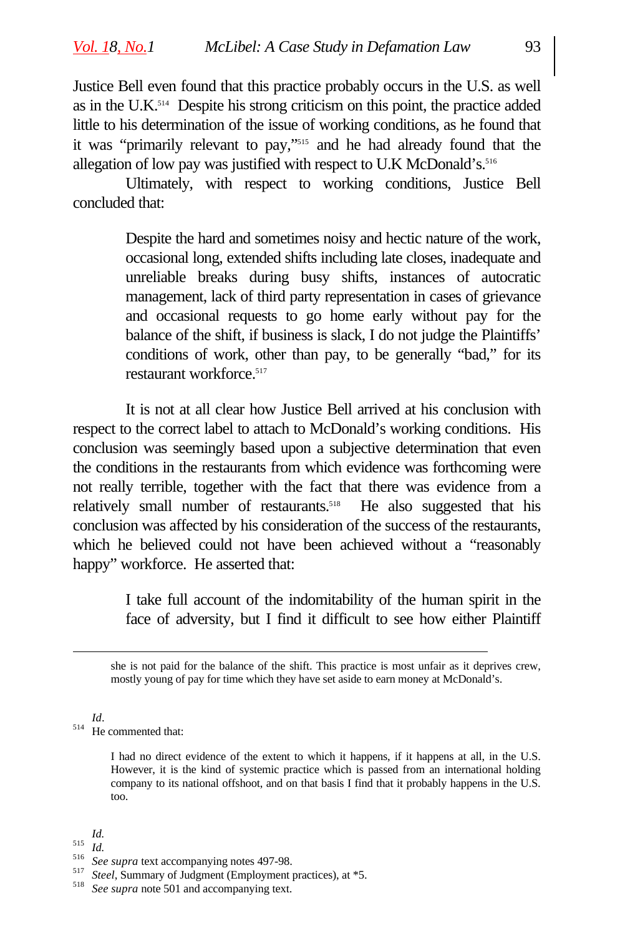Justice Bell even found that this practice probably occurs in the U.S. as well as in the U.K.514 Despite his strong criticism on this point, the practice added little to his determination of the issue of working conditions, as he found that it was "primarily relevant to pay,"515 and he had already found that the allegation of low pay was justified with respect to U.K McDonald's.<sup>516</sup>

Ultimately, with respect to working conditions, Justice Bell concluded that:

> Despite the hard and sometimes noisy and hectic nature of the work, occasional long, extended shifts including late closes, inadequate and unreliable breaks during busy shifts, instances of autocratic management, lack of third party representation in cases of grievance and occasional requests to go home early without pay for the balance of the shift, if business is slack, I do not judge the Plaintiffs' conditions of work, other than pay, to be generally "bad," for its restaurant workforce.<sup>517</sup>

It is not at all clear how Justice Bell arrived at his conclusion with respect to the correct label to attach to McDonald's working conditions. His conclusion was seemingly based upon a subjective determination that even the conditions in the restaurants from which evidence was forthcoming were not really terrible, together with the fact that there was evidence from a relatively small number of restaurants.<sup>518</sup> He also suggested that his conclusion was affected by his consideration of the success of the restaurants, which he believed could not have been achieved without a "reasonably" happy" workforce. He asserted that:

> I take full account of the indomitability of the human spirit in the face of adversity, but I find it difficult to see how either Plaintiff

she is not paid for the balance of the shift. This practice is most unfair as it deprives crew, mostly young of pay for time which they have set aside to earn money at McDonald's.

*Id*.

 $\overline{a}$ 

<sup>514</sup> He commented that:

I had no direct evidence of the extent to which it happens, if it happens at all, in the U.S. However, it is the kind of systemic practice which is passed from an international holding company to its national offshoot, and on that basis I find that it probably happens in the U.S. too.

- *Id.*
- <sup>515</sup> *Id.*

<sup>518</sup> *See supra* note 501 and accompanying text.

<sup>516</sup> *See supra* text accompanying notes 497-98.

<sup>517</sup> *Steel*, Summary of Judgment (Employment practices), at \*5.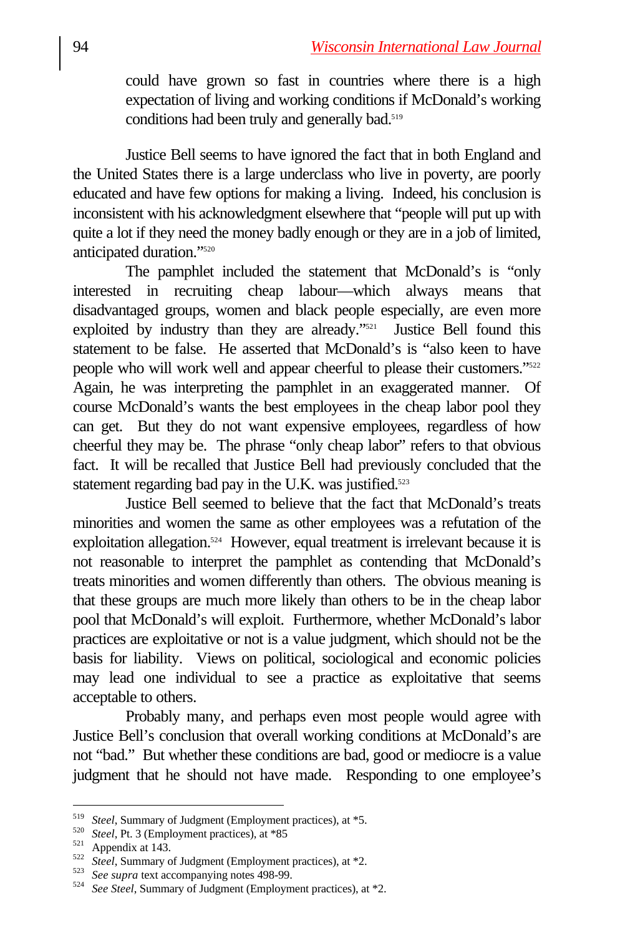could have grown so fast in countries where there is a high expectation of living and working conditions if McDonald's working conditions had been truly and generally bad.<sup>519</sup>

Justice Bell seems to have ignored the fact that in both England and the United States there is a large underclass who live in poverty, are poorly educated and have few options for making a living. Indeed, his conclusion is inconsistent with his acknowledgment elsewhere that "people will put up with quite a lot if they need the money badly enough or they are in a job of limited, anticipated duration."<sup>520</sup>

The pamphlet included the statement that McDonald's is "only interested in recruiting cheap labour—which always means that disadvantaged groups, women and black people especially, are even more exploited by industry than they are already."<sup>521</sup> Justice Bell found this statement to be false. He asserted that McDonald's is "also keen to have people who will work well and appear cheerful to please their customers."<sup>522</sup> Again, he was interpreting the pamphlet in an exaggerated manner. Of course McDonald's wants the best employees in the cheap labor pool they can get. But they do not want expensive employees, regardless of how cheerful they may be. The phrase "only cheap labor" refers to that obvious fact. It will be recalled that Justice Bell had previously concluded that the statement regarding bad pay in the U.K. was justified.<sup>523</sup>

Justice Bell seemed to believe that the fact that McDonald's treats minorities and women the same as other employees was a refutation of the exploitation allegation.<sup>524</sup> However, equal treatment is irrelevant because it is not reasonable to interpret the pamphlet as contending that McDonald's treats minorities and women differently than others. The obvious meaning is that these groups are much more likely than others to be in the cheap labor pool that McDonald's will exploit. Furthermore, whether McDonald's labor practices are exploitative or not is a value judgment, which should not be the basis for liability. Views on political, sociological and economic policies may lead one individual to see a practice as exploitative that seems acceptable to others.

Probably many, and perhaps even most people would agree with Justice Bell's conclusion that overall working conditions at McDonald's are not "bad." But whether these conditions are bad, good or mediocre is a value judgment that he should not have made. Responding to one employee's

 $\ddot{\phantom{a}}$ 

<sup>519</sup> *Steel*, Summary of Judgment (Employment practices), at \*5.

<sup>520</sup> *Steel*, Pt. 3 (Employment practices), at \*85

<sup>521</sup> Appendix at 143.

 $\frac{522}{522}$  *Steel*, Summary of Judgment (Employment practices), at \*2.

See supra text accompanying notes 498-99.

<sup>524</sup> *See Steel*, Summary of Judgment (Employment practices), at \*2.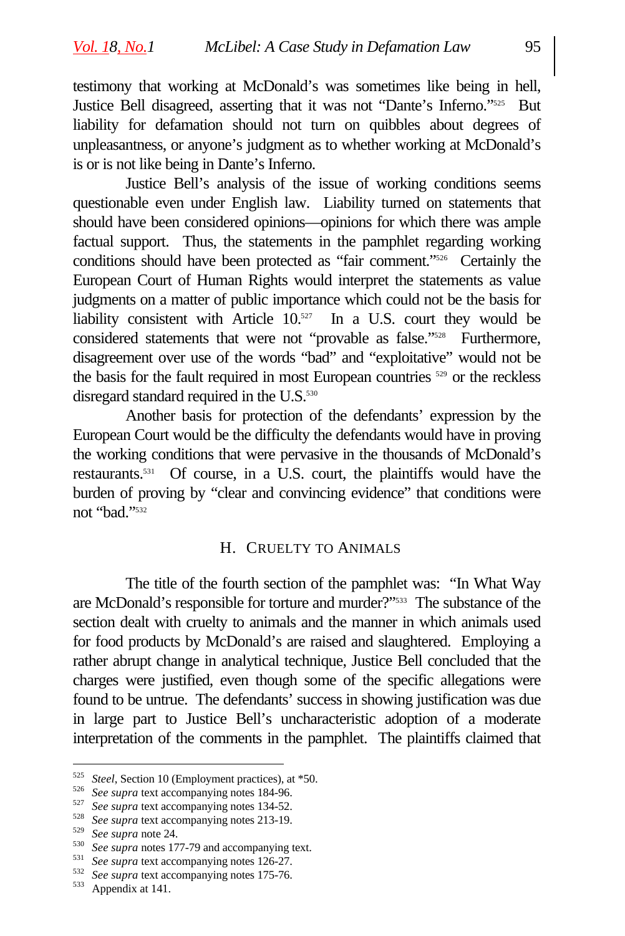testimony that working at McDonald's was sometimes like being in hell, Justice Bell disagreed, asserting that it was not "Dante's Inferno."525 But liability for defamation should not turn on quibbles about degrees of unpleasantness, or anyone's judgment as to whether working at McDonald's is or is not like being in Dante's Inferno.

Justice Bell's analysis of the issue of working conditions seems questionable even under English law. Liability turned on statements that should have been considered opinions—opinions for which there was ample factual support. Thus, the statements in the pamphlet regarding working conditions should have been protected as "fair comment."<sup>526</sup> Certainly the European Court of Human Rights would interpret the statements as value judgments on a matter of public importance which could not be the basis for liability consistent with Article  $10^{527}$  In a U.S. court they would be considered statements that were not "provable as false."528 Furthermore, disagreement over use of the words "bad" and "exploitative" would not be the basis for the fault required in most European countries <sup>529</sup> or the reckless disregard standard required in the U.S.<sup>530</sup>

Another basis for protection of the defendants' expression by the European Court would be the difficulty the defendants would have in proving the working conditions that were pervasive in the thousands of McDonald's restaurants.531 Of course, in a U.S. court, the plaintiffs would have the burden of proving by "clear and convincing evidence" that conditions were not "bad."<sup>532</sup>

#### H. CRUELTY TO ANIMALS

The title of the fourth section of the pamphlet was: "In What Way are McDonald's responsible for torture and murder?"533 The substance of the section dealt with cruelty to animals and the manner in which animals used for food products by McDonald's are raised and slaughtered. Employing a rather abrupt change in analytical technique, Justice Bell concluded that the charges were justified, even though some of the specific allegations were found to be untrue. The defendants' success in showing justification was due in large part to Justice Bell's uncharacteristic adoption of a moderate interpretation of the comments in the pamphlet. The plaintiffs claimed that

<sup>525</sup> *Steel*, Section 10 (Employment practices), at \*50.

<sup>&</sup>lt;sup>526</sup> *See supra* text accompanying notes 184-96.

See supra text accompanying notes 134-52.

<sup>528</sup> *See supra* text accompanying notes 213-19.

<sup>529</sup> *See supra* note 24.

<sup>&</sup>lt;sup>530</sup> *See supra* notes 177-79 and accompanying text.

<sup>531</sup> *See supra* text accompanying notes 126-27.

See supra text accompanying notes 175-76.

<sup>533</sup> Appendix at 141.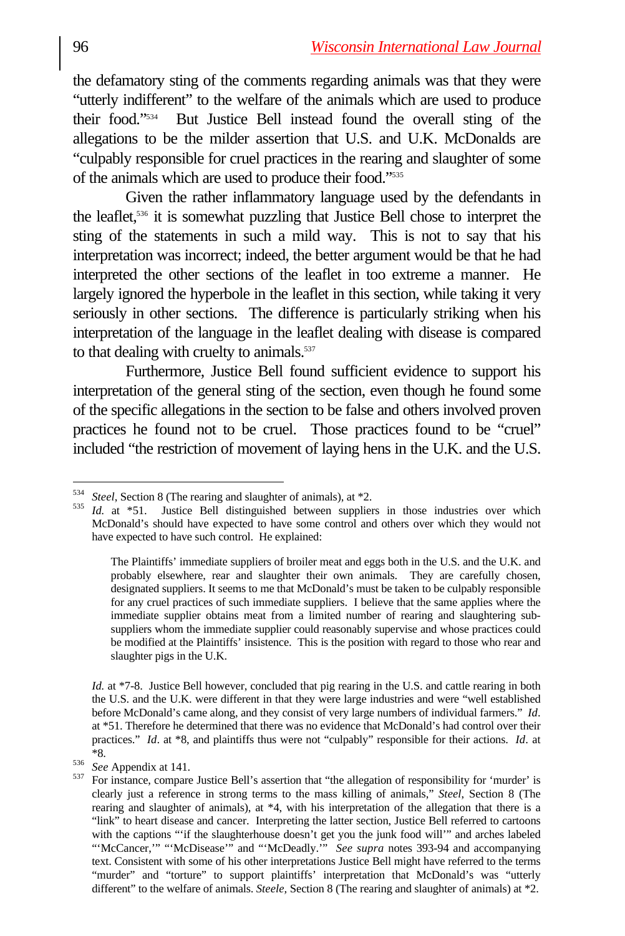the defamatory sting of the comments regarding animals was that they were "utterly indifferent" to the welfare of the animals which are used to produce their food."534 But Justice Bell instead found the overall sting of the allegations to be the milder assertion that U.S. and U.K. McDonalds are "culpably responsible for cruel practices in the rearing and slaughter of some of the animals which are used to produce their food."<sup>535</sup>

Given the rather inflammatory language used by the defendants in the leaflet,536 it is somewhat puzzling that Justice Bell chose to interpret the sting of the statements in such a mild way. This is not to say that his interpretation was incorrect; indeed, the better argument would be that he had interpreted the other sections of the leaflet in too extreme a manner. He largely ignored the hyperbole in the leaflet in this section, while taking it very seriously in other sections. The difference is particularly striking when his interpretation of the language in the leaflet dealing with disease is compared to that dealing with cruelty to animals.<sup>537</sup>

Furthermore, Justice Bell found sufficient evidence to support his interpretation of the general sting of the section, even though he found some of the specific allegations in the section to be false and others involved proven practices he found not to be cruel. Those practices found to be "cruel" included "the restriction of movement of laying hens in the U.K. and the U.S.

<sup>534</sup> *Steel*, Section 8 (The rearing and slaughter of animals), at \*2.

<sup>&</sup>lt;sup>535</sup> *Id.* at \*51. Justice Bell distinguished between suppliers in those industries over which McDonald's should have expected to have some control and others over which they would not have expected to have such control. He explained:

The Plaintiffs' immediate suppliers of broiler meat and eggs both in the U.S. and the U.K. and probably elsewhere, rear and slaughter their own animals. They are carefully chosen, designated suppliers. It seems to me that McDonald's must be taken to be culpably responsible for any cruel practices of such immediate suppliers. I believe that the same applies where the immediate supplier obtains meat from a limited number of rearing and slaughtering subsuppliers whom the immediate supplier could reasonably supervise and whose practices could be modified at the Plaintiffs' insistence. This is the position with regard to those who rear and slaughter pigs in the U.K.

*Id.* at \*7-8. Justice Bell however, concluded that pig rearing in the U.S. and cattle rearing in both the U.S. and the U.K. were different in that they were large industries and were "well established before McDonald's came along, and they consist of very large numbers of individual farmers." *Id*. at \*51. Therefore he determined that there was no evidence that McDonald's had control over their practices." *Id*. at \*8, and plaintiffs thus were not "culpably" responsible for their actions. *Id*. at \*8.

<sup>536</sup> *See* Appendix at 141.

<sup>537</sup> For instance, compare Justice Bell's assertion that "the allegation of responsibility for 'murder' is clearly just a reference in strong terms to the mass killing of animals," *Steel*, Section 8 (The rearing and slaughter of animals), at \*4, with his interpretation of the allegation that there is a "link" to heart disease and cancer. Interpreting the latter section, Justice Bell referred to cartoons with the captions "'if the slaughterhouse doesn't get you the junk food will'" and arches labeled "'McCancer,'" "'McDisease'" and "'McDeadly.'" *See supra* notes 393-94 and accompanying text. Consistent with some of his other interpretations Justice Bell might have referred to the terms "murder" and "torture" to support plaintiffs' interpretation that McDonald's was "utterly different" to the welfare of animals. *Steele,* Section 8 (The rearing and slaughter of animals) at \*2.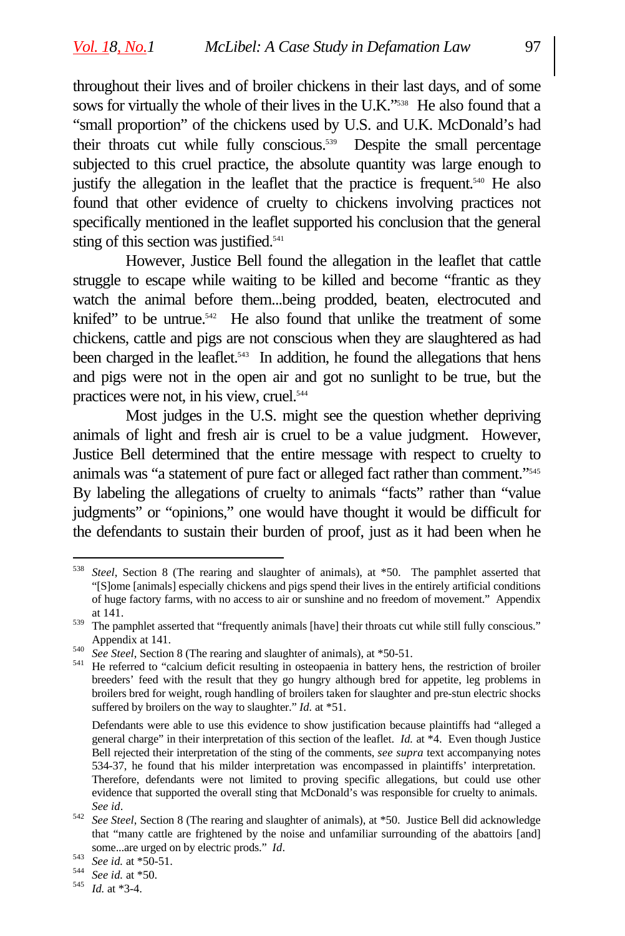throughout their lives and of broiler chickens in their last days, and of some sows for virtually the whole of their lives in the U.K."<sup>538</sup> He also found that a "small proportion" of the chickens used by U.S. and U.K. McDonald's had their throats cut while fully conscious.539 Despite the small percentage subjected to this cruel practice, the absolute quantity was large enough to justify the allegation in the leaflet that the practice is frequent.<sup>540</sup> He also found that other evidence of cruelty to chickens involving practices not specifically mentioned in the leaflet supported his conclusion that the general sting of this section was justified.<sup>541</sup>

However, Justice Bell found the allegation in the leaflet that cattle struggle to escape while waiting to be killed and become "frantic as they watch the animal before them...being prodded, beaten, electrocuted and knifed" to be untrue.<sup>542</sup> He also found that unlike the treatment of some chickens, cattle and pigs are not conscious when they are slaughtered as had been charged in the leaflet.<sup>543</sup> In addition, he found the allegations that hens and pigs were not in the open air and got no sunlight to be true, but the practices were not, in his view, cruel.<sup>544</sup>

Most judges in the U.S. might see the question whether depriving animals of light and fresh air is cruel to be a value judgment. However, Justice Bell determined that the entire message with respect to cruelty to animals was "a statement of pure fact or alleged fact rather than comment."<sup>545</sup> By labeling the allegations of cruelty to animals "facts" rather than "value judgments" or "opinions," one would have thought it would be difficult for the defendants to sustain their burden of proof, just as it had been when he

<sup>538</sup> Steel, Section 8 (The rearing and slaughter of animals), at \*50. The pamphlet asserted that "[S]ome [animals] especially chickens and pigs spend their lives in the entirely artificial conditions of huge factory farms, with no access to air or sunshine and no freedom of movement." Appendix at 141.

<sup>539</sup> The pamphlet asserted that "frequently animals [have] their throats cut while still fully conscious." Appendix at 141.

<sup>540</sup> *See Steel*, Section 8 (The rearing and slaughter of animals), at \*50-51.

<sup>541</sup> He referred to "calcium deficit resulting in osteopaenia in battery hens, the restriction of broiler breeders' feed with the result that they go hungry although bred for appetite, leg problems in broilers bred for weight, rough handling of broilers taken for slaughter and pre-stun electric shocks suffered by broilers on the way to slaughter." *Id.* at \*51.

Defendants were able to use this evidence to show justification because plaintiffs had "alleged a general charge" in their interpretation of this section of the leaflet. *Id.* at \*4. Even though Justice Bell rejected their interpretation of the sting of the comments, *see supra* text accompanying notes 534-37, he found that his milder interpretation was encompassed in plaintiffs' interpretation. Therefore, defendants were not limited to proving specific allegations, but could use other evidence that supported the overall sting that McDonald's was responsible for cruelty to animals.

*See id*.

<sup>542</sup> *See Steel*, Section 8 (The rearing and slaughter of animals), at \*50. Justice Bell did acknowledge that "many cattle are frightened by the noise and unfamiliar surrounding of the abattoirs [and] some...are urged on by electric prods." *Id*.

<sup>543</sup> *See id.* at \*50-51.

<sup>544</sup> *See id.* at \*50.

<sup>545</sup> *Id.* at \*3-4.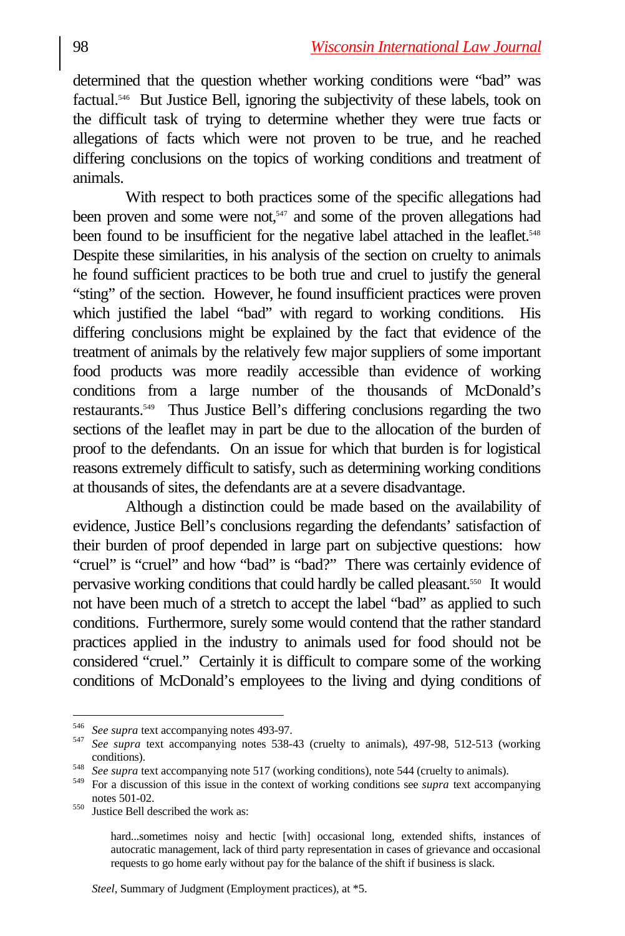determined that the question whether working conditions were "bad" was factual.546 But Justice Bell, ignoring the subjectivity of these labels, took on the difficult task of trying to determine whether they were true facts or allegations of facts which were not proven to be true, and he reached differing conclusions on the topics of working conditions and treatment of animals.

With respect to both practices some of the specific allegations had been proven and some were not.<sup>547</sup> and some of the proven allegations had been found to be insufficient for the negative label attached in the leaflet.<sup>548</sup> Despite these similarities, in his analysis of the section on cruelty to animals he found sufficient practices to be both true and cruel to justify the general "sting" of the section. However, he found insufficient practices were proven which justified the label "bad" with regard to working conditions. His differing conclusions might be explained by the fact that evidence of the treatment of animals by the relatively few major suppliers of some important food products was more readily accessible than evidence of working conditions from a large number of the thousands of McDonald's restaurants.549 Thus Justice Bell's differing conclusions regarding the two sections of the leaflet may in part be due to the allocation of the burden of proof to the defendants. On an issue for which that burden is for logistical reasons extremely difficult to satisfy, such as determining working conditions at thousands of sites, the defendants are at a severe disadvantage.

Although a distinction could be made based on the availability of evidence, Justice Bell's conclusions regarding the defendants' satisfaction of their burden of proof depended in large part on subjective questions: how "cruel" is "cruel" and how "bad" is "bad?" There was certainly evidence of pervasive working conditions that could hardly be called pleasant.550 It would not have been much of a stretch to accept the label "bad" as applied to such conditions. Furthermore, surely some would contend that the rather standard practices applied in the industry to animals used for food should not be considered "cruel." Certainly it is difficult to compare some of the working conditions of McDonald's employees to the living and dying conditions of

<sup>546</sup> *See supra* text accompanying notes 493-97.

<sup>547</sup> *See supra* text accompanying notes 538-43 (cruelty to animals), 497-98, 512-513 (working conditions).

<sup>548</sup> *See supra* text accompanying note 517 (working conditions), note 544 (cruelty to animals).

<sup>549</sup> For a discussion of this issue in the context of working conditions see *supra* text accompanying notes 501-02.

<sup>550</sup> Justice Bell described the work as:

hard...sometimes noisy and hectic [with] occasional long, extended shifts, instances of autocratic management, lack of third party representation in cases of grievance and occasional requests to go home early without pay for the balance of the shift if business is slack.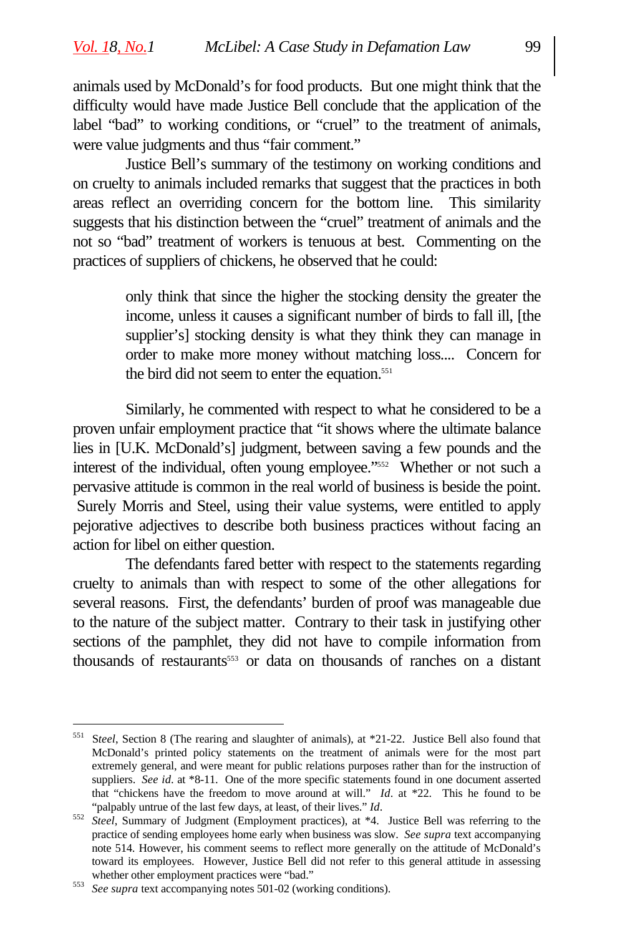animals used by McDonald's for food products. But one might think that the difficulty would have made Justice Bell conclude that the application of the label "bad" to working conditions, or "cruel" to the treatment of animals, were value judgments and thus "fair comment."

Justice Bell's summary of the testimony on working conditions and on cruelty to animals included remarks that suggest that the practices in both areas reflect an overriding concern for the bottom line. This similarity suggests that his distinction between the "cruel" treatment of animals and the not so "bad" treatment of workers is tenuous at best. Commenting on the practices of suppliers of chickens, he observed that he could:

> only think that since the higher the stocking density the greater the income, unless it causes a significant number of birds to fall ill, [the supplier's] stocking density is what they think they can manage in order to make more money without matching loss.... Concern for the bird did not seem to enter the equation.<sup>551</sup>

Similarly, he commented with respect to what he considered to be a proven unfair employment practice that "it shows where the ultimate balance lies in [U.K. McDonald's] judgment, between saving a few pounds and the interest of the individual, often young employee."552 Whether or not such a pervasive attitude is common in the real world of business is beside the point. Surely Morris and Steel, using their value systems, were entitled to apply pejorative adjectives to describe both business practices without facing an action for libel on either question.

The defendants fared better with respect to the statements regarding cruelty to animals than with respect to some of the other allegations for several reasons. First, the defendants' burden of proof was manageable due to the nature of the subject matter. Contrary to their task in justifying other sections of the pamphlet, they did not have to compile information from thousands of restaurants<sup>553</sup> or data on thousands of ranches on a distant

<sup>551</sup> S*teel*, Section 8 (The rearing and slaughter of animals), at \*21-22. Justice Bell also found that McDonald's printed policy statements on the treatment of animals were for the most part extremely general, and were meant for public relations purposes rather than for the instruction of suppliers. *See id*. at \*8-11. One of the more specific statements found in one document asserted that "chickens have the freedom to move around at will." *Id*. at \*22. This he found to be "palpably untrue of the last few days, at least, of their lives." *Id*.

<sup>552</sup> *Steel*, Summary of Judgment (Employment practices), at \*4. Justice Bell was referring to the practice of sending employees home early when business was slow. *See supra* text accompanying note 514. However, his comment seems to reflect more generally on the attitude of McDonald's toward its employees. However, Justice Bell did not refer to this general attitude in assessing whether other employment practices were "bad."

<sup>553</sup> *See supra* text accompanying notes 501-02 (working conditions).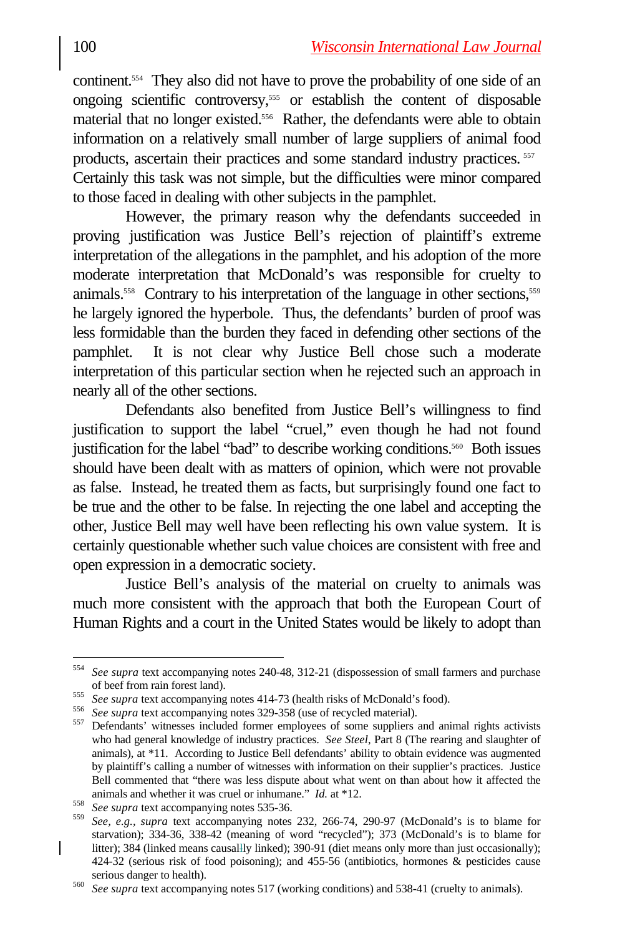continent.554 They also did not have to prove the probability of one side of an ongoing scientific controversy,555 or establish the content of disposable material that no longer existed.<sup>556</sup> Rather, the defendants were able to obtain information on a relatively small number of large suppliers of animal food products, ascertain their practices and some standard industry practices. <sup>557</sup> Certainly this task was not simple, but the difficulties were minor compared to those faced in dealing with other subjects in the pamphlet.

However, the primary reason why the defendants succeeded in proving justification was Justice Bell's rejection of plaintiff's extreme interpretation of the allegations in the pamphlet, and his adoption of the more moderate interpretation that McDonald's was responsible for cruelty to animals.<sup>558</sup> Contrary to his interpretation of the language in other sections,<sup>559</sup> he largely ignored the hyperbole. Thus, the defendants' burden of proof was less formidable than the burden they faced in defending other sections of the pamphlet. It is not clear why Justice Bell chose such a moderate interpretation of this particular section when he rejected such an approach in nearly all of the other sections.

Defendants also benefited from Justice Bell's willingness to find justification to support the label "cruel," even though he had not found justification for the label "bad" to describe working conditions.<sup>560</sup> Both issues should have been dealt with as matters of opinion, which were not provable as false. Instead, he treated them as facts, but surprisingly found one fact to be true and the other to be false. In rejecting the one label and accepting the other, Justice Bell may well have been reflecting his own value system. It is certainly questionable whether such value choices are consistent with free and open expression in a democratic society.

Justice Bell's analysis of the material on cruelty to animals was much more consistent with the approach that both the European Court of Human Rights and a court in the United States would be likely to adopt than

<sup>554</sup> *See supra* text accompanying notes 240-48, 312-21 (dispossession of small farmers and purchase of beef from rain forest land).

<sup>555</sup> *See supra* text accompanying notes 414-73 (health risks of McDonald's food).

<sup>556</sup> *See supra* text accompanying notes 329-358 (use of recycled material).

<sup>557</sup> Defendants' witnesses included former employees of some suppliers and animal rights activists who had general knowledge of industry practices. *See Steel*, Part 8 (The rearing and slaughter of animals), at \*11. According to Justice Bell defendants' ability to obtain evidence was augmented by plaintiff's calling a number of witnesses with information on their supplier's practices. Justice Bell commented that "there was less dispute about what went on than about how it affected the animals and whether it was cruel or inhumane." *Id.* at \*12.

<sup>558</sup> *See supra* text accompanying notes 535-36.

<sup>559</sup> *See, e.g., supra* text accompanying notes 232, 266-74, 290-97 (McDonald's is to blame for starvation); 334-36, 338-42 (meaning of word "recycled"); 373 (McDonald's is to blame for litter); 384 (linked means causallly linked); 390-91 (diet means only more than just occasionally); 424-32 (serious risk of food poisoning); and 455-56 (antibiotics, hormones & pesticides cause serious danger to health).

<sup>560</sup> *See supra* text accompanying notes 517 (working conditions) and 538-41 (cruelty to animals).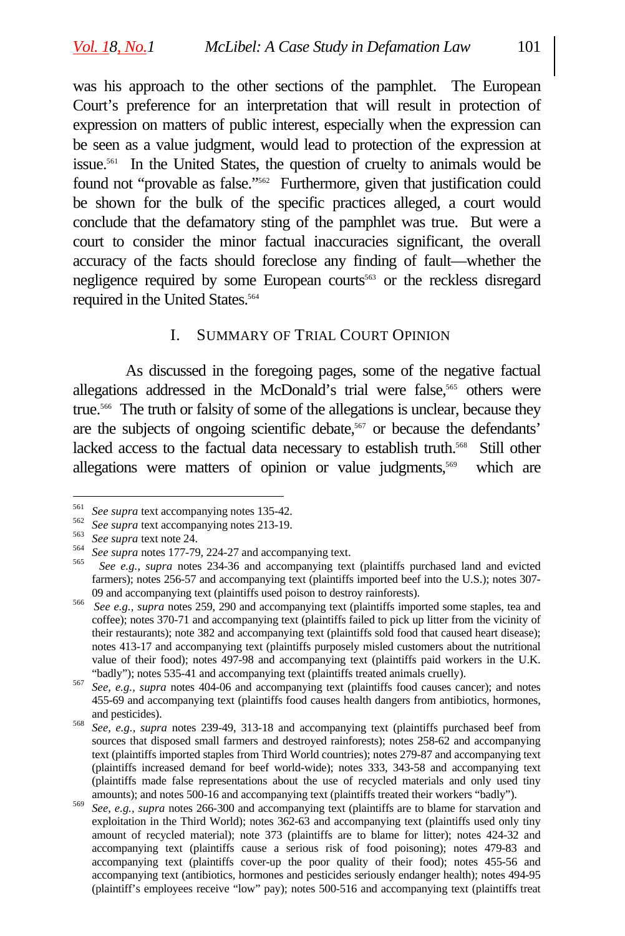was his approach to the other sections of the pamphlet. The European Court's preference for an interpretation that will result in protection of expression on matters of public interest, especially when the expression can be seen as a value judgment, would lead to protection of the expression at issue.561 In the United States, the question of cruelty to animals would be found not "provable as false."562 Furthermore, given that justification could be shown for the bulk of the specific practices alleged, a court would conclude that the defamatory sting of the pamphlet was true. But were a court to consider the minor factual inaccuracies significant, the overall accuracy of the facts should foreclose any finding of fault—whether the negligence required by some European courts<sup>563</sup> or the reckless disregard required in the United States.<sup>564</sup>

#### I. SUMMARY OF TRIAL COURT OPINION

As discussed in the foregoing pages, some of the negative factual allegations addressed in the McDonald's trial were false,<sup>565</sup> others were true.566 The truth or falsity of some of the allegations is unclear, because they are the subjects of ongoing scientific debate,<sup>567</sup> or because the defendants' lacked access to the factual data necessary to establish truth.<sup>568</sup> Still other allegations were matters of opinion or value judgments,<sup>569</sup> which are

<sup>561</sup> <sup>561</sup> *See supra* text accompanying notes 135-42.

<sup>562</sup> *See supra* text accompanying notes 213-19.

See supra text note 24.

<sup>564</sup> *See supra* notes 177-79, 224-27 and accompanying text.

<sup>565</sup> *See e.g., supra* notes 234-36 and accompanying text (plaintiffs purchased land and evicted farmers); notes 256-57 and accompanying text (plaintiffs imported beef into the U.S.); notes 307- 09 and accompanying text (plaintiffs used poison to destroy rainforests).

<sup>566</sup> *See e.g., supra* notes 259, 290 and accompanying text (plaintiffs imported some staples, tea and coffee); notes 370-71 and accompanying text (plaintiffs failed to pick up litter from the vicinity of their restaurants); note 382 and accompanying text (plaintiffs sold food that caused heart disease); notes 413-17 and accompanying text (plaintiffs purposely misled customers about the nutritional value of their food); notes 497-98 and accompanying text (plaintiffs paid workers in the U.K. "badly"); notes 535-41 and accompanying text (plaintiffs treated animals cruelly).

<sup>567</sup> *See, e.g., supra* notes 404-06 and accompanying text (plaintiffs food causes cancer); and notes 455-69 and accompanying text (plaintiffs food causes health dangers from antibiotics, hormones, and pesticides).

<sup>568</sup> *See, e.g., supra* notes 239-49, 313-18 and accompanying text (plaintiffs purchased beef from sources that disposed small farmers and destroyed rainforests); notes 258-62 and accompanying text (plaintiffs imported staples from Third World countries); notes 279-87 and accompanying text (plaintiffs increased demand for beef world-wide); notes 333, 343-58 and accompanying text (plaintiffs made false representations about the use of recycled materials and only used tiny amounts); and notes 500-16 and accompanying text (plaintiffs treated their workers "badly").

<sup>569</sup> *See, e.g., supra* notes 266-300 and accompanying text (plaintiffs are to blame for starvation and exploitation in the Third World); notes 362-63 and accompanying text (plaintiffs used only tiny amount of recycled material); note 373 (plaintiffs are to blame for litter); notes 424-32 and accompanying text (plaintiffs cause a serious risk of food poisoning); notes 479-83 and accompanying text (plaintiffs cover-up the poor quality of their food); notes 455-56 and accompanying text (antibiotics, hormones and pesticides seriously endanger health); notes 494-95 (plaintiff's employees receive "low" pay); notes 500-516 and accompanying text (plaintiffs treat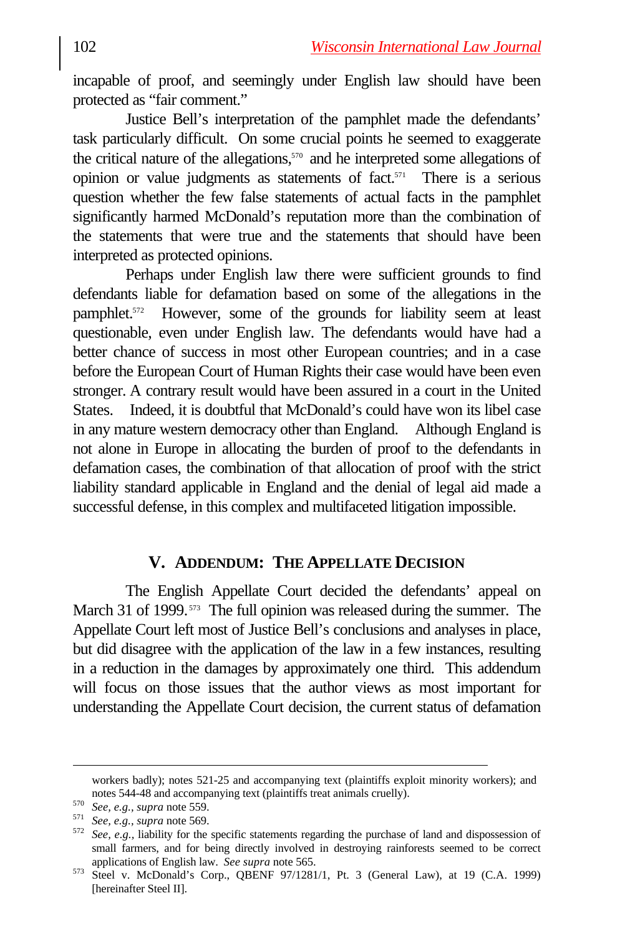incapable of proof, and seemingly under English law should have been protected as "fair comment."

Justice Bell's interpretation of the pamphlet made the defendants' task particularly difficult. On some crucial points he seemed to exaggerate the critical nature of the allegations,<sup>570</sup> and he interpreted some allegations of opinion or value judgments as statements of fact. $571$  There is a serious question whether the few false statements of actual facts in the pamphlet significantly harmed McDonald's reputation more than the combination of the statements that were true and the statements that should have been interpreted as protected opinions.

Perhaps under English law there were sufficient grounds to find defendants liable for defamation based on some of the allegations in the pamphlet.<sup>572</sup> However, some of the grounds for liability seem at least questionable, even under English law. The defendants would have had a better chance of success in most other European countries; and in a case before the European Court of Human Rights their case would have been even stronger. A contrary result would have been assured in a court in the United States. Indeed, it is doubtful that McDonald's could have won its libel case in any mature western democracy other than England. Although England is not alone in Europe in allocating the burden of proof to the defendants in defamation cases, the combination of that allocation of proof with the strict liability standard applicable in England and the denial of legal aid made a successful defense, in this complex and multifaceted litigation impossible.

# **V. ADDENDUM: THE APPELLATE DECISION**

The English Appellate Court decided the defendants' appeal on March 31 of 1999.<sup>573</sup> The full opinion was released during the summer. The Appellate Court left most of Justice Bell's conclusions and analyses in place, but did disagree with the application of the law in a few instances, resulting in a reduction in the damages by approximately one third. This addendum will focus on those issues that the author views as most important for understanding the Appellate Court decision, the current status of defamation

workers badly); notes 521-25 and accompanying text (plaintiffs exploit minority workers); and notes 544-48 and accompanying text (plaintiffs treat animals cruelly).

<sup>570</sup> *See, e.g., supra* note 559.

<sup>571</sup> *See, e.g., supra* note 569.

<sup>572</sup> *See, e.g.,* liability for the specific statements regarding the purchase of land and dispossession of small farmers, and for being directly involved in destroying rainforests seemed to be correct applications of English law. *See supra* note 565.

<sup>573</sup> Steel v. McDonald's Corp., QBENF 97/1281/1, Pt. 3 (General Law), at 19 (C.A. 1999) [hereinafter Steel II].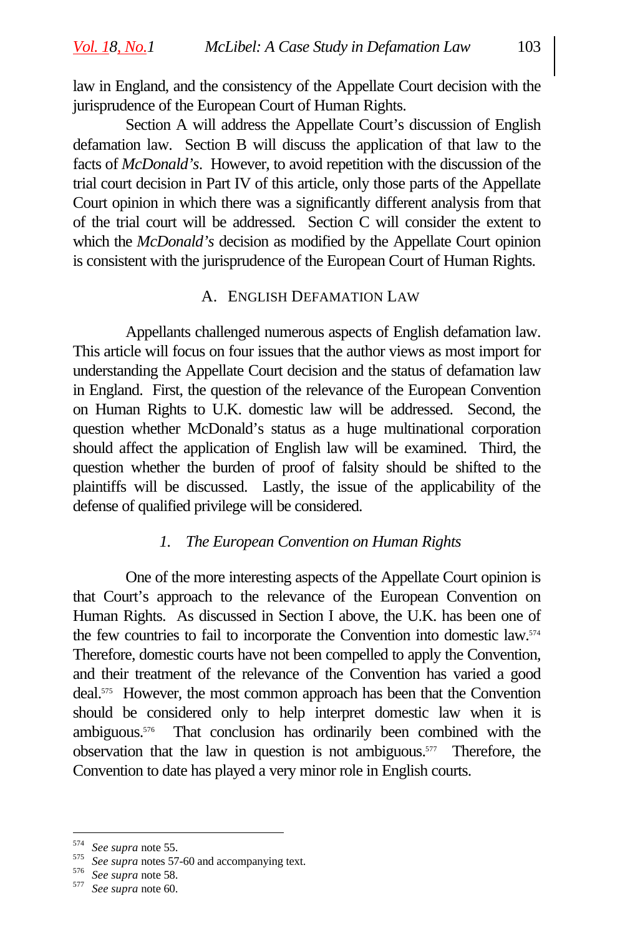law in England, and the consistency of the Appellate Court decision with the jurisprudence of the European Court of Human Rights.

Section A will address the Appellate Court's discussion of English defamation law. Section B will discuss the application of that law to the facts of *McDonald's*. However, to avoid repetition with the discussion of the trial court decision in Part IV of this article, only those parts of the Appellate Court opinion in which there was a significantly different analysis from that of the trial court will be addressed. Section C will consider the extent to which the *McDonald's* decision as modified by the Appellate Court opinion is consistent with the jurisprudence of the European Court of Human Rights.

### A. ENGLISH DEFAMATION LAW

Appellants challenged numerous aspects of English defamation law. This article will focus on four issues that the author views as most import for understanding the Appellate Court decision and the status of defamation law in England. First, the question of the relevance of the European Convention on Human Rights to U.K. domestic law will be addressed. Second, the question whether McDonald's status as a huge multinational corporation should affect the application of English law will be examined. Third, the question whether the burden of proof of falsity should be shifted to the plaintiffs will be discussed. Lastly, the issue of the applicability of the defense of qualified privilege will be considered.

### *1. The European Convention on Human Rights*

One of the more interesting aspects of the Appellate Court opinion is that Court's approach to the relevance of the European Convention on Human Rights. As discussed in Section I above, the U.K. has been one of the few countries to fail to incorporate the Convention into domestic law.<sup>574</sup> Therefore, domestic courts have not been compelled to apply the Convention, and their treatment of the relevance of the Convention has varied a good deal.575 However, the most common approach has been that the Convention should be considered only to help interpret domestic law when it is ambiguous.<sup>576</sup> That conclusion has ordinarily been combined with the observation that the law in question is not ambiguous.577 Therefore, the Convention to date has played a very minor role in English courts.

<sup>574</sup> *See supra* note 55.

<sup>575</sup> *See supra* notes 57-60 and accompanying text.

<sup>576</sup> *See supra* note 58.

<sup>577</sup> *See supra* note 60.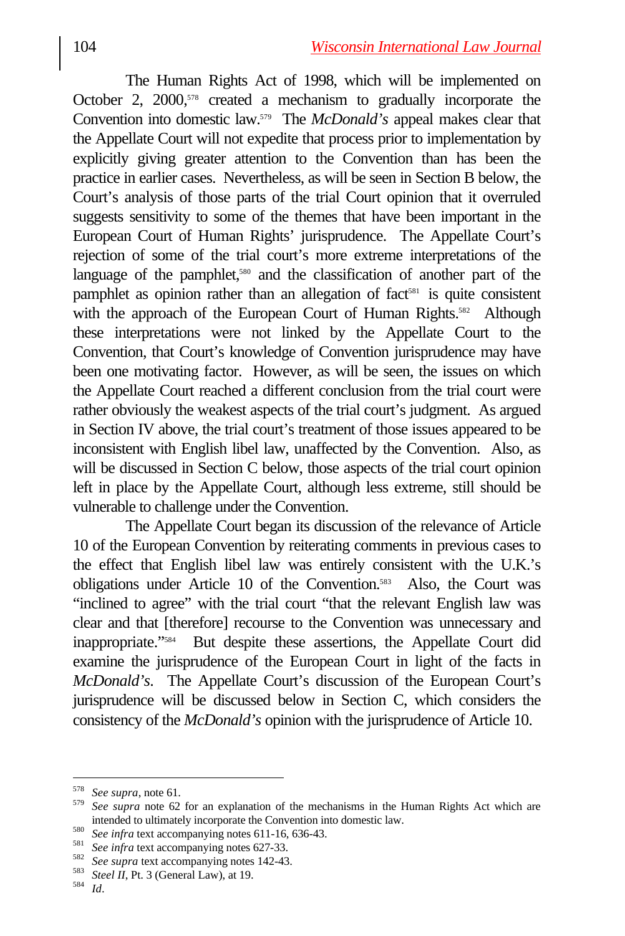The Human Rights Act of 1998, which will be implemented on October 2, 2000,<sup>578</sup> created a mechanism to gradually incorporate the Convention into domestic law.579 The *McDonald's* appeal makes clear that the Appellate Court will not expedite that process prior to implementation by explicitly giving greater attention to the Convention than has been the practice in earlier cases. Nevertheless, as will be seen in Section B below, the Court's analysis of those parts of the trial Court opinion that it overruled suggests sensitivity to some of the themes that have been important in the European Court of Human Rights' jurisprudence. The Appellate Court's rejection of some of the trial court's more extreme interpretations of the language of the pamphlet, $580$  and the classification of another part of the pamphlet as opinion rather than an allegation of fact<sup>581</sup> is quite consistent with the approach of the European Court of Human Rights.<sup>582</sup> Although these interpretations were not linked by the Appellate Court to the Convention, that Court's knowledge of Convention jurisprudence may have been one motivating factor. However, as will be seen, the issues on which the Appellate Court reached a different conclusion from the trial court were rather obviously the weakest aspects of the trial court's judgment. As argued in Section IV above, the trial court's treatment of those issues appeared to be inconsistent with English libel law, unaffected by the Convention. Also, as will be discussed in Section C below, those aspects of the trial court opinion left in place by the Appellate Court, although less extreme, still should be vulnerable to challenge under the Convention.

The Appellate Court began its discussion of the relevance of Article 10 of the European Convention by reiterating comments in previous cases to the effect that English libel law was entirely consistent with the U.K.'s obligations under Article 10 of the Convention.<sup>583</sup> Also, the Court was "inclined to agree" with the trial court "that the relevant English law was clear and that [therefore] recourse to the Convention was unnecessary and inappropriate."584 But despite these assertions, the Appellate Court did examine the jurisprudence of the European Court in light of the facts in *McDonald's*. The Appellate Court's discussion of the European Court's jurisprudence will be discussed below in Section C, which considers the consistency of the *McDonald's* opinion with the jurisprudence of Article 10.

<sup>578</sup> *See supra*, note 61.

<sup>579</sup> *See supra* note 62 for an explanation of the mechanisms in the Human Rights Act which are intended to ultimately incorporate the Convention into domestic law.

<sup>580</sup> *See infra* text accompanying notes 611-16, 636-43.

<sup>581</sup> *See infra* text accompanying notes 627-33.

<sup>582</sup> *See supra* text accompanying notes 142-43.

 $583$  *Steel II*, Pt. 3 (General Law), at 19.

<sup>584</sup> *Id*.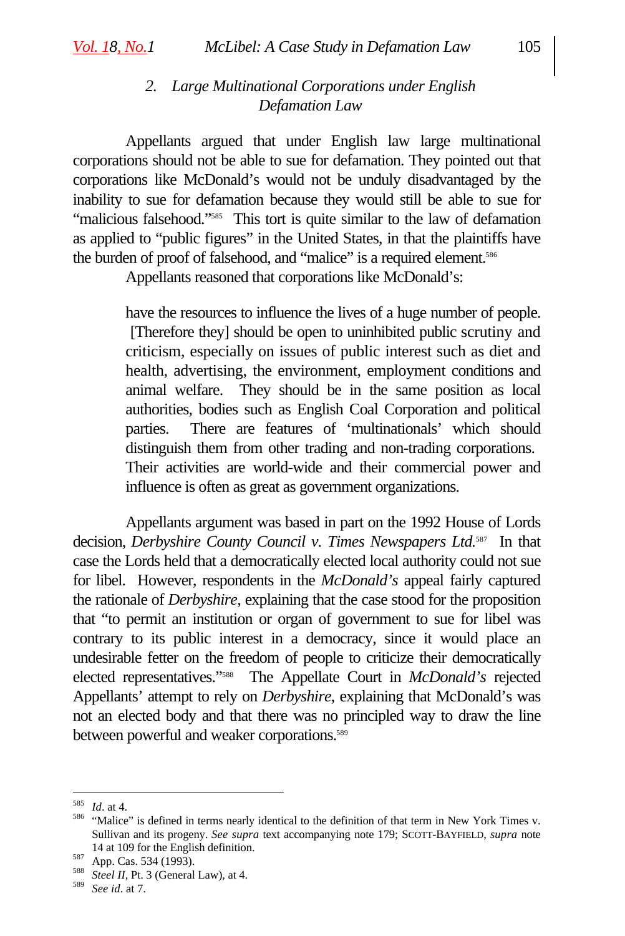# *2. Large Multinational Corporations under English Defamation Law*

Appellants argued that under English law large multinational corporations should not be able to sue for defamation. They pointed out that corporations like McDonald's would not be unduly disadvantaged by the inability to sue for defamation because they would still be able to sue for "malicious falsehood."<sup>585</sup> This tort is quite similar to the law of defamation as applied to "public figures" in the United States, in that the plaintiffs have the burden of proof of falsehood, and "malice" is a required element.<sup>586</sup>

Appellants reasoned that corporations like McDonald's:

have the resources to influence the lives of a huge number of people. [Therefore they] should be open to uninhibited public scrutiny and criticism, especially on issues of public interest such as diet and health, advertising, the environment, employment conditions and animal welfare. They should be in the same position as local authorities, bodies such as English Coal Corporation and political parties. There are features of 'multinationals' which should distinguish them from other trading and non-trading corporations. Their activities are world-wide and their commercial power and influence is often as great as government organizations.

Appellants argument was based in part on the 1992 House of Lords decision, *Derbyshire County Council v. Times Newspapers Ltd.<sup>587</sup> In that* case the Lords held that a democratically elected local authority could not sue for libel. However, respondents in the *McDonald's* appeal fairly captured the rationale of *Derbyshire*, explaining that the case stood for the proposition that "to permit an institution or organ of government to sue for libel was contrary to its public interest in a democracy, since it would place an undesirable fetter on the freedom of people to criticize their democratically elected representatives."588 The Appellate Court in *McDonald's* rejected Appellants' attempt to rely on *Derbyshire*, explaining that McDonald's was not an elected body and that there was no principled way to draw the line between powerful and weaker corporations.<sup>589</sup>

<sup>585</sup> *Id*. at 4.

<sup>586</sup> "Malice" is defined in terms nearly identical to the definition of that term in New York Times v. Sullivan and its progeny. *See supra* text accompanying note 179; SCOTT-BAYFIELD, *supra* note 14 at 109 for the English definition.

<sup>587</sup> App. Cas. 534 (1993).

<sup>588</sup> *Steel II*, Pt. 3 (General Law), at 4.

<sup>589</sup> *See id*. at 7.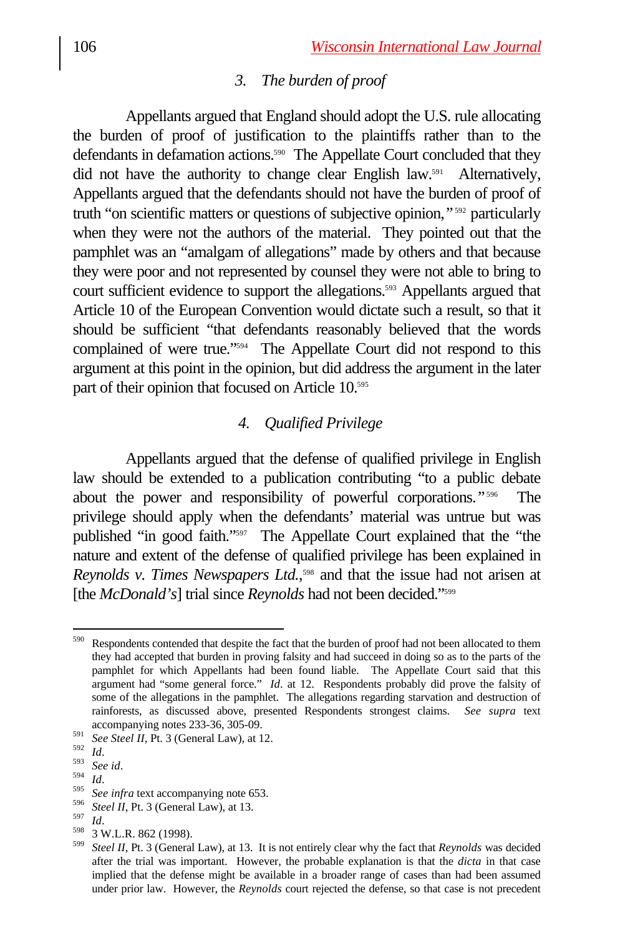### *3. The burden of proof*

Appellants argued that England should adopt the U.S. rule allocating the burden of proof of justification to the plaintiffs rather than to the defendants in defamation actions.<sup>590</sup> The Appellate Court concluded that they did not have the authority to change clear English law.<sup>591</sup> Alternatively, Appellants argued that the defendants should not have the burden of proof of truth "on scientific matters or questions of subjective opinion," <sup>592</sup> particularly when they were not the authors of the material. They pointed out that the pamphlet was an "amalgam of allegations" made by others and that because they were poor and not represented by counsel they were not able to bring to court sufficient evidence to support the allegations.<sup>593</sup> Appellants argued that Article 10 of the European Convention would dictate such a result, so that it should be sufficient "that defendants reasonably believed that the words complained of were true."594 The Appellate Court did not respond to this argument at this point in the opinion, but did address the argument in the later part of their opinion that focused on Article 10.<sup>595</sup>

# *4. Qualified Privilege*

Appellants argued that the defense of qualified privilege in English law should be extended to a publication contributing "to a public debate about the power and responsibility of powerful corporations." <sup>596</sup> The privilege should apply when the defendants' material was untrue but was published "in good faith."597 The Appellate Court explained that the "the nature and extent of the defense of qualified privilege has been explained in *Reynolds v. Times Newspapers Ltd.*, <sup>598</sup> and that the issue had not arisen at [the *McDonald's*] trial since *Reynolds* had not been decided."<sup>599</sup>

 $\frac{594}{595}$  *Id.* 

 $\overline{a}$ <sup>590</sup> Respondents contended that despite the fact that the burden of proof had not been allocated to them they had accepted that burden in proving falsity and had succeed in doing so as to the parts of the pamphlet for which Appellants had been found liable. The Appellate Court said that this argument had "some general force." *Id*. at 12. Respondents probably did prove the falsity of some of the allegations in the pamphlet. The allegations regarding starvation and destruction of rainforests, as discussed above, presented Respondents strongest claims. *See supra* text accompanying notes 233-36, 305-09.

<sup>591</sup> *See Steel II*, Pt. 3 (General Law), at 12.

 $\frac{592}{593}$  *Id.* 

<sup>593</sup> *See id*.

<sup>&</sup>lt;sup>595</sup> *See infra text accompanying note 653.* 

 $\frac{596}{597}$  *Steel II*, Pt. 3 (General Law), at 13.

 $\frac{597}{598}$  *Id.* 

 $^{598}$  3 W.L.R. 862 (1998).

<sup>599</sup> *Steel II*, Pt. 3 (General Law), at 13. It is not entirely clear why the fact that *Reynolds* was decided after the trial was important. However, the probable explanation is that the *dicta* in that case implied that the defense might be available in a broader range of cases than had been assumed under prior law. However, the *Reynolds* court rejected the defense, so that case is not precedent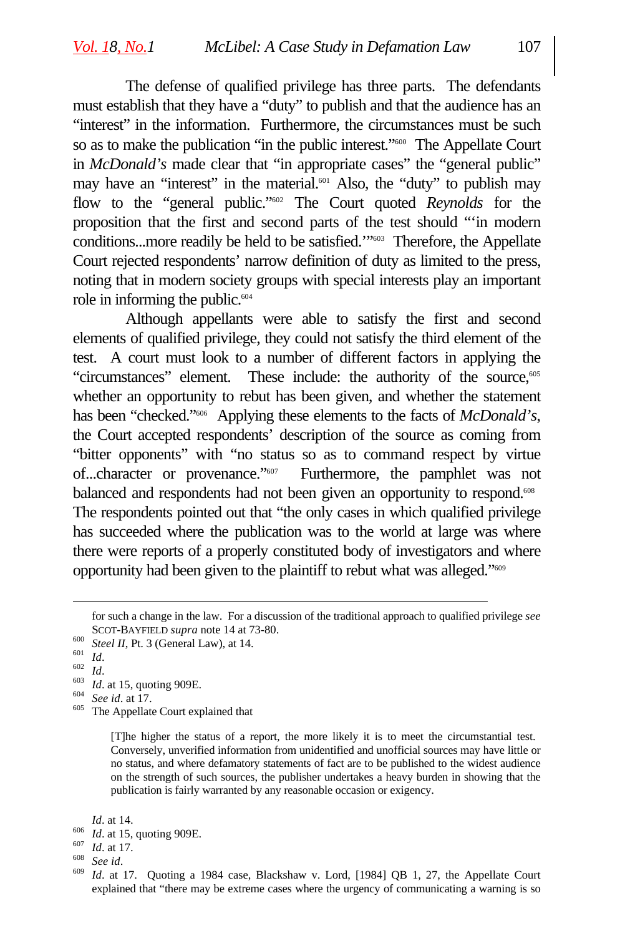The defense of qualified privilege has three parts. The defendants must establish that they have a "duty" to publish and that the audience has an "interest" in the information. Furthermore, the circumstances must be such so as to make the publication "in the public interest."600 The Appellate Court in *McDonald's* made clear that "in appropriate cases" the "general public" may have an "interest" in the material.<sup>601</sup> Also, the "duty" to publish may flow to the "general public."602 The Court quoted *Reynolds* for the proposition that the first and second parts of the test should "'in modern conditions...more readily be held to be satisfied.'"603 Therefore, the Appellate Court rejected respondents' narrow definition of duty as limited to the press, noting that in modern society groups with special interests play an important role in informing the public.<sup>604</sup>

Although appellants were able to satisfy the first and second elements of qualified privilege, they could not satisfy the third element of the test. A court must look to a number of different factors in applying the "circumstances" element. These include: the authority of the source,<sup>605</sup> whether an opportunity to rebut has been given, and whether the statement has been "checked."606 Applying these elements to the facts of *McDonald's*, the Court accepted respondents' description of the source as coming from "bitter opponents" with "no status so as to command respect by virtue of...character or provenance."607 Furthermore, the pamphlet was not balanced and respondents had not been given an opportunity to respond.<sup>608</sup> The respondents pointed out that "the only cases in which qualified privilege has succeeded where the publication was to the world at large was where there were reports of a properly constituted body of investigators and where opportunity had been given to the plaintiff to rebut what was alleged."<sup>609</sup>

 $\overline{a}$ 

*Id*. at 14.

for such a change in the law. For a discussion of the traditional approach to qualified privilege *see* SCOT-BAYFIELD *supra* note 14 at 73-80.

<sup>&</sup>lt;sup>600</sup> *Steel II*, Pt. 3 (General Law), at 14.

*Id.* 

 $\frac{602}{603}$  *Id.* 

*Id.* at 15, quoting 909E.

<sup>604</sup> *See id*. at 17.

<sup>605</sup> The Appellate Court explained that

<sup>[</sup>T]he higher the status of a report, the more likely it is to meet the circumstantial test. Conversely, unverified information from unidentified and unofficial sources may have little or no status, and where defamatory statements of fact are to be published to the widest audience on the strength of such sources, the publisher undertakes a heavy burden in showing that the publication is fairly warranted by any reasonable occasion or exigency.

<sup>&</sup>lt;sup>606</sup> *Id.* at 15, quoting 909E.

*Id.* at 17.

<sup>608</sup> *See id*.

Id. at 17. Quoting a 1984 case, Blackshaw v. Lord, [1984] QB 1, 27, the Appellate Court explained that "there may be extreme cases where the urgency of communicating a warning is so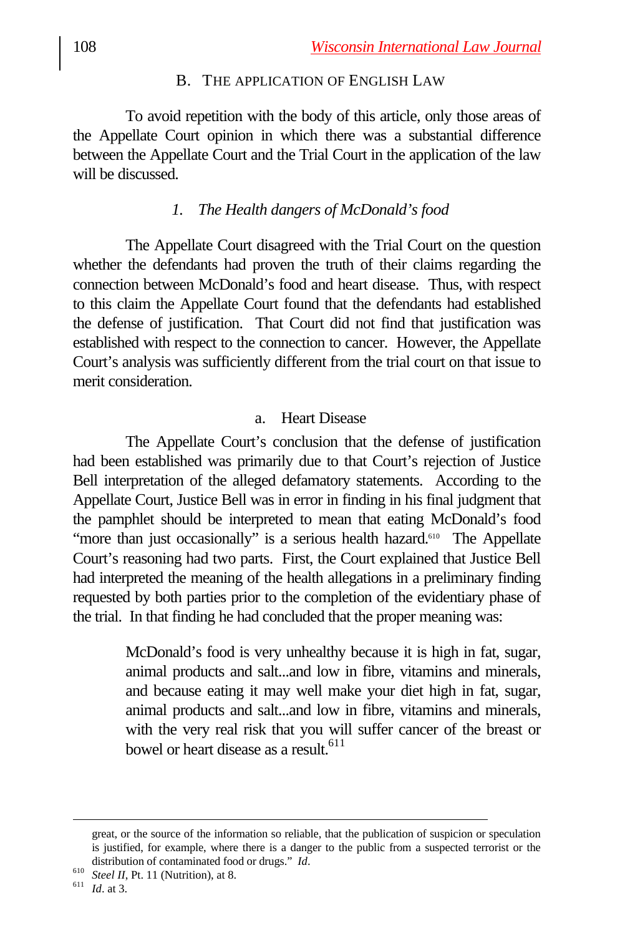# B. THE APPLICATION OF ENGLISH LAW

To avoid repetition with the body of this article, only those areas of the Appellate Court opinion in which there was a substantial difference between the Appellate Court and the Trial Court in the application of the law will be discussed.

# *1. The Health dangers of McDonald's food*

The Appellate Court disagreed with the Trial Court on the question whether the defendants had proven the truth of their claims regarding the connection between McDonald's food and heart disease. Thus, with respect to this claim the Appellate Court found that the defendants had established the defense of justification. That Court did not find that justification was established with respect to the connection to cancer. However, the Appellate Court's analysis was sufficiently different from the trial court on that issue to merit consideration.

### a. Heart Disease

The Appellate Court's conclusion that the defense of justification had been established was primarily due to that Court's rejection of Justice Bell interpretation of the alleged defamatory statements. According to the Appellate Court, Justice Bell was in error in finding in his final judgment that the pamphlet should be interpreted to mean that eating McDonald's food "more than just occasionally" is a serious health hazard.<sup>610</sup> The Appellate Court's reasoning had two parts. First, the Court explained that Justice Bell had interpreted the meaning of the health allegations in a preliminary finding requested by both parties prior to the completion of the evidentiary phase of the trial. In that finding he had concluded that the proper meaning was:

> McDonald's food is very unhealthy because it is high in fat, sugar, animal products and salt...and low in fibre, vitamins and minerals, and because eating it may well make your diet high in fat, sugar, animal products and salt...and low in fibre, vitamins and minerals, with the very real risk that you will suffer cancer of the breast or bowel or heart disease as a result <sup>611</sup>

great, or the source of the information so reliable, that the publication of suspicion or speculation is justified, for example, where there is a danger to the public from a suspected terrorist or the distribution of contaminated food or drugs." *Id*.

<sup>610</sup> *Steel II*, Pt. 11 (Nutrition), at 8.

<sup>611</sup> *Id*. at 3.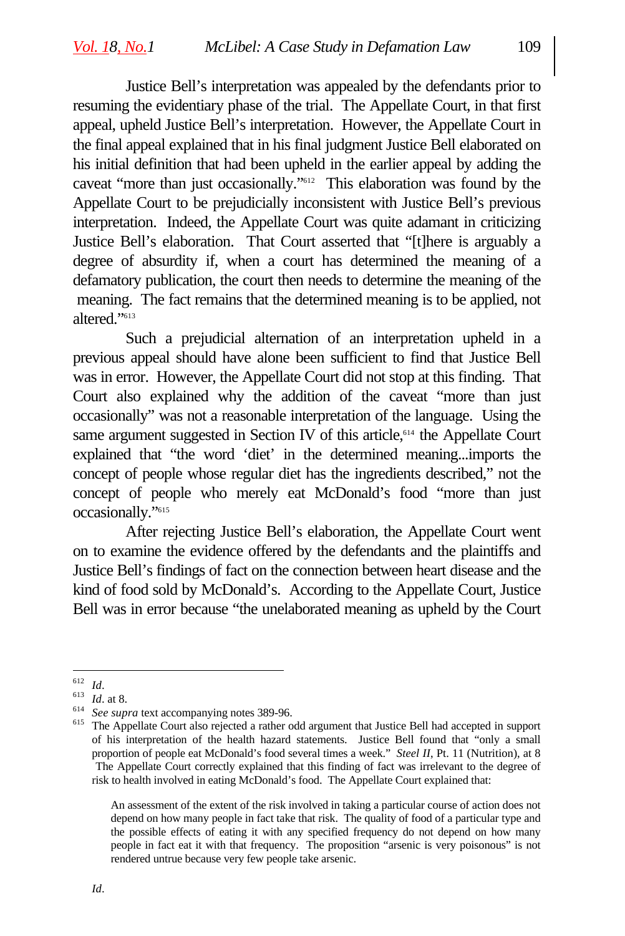Justice Bell's interpretation was appealed by the defendants prior to resuming the evidentiary phase of the trial. The Appellate Court, in that first appeal, upheld Justice Bell's interpretation. However, the Appellate Court in the final appeal explained that in his final judgment Justice Bell elaborated on his initial definition that had been upheld in the earlier appeal by adding the caveat "more than just occasionally."612 This elaboration was found by the Appellate Court to be prejudicially inconsistent with Justice Bell's previous interpretation. Indeed, the Appellate Court was quite adamant in criticizing Justice Bell's elaboration. That Court asserted that "[t]here is arguably a degree of absurdity if, when a court has determined the meaning of a defamatory publication, the court then needs to determine the meaning of the meaning. The fact remains that the determined meaning is to be applied, not altered."<sup>613</sup>

Such a prejudicial alternation of an interpretation upheld in a previous appeal should have alone been sufficient to find that Justice Bell was in error. However, the Appellate Court did not stop at this finding. That Court also explained why the addition of the caveat "more than just occasionally" was not a reasonable interpretation of the language. Using the same argument suggested in Section IV of this article,<sup>614</sup> the Appellate Court explained that "the word 'diet' in the determined meaning...imports the concept of people whose regular diet has the ingredients described," not the concept of people who merely eat McDonald's food "more than just occasionally."<sup>615</sup>

After rejecting Justice Bell's elaboration, the Appellate Court went on to examine the evidence offered by the defendants and the plaintiffs and Justice Bell's findings of fact on the connection between heart disease and the kind of food sold by McDonald's. According to the Appellate Court, Justice Bell was in error because "the unelaborated meaning as upheld by the Court

 $\overline{a}$ <sup>612</sup> *Id*.

<sup>613</sup> *Id*. at 8.

<sup>614</sup> *See supra* text accompanying notes 389-96.

<sup>&</sup>lt;sup>615</sup> The Appellate Court also rejected a rather odd argument that Justice Bell had accepted in support of his interpretation of the health hazard statements. Justice Bell found that "only a small proportion of people eat McDonald's food several times a week." *Steel II*, Pt. 11 (Nutrition), at 8 The Appellate Court correctly explained that this finding of fact was irrelevant to the degree of risk to health involved in eating McDonald's food. The Appellate Court explained that:

An assessment of the extent of the risk involved in taking a particular course of action does not depend on how many people in fact take that risk. The quality of food of a particular type and the possible effects of eating it with any specified frequency do not depend on how many people in fact eat it with that frequency. The proposition "arsenic is very poisonous" is not rendered untrue because very few people take arsenic.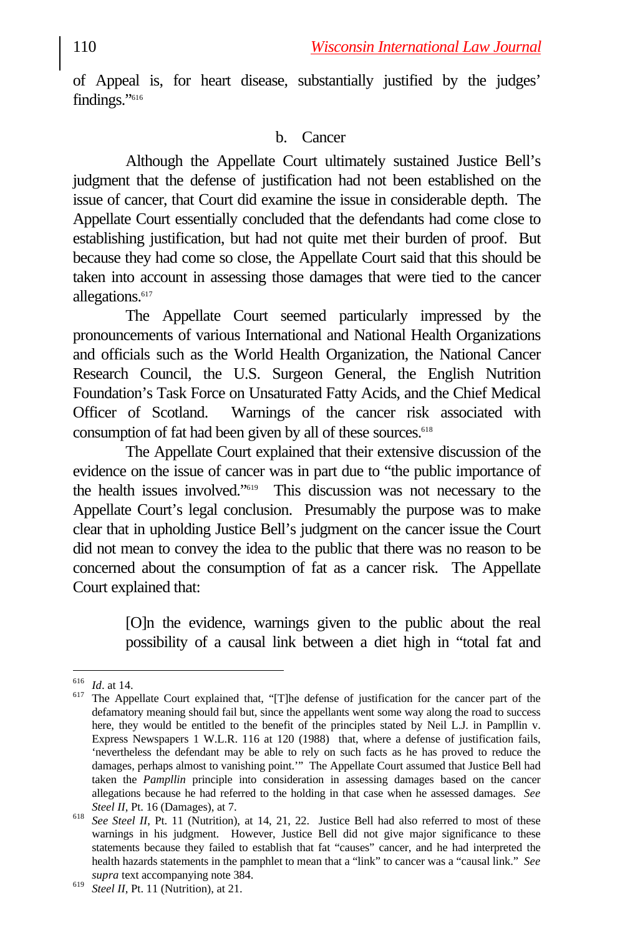of Appeal is, for heart disease, substantially justified by the judges' findings."<sup>616</sup>

#### b. Cancer

Although the Appellate Court ultimately sustained Justice Bell's judgment that the defense of justification had not been established on the issue of cancer, that Court did examine the issue in considerable depth. The Appellate Court essentially concluded that the defendants had come close to establishing justification, but had not quite met their burden of proof. But because they had come so close, the Appellate Court said that this should be taken into account in assessing those damages that were tied to the cancer allegations.<sup>617</sup>

The Appellate Court seemed particularly impressed by the pronouncements of various International and National Health Organizations and officials such as the World Health Organization, the National Cancer Research Council, the U.S. Surgeon General, the English Nutrition Foundation's Task Force on Unsaturated Fatty Acids, and the Chief Medical Officer of Scotland. Warnings of the cancer risk associated with consumption of fat had been given by all of these sources.<sup>618</sup>

The Appellate Court explained that their extensive discussion of the evidence on the issue of cancer was in part due to "the public importance of the health issues involved."619 This discussion was not necessary to the Appellate Court's legal conclusion. Presumably the purpose was to make clear that in upholding Justice Bell's judgment on the cancer issue the Court did not mean to convey the idea to the public that there was no reason to be concerned about the consumption of fat as a cancer risk. The Appellate Court explained that:

> [O]n the evidence, warnings given to the public about the real possibility of a causal link between a diet high in "total fat and

<sup>616</sup> *Id*. at 14.

<sup>&</sup>lt;sup>617</sup> The Appellate Court explained that, "[T]he defense of justification for the cancer part of the defamatory meaning should fail but, since the appellants went some way along the road to success here, they would be entitled to the benefit of the principles stated by Neil L.J. in Pampllin v. Express Newspapers 1 W.L.R. 116 at 120 (1988) that, where a defense of justification fails, 'nevertheless the defendant may be able to rely on such facts as he has proved to reduce the damages, perhaps almost to vanishing point.'" The Appellate Court assumed that Justice Bell had taken the *Pampllin* principle into consideration in assessing damages based on the cancer allegations because he had referred to the holding in that case when he assessed damages. *See Steel II*, Pt. 16 (Damages), at 7.

<sup>&</sup>lt;sup>618</sup> *See Steel II*, Pt. 11 (Nutrition), at 14, 21, 22. Justice Bell had also referred to most of these warnings in his judgment. However, Justice Bell did not give major significance to these statements because they failed to establish that fat "causes" cancer, and he had interpreted the health hazards statements in the pamphlet to mean that a "link" to cancer was a "causal link." *See supra* text accompanying note 384.

<sup>&</sup>lt;sup>619</sup> *Steel II*, Pt. 11 (Nutrition), at 21.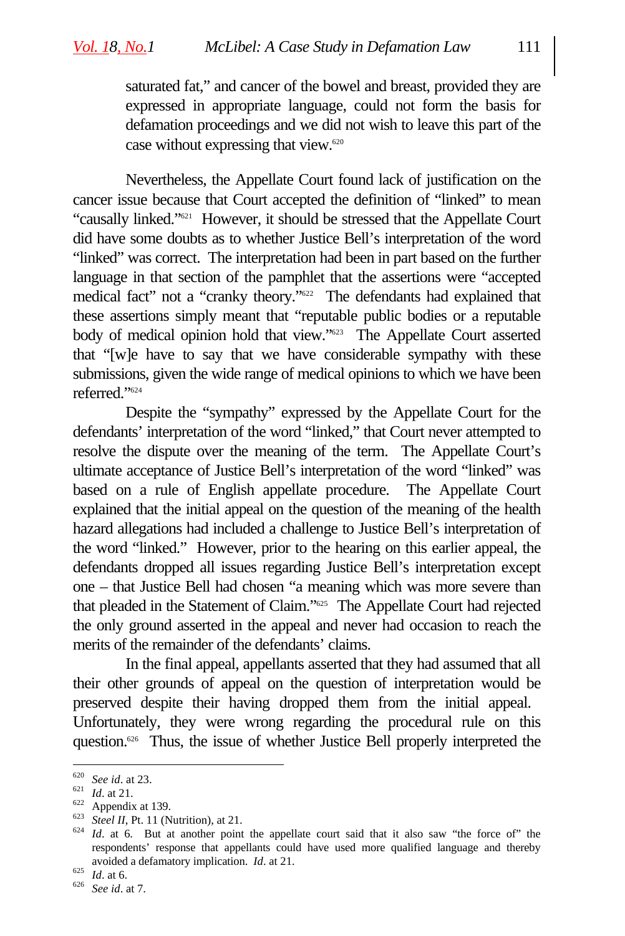saturated fat," and cancer of the bowel and breast, provided they are expressed in appropriate language, could not form the basis for defamation proceedings and we did not wish to leave this part of the case without expressing that view.<sup>620</sup>

Nevertheless, the Appellate Court found lack of justification on the cancer issue because that Court accepted the definition of "linked" to mean "causally linked."621 However, it should be stressed that the Appellate Court did have some doubts as to whether Justice Bell's interpretation of the word "linked" was correct. The interpretation had been in part based on the further language in that section of the pamphlet that the assertions were "accepted medical fact" not a "cranky theory."622 The defendants had explained that these assertions simply meant that "reputable public bodies or a reputable body of medical opinion hold that view."<sup>623</sup> The Appellate Court asserted that "[w]e have to say that we have considerable sympathy with these submissions, given the wide range of medical opinions to which we have been referred<sup>"624</sup>

Despite the "sympathy" expressed by the Appellate Court for the defendants' interpretation of the word "linked," that Court never attempted to resolve the dispute over the meaning of the term. The Appellate Court's ultimate acceptance of Justice Bell's interpretation of the word "linked" was based on a rule of English appellate procedure. The Appellate Court explained that the initial appeal on the question of the meaning of the health hazard allegations had included a challenge to Justice Bell's interpretation of the word "linked." However, prior to the hearing on this earlier appeal, the defendants dropped all issues regarding Justice Bell's interpretation except one – that Justice Bell had chosen "a meaning which was more severe than that pleaded in the Statement of Claim."625 The Appellate Court had rejected the only ground asserted in the appeal and never had occasion to reach the merits of the remainder of the defendants' claims.

In the final appeal, appellants asserted that they had assumed that all their other grounds of appeal on the question of interpretation would be preserved despite their having dropped them from the initial appeal. Unfortunately, they were wrong regarding the procedural rule on this question.626 Thus, the issue of whether Justice Bell properly interpreted the

<sup>620</sup> *See id*. at 23.

<sup>621</sup> *Id*. at 21.

<sup>622</sup> Appendix at 139.

 $623$  *Steel II*, Pt. 11 (Nutrition), at 21.

<sup>&</sup>lt;sup>624</sup> *Id.* at 6. But at another point the appellate court said that it also saw "the force of" the respondents' response that appellants could have used more qualified language and thereby avoided a defamatory implication. *Id*. at 21.

<sup>625</sup> *Id*. at 6.

<sup>626</sup> *See id*. at 7.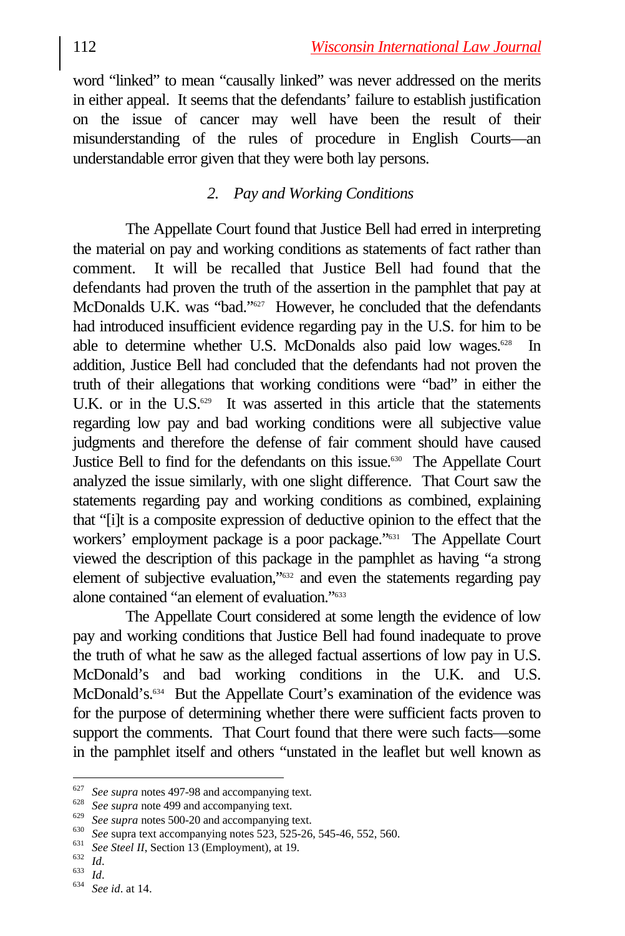word "linked" to mean "causally linked" was never addressed on the merits in either appeal. It seems that the defendants' failure to establish justification on the issue of cancer may well have been the result of their misunderstanding of the rules of procedure in English Courts—an understandable error given that they were both lay persons.

## *2. Pay and Working Conditions*

The Appellate Court found that Justice Bell had erred in interpreting the material on pay and working conditions as statements of fact rather than comment. It will be recalled that Justice Bell had found that the defendants had proven the truth of the assertion in the pamphlet that pay at McDonalds U.K. was "bad."627 However, he concluded that the defendants had introduced insufficient evidence regarding pay in the U.S. for him to be able to determine whether U.S. McDonalds also paid low wages. $628$  In addition, Justice Bell had concluded that the defendants had not proven the truth of their allegations that working conditions were "bad" in either the U.K. or in the U.S. $629$  It was asserted in this article that the statements regarding low pay and bad working conditions were all subjective value judgments and therefore the defense of fair comment should have caused Justice Bell to find for the defendants on this issue.<sup>630</sup> The Appellate Court analyzed the issue similarly, with one slight difference. That Court saw the statements regarding pay and working conditions as combined, explaining that "[i]t is a composite expression of deductive opinion to the effect that the workers' employment package is a poor package."631 The Appellate Court viewed the description of this package in the pamphlet as having "a strong element of subjective evaluation,"632 and even the statements regarding pay alone contained "an element of evaluation."<sup>633</sup>

The Appellate Court considered at some length the evidence of low pay and working conditions that Justice Bell had found inadequate to prove the truth of what he saw as the alleged factual assertions of low pay in U.S. McDonald's and bad working conditions in the U.K. and U.S. McDonald's.<sup>634</sup> But the Appellate Court's examination of the evidence was for the purpose of determining whether there were sufficient facts proven to support the comments. That Court found that there were such facts—some in the pamphlet itself and others "unstated in the leaflet but well known as

<sup>627</sup> See supra notes 497-98 and accompanying text.

 $\frac{628}{629}$  *See supra* note 499 and accompanying text.

See supra notes 500-20 and accompanying text.

<sup>&</sup>lt;sup>630</sup> *See* supra text accompanying notes 523, 525-26, 545-46, 552, 560.

See Steel II, Section 13 (Employment), at 19.

 $\frac{632}{633}$  *Id.* 

<sup>633</sup> *Id*.

<sup>634</sup> *See id*. at 14.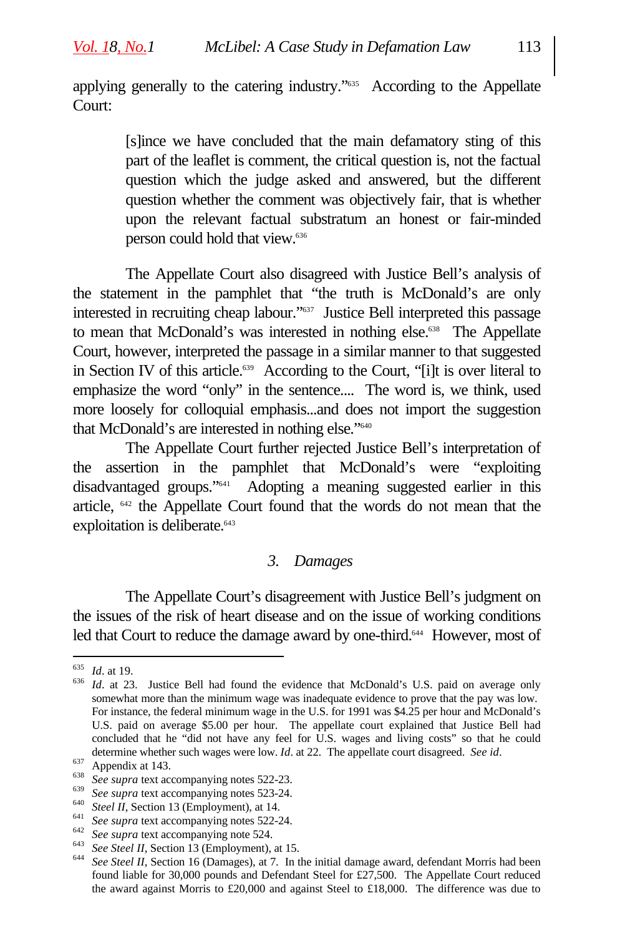applying generally to the catering industry."635 According to the Appellate Court:

> [s]ince we have concluded that the main defamatory sting of this part of the leaflet is comment, the critical question is, not the factual question which the judge asked and answered, but the different question whether the comment was objectively fair, that is whether upon the relevant factual substratum an honest or fair-minded person could hold that view.<sup>636</sup>

The Appellate Court also disagreed with Justice Bell's analysis of the statement in the pamphlet that "the truth is McDonald's are only interested in recruiting cheap labour."637 Justice Bell interpreted this passage to mean that McDonald's was interested in nothing else.<sup>638</sup> The Appellate Court, however, interpreted the passage in a similar manner to that suggested in Section IV of this article.639 According to the Court, "[i]t is over literal to emphasize the word "only" in the sentence.... The word is, we think, used more loosely for colloquial emphasis...and does not import the suggestion that McDonald's are interested in nothing else."<sup>640</sup>

The Appellate Court further rejected Justice Bell's interpretation of the assertion in the pamphlet that McDonald's were "exploiting disadvantaged groups."641 Adopting a meaning suggested earlier in this article, 642 the Appellate Court found that the words do not mean that the exploitation is deliberate.<sup>643</sup>

## *3. Damages*

The Appellate Court's disagreement with Justice Bell's judgment on the issues of the risk of heart disease and on the issue of working conditions led that Court to reduce the damage award by one-third.<sup>644</sup> However, most of

<sup>635</sup> *Id*. at 19.

<sup>&</sup>lt;sup>636</sup> *Id.* at 23. Justice Bell had found the evidence that McDonald's U.S. paid on average only somewhat more than the minimum wage was inadequate evidence to prove that the pay was low. For instance, the federal minimum wage in the U.S. for 1991 was \$4.25 per hour and McDonald's U.S. paid on average \$5.00 per hour. The appellate court explained that Justice Bell had concluded that he "did not have any feel for U.S. wages and living costs" so that he could determine whether such wages were low. *Id*. at 22. The appellate court disagreed. *See id*.

<sup>637</sup> Appendix at 143.

<sup>&</sup>lt;sup>638</sup> *See supra* text accompanying notes 522-23.

See supra text accompanying notes 523-24.

 $640$  *Steel II*, Section 13 (Employment), at 14.

<sup>641</sup> *See supra* text accompanying notes 522-24.

<sup>&</sup>lt;sup>642</sup> *See supra* text accompanying note 524.

<sup>643</sup> *See Steel II*, Section 13 (Employment), at 15.

<sup>644</sup> *See Steel II*, Section 16 (Damages), at 7. In the initial damage award, defendant Morris had been found liable for 30,000 pounds and Defendant Steel for £27,500. The Appellate Court reduced the award against Morris to £20,000 and against Steel to £18,000. The difference was due to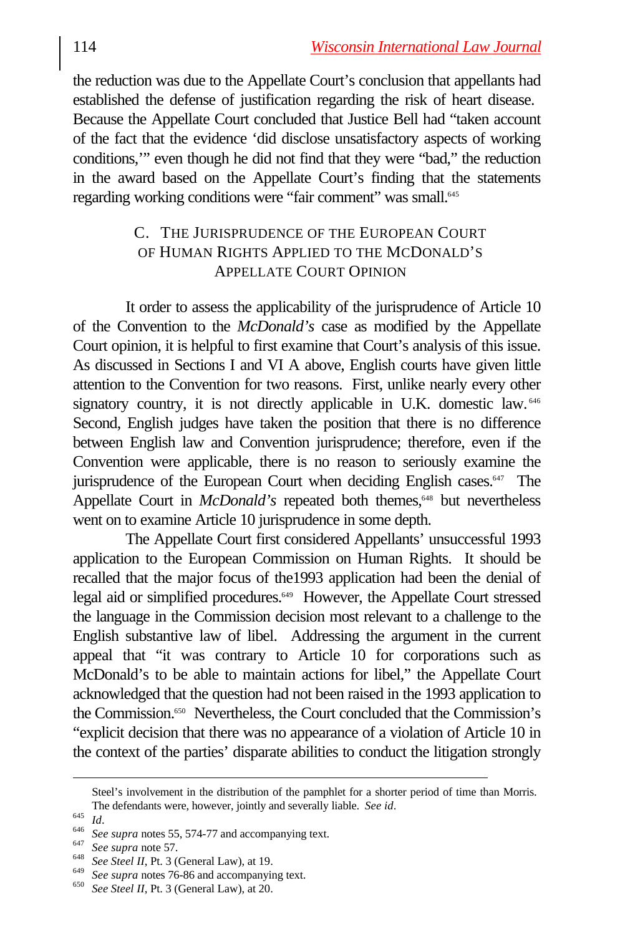the reduction was due to the Appellate Court's conclusion that appellants had established the defense of justification regarding the risk of heart disease. Because the Appellate Court concluded that Justice Bell had "taken account of the fact that the evidence 'did disclose unsatisfactory aspects of working conditions,'" even though he did not find that they were "bad," the reduction in the award based on the Appellate Court's finding that the statements regarding working conditions were "fair comment" was small.<sup>645</sup>

## C. THE JURISPRUDENCE OF THE EUROPEAN COURT OF HUMAN RIGHTS APPLIED TO THE MCDONALD'S APPELLATE COURT OPINION

It order to assess the applicability of the jurisprudence of Article 10 of the Convention to the *McDonald's* case as modified by the Appellate Court opinion, it is helpful to first examine that Court's analysis of this issue. As discussed in Sections I and VI A above, English courts have given little attention to the Convention for two reasons. First, unlike nearly every other signatory country, it is not directly applicable in U.K. domestic law.<sup>646</sup> Second, English judges have taken the position that there is no difference between English law and Convention jurisprudence; therefore, even if the Convention were applicable, there is no reason to seriously examine the jurisprudence of the European Court when deciding English cases.<sup>647</sup> The Appellate Court in *McDonald's* repeated both themes,<sup>648</sup> but nevertheless went on to examine Article 10 jurisprudence in some depth.

The Appellate Court first considered Appellants' unsuccessful 1993 application to the European Commission on Human Rights. It should be recalled that the major focus of the1993 application had been the denial of legal aid or simplified procedures.<sup>649</sup> However, the Appellate Court stressed the language in the Commission decision most relevant to a challenge to the English substantive law of libel. Addressing the argument in the current appeal that "it was contrary to Article 10 for corporations such as McDonald's to be able to maintain actions for libel," the Appellate Court acknowledged that the question had not been raised in the 1993 application to the Commission.650 Nevertheless, the Court concluded that the Commission's "explicit decision that there was no appearance of a violation of Article 10 in the context of the parties' disparate abilities to conduct the litigation strongly

Steel's involvement in the distribution of the pamphlet for a shorter period of time than Morris. The defendants were, however, jointly and severally liable. *See id*.

<sup>645</sup> *Id*.

<sup>&</sup>lt;sup>646</sup> *See supra* notes 55, 574-77 and accompanying text.

<sup>647</sup> *See supra* note 57.

<sup>648</sup> *See Steel II*, Pt. 3 (General Law), at 19.

<sup>649</sup> *See supra* notes 76-86 and accompanying text.

<sup>650</sup> *See Steel II*, Pt. 3 (General Law), at 20.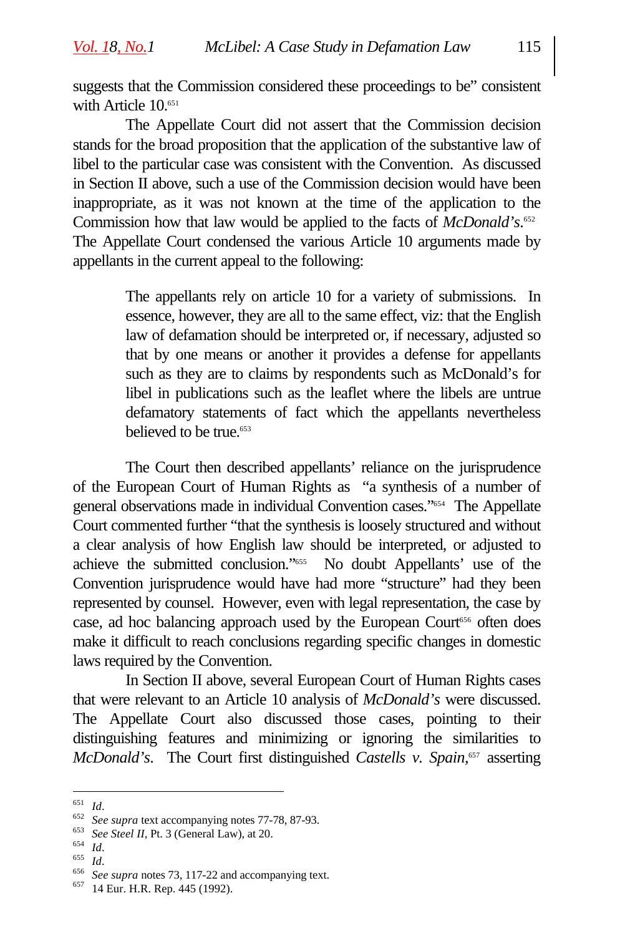suggests that the Commission considered these proceedings to be" consistent with Article  $10<sup>651</sup>$ 

The Appellate Court did not assert that the Commission decision stands for the broad proposition that the application of the substantive law of libel to the particular case was consistent with the Convention. As discussed in Section II above, such a use of the Commission decision would have been inappropriate, as it was not known at the time of the application to the Commission how that law would be applied to the facts of *McDonald's*. 652 The Appellate Court condensed the various Article 10 arguments made by appellants in the current appeal to the following:

> The appellants rely on article 10 for a variety of submissions. In essence, however, they are all to the same effect, viz: that the English law of defamation should be interpreted or, if necessary, adjusted so that by one means or another it provides a defense for appellants such as they are to claims by respondents such as McDonald's for libel in publications such as the leaflet where the libels are untrue defamatory statements of fact which the appellants nevertheless believed to be true.<sup>653</sup>

The Court then described appellants' reliance on the jurisprudence of the European Court of Human Rights as "a synthesis of a number of general observations made in individual Convention cases."654 The Appellate Court commented further "that the synthesis is loosely structured and without a clear analysis of how English law should be interpreted, or adjusted to achieve the submitted conclusion."655 No doubt Appellants' use of the Convention jurisprudence would have had more "structure" had they been represented by counsel. However, even with legal representation, the case by case, ad hoc balancing approach used by the European Court<sup>656</sup> often does make it difficult to reach conclusions regarding specific changes in domestic laws required by the Convention.

In Section II above, several European Court of Human Rights cases that were relevant to an Article 10 analysis of *McDonald's* were discussed. The Appellate Court also discussed those cases, pointing to their distinguishing features and minimizing or ignoring the similarities to *McDonald's*. The Court first distinguished *Castells v. Spain*,<sup>657</sup> asserting

- $\frac{654}{655}$  *Id.*
- $\frac{655}{656}$  *Id.*

<sup>651</sup>  $\frac{651}{652}$  *Id.* 

<sup>&</sup>lt;sup>652</sup> *See supra* text accompanying notes 77-78, 87-93.

See Steel II, Pt. 3 (General Law), at 20.

See supra notes 73, 117-22 and accompanying text.

<sup>657</sup> 14 Eur. H.R. Rep. 445 (1992).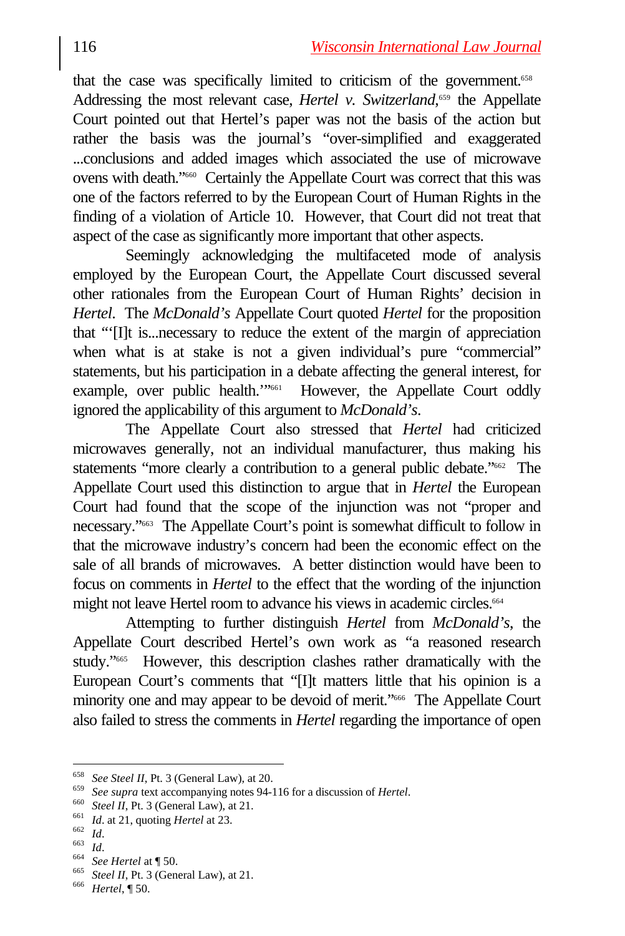that the case was specifically limited to criticism of the government.<sup>658</sup> Addressing the most relevant case, *Hertel v. Switzerland*,<sup>659</sup> the Appellate Court pointed out that Hertel's paper was not the basis of the action but rather the basis was the journal's "over-simplified and exaggerated ...conclusions and added images which associated the use of microwave ovens with death."660 Certainly the Appellate Court was correct that this was one of the factors referred to by the European Court of Human Rights in the finding of a violation of Article 10. However, that Court did not treat that aspect of the case as significantly more important that other aspects.

Seemingly acknowledging the multifaceted mode of analysis employed by the European Court, the Appellate Court discussed several other rationales from the European Court of Human Rights' decision in *Hertel*. The *McDonald's* Appellate Court quoted *Hertel* for the proposition that "'[I]t is...necessary to reduce the extent of the margin of appreciation when what is at stake is not a given individual's pure "commercial" statements, but his participation in a debate affecting the general interest, for example, over public health."<sup>5661</sup> However, the Appellate Court oddly ignored the applicability of this argument to *McDonald's*.

The Appellate Court also stressed that *Hertel* had criticized microwaves generally, not an individual manufacturer, thus making his statements "more clearly a contribution to a general public debate."<sup>662</sup> The Appellate Court used this distinction to argue that in *Hertel* the European Court had found that the scope of the injunction was not "proper and necessary."663 The Appellate Court's point is somewhat difficult to follow in that the microwave industry's concern had been the economic effect on the sale of all brands of microwaves. A better distinction would have been to focus on comments in *Hertel* to the effect that the wording of the injunction might not leave Hertel room to advance his views in academic circles.<sup>664</sup>

Attempting to further distinguish *Hertel* from *McDonald's*, the Appellate Court described Hertel's own work as "a reasoned research study."665 However, this description clashes rather dramatically with the European Court's comments that "[I]t matters little that his opinion is a minority one and may appear to be devoid of merit."<sup>666</sup> The Appellate Court also failed to stress the comments in *Hertel* regarding the importance of open

 $\frac{662}{663}$  *Id.* 

<sup>&</sup>lt;sup>658</sup> *See Steel II*, Pt. 3 (General Law), at 20.

<sup>659</sup> *See supra* text accompanying notes 94-116 for a discussion of *Hertel*.

<sup>660</sup> *Steel II*, Pt. 3 (General Law), at 21.

<sup>661</sup> *Id*. at 21, quoting *Hertel* at 23.

<sup>663</sup> *Id*.

<sup>664</sup> *See Hertel* at ¶ 50.

Steel II, Pt. 3 (General Law), at 21.

<sup>666</sup> *Hertel*, ¶ 50.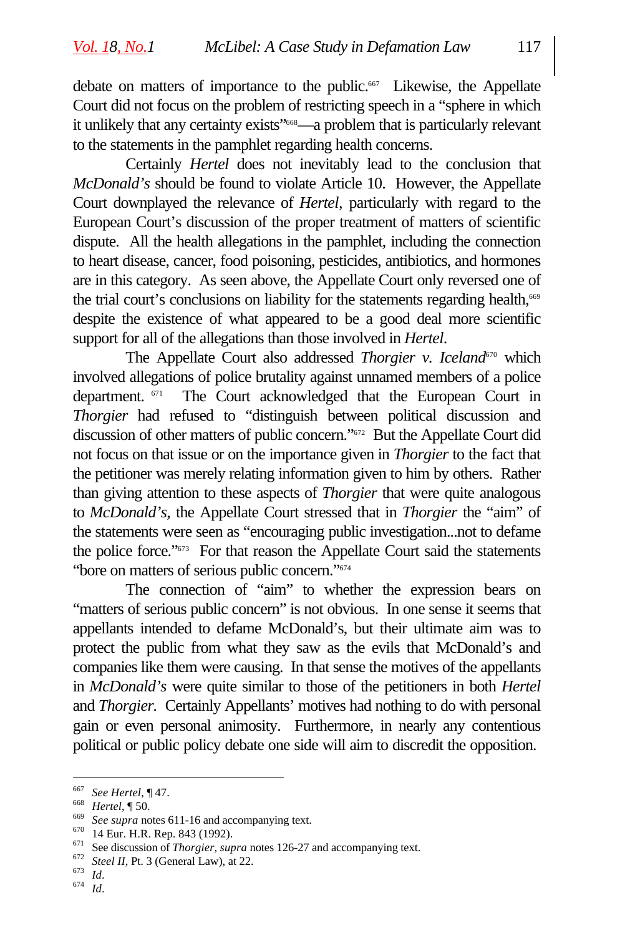debate on matters of importance to the public.<sup>667</sup> Likewise, the Appellate Court did not focus on the problem of restricting speech in a "sphere in which it unlikely that any certainty exists"668—a problem that is particularly relevant to the statements in the pamphlet regarding health concerns.

Certainly *Hertel* does not inevitably lead to the conclusion that *McDonald's* should be found to violate Article 10. However, the Appellate Court downplayed the relevance of *Hertel,* particularly with regard to the European Court's discussion of the proper treatment of matters of scientific dispute. All the health allegations in the pamphlet, including the connection to heart disease, cancer, food poisoning, pesticides, antibiotics, and hormones are in this category. As seen above, the Appellate Court only reversed one of the trial court's conclusions on liability for the statements regarding health,<sup>669</sup> despite the existence of what appeared to be a good deal more scientific support for all of the allegations than those involved in *Hertel*.

The Appellate Court also addressed *Thorgier v. Iceland*670 which involved allegations of police brutality against unnamed members of a police department. <sup>671</sup> The Court acknowledged that the European Court in *Thorgier* had refused to "distinguish between political discussion and discussion of other matters of public concern."672 But the Appellate Court did not focus on that issue or on the importance given in *Thorgier* to the fact that the petitioner was merely relating information given to him by others. Rather than giving attention to these aspects of *Thorgier* that were quite analogous to *McDonald's*, the Appellate Court stressed that in *Thorgier* the "aim" of the statements were seen as "encouraging public investigation...not to defame the police force."673 For that reason the Appellate Court said the statements "bore on matters of serious public concern."<sup>674</sup>

The connection of "aim" to whether the expression bears on "matters of serious public concern" is not obvious. In one sense it seems that appellants intended to defame McDonald's, but their ultimate aim was to protect the public from what they saw as the evils that McDonald's and companies like them were causing. In that sense the motives of the appellants in *McDonald's* were quite similar to those of the petitioners in both *Hertel* and *Thorgier.* Certainly Appellants' motives had nothing to do with personal gain or even personal animosity. Furthermore, in nearly any contentious political or public policy debate one side will aim to discredit the opposition.

<sup>667</sup> <sup>667</sup> *See Hertel*, ¶ 47.

<sup>668</sup> *Hertel*, ¶ 50.

<sup>669</sup> *See supra* notes 611-16 and accompanying text.

 $^{670}$  14 Eur. H.R. Rep. 843 (1992).

 $^{671}$  See discussion of *Thorgier*, *supra* notes 126-27 and accompanying text.

 $^{672}$  *Steel II*, Pt. 3 (General Law), at 22.

 $\frac{673}{674}$  *Id.*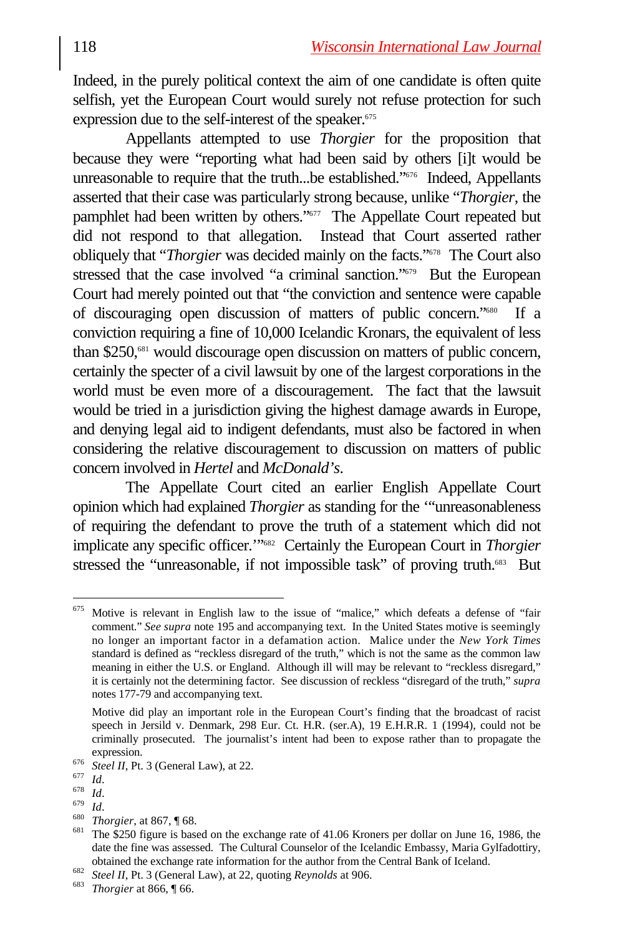Indeed, in the purely political context the aim of one candidate is often quite selfish, yet the European Court would surely not refuse protection for such expression due to the self-interest of the speaker.<sup>675</sup>

Appellants attempted to use *Thorgier* for the proposition that because they were "reporting what had been said by others [i]t would be unreasonable to require that the truth...be established."<sup>676</sup> Indeed, Appellants asserted that their case was particularly strong because, unlike "*Thorgier*, the pamphlet had been written by others."677 The Appellate Court repeated but did not respond to that allegation. Instead that Court asserted rather obliquely that "*Thorgier* was decided mainly on the facts."678 The Court also stressed that the case involved "a criminal sanction."<sup>679</sup> But the European Court had merely pointed out that "the conviction and sentence were capable of discouraging open discussion of matters of public concern."680 If a conviction requiring a fine of 10,000 Icelandic Kronars, the equivalent of less than \$250,681 would discourage open discussion on matters of public concern, certainly the specter of a civil lawsuit by one of the largest corporations in the world must be even more of a discouragement. The fact that the lawsuit would be tried in a jurisdiction giving the highest damage awards in Europe, and denying legal aid to indigent defendants, must also be factored in when considering the relative discouragement to discussion on matters of public concern involved in *Hertel* and *McDonald's*.

The Appellate Court cited an earlier English Appellate Court opinion which had explained *Thorgier* as standing for the '"unreasonableness of requiring the defendant to prove the truth of a statement which did not implicate any specific officer.'"682 Certainly the European Court in *Thorgier* stressed the "unreasonable, if not impossible task" of proving truth.<sup>683</sup> But

<sup>&</sup>lt;sup>675</sup> Motive is relevant in English law to the issue of "malice," which defeats a defense of "fair comment." *See supra* note 195 and accompanying text. In the United States motive is seemingly no longer an important factor in a defamation action. Malice under the *New York Times* standard is defined as "reckless disregard of the truth," which is not the same as the common law meaning in either the U.S. or England. Although ill will may be relevant to "reckless disregard," it is certainly not the determining factor. See discussion of reckless "disregard of the truth," *supra* notes 177-79 and accompanying text.

Motive did play an important role in the European Court's finding that the broadcast of racist speech in Jersild v. Denmark, 298 Eur. Ct. H.R. (ser.A), 19 E.H.R.R. 1 (1994), could not be criminally prosecuted. The journalist's intent had been to expose rather than to propagate the expression.

<sup>676</sup> *Steel II*, Pt. 3 (General Law), at 22.

 $\frac{677}{678}$  *Id.* 

 $\frac{678}{679}$  *Id.* 

 $\frac{679}{680}$  *Id.* 

 $^{680}$  *Thorgier*, at 867, [68.]

The \$250 figure is based on the exchange rate of 41.06 Kroners per dollar on June 16, 1986, the date the fine was assessed. The Cultural Counselor of the Icelandic Embassy, Maria Gylfadottiry, obtained the exchange rate information for the author from the Central Bank of Iceland.

<sup>682</sup> *Steel II*, Pt. 3 (General Law), at 22, quoting *Reynolds* at 906.

<sup>683</sup> *Thorgier* at 866, ¶ 66.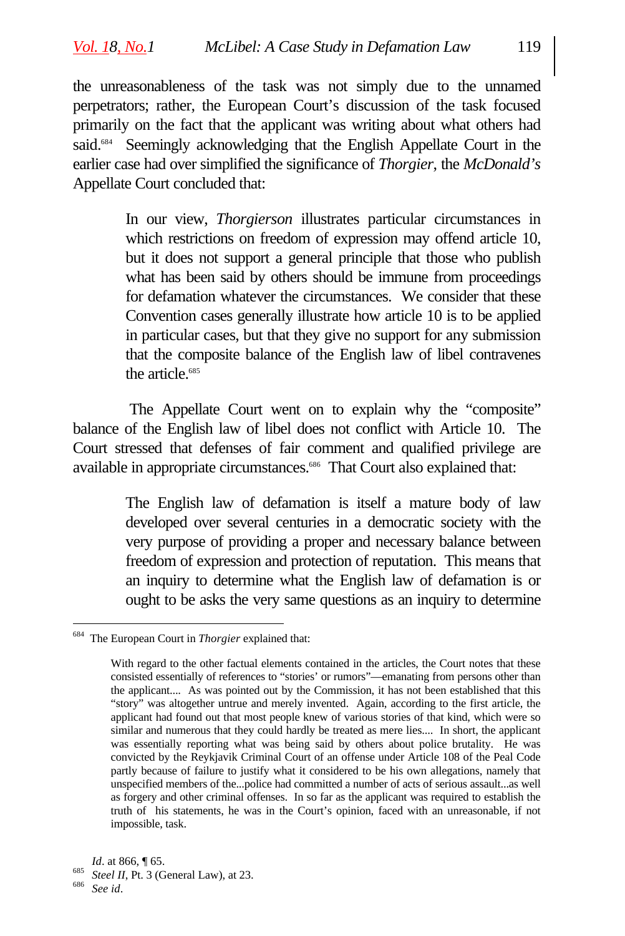the unreasonableness of the task was not simply due to the unnamed perpetrators; rather, the European Court's discussion of the task focused primarily on the fact that the applicant was writing about what others had said.<sup>684</sup> Seemingly acknowledging that the English Appellate Court in the earlier case had over simplified the significance of *Thorgier*, the *McDonald's* Appellate Court concluded that:

> In our view, *Thorgierson* illustrates particular circumstances in which restrictions on freedom of expression may offend article 10, but it does not support a general principle that those who publish what has been said by others should be immune from proceedings for defamation whatever the circumstances. We consider that these Convention cases generally illustrate how article 10 is to be applied in particular cases, but that they give no support for any submission that the composite balance of the English law of libel contravenes the article.<sup>685</sup>

The Appellate Court went on to explain why the "composite" balance of the English law of libel does not conflict with Article 10. The Court stressed that defenses of fair comment and qualified privilege are available in appropriate circumstances.<sup>686</sup> That Court also explained that:

> The English law of defamation is itself a mature body of law developed over several centuries in a democratic society with the very purpose of providing a proper and necessary balance between freedom of expression and protection of reputation. This means that an inquiry to determine what the English law of defamation is or ought to be asks the very same questions as an inquiry to determine

<sup>684</sup> The European Court in *Thorgier* explained that:

With regard to the other factual elements contained in the articles, the Court notes that these consisted essentially of references to "stories' or rumors"—emanating from persons other than the applicant.... As was pointed out by the Commission, it has not been established that this "story" was altogether untrue and merely invented. Again, according to the first article, the applicant had found out that most people knew of various stories of that kind, which were so similar and numerous that they could hardly be treated as mere lies.... In short, the applicant was essentially reporting what was being said by others about police brutality. He was convicted by the Reykjavik Criminal Court of an offense under Article 108 of the Peal Code partly because of failure to justify what it considered to be his own allegations, namely that unspecified members of the...police had committed a number of acts of serious assault...as well as forgery and other criminal offenses. In so far as the applicant was required to establish the truth of his statements, he was in the Court's opinion, faced with an unreasonable, if not impossible, task.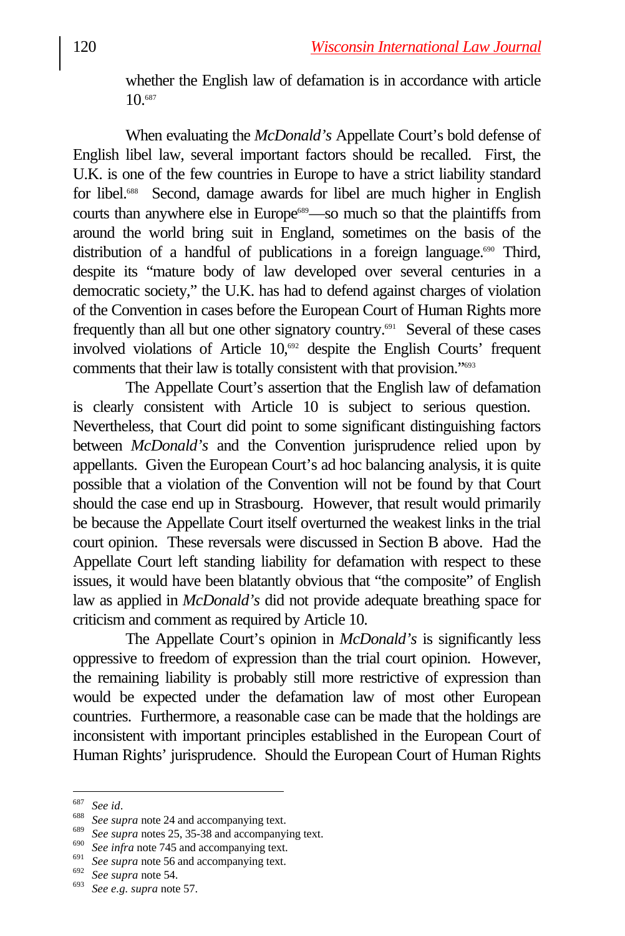whether the English law of defamation is in accordance with article 10.687

When evaluating the *McDonald's* Appellate Court's bold defense of English libel law, several important factors should be recalled. First, the U.K. is one of the few countries in Europe to have a strict liability standard for libel.688 Second, damage awards for libel are much higher in English courts than anywhere else in Europe<sup>689</sup>—so much so that the plaintiffs from around the world bring suit in England, sometimes on the basis of the distribution of a handful of publications in a foreign language.<sup>690</sup> Third, despite its "mature body of law developed over several centuries in a democratic society," the U.K. has had to defend against charges of violation of the Convention in cases before the European Court of Human Rights more frequently than all but one other signatory country.<sup>691</sup> Several of these cases involved violations of Article 10,<sup>692</sup> despite the English Courts' frequent comments that their law is totally consistent with that provision."<sup>693</sup>

The Appellate Court's assertion that the English law of defamation is clearly consistent with Article 10 is subject to serious question. Nevertheless, that Court did point to some significant distinguishing factors between *McDonald's* and the Convention jurisprudence relied upon by appellants. Given the European Court's ad hoc balancing analysis, it is quite possible that a violation of the Convention will not be found by that Court should the case end up in Strasbourg. However, that result would primarily be because the Appellate Court itself overturned the weakest links in the trial court opinion. These reversals were discussed in Section B above. Had the Appellate Court left standing liability for defamation with respect to these issues, it would have been blatantly obvious that "the composite" of English law as applied in *McDonald's* did not provide adequate breathing space for criticism and comment as required by Article 10.

The Appellate Court's opinion in *McDonald's* is significantly less oppressive to freedom of expression than the trial court opinion. However, the remaining liability is probably still more restrictive of expression than would be expected under the defamation law of most other European countries. Furthermore, a reasonable case can be made that the holdings are inconsistent with important principles established in the European Court of Human Rights' jurisprudence. Should the European Court of Human Rights

<sup>687</sup> *See id*.

<sup>688</sup> *See supra* note 24 and accompanying text.

<sup>&</sup>lt;sup>689</sup> *See supra* notes 25, 35-38 and accompanying text.

<sup>&</sup>lt;sup>690</sup> *See infra* note 745 and accompanying text.

<sup>&</sup>lt;sup>691</sup> *See supra* note 56 and accompanying text.

 $\frac{692}{693}$  *See supra* note 54.

<sup>693</sup> *See e.g. supra* note 57.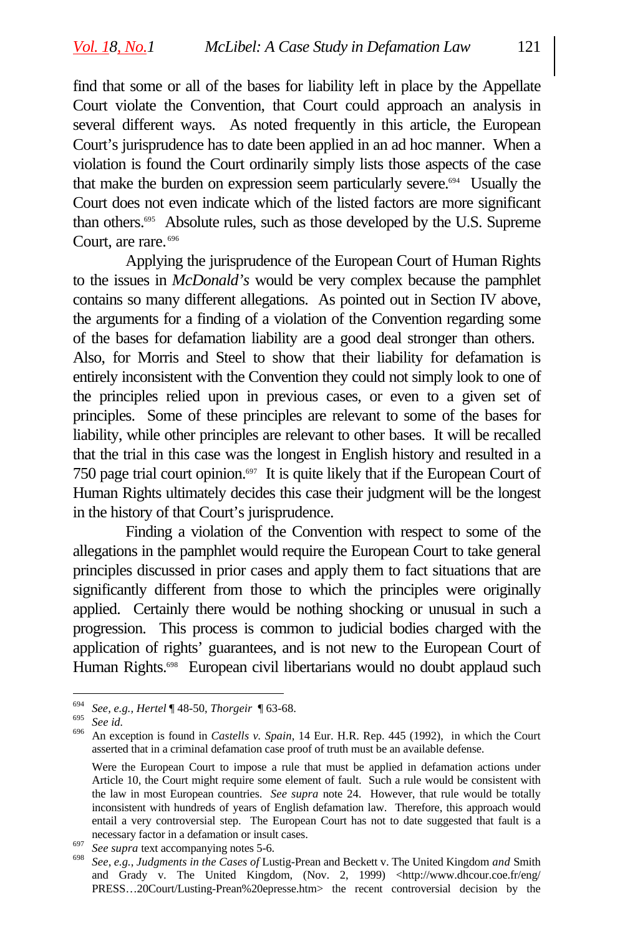find that some or all of the bases for liability left in place by the Appellate Court violate the Convention, that Court could approach an analysis in several different ways. As noted frequently in this article, the European Court's jurisprudence has to date been applied in an ad hoc manner. When a violation is found the Court ordinarily simply lists those aspects of the case that make the burden on expression seem particularly severe.694 Usually the Court does not even indicate which of the listed factors are more significant than others.695 Absolute rules, such as those developed by the U.S. Supreme Court, are rare. <sup>696</sup>

Applying the jurisprudence of the European Court of Human Rights to the issues in *McDonald's* would be very complex because the pamphlet contains so many different allegations. As pointed out in Section IV above, the arguments for a finding of a violation of the Convention regarding some of the bases for defamation liability are a good deal stronger than others. Also, for Morris and Steel to show that their liability for defamation is entirely inconsistent with the Convention they could not simply look to one of the principles relied upon in previous cases, or even to a given set of principles. Some of these principles are relevant to some of the bases for liability, while other principles are relevant to other bases. It will be recalled that the trial in this case was the longest in English history and resulted in a 750 page trial court opinion.697 It is quite likely that if the European Court of Human Rights ultimately decides this case their judgment will be the longest in the history of that Court's jurisprudence.

Finding a violation of the Convention with respect to some of the allegations in the pamphlet would require the European Court to take general principles discussed in prior cases and apply them to fact situations that are significantly different from those to which the principles were originally applied. Certainly there would be nothing shocking or unusual in such a progression. This process is common to judicial bodies charged with the application of rights' guarantees, and is not new to the European Court of Human Rights.<sup>698</sup> European civil libertarians would no doubt applaud such

<sup>694</sup> *See, e.g., Hertel* ¶ 48-50, *Thorgeir* ¶ 63-68.

<sup>695</sup> *See id.*

<sup>696</sup> An exception is found in *Castells v. Spain*, 14 Eur. H.R. Rep. 445 (1992), in which the Court asserted that in a criminal defamation case proof of truth must be an available defense.

Were the European Court to impose a rule that must be applied in defamation actions under Article 10, the Court might require some element of fault. Such a rule would be consistent with the law in most European countries. *See supra* note 24. However, that rule would be totally inconsistent with hundreds of years of English defamation law. Therefore, this approach would entail a very controversial step. The European Court has not to date suggested that fault is a necessary factor in a defamation or insult cases.

<sup>697</sup> *See supra* text accompanying notes 5-6.

<sup>698</sup> *See*, *e.g.*, *Judgments in the Cases of* Lustig-Prean and Beckett v. The United Kingdom *and* Smith and Grady v. The United Kingdom, (Nov. 2, 1999) <http://www.dhcour.coe.fr/eng/ PRESS…20Court/Lusting-Prean%20epresse.htm> the recent controversial decision by the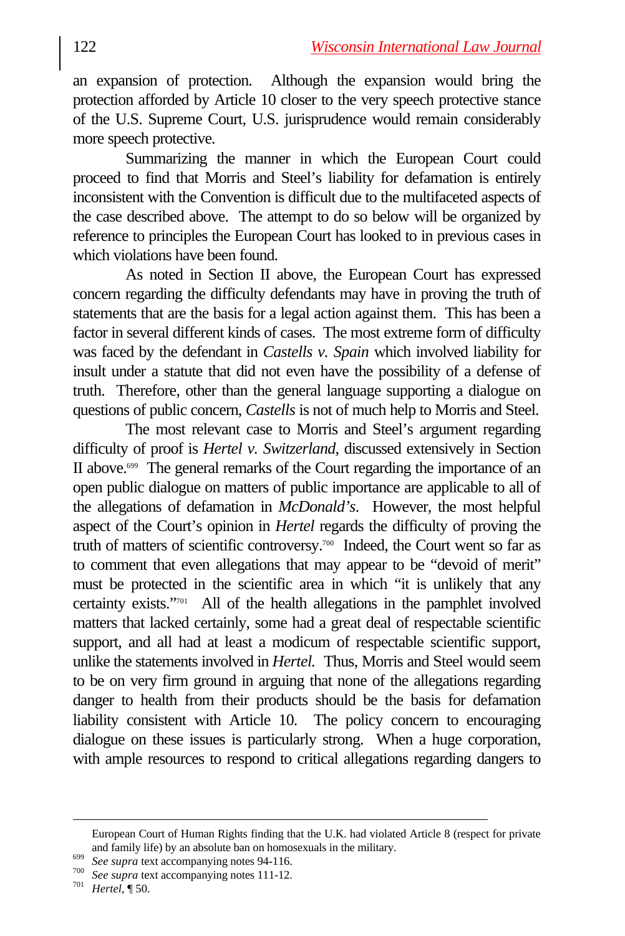an expansion of protection. Although the expansion would bring the protection afforded by Article 10 closer to the very speech protective stance of the U.S. Supreme Court, U.S. jurisprudence would remain considerably more speech protective.

Summarizing the manner in which the European Court could proceed to find that Morris and Steel's liability for defamation is entirely inconsistent with the Convention is difficult due to the multifaceted aspects of the case described above. The attempt to do so below will be organized by reference to principles the European Court has looked to in previous cases in which violations have been found.

As noted in Section II above, the European Court has expressed concern regarding the difficulty defendants may have in proving the truth of statements that are the basis for a legal action against them. This has been a factor in several different kinds of cases. The most extreme form of difficulty was faced by the defendant in *Castells v. Spain* which involved liability for insult under a statute that did not even have the possibility of a defense of truth. Therefore, other than the general language supporting a dialogue on questions of public concern, *Castells* is not of much help to Morris and Steel.

The most relevant case to Morris and Steel's argument regarding difficulty of proof is *Hertel v. Switzerland*, discussed extensively in Section II above.<sup>699</sup> The general remarks of the Court regarding the importance of an open public dialogue on matters of public importance are applicable to all of the allegations of defamation in *McDonald's*. However, the most helpful aspect of the Court's opinion in *Hertel* regards the difficulty of proving the truth of matters of scientific controversy.700 Indeed, the Court went so far as to comment that even allegations that may appear to be "devoid of merit" must be protected in the scientific area in which "it is unlikely that any certainty exists."701 All of the health allegations in the pamphlet involved matters that lacked certainly, some had a great deal of respectable scientific support, and all had at least a modicum of respectable scientific support, unlike the statements involved in *Hertel.* Thus, Morris and Steel would seem to be on very firm ground in arguing that none of the allegations regarding danger to health from their products should be the basis for defamation liability consistent with Article 10. The policy concern to encouraging dialogue on these issues is particularly strong. When a huge corporation, with ample resources to respond to critical allegations regarding dangers to

European Court of Human Rights finding that the U.K. had violated Article 8 (respect for private and family life) by an absolute ban on homosexuals in the military.

<sup>&</sup>lt;sup>699</sup> *See supra* text accompanying notes 94-116.

See supra text accompanying notes 111-12.

<sup>701</sup> *Hertel*, ¶ 50.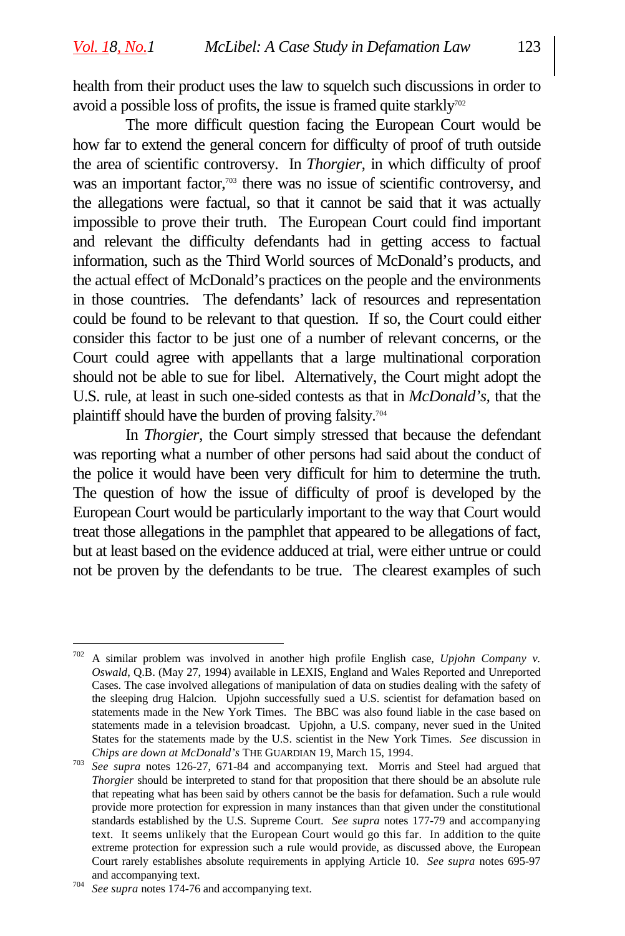health from their product uses the law to squelch such discussions in order to avoid a possible loss of profits, the issue is framed quite starkly $702$ 

The more difficult question facing the European Court would be how far to extend the general concern for difficulty of proof of truth outside the area of scientific controversy. In *Thorgier,* in which difficulty of proof was an important factor,<sup>703</sup> there was no issue of scientific controversy, and the allegations were factual, so that it cannot be said that it was actually impossible to prove their truth. The European Court could find important and relevant the difficulty defendants had in getting access to factual information, such as the Third World sources of McDonald's products, and the actual effect of McDonald's practices on the people and the environments in those countries. The defendants' lack of resources and representation could be found to be relevant to that question. If so, the Court could either consider this factor to be just one of a number of relevant concerns, or the Court could agree with appellants that a large multinational corporation should not be able to sue for libel. Alternatively, the Court might adopt the U.S. rule, at least in such one-sided contests as that in *McDonald's,* that the plaintiff should have the burden of proving falsity.<sup>704</sup>

In *Thorgier,* the Court simply stressed that because the defendant was reporting what a number of other persons had said about the conduct of the police it would have been very difficult for him to determine the truth. The question of how the issue of difficulty of proof is developed by the European Court would be particularly important to the way that Court would treat those allegations in the pamphlet that appeared to be allegations of fact, but at least based on the evidence adduced at trial, were either untrue or could not be proven by the defendants to be true. The clearest examples of such

<sup>702</sup> <sup>702</sup> A similar problem was involved in another high profile English case, *Upjohn Company v. Oswald*, Q.B. (May 27, 1994) available in LEXIS, England and Wales Reported and Unreported Cases. The case involved allegations of manipulation of data on studies dealing with the safety of the sleeping drug Halcion. Upjohn successfully sued a U.S. scientist for defamation based on statements made in the New York Times. The BBC was also found liable in the case based on statements made in a television broadcast. Upjohn, a U.S. company, never sued in the United States for the statements made by the U.S. scientist in the New York Times. *See* discussion in *Chips are down at McDonald's* THE GUARDIAN 19, March 15, 1994.

<sup>703</sup> *See supra* notes 126-27, 671-84 and accompanying text. Morris and Steel had argued that *Thorgier* should be interpreted to stand for that proposition that there should be an absolute rule that repeating what has been said by others cannot be the basis for defamation. Such a rule would provide more protection for expression in many instances than that given under the constitutional standards established by the U.S. Supreme Court. *See supra* notes 177-79 and accompanying text. It seems unlikely that the European Court would go this far. In addition to the quite extreme protection for expression such a rule would provide, as discussed above, the European Court rarely establishes absolute requirements in applying Article 10. *See supra* notes 695-97 and accompanying text.

<sup>704</sup> *See supra* notes 174-76 and accompanying text.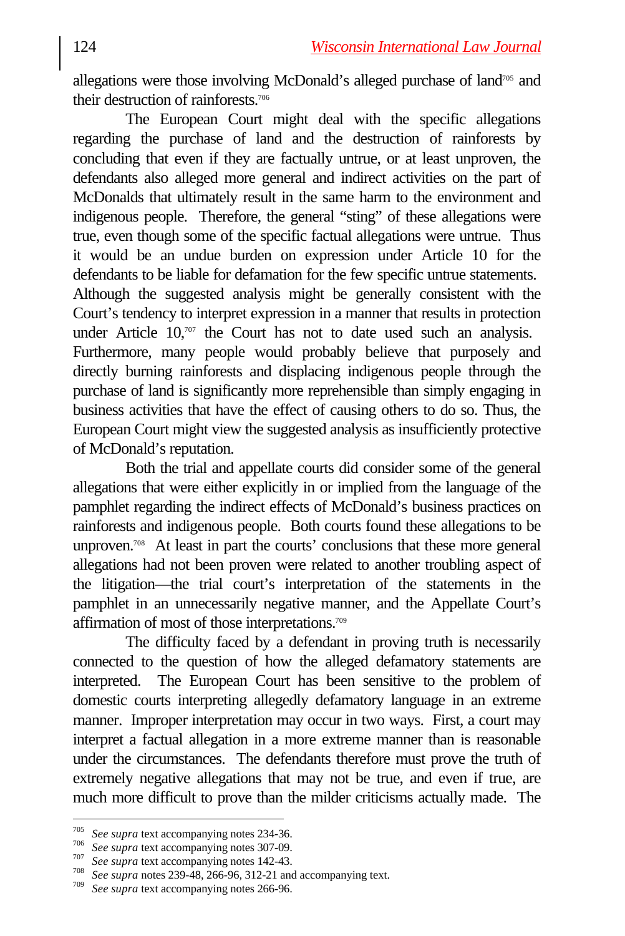allegations were those involving McDonald's alleged purchase of land<sup>705</sup> and their destruction of rainforests.<sup>706</sup>

The European Court might deal with the specific allegations regarding the purchase of land and the destruction of rainforests by concluding that even if they are factually untrue, or at least unproven, the defendants also alleged more general and indirect activities on the part of McDonalds that ultimately result in the same harm to the environment and indigenous people. Therefore, the general "sting" of these allegations were true, even though some of the specific factual allegations were untrue. Thus it would be an undue burden on expression under Article 10 for the defendants to be liable for defamation for the few specific untrue statements. Although the suggested analysis might be generally consistent with the Court's tendency to interpret expression in a manner that results in protection under Article 10,<sup>707</sup> the Court has not to date used such an analysis. Furthermore, many people would probably believe that purposely and directly burning rainforests and displacing indigenous people through the purchase of land is significantly more reprehensible than simply engaging in business activities that have the effect of causing others to do so. Thus, the European Court might view the suggested analysis as insufficiently protective of McDonald's reputation.

Both the trial and appellate courts did consider some of the general allegations that were either explicitly in or implied from the language of the pamphlet regarding the indirect effects of McDonald's business practices on rainforests and indigenous people. Both courts found these allegations to be unproven.<sup>708</sup> At least in part the courts' conclusions that these more general allegations had not been proven were related to another troubling aspect of the litigation—the trial court's interpretation of the statements in the pamphlet in an unnecessarily negative manner, and the Appellate Court's affirmation of most of those interpretations.<sup>709</sup>

The difficulty faced by a defendant in proving truth is necessarily connected to the question of how the alleged defamatory statements are interpreted. The European Court has been sensitive to the problem of domestic courts interpreting allegedly defamatory language in an extreme manner. Improper interpretation may occur in two ways. First, a court may interpret a factual allegation in a more extreme manner than is reasonable under the circumstances. The defendants therefore must prove the truth of extremely negative allegations that may not be true, and even if true, are much more difficult to prove than the milder criticisms actually made. The

<sup>705</sup> *See supra* text accompanying notes 234-36.

<sup>706</sup> *See supra* text accompanying notes 307-09.

<sup>707</sup> *See supra* text accompanying notes  $142-43$ .<br> $708$  *See supra* notes 230, 48, 266, 06, 212, 21 apr

*See supra* notes 239-48, 266-96, 312-21 and accompanying text.

<sup>709</sup> *See supra* text accompanying notes 266-96.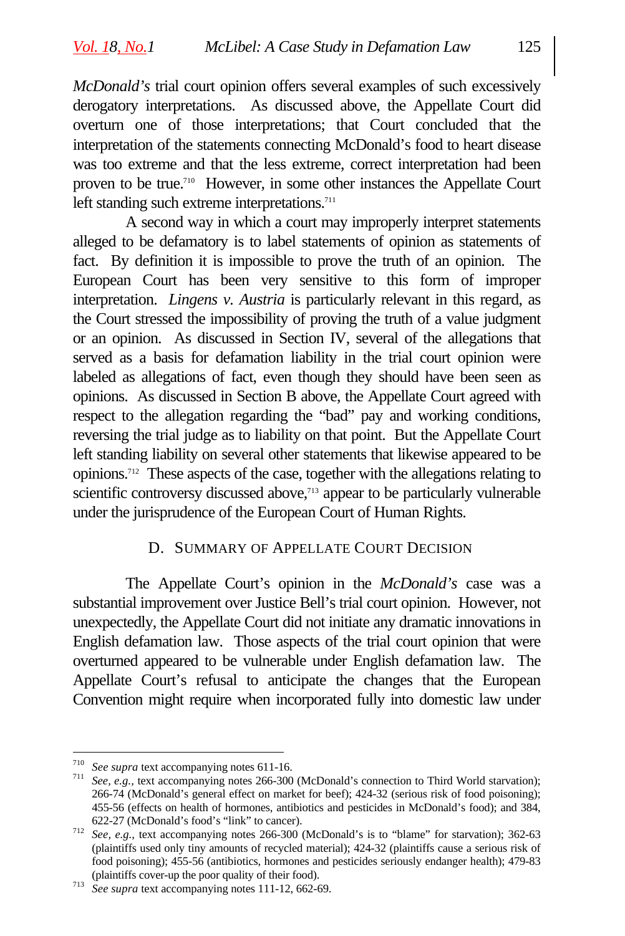*McDonald's* trial court opinion offers several examples of such excessively derogatory interpretations. As discussed above, the Appellate Court did overturn one of those interpretations; that Court concluded that the interpretation of the statements connecting McDonald's food to heart disease was too extreme and that the less extreme, correct interpretation had been proven to be true.710 However, in some other instances the Appellate Court left standing such extreme interpretations.<sup>711</sup>

A second way in which a court may improperly interpret statements alleged to be defamatory is to label statements of opinion as statements of fact. By definition it is impossible to prove the truth of an opinion. The European Court has been very sensitive to this form of improper interpretation. *Lingens v. Austria* is particularly relevant in this regard, as the Court stressed the impossibility of proving the truth of a value judgment or an opinion. As discussed in Section IV, several of the allegations that served as a basis for defamation liability in the trial court opinion were labeled as allegations of fact, even though they should have been seen as opinions. As discussed in Section B above, the Appellate Court agreed with respect to the allegation regarding the "bad" pay and working conditions, reversing the trial judge as to liability on that point. But the Appellate Court left standing liability on several other statements that likewise appeared to be opinions.712 These aspects of the case, together with the allegations relating to scientific controversy discussed above,<sup>713</sup> appear to be particularly vulnerable under the jurisprudence of the European Court of Human Rights.

## D. SUMMARY OF APPELLATE COURT DECISION

The Appellate Court's opinion in the *McDonald's* case was a substantial improvement over Justice Bell's trial court opinion. However, not unexpectedly, the Appellate Court did not initiate any dramatic innovations in English defamation law. Those aspects of the trial court opinion that were overturned appeared to be vulnerable under English defamation law. The Appellate Court's refusal to anticipate the changes that the European Convention might require when incorporated fully into domestic law under

<sup>710</sup> *See supra* text accompanying notes 611-16.

<sup>711</sup> *See, e.g.,* text accompanying notes 266-300 (McDonald's connection to Third World starvation); 266-74 (McDonald's general effect on market for beef); 424-32 (serious risk of food poisoning); 455-56 (effects on health of hormones, antibiotics and pesticides in McDonald's food); and 384, 622-27 (McDonald's food's "link" to cancer).

<sup>712</sup> *See, e.g.,* text accompanying notes 266-300 (McDonald's is to "blame" for starvation); 362-63 (plaintiffs used only tiny amounts of recycled material); 424-32 (plaintiffs cause a serious risk of food poisoning); 455-56 (antibiotics, hormones and pesticides seriously endanger health); 479-83 (plaintiffs cover-up the poor quality of their food).

<sup>713</sup> *See supra* text accompanying notes 111-12, 662-69.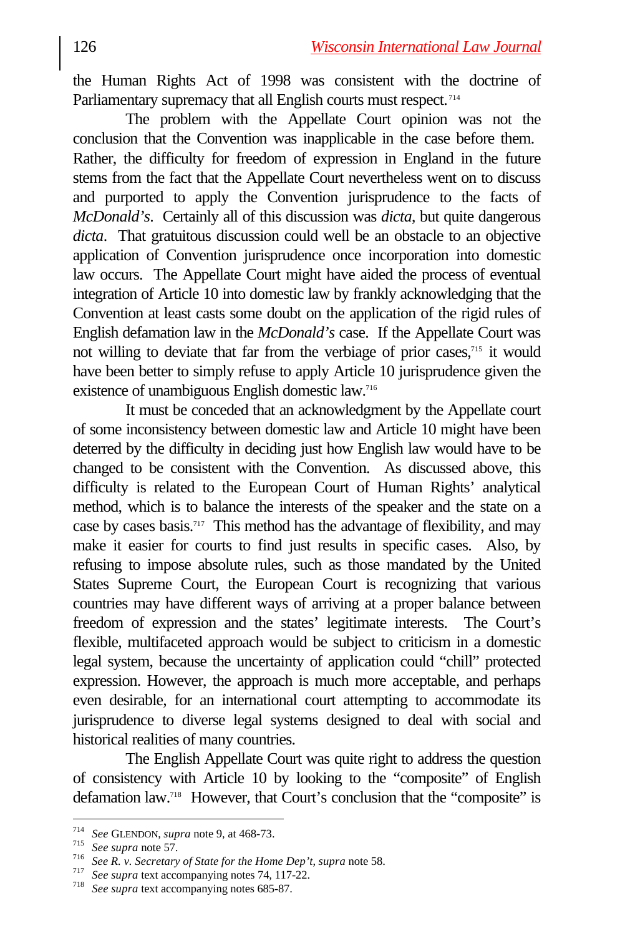the Human Rights Act of 1998 was consistent with the doctrine of Parliamentary supremacy that all English courts must respect.<sup>714</sup>

The problem with the Appellate Court opinion was not the conclusion that the Convention was inapplicable in the case before them. Rather, the difficulty for freedom of expression in England in the future stems from the fact that the Appellate Court nevertheless went on to discuss and purported to apply the Convention jurisprudence to the facts of *McDonald's*. Certainly all of this discussion was *dicta*, but quite dangerous *dicta*. That gratuitous discussion could well be an obstacle to an objective application of Convention jurisprudence once incorporation into domestic law occurs. The Appellate Court might have aided the process of eventual integration of Article 10 into domestic law by frankly acknowledging that the Convention at least casts some doubt on the application of the rigid rules of English defamation law in the *McDonald's* case. If the Appellate Court was not willing to deviate that far from the verbiage of prior cases,715 it would have been better to simply refuse to apply Article 10 jurisprudence given the existence of unambiguous English domestic law.<sup>716</sup>

It must be conceded that an acknowledgment by the Appellate court of some inconsistency between domestic law and Article 10 might have been deterred by the difficulty in deciding just how English law would have to be changed to be consistent with the Convention. As discussed above, this difficulty is related to the European Court of Human Rights' analytical method, which is to balance the interests of the speaker and the state on a case by cases basis.717 This method has the advantage of flexibility, and may make it easier for courts to find just results in specific cases. Also, by refusing to impose absolute rules, such as those mandated by the United States Supreme Court, the European Court is recognizing that various countries may have different ways of arriving at a proper balance between freedom of expression and the states' legitimate interests. The Court's flexible, multifaceted approach would be subject to criticism in a domestic legal system, because the uncertainty of application could "chill" protected expression. However, the approach is much more acceptable, and perhaps even desirable, for an international court attempting to accommodate its jurisprudence to diverse legal systems designed to deal with social and historical realities of many countries.

The English Appellate Court was quite right to address the question of consistency with Article 10 by looking to the "composite" of English defamation law.718 However, that Court's conclusion that the "composite" is

<sup>714</sup> *See* GLENDON, *supra* note 9, at 468-73.

<sup>715</sup> *See supra* note 57.

<sup>716</sup> *See R. v. Secretary of State for the Home Dep't*, *supra* note 58.

See supra text accompanying notes 74, 117-22.

<sup>718</sup> *See supra* text accompanying notes 685-87.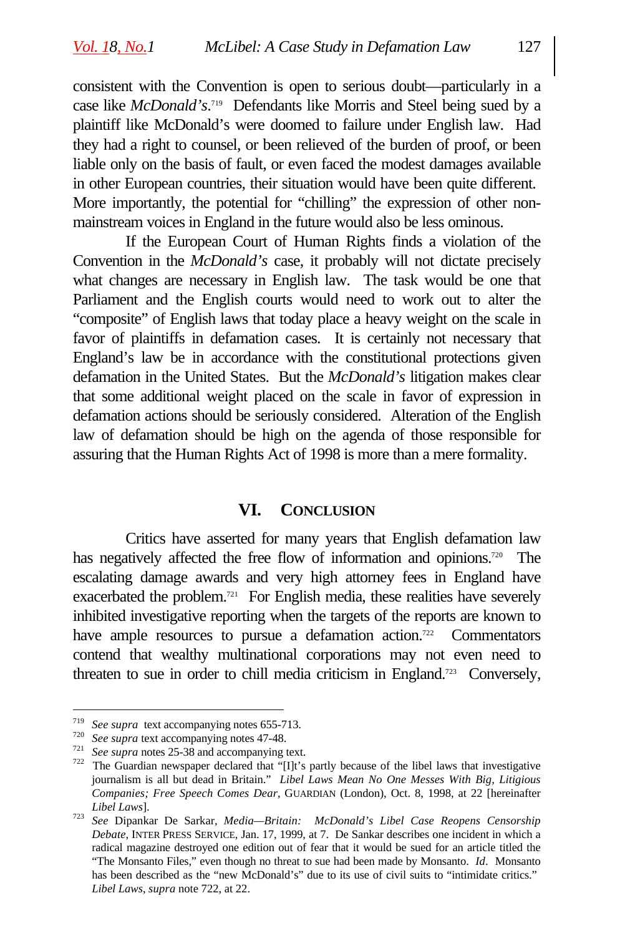consistent with the Convention is open to serious doubt—particularly in a case like *McDonald's*. <sup>719</sup> Defendants like Morris and Steel being sued by a plaintiff like McDonald's were doomed to failure under English law. Had they had a right to counsel, or been relieved of the burden of proof, or been liable only on the basis of fault, or even faced the modest damages available in other European countries, their situation would have been quite different. More importantly, the potential for "chilling" the expression of other nonmainstream voices in England in the future would also be less ominous.

If the European Court of Human Rights finds a violation of the Convention in the *McDonald's* case, it probably will not dictate precisely what changes are necessary in English law. The task would be one that Parliament and the English courts would need to work out to alter the "composite" of English laws that today place a heavy weight on the scale in favor of plaintiffs in defamation cases. It is certainly not necessary that England's law be in accordance with the constitutional protections given defamation in the United States. But the *McDonald's* litigation makes clear that some additional weight placed on the scale in favor of expression in defamation actions should be seriously considered. Alteration of the English law of defamation should be high on the agenda of those responsible for assuring that the Human Rights Act of 1998 is more than a mere formality.

#### **VI. CONCLUSION**

Critics have asserted for many years that English defamation law has negatively affected the free flow of information and opinions.<sup>720</sup> The escalating damage awards and very high attorney fees in England have exacerbated the problem.721 For English media, these realities have severely inhibited investigative reporting when the targets of the reports are known to have ample resources to pursue a defamation action.<sup>722</sup> Commentators contend that wealthy multinational corporations may not even need to threaten to sue in order to chill media criticism in England.723 Conversely,

<sup>719</sup> *See supra* text accompanying notes 655-713.

<sup>720</sup> *See supra* text accompanying notes 47-48.

<sup>721</sup> *See supra* notes 25-38 and accompanying text.

<sup>&</sup>lt;sup>722</sup> The Guardian newspaper declared that "[I]t's partly because of the libel laws that investigative journalism is all but dead in Britain." *Libel Laws Mean No One Messes With Big, Litigious Companies; Free Speech Comes Dear*, GUARDIAN (London), Oct. 8, 1998, at 22 [hereinafter *Libel Laws*].

<sup>723</sup> *See* Dipankar De Sarkar, *Media—Britain: McDonald's Libel Case Reopens Censorship Debate,* INTER PRESS SERVICE, Jan. 17, 1999, at 7. De Sankar describes one incident in which a radical magazine destroyed one edition out of fear that it would be sued for an article titled the "The Monsanto Files," even though no threat to sue had been made by Monsanto. *Id*. Monsanto has been described as the "new McDonald's" due to its use of civil suits to "intimidate critics." *Libel Laws*, *supra* note 722, at 22.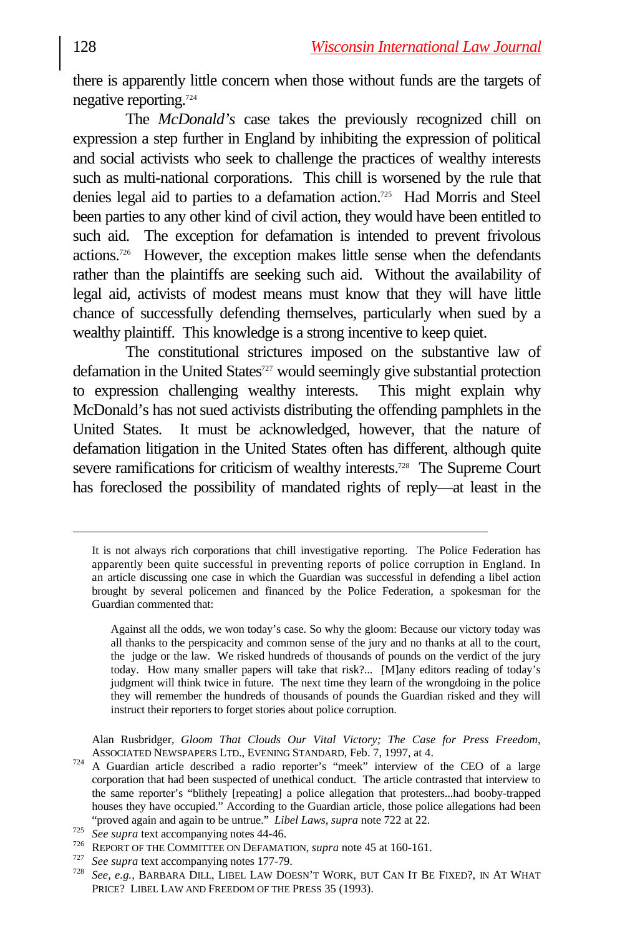there is apparently little concern when those without funds are the targets of negative reporting.<sup>724</sup>

The *McDonald's* case takes the previously recognized chill on expression a step further in England by inhibiting the expression of political and social activists who seek to challenge the practices of wealthy interests such as multi-national corporations. This chill is worsened by the rule that denies legal aid to parties to a defamation action.725 Had Morris and Steel been parties to any other kind of civil action, they would have been entitled to such aid. The exception for defamation is intended to prevent frivolous actions.726 However, the exception makes little sense when the defendants rather than the plaintiffs are seeking such aid. Without the availability of legal aid, activists of modest means must know that they will have little chance of successfully defending themselves, particularly when sued by a wealthy plaintiff. This knowledge is a strong incentive to keep quiet.

The constitutional strictures imposed on the substantive law of defamation in the United States<sup>727</sup> would seemingly give substantial protection to expression challenging wealthy interests. This might explain why McDonald's has not sued activists distributing the offending pamphlets in the United States. It must be acknowledged, however, that the nature of defamation litigation in the United States often has different, although quite severe ramifications for criticism of wealthy interests.<sup>728</sup> The Supreme Court has foreclosed the possibility of mandated rights of reply—at least in the

Alan Rusbridger, *Gloom That Clouds Our Vital Victory; The Case for Press Freedom*, ASSOCIATED NEWSPAPERS LTD., EVENING STANDARD, Feb. 7, 1997, at 4.

<sup>724</sup> A Guardian article described a radio reporter's "meek" interview of the CEO of a large corporation that had been suspected of unethical conduct. The article contrasted that interview to the same reporter's "blithely [repeating] a police allegation that protesters...had booby-trapped houses they have occupied." According to the Guardian article, those police allegations had been "proved again and again to be untrue." *Libel Laws*, *supra* note 722 at 22.

It is not always rich corporations that chill investigative reporting. The Police Federation has apparently been quite successful in preventing reports of police corruption in England. In an article discussing one case in which the Guardian was successful in defending a libel action brought by several policemen and financed by the Police Federation, a spokesman for the Guardian commented that:

Against all the odds, we won today's case. So why the gloom: Because our victory today was all thanks to the perspicacity and common sense of the jury and no thanks at all to the court, the judge or the law. We risked hundreds of thousands of pounds on the verdict of the jury today. How many smaller papers will take that risk?... [M]any editors reading of today's judgment will think twice in future. The next time they learn of the wrongdoing in the police they will remember the hundreds of thousands of pounds the Guardian risked and they will instruct their reporters to forget stories about police corruption.

<sup>725</sup> *See supra* text accompanying notes 44-46.

<sup>726</sup> REPORT OF THE COMMITTEE ON DEFAMATION, *supra* note 45 at 160-161.

<sup>727</sup> *See supra* text accompanying notes 177-79.

<sup>728</sup> *See, e.g.,* BARBARA DILL, LIBEL LAW DOESN'T WORK, BUT CAN IT BE FIXED?, IN AT WHAT PRICE? LIBEL LAW AND FREEDOM OF THE PRESS 35 (1993).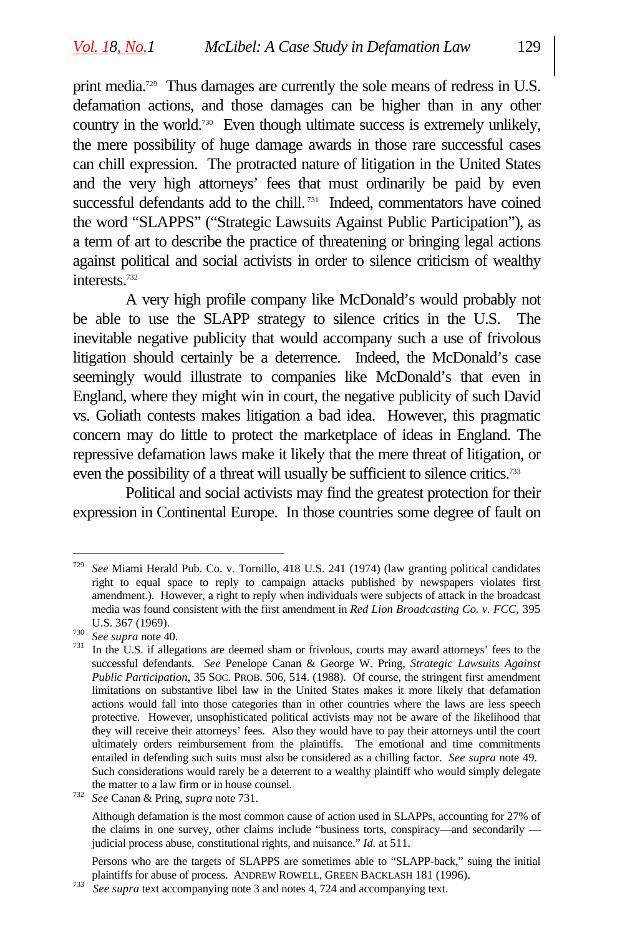print media.729 Thus damages are currently the sole means of redress in U.S. defamation actions, and those damages can be higher than in any other country in the world.730 Even though ultimate success is extremely unlikely, the mere possibility of huge damage awards in those rare successful cases can chill expression. The protracted nature of litigation in the United States and the very high attorneys' fees that must ordinarily be paid by even successful defendants add to the chill.<sup>731</sup> Indeed, commentators have coined the word "SLAPPS" ("Strategic Lawsuits Against Public Participation"), as a term of art to describe the practice of threatening or bringing legal actions against political and social activists in order to silence criticism of wealthy interests<sup>732</sup>

A very high profile company like McDonald's would probably not be able to use the SLAPP strategy to silence critics in the U.S. The inevitable negative publicity that would accompany such a use of frivolous litigation should certainly be a deterrence. Indeed, the McDonald's case seemingly would illustrate to companies like McDonald's that even in England, where they might win in court, the negative publicity of such David vs. Goliath contests makes litigation a bad idea. However, this pragmatic concern may do little to protect the marketplace of ideas in England. The repressive defamation laws make it likely that the mere threat of litigation, or even the possibility of a threat will usually be sufficient to silence critics.<sup>733</sup>

Political and social activists may find the greatest protection for their expression in Continental Europe. In those countries some degree of fault on

 $\overline{a}$ 

Persons who are the targets of SLAPPS are sometimes able to "SLAPP-back," suing the initial plaintiffs for abuse of process. ANDREW ROWELL, GREEN BACKLASH 181 (1996).

<sup>729</sup> *See* Miami Herald Pub. Co. v. Tornillo, 418 U.S. 241 (1974) (law granting political candidates right to equal space to reply to campaign attacks published by newspapers violates first amendment.). However, a right to reply when individuals were subjects of attack in the broadcast media was found consistent with the first amendment in *Red Lion Broadcasting Co. v. FCC,* 395 U.S. 367 (1969).

<sup>730</sup> *See supra* note 40.

<sup>&</sup>lt;sup>731</sup> In the U.S. if allegations are deemed sham or frivolous, courts may award attorneys' fees to the successful defendants. *See* Penelope Canan & George W. Pring, *Strategic Lawsuits Against Public Participation*, 35 SOC. PROB. 506, 514. (1988). Of course, the stringent first amendment limitations on substantive libel law in the United States makes it more likely that defamation actions would fall into those categories than in other countries where the laws are less speech protective. However, unsophisticated political activists may not be aware of the likelihood that they will receive their attorneys' fees. Also they would have to pay their attorneys until the court ultimately orders reimbursement from the plaintiffs. The emotional and time commitments entailed in defending such suits must also be considered as a chilling factor. *See supra* note 49. Such considerations would rarely be a deterrent to a wealthy plaintiff who would simply delegate the matter to a law firm or in house counsel.

<sup>732</sup> *See* Canan & Pring, *supra* note 731.

Although defamation is the most common cause of action used in SLAPPs, accounting for 27% of the claims in one survey, other claims include "business torts, conspiracy—and secondarily judicial process abuse, constitutional rights, and nuisance." *Id.* at 511.

<sup>733</sup> *See supra* text accompanying note 3 and notes 4, 724 and accompanying text.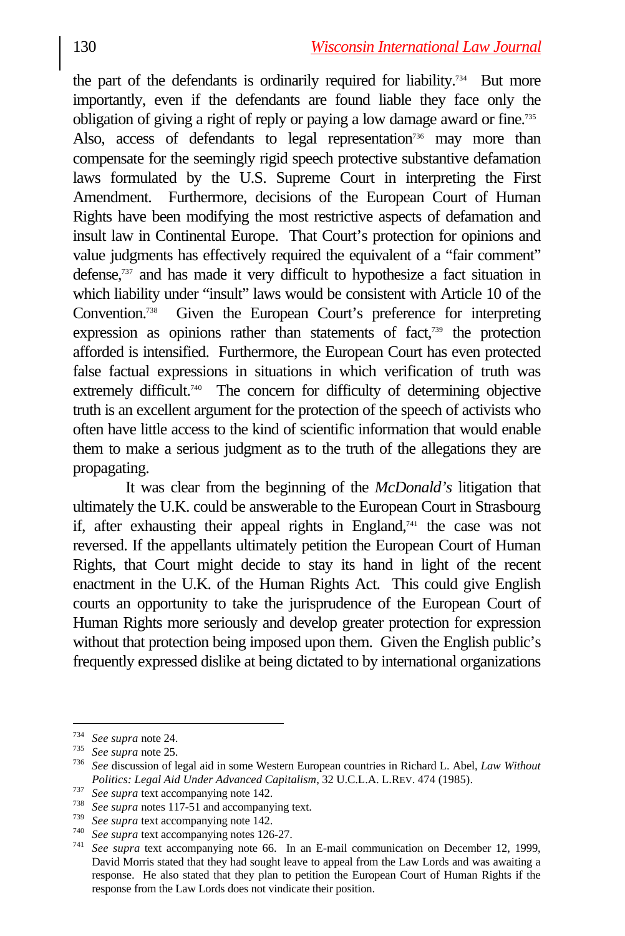the part of the defendants is ordinarily required for liability.<sup>734</sup> But more importantly, even if the defendants are found liable they face only the obligation of giving a right of reply or paying a low damage award or fine.<sup>735</sup> Also, access of defendants to legal representation<sup>736</sup> may more than compensate for the seemingly rigid speech protective substantive defamation laws formulated by the U.S. Supreme Court in interpreting the First Amendment. Furthermore, decisions of the European Court of Human Rights have been modifying the most restrictive aspects of defamation and insult law in Continental Europe. That Court's protection for opinions and value judgments has effectively required the equivalent of a "fair comment" defense,737 and has made it very difficult to hypothesize a fact situation in which liability under "insult" laws would be consistent with Article 10 of the Convention.738 Given the European Court's preference for interpreting expression as opinions rather than statements of fact,<sup>739</sup> the protection afforded is intensified. Furthermore, the European Court has even protected false factual expressions in situations in which verification of truth was extremely difficult.<sup>740</sup> The concern for difficulty of determining objective truth is an excellent argument for the protection of the speech of activists who often have little access to the kind of scientific information that would enable them to make a serious judgment as to the truth of the allegations they are propagating.

It was clear from the beginning of the *McDonald's* litigation that ultimately the U.K. could be answerable to the European Court in Strasbourg if, after exhausting their appeal rights in England, $741$  the case was not reversed. If the appellants ultimately petition the European Court of Human Rights, that Court might decide to stay its hand in light of the recent enactment in the U.K. of the Human Rights Act. This could give English courts an opportunity to take the jurisprudence of the European Court of Human Rights more seriously and develop greater protection for expression without that protection being imposed upon them. Given the English public's frequently expressed dislike at being dictated to by international organizations

<sup>734</sup> *See supra* note 24.

<sup>735</sup> *See supra* note 25.

<sup>736</sup> *See* discussion of legal aid in some Western European countries in Richard L. Abel, *Law Without Politics: Legal Aid Under Advanced Capitalism*, 32 U.C.L.A. L.REV. 474 (1985).

<sup>737</sup> *See supra* text accompanying note 142.

<sup>738</sup> *See supra* notes 117-51 and accompanying text.

<sup>739</sup> *See supra* text accompanying note 142.

<sup>740</sup> *See supra* text accompanying notes 126-27.

<sup>741</sup> *See supra* text accompanying note 66. In an E-mail communication on December 12, 1999, David Morris stated that they had sought leave to appeal from the Law Lords and was awaiting a response. He also stated that they plan to petition the European Court of Human Rights if the response from the Law Lords does not vindicate their position.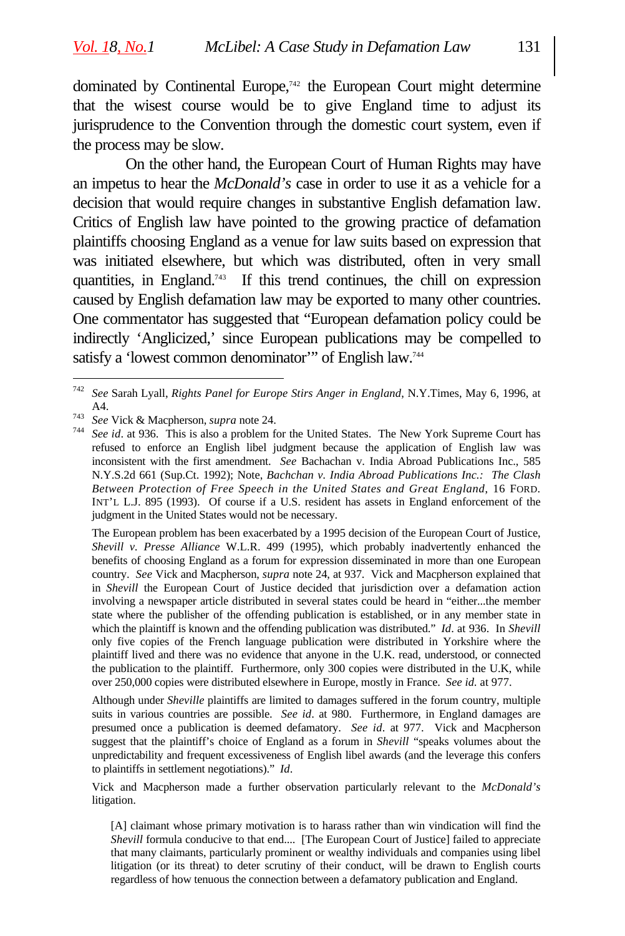dominated by Continental Europe,742 the European Court might determine that the wisest course would be to give England time to adjust its jurisprudence to the Convention through the domestic court system, even if the process may be slow.

On the other hand, the European Court of Human Rights may have an impetus to hear the *McDonald's* case in order to use it as a vehicle for a decision that would require changes in substantive English defamation law. Critics of English law have pointed to the growing practice of defamation plaintiffs choosing England as a venue for law suits based on expression that was initiated elsewhere, but which was distributed, often in very small quantities, in England.743 If this trend continues, the chill on expression caused by English defamation law may be exported to many other countries. One commentator has suggested that "European defamation policy could be indirectly 'Anglicized,' since European publications may be compelled to satisfy a 'lowest common denominator'" of English law.<sup>744</sup>

 $\overline{a}$ 

The European problem has been exacerbated by a 1995 decision of the European Court of Justice, *Shevill v. Presse Alliance* W.L.R. 499 (1995), which probably inadvertently enhanced the benefits of choosing England as a forum for expression disseminated in more than one European country. *See* Vick and Macpherson, *supra* note 24, at 937. Vick and Macpherson explained that in *Shevill* the European Court of Justice decided that jurisdiction over a defamation action involving a newspaper article distributed in several states could be heard in "either...the member state where the publisher of the offending publication is established, or in any member state in which the plaintiff is known and the offending publication was distributed." *Id*. at 936. In *Shevill* only five copies of the French language publication were distributed in Yorkshire where the plaintiff lived and there was no evidence that anyone in the U.K. read, understood, or connected the publication to the plaintiff. Furthermore, only 300 copies were distributed in the U.K, while over 250,000 copies were distributed elsewhere in Europe, mostly in France. *See id.* at 977.

Although under *Sheville* plaintiffs are limited to damages suffered in the forum country, multiple suits in various countries are possible. *See id*. at 980. Furthermore, in England damages are presumed once a publication is deemed defamatory. *See id*. at 977. Vick and Macpherson suggest that the plaintiff's choice of England as a forum in *Shevill* "speaks volumes about the unpredictability and frequent excessiveness of English libel awards (and the leverage this confers to plaintiffs in settlement negotiations)." *Id*.

Vick and Macpherson made a further observation particularly relevant to the *McDonald's* litigation.

<sup>742</sup> *See* Sarah Lyall, *Rights Panel for Europe Stirs Anger in England*, N.Y.Times, May 6, 1996, at A4.

<sup>743</sup> *See* Vick & Macpherson, *supra* note 24.

<sup>744</sup> *See id*. at 936. This is also a problem for the United States. The New York Supreme Court has refused to enforce an English libel judgment because the application of English law was inconsistent with the first amendment. *See* Bachachan v. India Abroad Publications Inc., 585 N.Y.S.2d 661 (Sup.Ct. 1992); Note, *Bachchan v. India Abroad Publications Inc.: The Clash Between Protection of Free Speech in the United States and Great England*, 16 FORD. INT'L L.J. 895 (1993). Of course if a U.S. resident has assets in England enforcement of the judgment in the United States would not be necessary.

<sup>[</sup>A] claimant whose primary motivation is to harass rather than win vindication will find the *Shevill* formula conducive to that end.... [The European Court of Justice] failed to appreciate that many claimants, particularly prominent or wealthy individuals and companies using libel litigation (or its threat) to deter scrutiny of their conduct, will be drawn to English courts regardless of how tenuous the connection between a defamatory publication and England.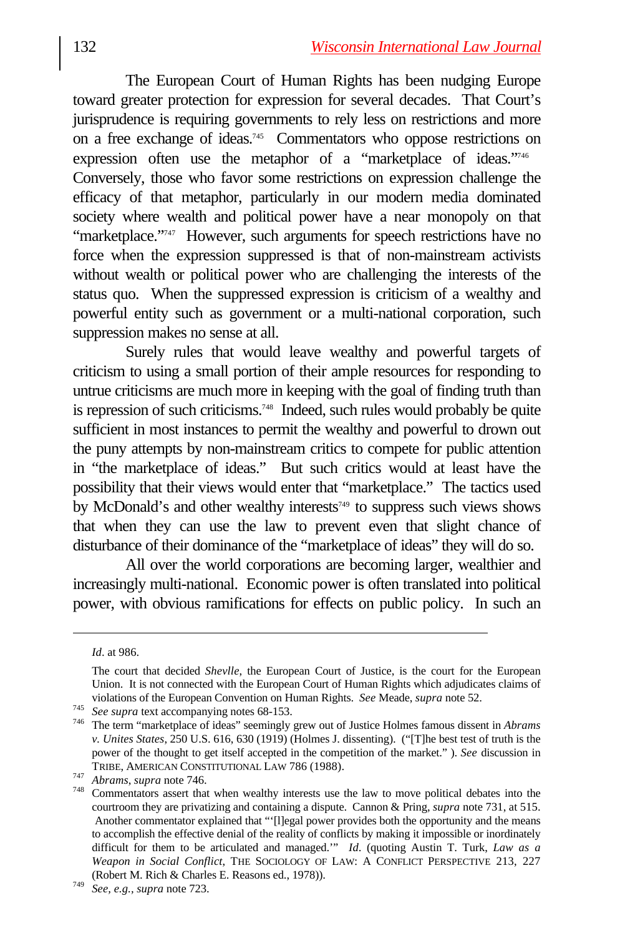The European Court of Human Rights has been nudging Europe toward greater protection for expression for several decades. That Court's jurisprudence is requiring governments to rely less on restrictions and more on a free exchange of ideas.745 Commentators who oppose restrictions on expression often use the metaphor of a "marketplace of ideas."<sup>746</sup> Conversely, those who favor some restrictions on expression challenge the efficacy of that metaphor, particularly in our modern media dominated society where wealth and political power have a near monopoly on that "marketplace."<sup>747</sup> However, such arguments for speech restrictions have no force when the expression suppressed is that of non-mainstream activists without wealth or political power who are challenging the interests of the status quo. When the suppressed expression is criticism of a wealthy and powerful entity such as government or a multi-national corporation, such suppression makes no sense at all.

Surely rules that would leave wealthy and powerful targets of criticism to using a small portion of their ample resources for responding to untrue criticisms are much more in keeping with the goal of finding truth than is repression of such criticisms.<sup>748</sup> Indeed, such rules would probably be quite sufficient in most instances to permit the wealthy and powerful to drown out the puny attempts by non-mainstream critics to compete for public attention in "the marketplace of ideas." But such critics would at least have the possibility that their views would enter that "marketplace." The tactics used by McDonald's and other wealthy interests<sup>749</sup> to suppress such views shows that when they can use the law to prevent even that slight chance of disturbance of their dominance of the "marketplace of ideas" they will do so.

All over the world corporations are becoming larger, wealthier and increasingly multi-national. Economic power is often translated into political power, with obvious ramifications for effects on public policy. In such an

*Id*. at 986.

The court that decided *Shevlle*, the European Court of Justice, is the court for the European Union. It is not connected with the European Court of Human Rights which adjudicates claims of violations of the European Convention on Human Rights. *See* Meade, *supra* note 52.

<sup>745</sup> *See supra* text accompanying notes 68-153.

<sup>746</sup> The term "marketplace of ideas" seemingly grew out of Justice Holmes famous dissent in *Abrams v. Unites States*, 250 U.S. 616, 630 (1919) (Holmes J. dissenting). ("[T]he best test of truth is the power of the thought to get itself accepted in the competition of the market." ). *See* discussion in TRIBE, AMERICAN CONSTITUTIONAL LAW 786 (1988).

<sup>747</sup> *Abrams*, *supra* note 746.

<sup>&</sup>lt;sup>748</sup> Commentators assert that when wealthy interests use the law to move political debates into the courtroom they are privatizing and containing a dispute. Cannon & Pring, *supra* note 731, at 515. Another commentator explained that "'[l]egal power provides both the opportunity and the means to accomplish the effective denial of the reality of conflicts by making it impossible or inordinately difficult for them to be articulated and managed.'" *Id*. (quoting Austin T. Turk, *Law as a Weapon in Social Conflict*, THE SOCIOLOGY OF LAW: A CONFLICT PERSPECTIVE 213, 227 (Robert M. Rich & Charles E. Reasons ed., 1978)).

<sup>749</sup> *See, e.g., supra* note 723.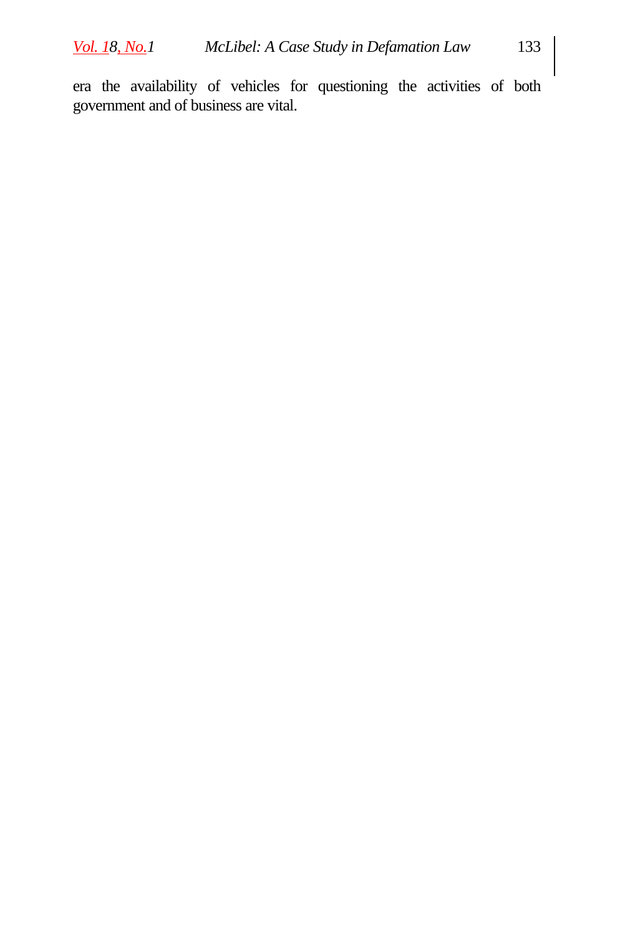era the availability of vehicles for questioning the activities of both government and of business are vital.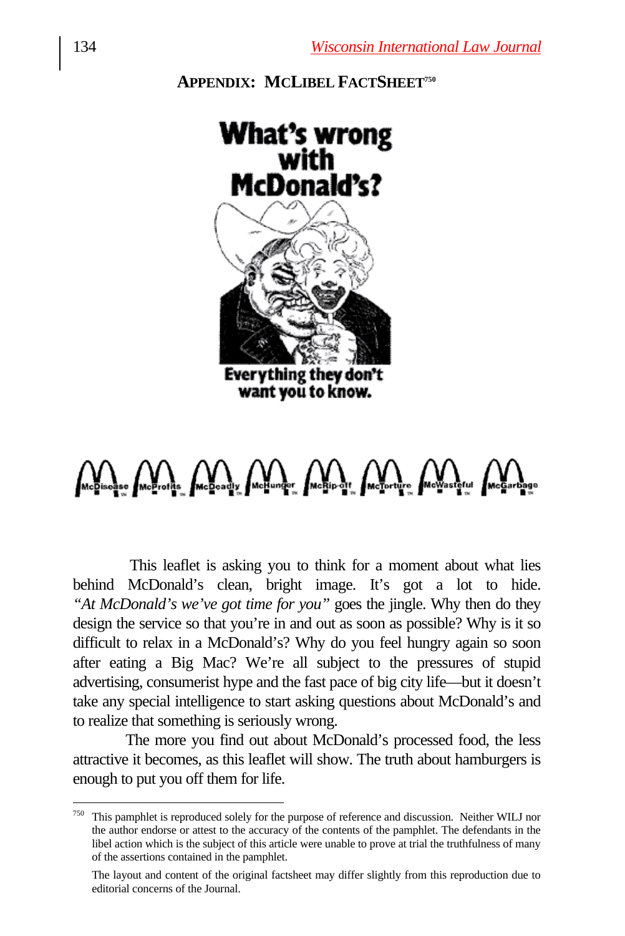

**APPENDIX: MCLIBEL FACTSHEET<sup>750</sup>**

## $\bigwedge_{\text{McQinogso}} \bigwedge_{\text{McQinofigso}} \bigwedge_{\text{McQonglo}} \bigwedge_{\text{McQinofg}} \bigwedge_{\text{McQinogio}} \bigwedge_{\text{McQinofg}} \bigwedge_{\text{McQinfuc}} \bigwedge_{\text{McQing}} \bigwedge_{\text{McQing}} \bigwedge_{\text{McQing}}$

This leaflet is asking you to think for a moment about what lies behind McDonald's clean, bright image. It's got a lot to hide. *"At McDonald's we've got time for you"* goes the jingle. Why then do they design the service so that you're in and out as soon as possible? Why is it so difficult to relax in a McDonald's? Why do you feel hungry again so soon after eating a Big Mac? We're all subject to the pressures of stupid advertising, consumerist hype and the fast pace of big city life—but it doesn't take any special intelligence to start asking questions about McDonald's and to realize that something is seriously wrong.

The more you find out about McDonald's processed food, the less attractive it becomes, as this leaflet will show. The truth about hamburgers is enough to put you off them for life.

<sup>750</sup> This pamphlet is reproduced solely for the purpose of reference and discussion. Neither WILJ nor the author endorse or attest to the accuracy of the contents of the pamphlet. The defendants in the libel action which is the subject of this article were unable to prove at trial the truthfulness of many of the assertions contained in the pamphlet.

The layout and content of the original factsheet may differ slightly from this reproduction due to editorial concerns of the Journal.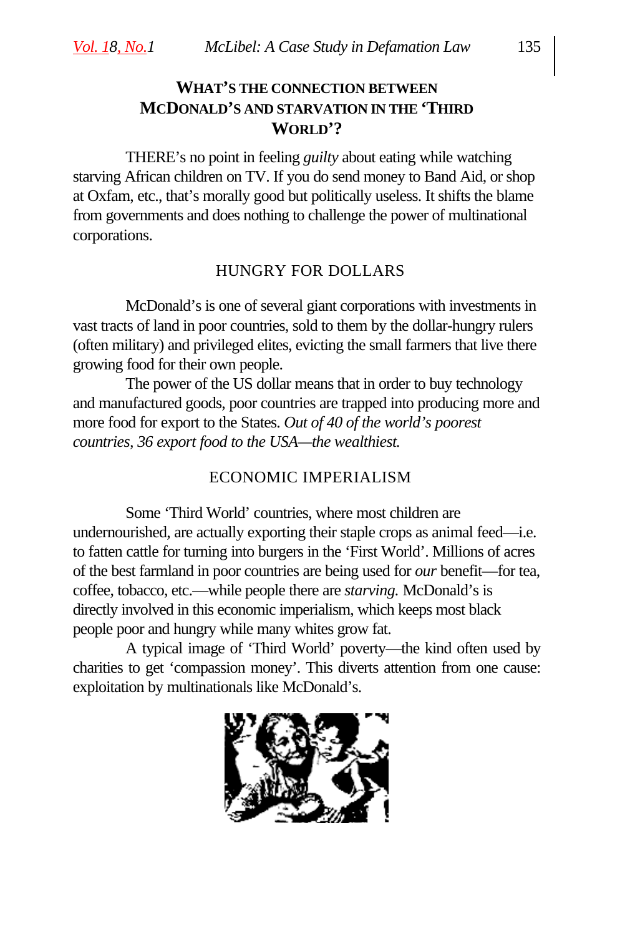## **WHAT'S THE CONNECTION BETWEEN MCDONALD'S AND STARVATION IN THE 'THIRD WORLD'?**

THERE's no point in feeling *guilty* about eating while watching starving African children on TV. If you do send money to Band Aid, or shop at Oxfam, etc., that's morally good but politically useless. It shifts the blame from governments and does nothing to challenge the power of multinational corporations.

## HUNGRY FOR DOLLARS

McDonald's is one of several giant corporations with investments in vast tracts of land in poor countries, sold to them by the dollar-hungry rulers (often military) and privileged elites, evicting the small farmers that live there growing food for their own people.

The power of the US dollar means that in order to buy technology and manufactured goods, poor countries are trapped into producing more and more food for export to the States. *Out of 40 of the world's poorest countries, 36 export food to the USA—the wealthiest.*

## ECONOMIC IMPERIALISM

Some 'Third World' countries, where most children are undernourished, are actually exporting their staple crops as animal feed—i.e. to fatten cattle for turning into burgers in the 'First World'. Millions of acres of the best farmland in poor countries are being used for *our* benefit—for tea, coffee, tobacco, etc.—while people there are *starving.* McDonald's is directly involved in this economic imperialism, which keeps most black people poor and hungry while many whites grow fat.

A typical image of 'Third World' poverty—the kind often used by charities to get 'compassion money'. This diverts attention from one cause: exploitation by multinationals like McDonald's.

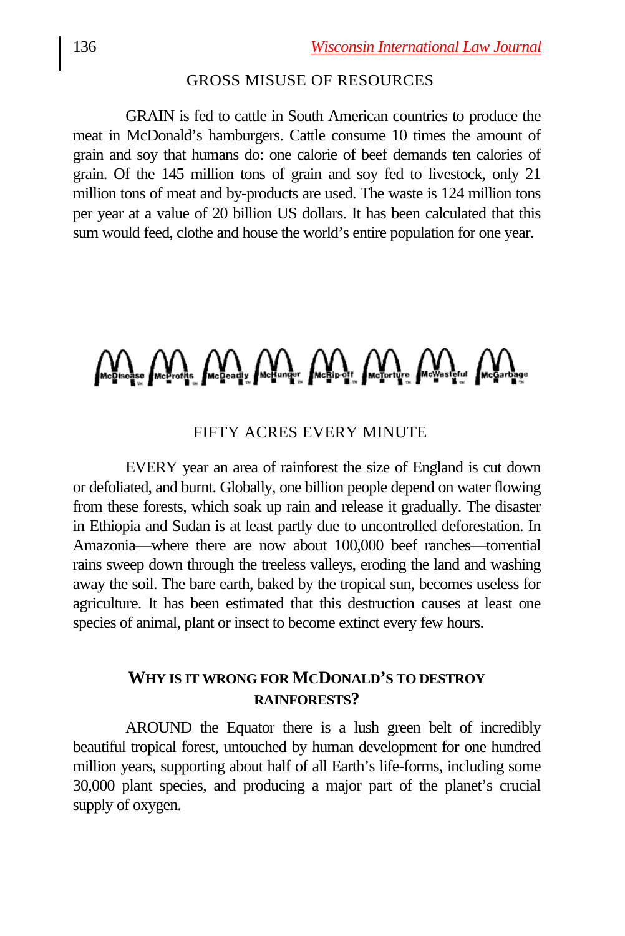#### GROSS MISUSE OF RESOURCES

GRAIN is fed to cattle in South American countries to produce the meat in McDonald's hamburgers. Cattle consume 10 times the amount of grain and soy that humans do: one calorie of beef demands ten calories of grain. Of the 145 million tons of grain and soy fed to livestock, only 21 million tons of meat and by-products are used. The waste is 124 million tons per year at a value of 20 billion US dollars. It has been calculated that this sum would feed, clothe and house the world's entire population for one year.

## Mepisons Meprofits Mepoadly Mehander Mehipolt Meprotic Movastery Megaringe

### FIFTY ACRES EVERY MINUTE

EVERY year an area of rainforest the size of England is cut down or defoliated, and burnt. Globally, one billion people depend on water flowing from these forests, which soak up rain and release it gradually. The disaster in Ethiopia and Sudan is at least partly due to uncontrolled deforestation. In Amazonia—where there are now about 100,000 beef ranches—torrential rains sweep down through the treeless valleys, eroding the land and washing away the soil. The bare earth, baked by the tropical sun, becomes useless for agriculture. It has been estimated that this destruction causes at least one species of animal, plant or insect to become extinct every few hours.

## **WHY IS IT WRONG FOR MCDONALD'S TO DESTROY RAINFORESTS?**

AROUND the Equator there is a lush green belt of incredibly beautiful tropical forest, untouched by human development for one hundred million years, supporting about half of all Earth's life-forms, including some 30,000 plant species, and producing a major part of the planet's crucial supply of oxygen.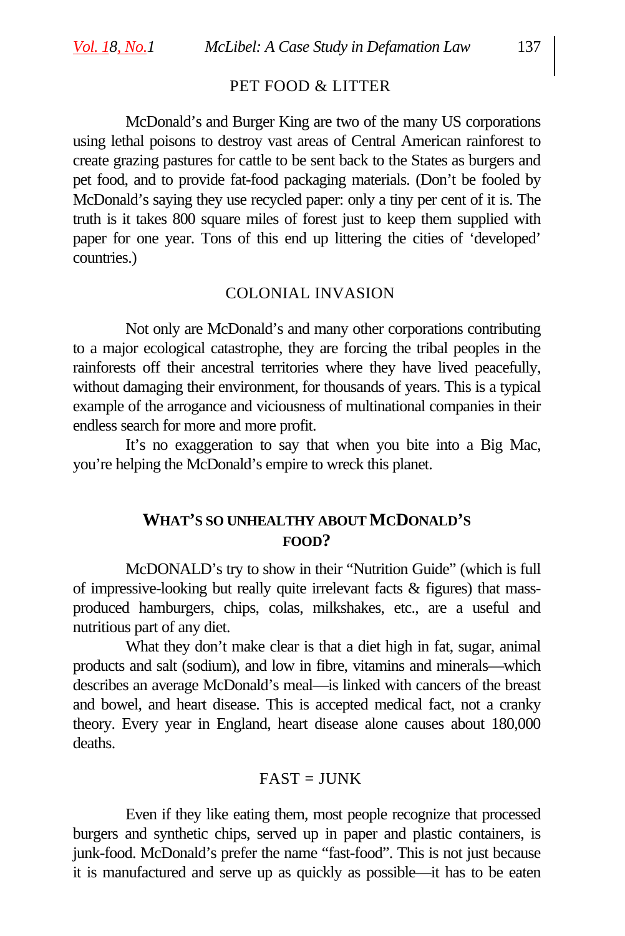## PET FOOD & LITTER

McDonald's and Burger King are two of the many US corporations using lethal poisons to destroy vast areas of Central American rainforest to create grazing pastures for cattle to be sent back to the States as burgers and pet food, and to provide fat-food packaging materials. (Don't be fooled by McDonald's saying they use recycled paper: only a tiny per cent of it is. The truth is it takes 800 square miles of forest just to keep them supplied with paper for one year. Tons of this end up littering the cities of 'developed' countries.)

## COLONIAL INVASION

Not only are McDonald's and many other corporations contributing to a major ecological catastrophe, they are forcing the tribal peoples in the rainforests off their ancestral territories where they have lived peacefully, without damaging their environment, for thousands of years. This is a typical example of the arrogance and viciousness of multinational companies in their endless search for more and more profit.

It's no exaggeration to say that when you bite into a Big Mac, you're helping the McDonald's empire to wreck this planet.

## **WHAT'S SO UNHEALTHY ABOUT MCDONALD'S FOOD?**

McDONALD's try to show in their "Nutrition Guide" (which is full of impressive-looking but really quite irrelevant facts & figures) that massproduced hamburgers, chips, colas, milkshakes, etc., are a useful and nutritious part of any diet.

What they don't make clear is that a diet high in fat, sugar, animal products and salt (sodium), and low in fibre, vitamins and minerals—which describes an average McDonald's meal—is linked with cancers of the breast and bowel, and heart disease. This is accepted medical fact, not a cranky theory. Every year in England, heart disease alone causes about 180,000 deaths.

## $FAST = JUNK$

Even if they like eating them, most people recognize that processed burgers and synthetic chips, served up in paper and plastic containers, is junk-food. McDonald's prefer the name "fast-food". This is not just because it is manufactured and serve up as quickly as possible—it has to be eaten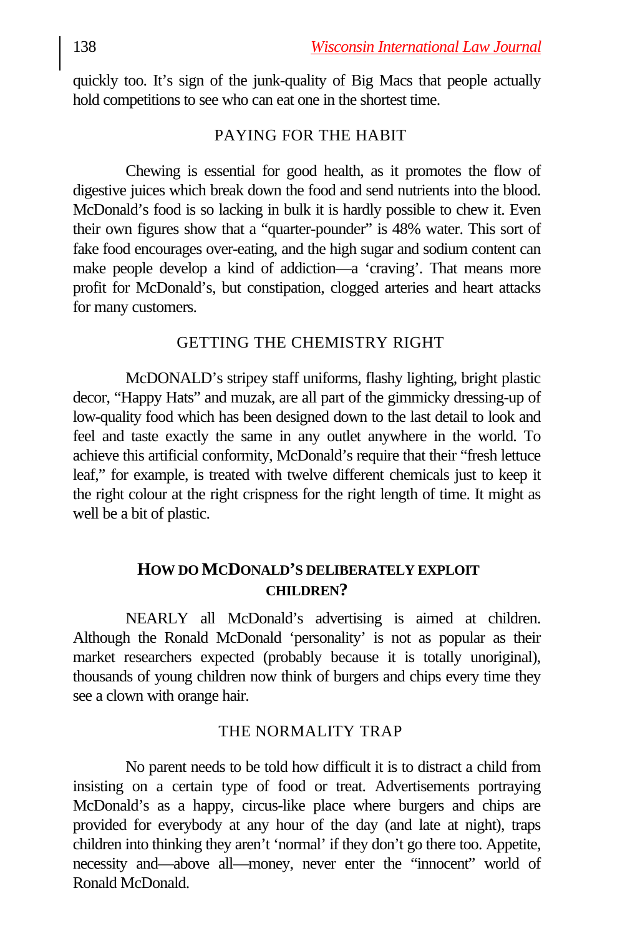quickly too. It's sign of the junk-quality of Big Macs that people actually hold competitions to see who can eat one in the shortest time.

## PAYING FOR THE HABIT

Chewing is essential for good health, as it promotes the flow of digestive juices which break down the food and send nutrients into the blood. McDonald's food is so lacking in bulk it is hardly possible to chew it. Even their own figures show that a "quarter-pounder" is 48% water. This sort of fake food encourages over-eating, and the high sugar and sodium content can make people develop a kind of addiction—a 'craving'. That means more profit for McDonald's, but constipation, clogged arteries and heart attacks for many customers.

## GETTING THE CHEMISTRY RIGHT

McDONALD's stripey staff uniforms, flashy lighting, bright plastic decor, "Happy Hats" and muzak, are all part of the gimmicky dressing-up of low-quality food which has been designed down to the last detail to look and feel and taste exactly the same in any outlet anywhere in the world. To achieve this artificial conformity, McDonald's require that their "fresh lettuce leaf," for example, is treated with twelve different chemicals just to keep it the right colour at the right crispness for the right length of time. It might as well be a bit of plastic.

## **HOW DO MCDONALD'S DELIBERATELY EXPLOIT CHILDREN?**

NEARLY all McDonald's advertising is aimed at children. Although the Ronald McDonald 'personality' is not as popular as their market researchers expected (probably because it is totally unoriginal), thousands of young children now think of burgers and chips every time they see a clown with orange hair.

## THE NORMALITY TRAP

No parent needs to be told how difficult it is to distract a child from insisting on a certain type of food or treat. Advertisements portraying McDonald's as a happy, circus-like place where burgers and chips are provided for everybody at any hour of the day (and late at night), traps children into thinking they aren't 'normal' if they don't go there too. Appetite, necessity and—above all—money, never enter the "innocent" world of Ronald McDonald.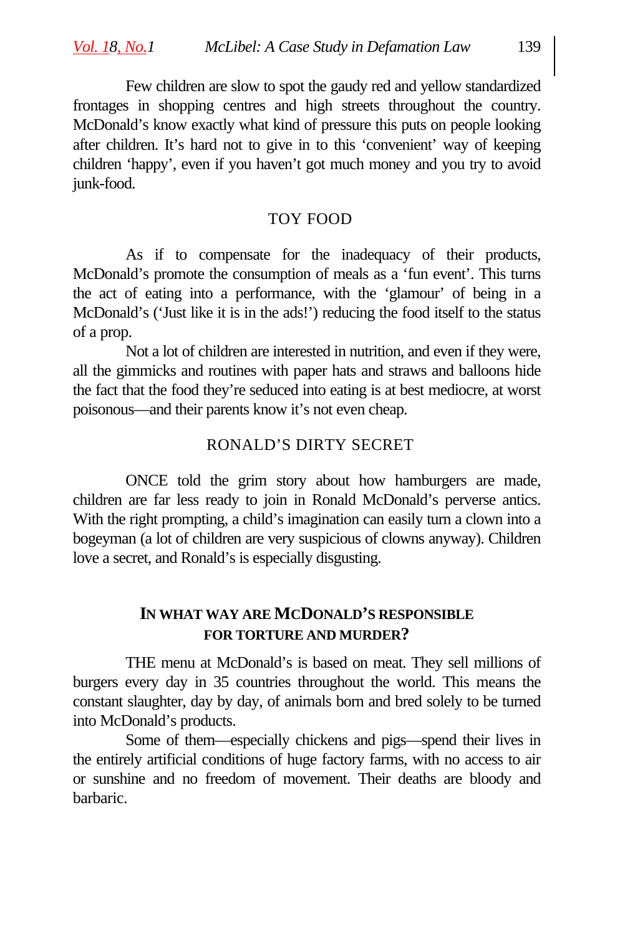Few children are slow to spot the gaudy red and yellow standardized frontages in shopping centres and high streets throughout the country. McDonald's know exactly what kind of pressure this puts on people looking after children. It's hard not to give in to this 'convenient' way of keeping children 'happy', even if you haven't got much money and you try to avoid junk-food.

#### TOY FOOD

As if to compensate for the inadequacy of their products, McDonald's promote the consumption of meals as a 'fun event'. This turns the act of eating into a performance, with the 'glamour' of being in a McDonald's ('Just like it is in the ads!') reducing the food itself to the status of a prop.

Not a lot of children are interested in nutrition, and even if they were, all the gimmicks and routines with paper hats and straws and balloons hide the fact that the food they're seduced into eating is at best mediocre, at worst poisonous—and their parents know it's not even cheap.

#### RONALD'S DIRTY SECRET

ONCE told the grim story about how hamburgers are made, children are far less ready to join in Ronald McDonald's perverse antics. With the right prompting, a child's imagination can easily turn a clown into a bogeyman (a lot of children are very suspicious of clowns anyway). Children love a secret, and Ronald's is especially disgusting.

## **IN WHAT WAY ARE MCDONALD'S RESPONSIBLE FOR TORTURE AND MURDER?**

THE menu at McDonald's is based on meat. They sell millions of burgers every day in 35 countries throughout the world. This means the constant slaughter, day by day, of animals born and bred solely to be turned into McDonald's products.

Some of them—especially chickens and pigs—spend their lives in the entirely artificial conditions of huge factory farms, with no access to air or sunshine and no freedom of movement. Their deaths are bloody and barbaric.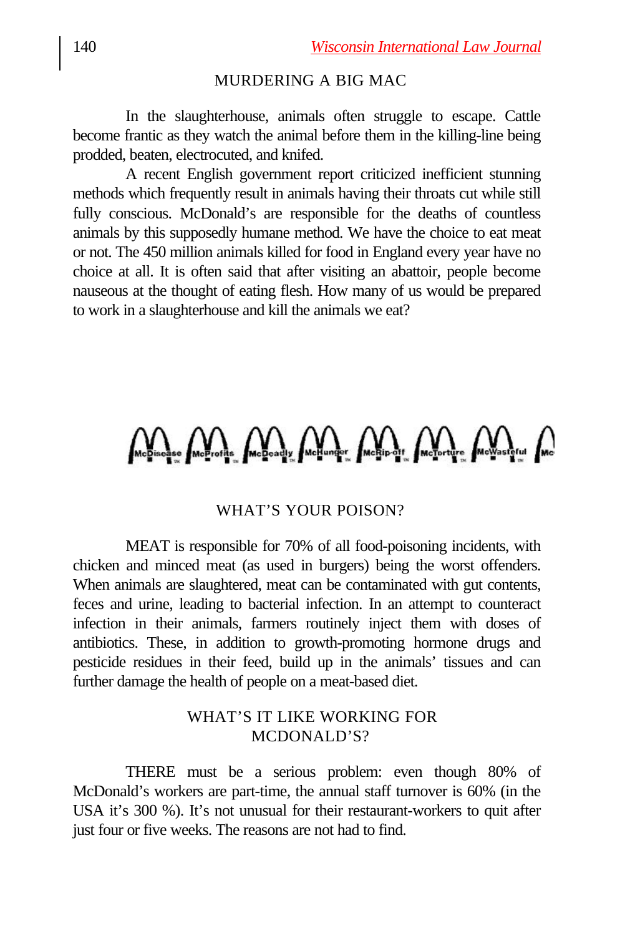#### MURDERING A BIG MAC

In the slaughterhouse, animals often struggle to escape. Cattle become frantic as they watch the animal before them in the killing-line being prodded, beaten, electrocuted, and knifed.

A recent English government report criticized inefficient stunning methods which frequently result in animals having their throats cut while still fully conscious. McDonald's are responsible for the deaths of countless animals by this supposedly humane method. We have the choice to eat meat or not. The 450 million animals killed for food in England every year have no choice at all. It is often said that after visiting an abattoir, people become nauseous at the thought of eating flesh. How many of us would be prepared to work in a slaughterhouse and kill the animals we eat?

# Analysing and Analysis and Analysis and Analysis and Analysis and Analysis and

#### WHAT'S YOUR POISON?

MEAT is responsible for 70% of all food-poisoning incidents, with chicken and minced meat (as used in burgers) being the worst offenders. When animals are slaughtered, meat can be contaminated with gut contents, feces and urine, leading to bacterial infection. In an attempt to counteract infection in their animals, farmers routinely inject them with doses of antibiotics. These, in addition to growth-promoting hormone drugs and pesticide residues in their feed, build up in the animals' tissues and can further damage the health of people on a meat-based diet.

## WHAT'S IT LIKE WORKING FOR MCDONALD'S?

THERE must be a serious problem: even though 80% of McDonald's workers are part-time, the annual staff turnover is 60% (in the USA it's 300 %). It's not unusual for their restaurant-workers to quit after just four or five weeks. The reasons are not had to find.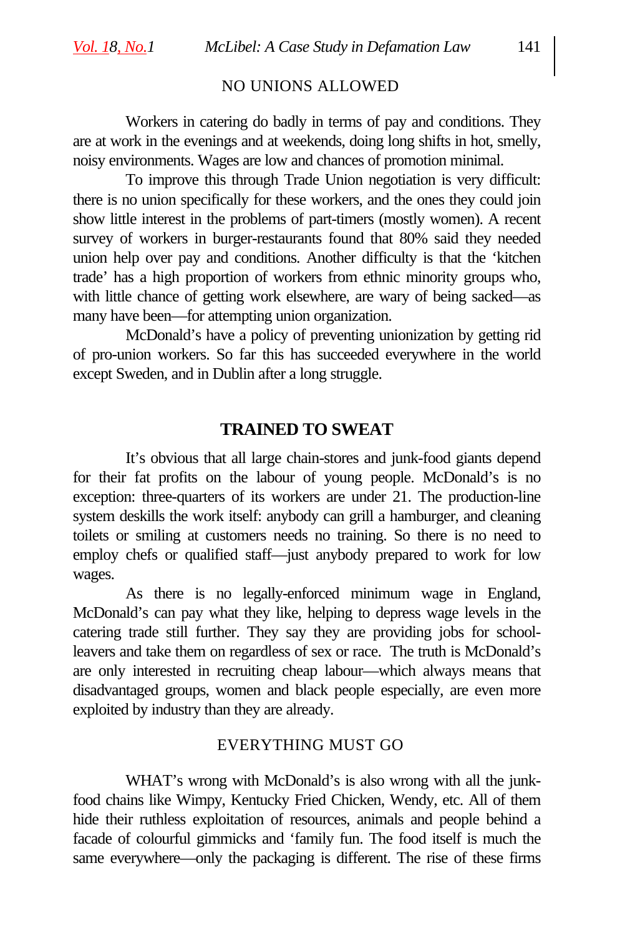### NO UNIONS ALLOWED

Workers in catering do badly in terms of pay and conditions. They are at work in the evenings and at weekends, doing long shifts in hot, smelly, noisy environments. Wages are low and chances of promotion minimal.

To improve this through Trade Union negotiation is very difficult: there is no union specifically for these workers, and the ones they could join show little interest in the problems of part-timers (mostly women). A recent survey of workers in burger-restaurants found that 80% said they needed union help over pay and conditions. Another difficulty is that the 'kitchen trade' has a high proportion of workers from ethnic minority groups who, with little chance of getting work elsewhere, are wary of being sacked—as many have been—for attempting union organization.

McDonald's have a policy of preventing unionization by getting rid of pro-union workers. So far this has succeeded everywhere in the world except Sweden, and in Dublin after a long struggle.

## **TRAINED TO SWEAT**

It's obvious that all large chain-stores and junk-food giants depend for their fat profits on the labour of young people. McDonald's is no exception: three-quarters of its workers are under 21. The production-line system deskills the work itself: anybody can grill a hamburger, and cleaning toilets or smiling at customers needs no training. So there is no need to employ chefs or qualified staff—just anybody prepared to work for low wages.

As there is no legally-enforced minimum wage in England, McDonald's can pay what they like, helping to depress wage levels in the catering trade still further. They say they are providing jobs for schoolleavers and take them on regardless of sex or race. The truth is McDonald's are only interested in recruiting cheap labour—which always means that disadvantaged groups, women and black people especially, are even more exploited by industry than they are already.

### EVERYTHING MUST GO

WHAT's wrong with McDonald's is also wrong with all the junkfood chains like Wimpy, Kentucky Fried Chicken, Wendy, etc. All of them hide their ruthless exploitation of resources, animals and people behind a facade of colourful gimmicks and 'family fun. The food itself is much the same everywhere—only the packaging is different. The rise of these firms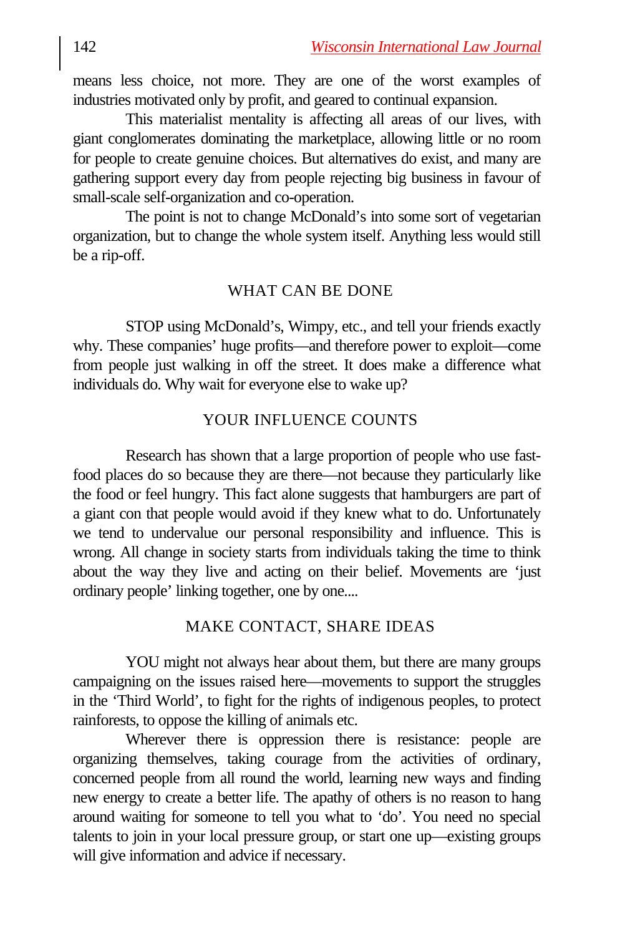means less choice, not more. They are one of the worst examples of industries motivated only by profit, and geared to continual expansion.

This materialist mentality is affecting all areas of our lives, with giant conglomerates dominating the marketplace, allowing little or no room for people to create genuine choices. But alternatives do exist, and many are gathering support every day from people rejecting big business in favour of small-scale self-organization and co-operation.

The point is not to change McDonald's into some sort of vegetarian organization, but to change the whole system itself. Anything less would still be a rip-off.

## WHAT CAN BE DONE

STOP using McDonald's, Wimpy, etc., and tell your friends exactly why. These companies' huge profits—and therefore power to exploit—come from people just walking in off the street. It does make a difference what individuals do. Why wait for everyone else to wake up?

## YOUR INFLUENCE COUNTS

Research has shown that a large proportion of people who use fastfood places do so because they are there—not because they particularly like the food or feel hungry. This fact alone suggests that hamburgers are part of a giant con that people would avoid if they knew what to do. Unfortunately we tend to undervalue our personal responsibility and influence. This is wrong. All change in society starts from individuals taking the time to think about the way they live and acting on their belief. Movements are 'just ordinary people' linking together, one by one....

### MAKE CONTACT, SHARE IDEAS

YOU might not always hear about them, but there are many groups campaigning on the issues raised here—movements to support the struggles in the 'Third World', to fight for the rights of indigenous peoples, to protect rainforests, to oppose the killing of animals etc.

Wherever there is oppression there is resistance: people are organizing themselves, taking courage from the activities of ordinary, concerned people from all round the world, learning new ways and finding new energy to create a better life. The apathy of others is no reason to hang around waiting for someone to tell you what to 'do'. You need no special talents to join in your local pressure group, or start one up—existing groups will give information and advice if necessary.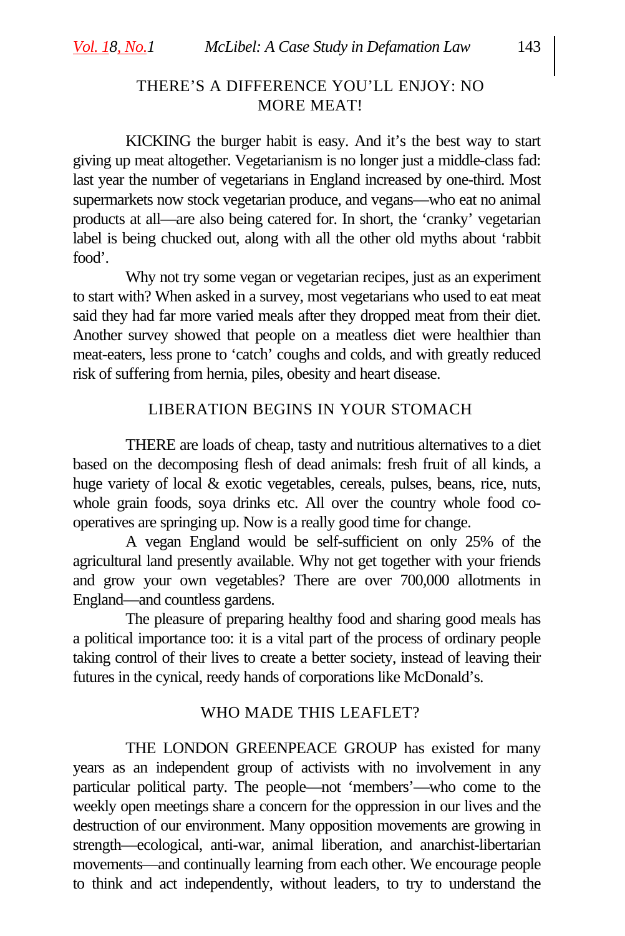## THERE'S A DIFFERENCE YOU'LL ENJOY: NO MORE MEAT!

KICKING the burger habit is easy. And it's the best way to start giving up meat altogether. Vegetarianism is no longer just a middle-class fad: last year the number of vegetarians in England increased by one-third. Most supermarkets now stock vegetarian produce, and vegans—who eat no animal products at all—are also being catered for. In short, the 'cranky' vegetarian label is being chucked out, along with all the other old myths about 'rabbit food'.

Why not try some vegan or vegetarian recipes, just as an experiment to start with? When asked in a survey, most vegetarians who used to eat meat said they had far more varied meals after they dropped meat from their diet. Another survey showed that people on a meatless diet were healthier than meat-eaters, less prone to 'catch' coughs and colds, and with greatly reduced risk of suffering from hernia, piles, obesity and heart disease.

## LIBERATION BEGINS IN YOUR STOMACH

THERE are loads of cheap, tasty and nutritious alternatives to a diet based on the decomposing flesh of dead animals: fresh fruit of all kinds, a huge variety of local & exotic vegetables, cereals, pulses, beans, rice, nuts, whole grain foods, soya drinks etc. All over the country whole food cooperatives are springing up. Now is a really good time for change.

A vegan England would be self-sufficient on only 25% of the agricultural land presently available. Why not get together with your friends and grow your own vegetables? There are over 700,000 allotments in England—and countless gardens.

The pleasure of preparing healthy food and sharing good meals has a political importance too: it is a vital part of the process of ordinary people taking control of their lives to create a better society, instead of leaving their futures in the cynical, reedy hands of corporations like McDonald's.

## WHO MADE THIS LEAFLET?

THE LONDON GREENPEACE GROUP has existed for many years as an independent group of activists with no involvement in any particular political party. The people—not 'members'—who come to the weekly open meetings share a concern for the oppression in our lives and the destruction of our environment. Many opposition movements are growing in strength—ecological, anti-war, animal liberation, and anarchist-libertarian movements—and continually learning from each other. We encourage people to think and act independently, without leaders, to try to understand the